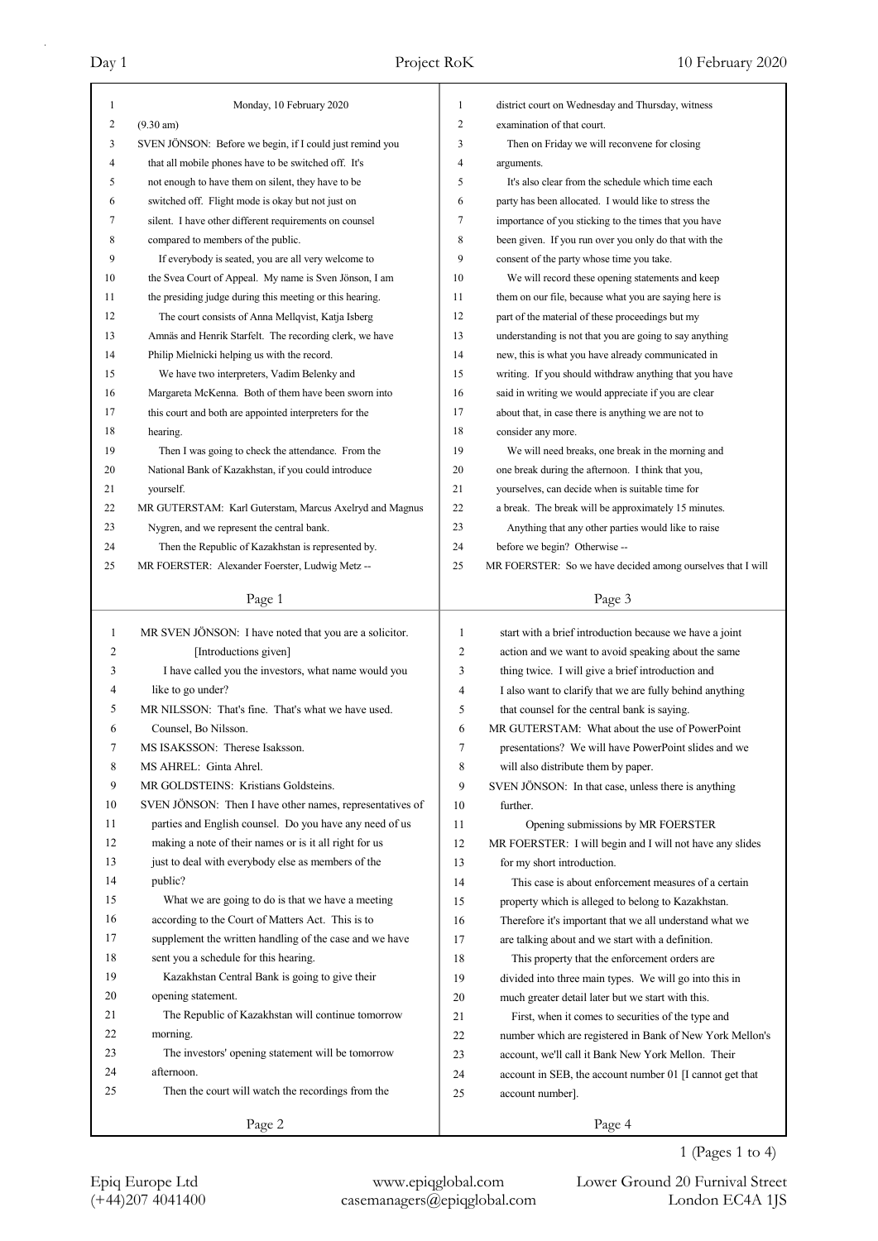| $\overline{c}$<br>$(9.30 \text{ am})$<br>$\overline{2}$<br>examination of that court.<br>SVEN JÖNSON: Before we begin, if I could just remind you<br>3<br>Then on Friday we will reconvene for closing<br>3<br>4<br>4<br>that all mobile phones have to be switched off. It's<br>arguments.<br>not enough to have them on silent, they have to be<br>5<br>It's also clear from the schedule which time each<br>5<br>6<br>switched off. Flight mode is okay but not just on<br>party has been allocated. I would like to stress the<br>6<br>silent. I have other different requirements on counsel<br>7<br>7<br>importance of you sticking to the times that you have<br>8<br>8<br>compared to members of the public.<br>been given. If you run over you only do that with the<br>9<br>9<br>consent of the party whose time you take.<br>If everybody is seated, you are all very welcome to<br>10<br>10<br>the Svea Court of Appeal. My name is Sven Jönson, I am<br>We will record these opening statements and keep<br>11<br>the presiding judge during this meeting or this hearing.<br>11<br>them on our file, because what you are saying here is<br>12<br>12<br>The court consists of Anna Mellqvist, Katja Isberg<br>part of the material of these proceedings but my<br>Amnäs and Henrik Starfelt. The recording clerk, we have<br>13<br>13<br>understanding is not that you are going to say anything<br>14<br>Philip Mielnicki helping us with the record.<br>14<br>new, this is what you have already communicated in<br>15<br>15<br>We have two interpreters, Vadim Belenky and<br>writing. If you should withdraw anything that you have<br>16<br>said in writing we would appreciate if you are clear<br>16<br>Margareta McKenna. Both of them have been sworn into<br>17<br>this court and both are appointed interpreters for the<br>17<br>about that, in case there is anything we are not to<br>18<br>consider any more.<br>18<br>hearing.<br>19<br>19<br>Then I was going to check the attendance. From the<br>We will need breaks, one break in the morning and<br>20<br>National Bank of Kazakhstan, if you could introduce<br>20<br>one break during the afternoon. I think that you,<br>21<br>yourselves, can decide when is suitable time for<br>21<br>yourself.<br>MR GUTERSTAM: Karl Guterstam, Marcus Axelryd and Magnus<br>22<br>22<br>a break. The break will be approximately 15 minutes.<br>23<br>23<br>Nygren, and we represent the central bank.<br>Anything that any other parties would like to raise<br>24<br>24<br>before we begin? Otherwise --<br>Then the Republic of Kazakhstan is represented by.<br>MR FOERSTER: Alexander Foerster, Ludwig Metz --<br>25<br>25<br>MR FOERSTER: So we have decided among ourselves that I will<br>Page 3<br>Page 1<br>start with a brief introduction because we have a joint<br>$\mathbf{1}$<br>MR SVEN JÖNSON: I have noted that you are a solicitor.<br>1<br>2<br>$\mathfrak{2}$<br>[Introductions given]<br>action and we want to avoid speaking about the same<br>3<br>I have called you the investors, what name would you<br>3<br>thing twice. I will give a brief introduction and<br>4<br>like to go under?<br>$\overline{4}$<br>I also want to clarify that we are fully behind anything<br>5<br>5<br>MR NILSSON: That's fine. That's what we have used.<br>that counsel for the central bank is saying.<br>6<br>Counsel, Bo Nilsson.<br>6<br>MR GUTERSTAM: What about the use of PowerPoint<br>presentations? We will have PowerPoint slides and we<br>MS ISAKSSON: Therese Isaksson.<br>7<br>Ί<br>8<br>8<br>MS AHREL: Ginta Ahrel.<br>will also distribute them by paper.<br>9<br>MR GOLDSTEINS: Kristians Goldsteins.<br>9<br>SVEN JÖNSON: In that case, unless there is anything<br>10<br>SVEN JÖNSON: Then I have other names, representatives of<br>further.<br>10<br>11<br>parties and English counsel. Do you have any need of us<br>11<br>Opening submissions by MR FOERSTER<br>making a note of their names or is it all right for us<br>12<br>12<br>MR FOERSTER: I will begin and I will not have any slides<br>13<br>just to deal with everybody else as members of the<br>13<br>for my short introduction.<br>14<br>public?<br>This case is about enforcement measures of a certain<br>14<br>15<br>What we are going to do is that we have a meeting<br>15<br>property which is alleged to belong to Kazakhstan.<br>16<br>according to the Court of Matters Act. This is to<br>16<br>Therefore it's important that we all understand what we<br>17<br>supplement the written handling of the case and we have<br>17<br>are talking about and we start with a definition.<br>18<br>sent you a schedule for this hearing.<br>18<br>This property that the enforcement orders are<br>19<br>Kazakhstan Central Bank is going to give their<br>19<br>divided into three main types. We will go into this in<br>20<br>opening statement.<br>20<br>much greater detail later but we start with this.<br>21<br>The Republic of Kazakhstan will continue tomorrow<br>21<br>First, when it comes to securities of the type and<br>22<br>morning.<br>22<br>number which are registered in Bank of New York Mellon's<br>23<br>The investors' opening statement will be tomorrow<br>23<br>account, we'll call it Bank New York Mellon. Their<br>24<br>afternoon.<br>24<br>account in SEB, the account number 01 [I cannot get that<br>25<br>Then the court will watch the recordings from the<br>25<br>account number].<br>Page 2<br>Page 4 | $\mathbf{1}$ | Monday, 10 February 2020 | 1 | district court on Wednesday and Thursday, witness |
|----------------------------------------------------------------------------------------------------------------------------------------------------------------------------------------------------------------------------------------------------------------------------------------------------------------------------------------------------------------------------------------------------------------------------------------------------------------------------------------------------------------------------------------------------------------------------------------------------------------------------------------------------------------------------------------------------------------------------------------------------------------------------------------------------------------------------------------------------------------------------------------------------------------------------------------------------------------------------------------------------------------------------------------------------------------------------------------------------------------------------------------------------------------------------------------------------------------------------------------------------------------------------------------------------------------------------------------------------------------------------------------------------------------------------------------------------------------------------------------------------------------------------------------------------------------------------------------------------------------------------------------------------------------------------------------------------------------------------------------------------------------------------------------------------------------------------------------------------------------------------------------------------------------------------------------------------------------------------------------------------------------------------------------------------------------------------------------------------------------------------------------------------------------------------------------------------------------------------------------------------------------------------------------------------------------------------------------------------------------------------------------------------------------------------------------------------------------------------------------------------------------------------------------------------------------------------------------------------------------------------------------------------------------------------------------------------------------------------------------------------------------------------------------------------------------------------------------------------------------------------------------------------------------------------------------------------------------------------------------------------------------------------------------------------------------------------------------------------------------------------------------------------------------------------------------------------------------------------------------------------------------------------------------------------------------------------------------------------------------------------------------------------------------------------------------------------------------------------------------------------------------------------------------------------------------------------------------------------------------------------------------------------------------------------------------------------------------------------------------------------------------------------------------------------------------------------------------------------------------------------------------------------------------------------------------------------------------------------------------------------------------------------------------------------------------------------------------------------------------------------------------------------------------------------------------------------------------------------------------------------------------------------------------------------------------------------------------------------------------------------------------------------------------------------------------------------------------------------------------------------------------------------------------------------------------------------------------------------------------------------------------------------------------------------------------------------------------------------------------------------------------------------------------------------------------------------------------------------------------------------------------------------------------------------------------------------------------------------------------------------------------------------------------------------------------------------------------------------------------------------------------------------------------------------------------------------------------------------------------------------------------------------------------------------------------------------------------------------------------------------------------------------------------------------------------------------------------------------------------------------------------------------------|--------------|--------------------------|---|---------------------------------------------------|
|                                                                                                                                                                                                                                                                                                                                                                                                                                                                                                                                                                                                                                                                                                                                                                                                                                                                                                                                                                                                                                                                                                                                                                                                                                                                                                                                                                                                                                                                                                                                                                                                                                                                                                                                                                                                                                                                                                                                                                                                                                                                                                                                                                                                                                                                                                                                                                                                                                                                                                                                                                                                                                                                                                                                                                                                                                                                                                                                                                                                                                                                                                                                                                                                                                                                                                                                                                                                                                                                                                                                                                                                                                                                                                                                                                                                                                                                                                                                                                                                                                                                                                                                                                                                                                                                                                                                                                                                                                                                                                                                                                                                                                                                                                                                                                                                                                                                                                                                                                                                                                                                                                                                                                                                                                                                                                                                                                                                                                                                                                                                  |              |                          |   |                                                   |
|                                                                                                                                                                                                                                                                                                                                                                                                                                                                                                                                                                                                                                                                                                                                                                                                                                                                                                                                                                                                                                                                                                                                                                                                                                                                                                                                                                                                                                                                                                                                                                                                                                                                                                                                                                                                                                                                                                                                                                                                                                                                                                                                                                                                                                                                                                                                                                                                                                                                                                                                                                                                                                                                                                                                                                                                                                                                                                                                                                                                                                                                                                                                                                                                                                                                                                                                                                                                                                                                                                                                                                                                                                                                                                                                                                                                                                                                                                                                                                                                                                                                                                                                                                                                                                                                                                                                                                                                                                                                                                                                                                                                                                                                                                                                                                                                                                                                                                                                                                                                                                                                                                                                                                                                                                                                                                                                                                                                                                                                                                                                  |              |                          |   |                                                   |
|                                                                                                                                                                                                                                                                                                                                                                                                                                                                                                                                                                                                                                                                                                                                                                                                                                                                                                                                                                                                                                                                                                                                                                                                                                                                                                                                                                                                                                                                                                                                                                                                                                                                                                                                                                                                                                                                                                                                                                                                                                                                                                                                                                                                                                                                                                                                                                                                                                                                                                                                                                                                                                                                                                                                                                                                                                                                                                                                                                                                                                                                                                                                                                                                                                                                                                                                                                                                                                                                                                                                                                                                                                                                                                                                                                                                                                                                                                                                                                                                                                                                                                                                                                                                                                                                                                                                                                                                                                                                                                                                                                                                                                                                                                                                                                                                                                                                                                                                                                                                                                                                                                                                                                                                                                                                                                                                                                                                                                                                                                                                  |              |                          |   |                                                   |
|                                                                                                                                                                                                                                                                                                                                                                                                                                                                                                                                                                                                                                                                                                                                                                                                                                                                                                                                                                                                                                                                                                                                                                                                                                                                                                                                                                                                                                                                                                                                                                                                                                                                                                                                                                                                                                                                                                                                                                                                                                                                                                                                                                                                                                                                                                                                                                                                                                                                                                                                                                                                                                                                                                                                                                                                                                                                                                                                                                                                                                                                                                                                                                                                                                                                                                                                                                                                                                                                                                                                                                                                                                                                                                                                                                                                                                                                                                                                                                                                                                                                                                                                                                                                                                                                                                                                                                                                                                                                                                                                                                                                                                                                                                                                                                                                                                                                                                                                                                                                                                                                                                                                                                                                                                                                                                                                                                                                                                                                                                                                  |              |                          |   |                                                   |
|                                                                                                                                                                                                                                                                                                                                                                                                                                                                                                                                                                                                                                                                                                                                                                                                                                                                                                                                                                                                                                                                                                                                                                                                                                                                                                                                                                                                                                                                                                                                                                                                                                                                                                                                                                                                                                                                                                                                                                                                                                                                                                                                                                                                                                                                                                                                                                                                                                                                                                                                                                                                                                                                                                                                                                                                                                                                                                                                                                                                                                                                                                                                                                                                                                                                                                                                                                                                                                                                                                                                                                                                                                                                                                                                                                                                                                                                                                                                                                                                                                                                                                                                                                                                                                                                                                                                                                                                                                                                                                                                                                                                                                                                                                                                                                                                                                                                                                                                                                                                                                                                                                                                                                                                                                                                                                                                                                                                                                                                                                                                  |              |                          |   |                                                   |
|                                                                                                                                                                                                                                                                                                                                                                                                                                                                                                                                                                                                                                                                                                                                                                                                                                                                                                                                                                                                                                                                                                                                                                                                                                                                                                                                                                                                                                                                                                                                                                                                                                                                                                                                                                                                                                                                                                                                                                                                                                                                                                                                                                                                                                                                                                                                                                                                                                                                                                                                                                                                                                                                                                                                                                                                                                                                                                                                                                                                                                                                                                                                                                                                                                                                                                                                                                                                                                                                                                                                                                                                                                                                                                                                                                                                                                                                                                                                                                                                                                                                                                                                                                                                                                                                                                                                                                                                                                                                                                                                                                                                                                                                                                                                                                                                                                                                                                                                                                                                                                                                                                                                                                                                                                                                                                                                                                                                                                                                                                                                  |              |                          |   |                                                   |
|                                                                                                                                                                                                                                                                                                                                                                                                                                                                                                                                                                                                                                                                                                                                                                                                                                                                                                                                                                                                                                                                                                                                                                                                                                                                                                                                                                                                                                                                                                                                                                                                                                                                                                                                                                                                                                                                                                                                                                                                                                                                                                                                                                                                                                                                                                                                                                                                                                                                                                                                                                                                                                                                                                                                                                                                                                                                                                                                                                                                                                                                                                                                                                                                                                                                                                                                                                                                                                                                                                                                                                                                                                                                                                                                                                                                                                                                                                                                                                                                                                                                                                                                                                                                                                                                                                                                                                                                                                                                                                                                                                                                                                                                                                                                                                                                                                                                                                                                                                                                                                                                                                                                                                                                                                                                                                                                                                                                                                                                                                                                  |              |                          |   |                                                   |
|                                                                                                                                                                                                                                                                                                                                                                                                                                                                                                                                                                                                                                                                                                                                                                                                                                                                                                                                                                                                                                                                                                                                                                                                                                                                                                                                                                                                                                                                                                                                                                                                                                                                                                                                                                                                                                                                                                                                                                                                                                                                                                                                                                                                                                                                                                                                                                                                                                                                                                                                                                                                                                                                                                                                                                                                                                                                                                                                                                                                                                                                                                                                                                                                                                                                                                                                                                                                                                                                                                                                                                                                                                                                                                                                                                                                                                                                                                                                                                                                                                                                                                                                                                                                                                                                                                                                                                                                                                                                                                                                                                                                                                                                                                                                                                                                                                                                                                                                                                                                                                                                                                                                                                                                                                                                                                                                                                                                                                                                                                                                  |              |                          |   |                                                   |
|                                                                                                                                                                                                                                                                                                                                                                                                                                                                                                                                                                                                                                                                                                                                                                                                                                                                                                                                                                                                                                                                                                                                                                                                                                                                                                                                                                                                                                                                                                                                                                                                                                                                                                                                                                                                                                                                                                                                                                                                                                                                                                                                                                                                                                                                                                                                                                                                                                                                                                                                                                                                                                                                                                                                                                                                                                                                                                                                                                                                                                                                                                                                                                                                                                                                                                                                                                                                                                                                                                                                                                                                                                                                                                                                                                                                                                                                                                                                                                                                                                                                                                                                                                                                                                                                                                                                                                                                                                                                                                                                                                                                                                                                                                                                                                                                                                                                                                                                                                                                                                                                                                                                                                                                                                                                                                                                                                                                                                                                                                                                  |              |                          |   |                                                   |
|                                                                                                                                                                                                                                                                                                                                                                                                                                                                                                                                                                                                                                                                                                                                                                                                                                                                                                                                                                                                                                                                                                                                                                                                                                                                                                                                                                                                                                                                                                                                                                                                                                                                                                                                                                                                                                                                                                                                                                                                                                                                                                                                                                                                                                                                                                                                                                                                                                                                                                                                                                                                                                                                                                                                                                                                                                                                                                                                                                                                                                                                                                                                                                                                                                                                                                                                                                                                                                                                                                                                                                                                                                                                                                                                                                                                                                                                                                                                                                                                                                                                                                                                                                                                                                                                                                                                                                                                                                                                                                                                                                                                                                                                                                                                                                                                                                                                                                                                                                                                                                                                                                                                                                                                                                                                                                                                                                                                                                                                                                                                  |              |                          |   |                                                   |
|                                                                                                                                                                                                                                                                                                                                                                                                                                                                                                                                                                                                                                                                                                                                                                                                                                                                                                                                                                                                                                                                                                                                                                                                                                                                                                                                                                                                                                                                                                                                                                                                                                                                                                                                                                                                                                                                                                                                                                                                                                                                                                                                                                                                                                                                                                                                                                                                                                                                                                                                                                                                                                                                                                                                                                                                                                                                                                                                                                                                                                                                                                                                                                                                                                                                                                                                                                                                                                                                                                                                                                                                                                                                                                                                                                                                                                                                                                                                                                                                                                                                                                                                                                                                                                                                                                                                                                                                                                                                                                                                                                                                                                                                                                                                                                                                                                                                                                                                                                                                                                                                                                                                                                                                                                                                                                                                                                                                                                                                                                                                  |              |                          |   |                                                   |
|                                                                                                                                                                                                                                                                                                                                                                                                                                                                                                                                                                                                                                                                                                                                                                                                                                                                                                                                                                                                                                                                                                                                                                                                                                                                                                                                                                                                                                                                                                                                                                                                                                                                                                                                                                                                                                                                                                                                                                                                                                                                                                                                                                                                                                                                                                                                                                                                                                                                                                                                                                                                                                                                                                                                                                                                                                                                                                                                                                                                                                                                                                                                                                                                                                                                                                                                                                                                                                                                                                                                                                                                                                                                                                                                                                                                                                                                                                                                                                                                                                                                                                                                                                                                                                                                                                                                                                                                                                                                                                                                                                                                                                                                                                                                                                                                                                                                                                                                                                                                                                                                                                                                                                                                                                                                                                                                                                                                                                                                                                                                  |              |                          |   |                                                   |
|                                                                                                                                                                                                                                                                                                                                                                                                                                                                                                                                                                                                                                                                                                                                                                                                                                                                                                                                                                                                                                                                                                                                                                                                                                                                                                                                                                                                                                                                                                                                                                                                                                                                                                                                                                                                                                                                                                                                                                                                                                                                                                                                                                                                                                                                                                                                                                                                                                                                                                                                                                                                                                                                                                                                                                                                                                                                                                                                                                                                                                                                                                                                                                                                                                                                                                                                                                                                                                                                                                                                                                                                                                                                                                                                                                                                                                                                                                                                                                                                                                                                                                                                                                                                                                                                                                                                                                                                                                                                                                                                                                                                                                                                                                                                                                                                                                                                                                                                                                                                                                                                                                                                                                                                                                                                                                                                                                                                                                                                                                                                  |              |                          |   |                                                   |
|                                                                                                                                                                                                                                                                                                                                                                                                                                                                                                                                                                                                                                                                                                                                                                                                                                                                                                                                                                                                                                                                                                                                                                                                                                                                                                                                                                                                                                                                                                                                                                                                                                                                                                                                                                                                                                                                                                                                                                                                                                                                                                                                                                                                                                                                                                                                                                                                                                                                                                                                                                                                                                                                                                                                                                                                                                                                                                                                                                                                                                                                                                                                                                                                                                                                                                                                                                                                                                                                                                                                                                                                                                                                                                                                                                                                                                                                                                                                                                                                                                                                                                                                                                                                                                                                                                                                                                                                                                                                                                                                                                                                                                                                                                                                                                                                                                                                                                                                                                                                                                                                                                                                                                                                                                                                                                                                                                                                                                                                                                                                  |              |                          |   |                                                   |
|                                                                                                                                                                                                                                                                                                                                                                                                                                                                                                                                                                                                                                                                                                                                                                                                                                                                                                                                                                                                                                                                                                                                                                                                                                                                                                                                                                                                                                                                                                                                                                                                                                                                                                                                                                                                                                                                                                                                                                                                                                                                                                                                                                                                                                                                                                                                                                                                                                                                                                                                                                                                                                                                                                                                                                                                                                                                                                                                                                                                                                                                                                                                                                                                                                                                                                                                                                                                                                                                                                                                                                                                                                                                                                                                                                                                                                                                                                                                                                                                                                                                                                                                                                                                                                                                                                                                                                                                                                                                                                                                                                                                                                                                                                                                                                                                                                                                                                                                                                                                                                                                                                                                                                                                                                                                                                                                                                                                                                                                                                                                  |              |                          |   |                                                   |
|                                                                                                                                                                                                                                                                                                                                                                                                                                                                                                                                                                                                                                                                                                                                                                                                                                                                                                                                                                                                                                                                                                                                                                                                                                                                                                                                                                                                                                                                                                                                                                                                                                                                                                                                                                                                                                                                                                                                                                                                                                                                                                                                                                                                                                                                                                                                                                                                                                                                                                                                                                                                                                                                                                                                                                                                                                                                                                                                                                                                                                                                                                                                                                                                                                                                                                                                                                                                                                                                                                                                                                                                                                                                                                                                                                                                                                                                                                                                                                                                                                                                                                                                                                                                                                                                                                                                                                                                                                                                                                                                                                                                                                                                                                                                                                                                                                                                                                                                                                                                                                                                                                                                                                                                                                                                                                                                                                                                                                                                                                                                  |              |                          |   |                                                   |
|                                                                                                                                                                                                                                                                                                                                                                                                                                                                                                                                                                                                                                                                                                                                                                                                                                                                                                                                                                                                                                                                                                                                                                                                                                                                                                                                                                                                                                                                                                                                                                                                                                                                                                                                                                                                                                                                                                                                                                                                                                                                                                                                                                                                                                                                                                                                                                                                                                                                                                                                                                                                                                                                                                                                                                                                                                                                                                                                                                                                                                                                                                                                                                                                                                                                                                                                                                                                                                                                                                                                                                                                                                                                                                                                                                                                                                                                                                                                                                                                                                                                                                                                                                                                                                                                                                                                                                                                                                                                                                                                                                                                                                                                                                                                                                                                                                                                                                                                                                                                                                                                                                                                                                                                                                                                                                                                                                                                                                                                                                                                  |              |                          |   |                                                   |
|                                                                                                                                                                                                                                                                                                                                                                                                                                                                                                                                                                                                                                                                                                                                                                                                                                                                                                                                                                                                                                                                                                                                                                                                                                                                                                                                                                                                                                                                                                                                                                                                                                                                                                                                                                                                                                                                                                                                                                                                                                                                                                                                                                                                                                                                                                                                                                                                                                                                                                                                                                                                                                                                                                                                                                                                                                                                                                                                                                                                                                                                                                                                                                                                                                                                                                                                                                                                                                                                                                                                                                                                                                                                                                                                                                                                                                                                                                                                                                                                                                                                                                                                                                                                                                                                                                                                                                                                                                                                                                                                                                                                                                                                                                                                                                                                                                                                                                                                                                                                                                                                                                                                                                                                                                                                                                                                                                                                                                                                                                                                  |              |                          |   |                                                   |
|                                                                                                                                                                                                                                                                                                                                                                                                                                                                                                                                                                                                                                                                                                                                                                                                                                                                                                                                                                                                                                                                                                                                                                                                                                                                                                                                                                                                                                                                                                                                                                                                                                                                                                                                                                                                                                                                                                                                                                                                                                                                                                                                                                                                                                                                                                                                                                                                                                                                                                                                                                                                                                                                                                                                                                                                                                                                                                                                                                                                                                                                                                                                                                                                                                                                                                                                                                                                                                                                                                                                                                                                                                                                                                                                                                                                                                                                                                                                                                                                                                                                                                                                                                                                                                                                                                                                                                                                                                                                                                                                                                                                                                                                                                                                                                                                                                                                                                                                                                                                                                                                                                                                                                                                                                                                                                                                                                                                                                                                                                                                  |              |                          |   |                                                   |
|                                                                                                                                                                                                                                                                                                                                                                                                                                                                                                                                                                                                                                                                                                                                                                                                                                                                                                                                                                                                                                                                                                                                                                                                                                                                                                                                                                                                                                                                                                                                                                                                                                                                                                                                                                                                                                                                                                                                                                                                                                                                                                                                                                                                                                                                                                                                                                                                                                                                                                                                                                                                                                                                                                                                                                                                                                                                                                                                                                                                                                                                                                                                                                                                                                                                                                                                                                                                                                                                                                                                                                                                                                                                                                                                                                                                                                                                                                                                                                                                                                                                                                                                                                                                                                                                                                                                                                                                                                                                                                                                                                                                                                                                                                                                                                                                                                                                                                                                                                                                                                                                                                                                                                                                                                                                                                                                                                                                                                                                                                                                  |              |                          |   |                                                   |
|                                                                                                                                                                                                                                                                                                                                                                                                                                                                                                                                                                                                                                                                                                                                                                                                                                                                                                                                                                                                                                                                                                                                                                                                                                                                                                                                                                                                                                                                                                                                                                                                                                                                                                                                                                                                                                                                                                                                                                                                                                                                                                                                                                                                                                                                                                                                                                                                                                                                                                                                                                                                                                                                                                                                                                                                                                                                                                                                                                                                                                                                                                                                                                                                                                                                                                                                                                                                                                                                                                                                                                                                                                                                                                                                                                                                                                                                                                                                                                                                                                                                                                                                                                                                                                                                                                                                                                                                                                                                                                                                                                                                                                                                                                                                                                                                                                                                                                                                                                                                                                                                                                                                                                                                                                                                                                                                                                                                                                                                                                                                  |              |                          |   |                                                   |
|                                                                                                                                                                                                                                                                                                                                                                                                                                                                                                                                                                                                                                                                                                                                                                                                                                                                                                                                                                                                                                                                                                                                                                                                                                                                                                                                                                                                                                                                                                                                                                                                                                                                                                                                                                                                                                                                                                                                                                                                                                                                                                                                                                                                                                                                                                                                                                                                                                                                                                                                                                                                                                                                                                                                                                                                                                                                                                                                                                                                                                                                                                                                                                                                                                                                                                                                                                                                                                                                                                                                                                                                                                                                                                                                                                                                                                                                                                                                                                                                                                                                                                                                                                                                                                                                                                                                                                                                                                                                                                                                                                                                                                                                                                                                                                                                                                                                                                                                                                                                                                                                                                                                                                                                                                                                                                                                                                                                                                                                                                                                  |              |                          |   |                                                   |
|                                                                                                                                                                                                                                                                                                                                                                                                                                                                                                                                                                                                                                                                                                                                                                                                                                                                                                                                                                                                                                                                                                                                                                                                                                                                                                                                                                                                                                                                                                                                                                                                                                                                                                                                                                                                                                                                                                                                                                                                                                                                                                                                                                                                                                                                                                                                                                                                                                                                                                                                                                                                                                                                                                                                                                                                                                                                                                                                                                                                                                                                                                                                                                                                                                                                                                                                                                                                                                                                                                                                                                                                                                                                                                                                                                                                                                                                                                                                                                                                                                                                                                                                                                                                                                                                                                                                                                                                                                                                                                                                                                                                                                                                                                                                                                                                                                                                                                                                                                                                                                                                                                                                                                                                                                                                                                                                                                                                                                                                                                                                  |              |                          |   |                                                   |
|                                                                                                                                                                                                                                                                                                                                                                                                                                                                                                                                                                                                                                                                                                                                                                                                                                                                                                                                                                                                                                                                                                                                                                                                                                                                                                                                                                                                                                                                                                                                                                                                                                                                                                                                                                                                                                                                                                                                                                                                                                                                                                                                                                                                                                                                                                                                                                                                                                                                                                                                                                                                                                                                                                                                                                                                                                                                                                                                                                                                                                                                                                                                                                                                                                                                                                                                                                                                                                                                                                                                                                                                                                                                                                                                                                                                                                                                                                                                                                                                                                                                                                                                                                                                                                                                                                                                                                                                                                                                                                                                                                                                                                                                                                                                                                                                                                                                                                                                                                                                                                                                                                                                                                                                                                                                                                                                                                                                                                                                                                                                  |              |                          |   |                                                   |
|                                                                                                                                                                                                                                                                                                                                                                                                                                                                                                                                                                                                                                                                                                                                                                                                                                                                                                                                                                                                                                                                                                                                                                                                                                                                                                                                                                                                                                                                                                                                                                                                                                                                                                                                                                                                                                                                                                                                                                                                                                                                                                                                                                                                                                                                                                                                                                                                                                                                                                                                                                                                                                                                                                                                                                                                                                                                                                                                                                                                                                                                                                                                                                                                                                                                                                                                                                                                                                                                                                                                                                                                                                                                                                                                                                                                                                                                                                                                                                                                                                                                                                                                                                                                                                                                                                                                                                                                                                                                                                                                                                                                                                                                                                                                                                                                                                                                                                                                                                                                                                                                                                                                                                                                                                                                                                                                                                                                                                                                                                                                  |              |                          |   |                                                   |
|                                                                                                                                                                                                                                                                                                                                                                                                                                                                                                                                                                                                                                                                                                                                                                                                                                                                                                                                                                                                                                                                                                                                                                                                                                                                                                                                                                                                                                                                                                                                                                                                                                                                                                                                                                                                                                                                                                                                                                                                                                                                                                                                                                                                                                                                                                                                                                                                                                                                                                                                                                                                                                                                                                                                                                                                                                                                                                                                                                                                                                                                                                                                                                                                                                                                                                                                                                                                                                                                                                                                                                                                                                                                                                                                                                                                                                                                                                                                                                                                                                                                                                                                                                                                                                                                                                                                                                                                                                                                                                                                                                                                                                                                                                                                                                                                                                                                                                                                                                                                                                                                                                                                                                                                                                                                                                                                                                                                                                                                                                                                  |              |                          |   |                                                   |
|                                                                                                                                                                                                                                                                                                                                                                                                                                                                                                                                                                                                                                                                                                                                                                                                                                                                                                                                                                                                                                                                                                                                                                                                                                                                                                                                                                                                                                                                                                                                                                                                                                                                                                                                                                                                                                                                                                                                                                                                                                                                                                                                                                                                                                                                                                                                                                                                                                                                                                                                                                                                                                                                                                                                                                                                                                                                                                                                                                                                                                                                                                                                                                                                                                                                                                                                                                                                                                                                                                                                                                                                                                                                                                                                                                                                                                                                                                                                                                                                                                                                                                                                                                                                                                                                                                                                                                                                                                                                                                                                                                                                                                                                                                                                                                                                                                                                                                                                                                                                                                                                                                                                                                                                                                                                                                                                                                                                                                                                                                                                  |              |                          |   |                                                   |
|                                                                                                                                                                                                                                                                                                                                                                                                                                                                                                                                                                                                                                                                                                                                                                                                                                                                                                                                                                                                                                                                                                                                                                                                                                                                                                                                                                                                                                                                                                                                                                                                                                                                                                                                                                                                                                                                                                                                                                                                                                                                                                                                                                                                                                                                                                                                                                                                                                                                                                                                                                                                                                                                                                                                                                                                                                                                                                                                                                                                                                                                                                                                                                                                                                                                                                                                                                                                                                                                                                                                                                                                                                                                                                                                                                                                                                                                                                                                                                                                                                                                                                                                                                                                                                                                                                                                                                                                                                                                                                                                                                                                                                                                                                                                                                                                                                                                                                                                                                                                                                                                                                                                                                                                                                                                                                                                                                                                                                                                                                                                  |              |                          |   |                                                   |
|                                                                                                                                                                                                                                                                                                                                                                                                                                                                                                                                                                                                                                                                                                                                                                                                                                                                                                                                                                                                                                                                                                                                                                                                                                                                                                                                                                                                                                                                                                                                                                                                                                                                                                                                                                                                                                                                                                                                                                                                                                                                                                                                                                                                                                                                                                                                                                                                                                                                                                                                                                                                                                                                                                                                                                                                                                                                                                                                                                                                                                                                                                                                                                                                                                                                                                                                                                                                                                                                                                                                                                                                                                                                                                                                                                                                                                                                                                                                                                                                                                                                                                                                                                                                                                                                                                                                                                                                                                                                                                                                                                                                                                                                                                                                                                                                                                                                                                                                                                                                                                                                                                                                                                                                                                                                                                                                                                                                                                                                                                                                  |              |                          |   |                                                   |
|                                                                                                                                                                                                                                                                                                                                                                                                                                                                                                                                                                                                                                                                                                                                                                                                                                                                                                                                                                                                                                                                                                                                                                                                                                                                                                                                                                                                                                                                                                                                                                                                                                                                                                                                                                                                                                                                                                                                                                                                                                                                                                                                                                                                                                                                                                                                                                                                                                                                                                                                                                                                                                                                                                                                                                                                                                                                                                                                                                                                                                                                                                                                                                                                                                                                                                                                                                                                                                                                                                                                                                                                                                                                                                                                                                                                                                                                                                                                                                                                                                                                                                                                                                                                                                                                                                                                                                                                                                                                                                                                                                                                                                                                                                                                                                                                                                                                                                                                                                                                                                                                                                                                                                                                                                                                                                                                                                                                                                                                                                                                  |              |                          |   |                                                   |
|                                                                                                                                                                                                                                                                                                                                                                                                                                                                                                                                                                                                                                                                                                                                                                                                                                                                                                                                                                                                                                                                                                                                                                                                                                                                                                                                                                                                                                                                                                                                                                                                                                                                                                                                                                                                                                                                                                                                                                                                                                                                                                                                                                                                                                                                                                                                                                                                                                                                                                                                                                                                                                                                                                                                                                                                                                                                                                                                                                                                                                                                                                                                                                                                                                                                                                                                                                                                                                                                                                                                                                                                                                                                                                                                                                                                                                                                                                                                                                                                                                                                                                                                                                                                                                                                                                                                                                                                                                                                                                                                                                                                                                                                                                                                                                                                                                                                                                                                                                                                                                                                                                                                                                                                                                                                                                                                                                                                                                                                                                                                  |              |                          |   |                                                   |
|                                                                                                                                                                                                                                                                                                                                                                                                                                                                                                                                                                                                                                                                                                                                                                                                                                                                                                                                                                                                                                                                                                                                                                                                                                                                                                                                                                                                                                                                                                                                                                                                                                                                                                                                                                                                                                                                                                                                                                                                                                                                                                                                                                                                                                                                                                                                                                                                                                                                                                                                                                                                                                                                                                                                                                                                                                                                                                                                                                                                                                                                                                                                                                                                                                                                                                                                                                                                                                                                                                                                                                                                                                                                                                                                                                                                                                                                                                                                                                                                                                                                                                                                                                                                                                                                                                                                                                                                                                                                                                                                                                                                                                                                                                                                                                                                                                                                                                                                                                                                                                                                                                                                                                                                                                                                                                                                                                                                                                                                                                                                  |              |                          |   |                                                   |
|                                                                                                                                                                                                                                                                                                                                                                                                                                                                                                                                                                                                                                                                                                                                                                                                                                                                                                                                                                                                                                                                                                                                                                                                                                                                                                                                                                                                                                                                                                                                                                                                                                                                                                                                                                                                                                                                                                                                                                                                                                                                                                                                                                                                                                                                                                                                                                                                                                                                                                                                                                                                                                                                                                                                                                                                                                                                                                                                                                                                                                                                                                                                                                                                                                                                                                                                                                                                                                                                                                                                                                                                                                                                                                                                                                                                                                                                                                                                                                                                                                                                                                                                                                                                                                                                                                                                                                                                                                                                                                                                                                                                                                                                                                                                                                                                                                                                                                                                                                                                                                                                                                                                                                                                                                                                                                                                                                                                                                                                                                                                  |              |                          |   |                                                   |
|                                                                                                                                                                                                                                                                                                                                                                                                                                                                                                                                                                                                                                                                                                                                                                                                                                                                                                                                                                                                                                                                                                                                                                                                                                                                                                                                                                                                                                                                                                                                                                                                                                                                                                                                                                                                                                                                                                                                                                                                                                                                                                                                                                                                                                                                                                                                                                                                                                                                                                                                                                                                                                                                                                                                                                                                                                                                                                                                                                                                                                                                                                                                                                                                                                                                                                                                                                                                                                                                                                                                                                                                                                                                                                                                                                                                                                                                                                                                                                                                                                                                                                                                                                                                                                                                                                                                                                                                                                                                                                                                                                                                                                                                                                                                                                                                                                                                                                                                                                                                                                                                                                                                                                                                                                                                                                                                                                                                                                                                                                                                  |              |                          |   |                                                   |
|                                                                                                                                                                                                                                                                                                                                                                                                                                                                                                                                                                                                                                                                                                                                                                                                                                                                                                                                                                                                                                                                                                                                                                                                                                                                                                                                                                                                                                                                                                                                                                                                                                                                                                                                                                                                                                                                                                                                                                                                                                                                                                                                                                                                                                                                                                                                                                                                                                                                                                                                                                                                                                                                                                                                                                                                                                                                                                                                                                                                                                                                                                                                                                                                                                                                                                                                                                                                                                                                                                                                                                                                                                                                                                                                                                                                                                                                                                                                                                                                                                                                                                                                                                                                                                                                                                                                                                                                                                                                                                                                                                                                                                                                                                                                                                                                                                                                                                                                                                                                                                                                                                                                                                                                                                                                                                                                                                                                                                                                                                                                  |              |                          |   |                                                   |
|                                                                                                                                                                                                                                                                                                                                                                                                                                                                                                                                                                                                                                                                                                                                                                                                                                                                                                                                                                                                                                                                                                                                                                                                                                                                                                                                                                                                                                                                                                                                                                                                                                                                                                                                                                                                                                                                                                                                                                                                                                                                                                                                                                                                                                                                                                                                                                                                                                                                                                                                                                                                                                                                                                                                                                                                                                                                                                                                                                                                                                                                                                                                                                                                                                                                                                                                                                                                                                                                                                                                                                                                                                                                                                                                                                                                                                                                                                                                                                                                                                                                                                                                                                                                                                                                                                                                                                                                                                                                                                                                                                                                                                                                                                                                                                                                                                                                                                                                                                                                                                                                                                                                                                                                                                                                                                                                                                                                                                                                                                                                  |              |                          |   |                                                   |
|                                                                                                                                                                                                                                                                                                                                                                                                                                                                                                                                                                                                                                                                                                                                                                                                                                                                                                                                                                                                                                                                                                                                                                                                                                                                                                                                                                                                                                                                                                                                                                                                                                                                                                                                                                                                                                                                                                                                                                                                                                                                                                                                                                                                                                                                                                                                                                                                                                                                                                                                                                                                                                                                                                                                                                                                                                                                                                                                                                                                                                                                                                                                                                                                                                                                                                                                                                                                                                                                                                                                                                                                                                                                                                                                                                                                                                                                                                                                                                                                                                                                                                                                                                                                                                                                                                                                                                                                                                                                                                                                                                                                                                                                                                                                                                                                                                                                                                                                                                                                                                                                                                                                                                                                                                                                                                                                                                                                                                                                                                                                  |              |                          |   |                                                   |
|                                                                                                                                                                                                                                                                                                                                                                                                                                                                                                                                                                                                                                                                                                                                                                                                                                                                                                                                                                                                                                                                                                                                                                                                                                                                                                                                                                                                                                                                                                                                                                                                                                                                                                                                                                                                                                                                                                                                                                                                                                                                                                                                                                                                                                                                                                                                                                                                                                                                                                                                                                                                                                                                                                                                                                                                                                                                                                                                                                                                                                                                                                                                                                                                                                                                                                                                                                                                                                                                                                                                                                                                                                                                                                                                                                                                                                                                                                                                                                                                                                                                                                                                                                                                                                                                                                                                                                                                                                                                                                                                                                                                                                                                                                                                                                                                                                                                                                                                                                                                                                                                                                                                                                                                                                                                                                                                                                                                                                                                                                                                  |              |                          |   |                                                   |
|                                                                                                                                                                                                                                                                                                                                                                                                                                                                                                                                                                                                                                                                                                                                                                                                                                                                                                                                                                                                                                                                                                                                                                                                                                                                                                                                                                                                                                                                                                                                                                                                                                                                                                                                                                                                                                                                                                                                                                                                                                                                                                                                                                                                                                                                                                                                                                                                                                                                                                                                                                                                                                                                                                                                                                                                                                                                                                                                                                                                                                                                                                                                                                                                                                                                                                                                                                                                                                                                                                                                                                                                                                                                                                                                                                                                                                                                                                                                                                                                                                                                                                                                                                                                                                                                                                                                                                                                                                                                                                                                                                                                                                                                                                                                                                                                                                                                                                                                                                                                                                                                                                                                                                                                                                                                                                                                                                                                                                                                                                                                  |              |                          |   |                                                   |
|                                                                                                                                                                                                                                                                                                                                                                                                                                                                                                                                                                                                                                                                                                                                                                                                                                                                                                                                                                                                                                                                                                                                                                                                                                                                                                                                                                                                                                                                                                                                                                                                                                                                                                                                                                                                                                                                                                                                                                                                                                                                                                                                                                                                                                                                                                                                                                                                                                                                                                                                                                                                                                                                                                                                                                                                                                                                                                                                                                                                                                                                                                                                                                                                                                                                                                                                                                                                                                                                                                                                                                                                                                                                                                                                                                                                                                                                                                                                                                                                                                                                                                                                                                                                                                                                                                                                                                                                                                                                                                                                                                                                                                                                                                                                                                                                                                                                                                                                                                                                                                                                                                                                                                                                                                                                                                                                                                                                                                                                                                                                  |              |                          |   |                                                   |
|                                                                                                                                                                                                                                                                                                                                                                                                                                                                                                                                                                                                                                                                                                                                                                                                                                                                                                                                                                                                                                                                                                                                                                                                                                                                                                                                                                                                                                                                                                                                                                                                                                                                                                                                                                                                                                                                                                                                                                                                                                                                                                                                                                                                                                                                                                                                                                                                                                                                                                                                                                                                                                                                                                                                                                                                                                                                                                                                                                                                                                                                                                                                                                                                                                                                                                                                                                                                                                                                                                                                                                                                                                                                                                                                                                                                                                                                                                                                                                                                                                                                                                                                                                                                                                                                                                                                                                                                                                                                                                                                                                                                                                                                                                                                                                                                                                                                                                                                                                                                                                                                                                                                                                                                                                                                                                                                                                                                                                                                                                                                  |              |                          |   |                                                   |
|                                                                                                                                                                                                                                                                                                                                                                                                                                                                                                                                                                                                                                                                                                                                                                                                                                                                                                                                                                                                                                                                                                                                                                                                                                                                                                                                                                                                                                                                                                                                                                                                                                                                                                                                                                                                                                                                                                                                                                                                                                                                                                                                                                                                                                                                                                                                                                                                                                                                                                                                                                                                                                                                                                                                                                                                                                                                                                                                                                                                                                                                                                                                                                                                                                                                                                                                                                                                                                                                                                                                                                                                                                                                                                                                                                                                                                                                                                                                                                                                                                                                                                                                                                                                                                                                                                                                                                                                                                                                                                                                                                                                                                                                                                                                                                                                                                                                                                                                                                                                                                                                                                                                                                                                                                                                                                                                                                                                                                                                                                                                  |              |                          |   |                                                   |
|                                                                                                                                                                                                                                                                                                                                                                                                                                                                                                                                                                                                                                                                                                                                                                                                                                                                                                                                                                                                                                                                                                                                                                                                                                                                                                                                                                                                                                                                                                                                                                                                                                                                                                                                                                                                                                                                                                                                                                                                                                                                                                                                                                                                                                                                                                                                                                                                                                                                                                                                                                                                                                                                                                                                                                                                                                                                                                                                                                                                                                                                                                                                                                                                                                                                                                                                                                                                                                                                                                                                                                                                                                                                                                                                                                                                                                                                                                                                                                                                                                                                                                                                                                                                                                                                                                                                                                                                                                                                                                                                                                                                                                                                                                                                                                                                                                                                                                                                                                                                                                                                                                                                                                                                                                                                                                                                                                                                                                                                                                                                  |              |                          |   |                                                   |
|                                                                                                                                                                                                                                                                                                                                                                                                                                                                                                                                                                                                                                                                                                                                                                                                                                                                                                                                                                                                                                                                                                                                                                                                                                                                                                                                                                                                                                                                                                                                                                                                                                                                                                                                                                                                                                                                                                                                                                                                                                                                                                                                                                                                                                                                                                                                                                                                                                                                                                                                                                                                                                                                                                                                                                                                                                                                                                                                                                                                                                                                                                                                                                                                                                                                                                                                                                                                                                                                                                                                                                                                                                                                                                                                                                                                                                                                                                                                                                                                                                                                                                                                                                                                                                                                                                                                                                                                                                                                                                                                                                                                                                                                                                                                                                                                                                                                                                                                                                                                                                                                                                                                                                                                                                                                                                                                                                                                                                                                                                                                  |              |                          |   |                                                   |
|                                                                                                                                                                                                                                                                                                                                                                                                                                                                                                                                                                                                                                                                                                                                                                                                                                                                                                                                                                                                                                                                                                                                                                                                                                                                                                                                                                                                                                                                                                                                                                                                                                                                                                                                                                                                                                                                                                                                                                                                                                                                                                                                                                                                                                                                                                                                                                                                                                                                                                                                                                                                                                                                                                                                                                                                                                                                                                                                                                                                                                                                                                                                                                                                                                                                                                                                                                                                                                                                                                                                                                                                                                                                                                                                                                                                                                                                                                                                                                                                                                                                                                                                                                                                                                                                                                                                                                                                                                                                                                                                                                                                                                                                                                                                                                                                                                                                                                                                                                                                                                                                                                                                                                                                                                                                                                                                                                                                                                                                                                                                  |              |                          |   |                                                   |
|                                                                                                                                                                                                                                                                                                                                                                                                                                                                                                                                                                                                                                                                                                                                                                                                                                                                                                                                                                                                                                                                                                                                                                                                                                                                                                                                                                                                                                                                                                                                                                                                                                                                                                                                                                                                                                                                                                                                                                                                                                                                                                                                                                                                                                                                                                                                                                                                                                                                                                                                                                                                                                                                                                                                                                                                                                                                                                                                                                                                                                                                                                                                                                                                                                                                                                                                                                                                                                                                                                                                                                                                                                                                                                                                                                                                                                                                                                                                                                                                                                                                                                                                                                                                                                                                                                                                                                                                                                                                                                                                                                                                                                                                                                                                                                                                                                                                                                                                                                                                                                                                                                                                                                                                                                                                                                                                                                                                                                                                                                                                  |              |                          |   |                                                   |
|                                                                                                                                                                                                                                                                                                                                                                                                                                                                                                                                                                                                                                                                                                                                                                                                                                                                                                                                                                                                                                                                                                                                                                                                                                                                                                                                                                                                                                                                                                                                                                                                                                                                                                                                                                                                                                                                                                                                                                                                                                                                                                                                                                                                                                                                                                                                                                                                                                                                                                                                                                                                                                                                                                                                                                                                                                                                                                                                                                                                                                                                                                                                                                                                                                                                                                                                                                                                                                                                                                                                                                                                                                                                                                                                                                                                                                                                                                                                                                                                                                                                                                                                                                                                                                                                                                                                                                                                                                                                                                                                                                                                                                                                                                                                                                                                                                                                                                                                                                                                                                                                                                                                                                                                                                                                                                                                                                                                                                                                                                                                  |              |                          |   |                                                   |
|                                                                                                                                                                                                                                                                                                                                                                                                                                                                                                                                                                                                                                                                                                                                                                                                                                                                                                                                                                                                                                                                                                                                                                                                                                                                                                                                                                                                                                                                                                                                                                                                                                                                                                                                                                                                                                                                                                                                                                                                                                                                                                                                                                                                                                                                                                                                                                                                                                                                                                                                                                                                                                                                                                                                                                                                                                                                                                                                                                                                                                                                                                                                                                                                                                                                                                                                                                                                                                                                                                                                                                                                                                                                                                                                                                                                                                                                                                                                                                                                                                                                                                                                                                                                                                                                                                                                                                                                                                                                                                                                                                                                                                                                                                                                                                                                                                                                                                                                                                                                                                                                                                                                                                                                                                                                                                                                                                                                                                                                                                                                  |              |                          |   |                                                   |
|                                                                                                                                                                                                                                                                                                                                                                                                                                                                                                                                                                                                                                                                                                                                                                                                                                                                                                                                                                                                                                                                                                                                                                                                                                                                                                                                                                                                                                                                                                                                                                                                                                                                                                                                                                                                                                                                                                                                                                                                                                                                                                                                                                                                                                                                                                                                                                                                                                                                                                                                                                                                                                                                                                                                                                                                                                                                                                                                                                                                                                                                                                                                                                                                                                                                                                                                                                                                                                                                                                                                                                                                                                                                                                                                                                                                                                                                                                                                                                                                                                                                                                                                                                                                                                                                                                                                                                                                                                                                                                                                                                                                                                                                                                                                                                                                                                                                                                                                                                                                                                                                                                                                                                                                                                                                                                                                                                                                                                                                                                                                  |              |                          |   |                                                   |
|                                                                                                                                                                                                                                                                                                                                                                                                                                                                                                                                                                                                                                                                                                                                                                                                                                                                                                                                                                                                                                                                                                                                                                                                                                                                                                                                                                                                                                                                                                                                                                                                                                                                                                                                                                                                                                                                                                                                                                                                                                                                                                                                                                                                                                                                                                                                                                                                                                                                                                                                                                                                                                                                                                                                                                                                                                                                                                                                                                                                                                                                                                                                                                                                                                                                                                                                                                                                                                                                                                                                                                                                                                                                                                                                                                                                                                                                                                                                                                                                                                                                                                                                                                                                                                                                                                                                                                                                                                                                                                                                                                                                                                                                                                                                                                                                                                                                                                                                                                                                                                                                                                                                                                                                                                                                                                                                                                                                                                                                                                                                  |              |                          |   |                                                   |
|                                                                                                                                                                                                                                                                                                                                                                                                                                                                                                                                                                                                                                                                                                                                                                                                                                                                                                                                                                                                                                                                                                                                                                                                                                                                                                                                                                                                                                                                                                                                                                                                                                                                                                                                                                                                                                                                                                                                                                                                                                                                                                                                                                                                                                                                                                                                                                                                                                                                                                                                                                                                                                                                                                                                                                                                                                                                                                                                                                                                                                                                                                                                                                                                                                                                                                                                                                                                                                                                                                                                                                                                                                                                                                                                                                                                                                                                                                                                                                                                                                                                                                                                                                                                                                                                                                                                                                                                                                                                                                                                                                                                                                                                                                                                                                                                                                                                                                                                                                                                                                                                                                                                                                                                                                                                                                                                                                                                                                                                                                                                  |              |                          |   |                                                   |
|                                                                                                                                                                                                                                                                                                                                                                                                                                                                                                                                                                                                                                                                                                                                                                                                                                                                                                                                                                                                                                                                                                                                                                                                                                                                                                                                                                                                                                                                                                                                                                                                                                                                                                                                                                                                                                                                                                                                                                                                                                                                                                                                                                                                                                                                                                                                                                                                                                                                                                                                                                                                                                                                                                                                                                                                                                                                                                                                                                                                                                                                                                                                                                                                                                                                                                                                                                                                                                                                                                                                                                                                                                                                                                                                                                                                                                                                                                                                                                                                                                                                                                                                                                                                                                                                                                                                                                                                                                                                                                                                                                                                                                                                                                                                                                                                                                                                                                                                                                                                                                                                                                                                                                                                                                                                                                                                                                                                                                                                                                                                  |              |                          |   |                                                   |

1 (Pages 1 to 4)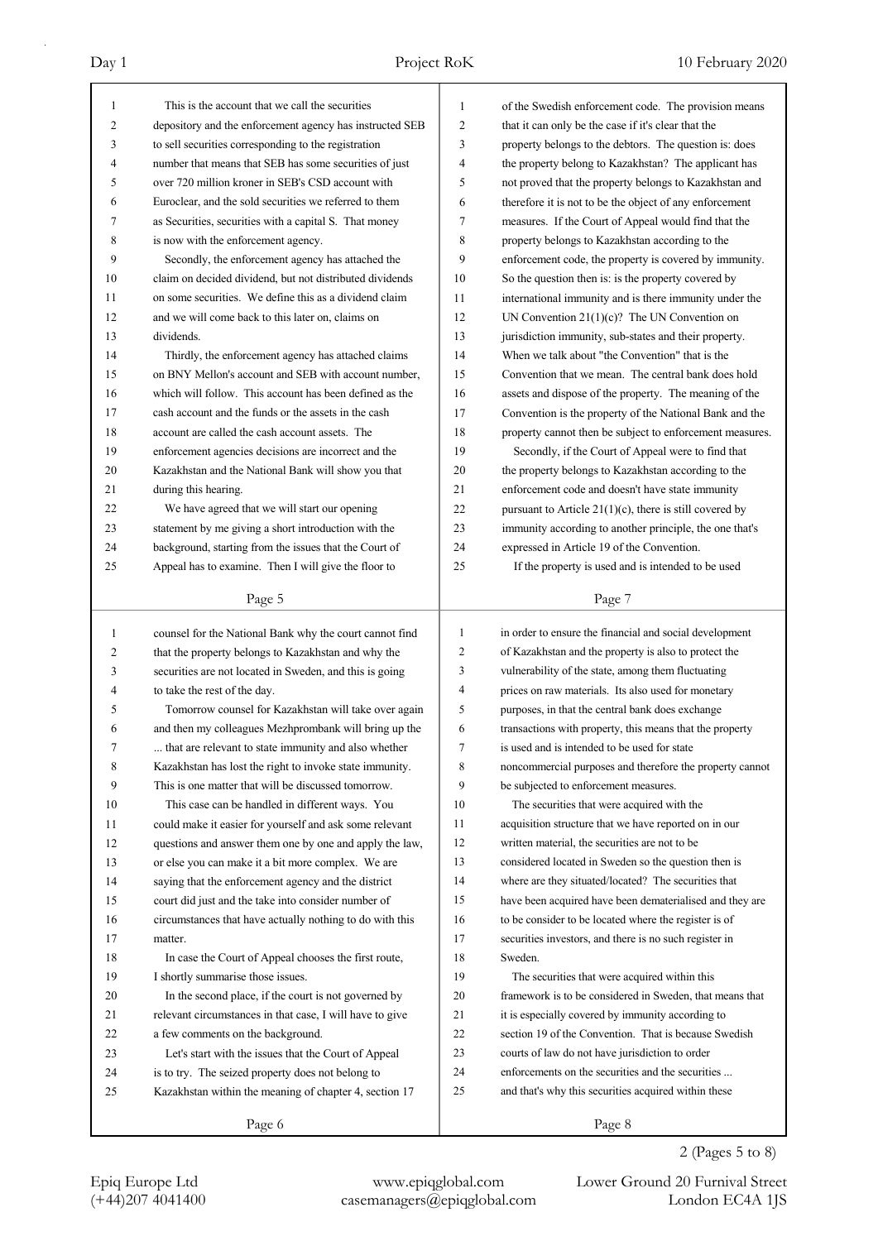| 1            | This is the account that we call the securities          | 1              | of the Swedish enforcement code. The provision means       |
|--------------|----------------------------------------------------------|----------------|------------------------------------------------------------|
| 2            | depository and the enforcement agency has instructed SEB | 2              | that it can only be the case if it's clear that the        |
| 3            | to sell securities corresponding to the registration     | 3              | property belongs to the debtors. The question is: does     |
| 4            | number that means that SEB has some securities of just   | 4              | the property belong to Kazakhstan? The applicant has       |
| 5            | over 720 million kroner in SEB's CSD account with        | 5              | not proved that the property belongs to Kazakhstan and     |
| 6            | Euroclear, and the sold securities we referred to them   | 6              | therefore it is not to be the object of any enforcement    |
| 7            | as Securities, securities with a capital S. That money   | 7              | measures. If the Court of Appeal would find that the       |
| 8            | is now with the enforcement agency.                      | 8              | property belongs to Kazakhstan according to the            |
| 9            | Secondly, the enforcement agency has attached the        | 9              | enforcement code, the property is covered by immunity.     |
| 10           | claim on decided dividend, but not distributed dividends | 10             | So the question then is: is the property covered by        |
| 11           | on some securities. We define this as a dividend claim   | 11             | international immunity and is there immunity under the     |
| 12           | and we will come back to this later on, claims on        | 12             | UN Convention $21(1)(c)$ ? The UN Convention on            |
| 13           | dividends.                                               | 13             | jurisdiction immunity, sub-states and their property.      |
| 14           | Thirdly, the enforcement agency has attached claims      | 14             | When we talk about "the Convention" that is the            |
| 15           | on BNY Mellon's account and SEB with account number,     | 15             | Convention that we mean. The central bank does hold        |
| 16           | which will follow. This account has been defined as the  | 16             | assets and dispose of the property. The meaning of the     |
| 17           | cash account and the funds or the assets in the cash     | 17             | Convention is the property of the National Bank and the    |
| 18           | account are called the cash account assets. The          | 18             | property cannot then be subject to enforcement measures.   |
| 19           | enforcement agencies decisions are incorrect and the     | 19             | Secondly, if the Court of Appeal were to find that         |
| 20           | Kazakhstan and the National Bank will show you that      | 20             | the property belongs to Kazakhstan according to the        |
| 21           | during this hearing.                                     | 21             | enforcement code and doesn't have state immunity           |
| 22           | We have agreed that we will start our opening            | 22             | pursuant to Article $21(1)(c)$ , there is still covered by |
| 23           | statement by me giving a short introduction with the     | 23             |                                                            |
| 24           |                                                          | 24             | immunity according to another principle, the one that's    |
|              | background, starting from the issues that the Court of   |                | expressed in Article 19 of the Convention.                 |
| 25           | Appeal has to examine. Then I will give the floor to     | 25             | If the property is used and is intended to be used         |
|              | Page 5                                                   |                | Page 7                                                     |
| $\mathbf{1}$ | counsel for the National Bank why the court cannot find  | $\mathbf{1}$   | in order to ensure the financial and social development    |
| 2            | that the property belongs to Kazakhstan and why the      | $\overline{c}$ | of Kazakhstan and the property is also to protect the      |
| 3            | securities are not located in Sweden, and this is going  | 3              | vulnerability of the state, among them fluctuating         |
| 4            | to take the rest of the day.                             | 4              | prices on raw materials. Its also used for monetary        |
| 5            | Tomorrow counsel for Kazakhstan will take over again     | 5              | purposes, in that the central bank does exchange           |
| 6            | and then my colleagues Mezhprombank will bring up the    |                |                                                            |
| 7            |                                                          |                |                                                            |
|              |                                                          | 6              | transactions with property, this means that the property   |
|              | that are relevant to state immunity and also whether     | 7              | is used and is intended to be used for state               |
| 8            | Kazakhstan has lost the right to invoke state immunity.  | 8              | noncommercial purposes and therefore the property cannot   |
| 9            | This is one matter that will be discussed tomorrow.      | 9              | be subjected to enforcement measures.                      |
| 10           | This case can be handled in different ways. You          | 10             | The securities that were acquired with the                 |
| 11           | could make it easier for yourself and ask some relevant  | 11             | acquisition structure that we have reported on in our      |
| 12           | questions and answer them one by one and apply the law,  | 12             | written material, the securities are not to be             |
| 13           | or else you can make it a bit more complex. We are       | 13             | considered located in Sweden so the question then is       |
| 14           | saying that the enforcement agency and the district      | 14             | where are they situated/located? The securities that       |
| 15           | court did just and the take into consider number of      | 15             | have been acquired have been dematerialised and they are   |
| 16           | circumstances that have actually nothing to do with this | 16             | to be consider to be located where the register is of      |
| 17           | matter.                                                  | 17             | securities investors, and there is no such register in     |
| 18           | In case the Court of Appeal chooses the first route,     | 18             | Sweden.                                                    |
| 19           | I shortly summarise those issues.                        | 19             | The securities that were acquired within this              |
| 20           | In the second place, if the court is not governed by     | 20             | framework is to be considered in Sweden, that means that   |
| 21           | relevant circumstances in that case, I will have to give | 21             | it is especially covered by immunity according to          |
| 22           | a few comments on the background.                        | 22             | section 19 of the Convention. That is because Swedish      |
| 23           | Let's start with the issues that the Court of Appeal     | 23             | courts of law do not have jurisdiction to order            |
| 24           | is to try. The seized property does not belong to        | 24             | enforcements on the securities and the securities          |
| 25           | Kazakhstan within the meaning of chapter 4, section 17   | 25             | and that's why this securities acquired within these       |
|              | Page 6                                                   |                | Page 8                                                     |

Epiq Europe Ltd www.epiqglobal.com Lower Ground 20 Furnival Street<br>
(+44)207 4041400 casemanagers@epiqglobal.com London EC4A 1JS

Lower Ground 20 Furnival Street

2 (Pages 5 to 8)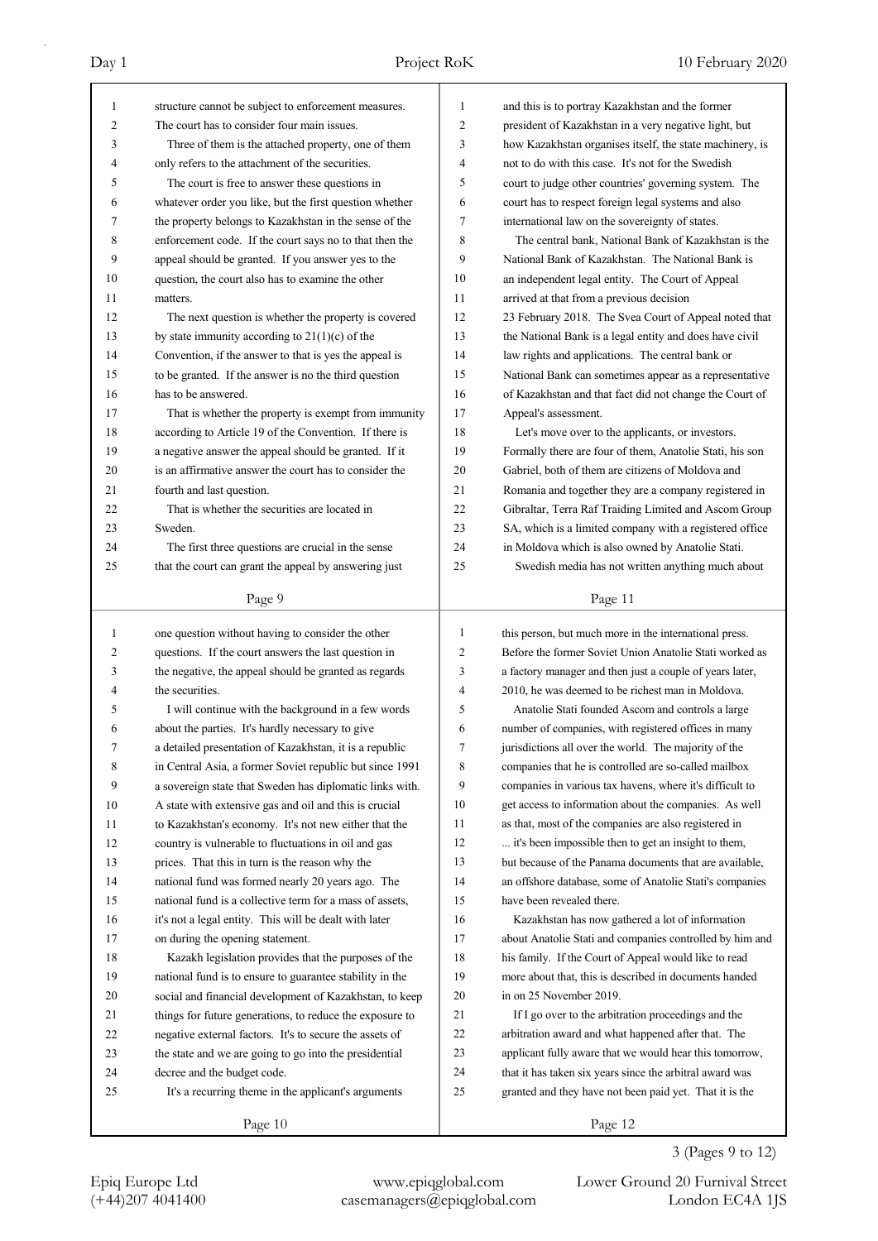| $\mathbf{1}$ | structure cannot be subject to enforcement measures.     | 1              | and this is to portray Kazakhstan and the former         |
|--------------|----------------------------------------------------------|----------------|----------------------------------------------------------|
| 2            | The court has to consider four main issues.              | 2              | president of Kazakhstan in a very negative light, but    |
| 3            | Three of them is the attached property, one of them      | 3              | how Kazakhstan organises itself, the state machinery, is |
| 4            | only refers to the attachment of the securities.         | 4              | not to do with this case. It's not for the Swedish       |
| 5            | The court is free to answer these questions in           | 5              | court to judge other countries' governing system. The    |
| 6            | whatever order you like, but the first question whether  | 6              | court has to respect foreign legal systems and also      |
| 7            | the property belongs to Kazakhstan in the sense of the   | 7              | international law on the sovereignty of states.          |
| 8            | enforcement code. If the court says no to that then the  | 8              | The central bank, National Bank of Kazakhstan is the     |
| 9            | appeal should be granted. If you answer yes to the       | 9              | National Bank of Kazakhstan. The National Bank is        |
| 10           | question, the court also has to examine the other        | 10             | an independent legal entity. The Court of Appeal         |
| 11           | matters.                                                 | 11             | arrived at that from a previous decision                 |
| 12           | The next question is whether the property is covered     | 12             | 23 February 2018. The Svea Court of Appeal noted that    |
| 13           | by state immunity according to $21(1)(c)$ of the         | 13             | the National Bank is a legal entity and does have civil  |
| 14           | Convention, if the answer to that is yes the appeal is   | 14             | law rights and applications. The central bank or         |
| 15           | to be granted. If the answer is no the third question    | 15             | National Bank can sometimes appear as a representative   |
| 16           | has to be answered.                                      | 16             | of Kazakhstan and that fact did not change the Court of  |
| 17           | That is whether the property is exempt from immunity     | 17             | Appeal's assessment.                                     |
| 18           | according to Article 19 of the Convention. If there is   | 18             | Let's move over to the applicants, or investors.         |
| 19           | a negative answer the appeal should be granted. If it    | 19             | Formally there are four of them, Anatolie Stati, his son |
| 20           | is an affirmative answer the court has to consider the   | 20             | Gabriel, both of them are citizens of Moldova and        |
| 21           | fourth and last question.                                | 21             | Romania and together they are a company registered in    |
| 22           | That is whether the securities are located in            | 22             | Gibraltar, Terra Raf Traiding Limited and Ascom Group    |
| 23           | Sweden.                                                  | 23             | SA, which is a limited company with a registered office  |
| 24           | The first three questions are crucial in the sense       | 24             | in Moldova which is also owned by Anatolie Stati.        |
| 25           | that the court can grant the appeal by answering just    | 25             | Swedish media has not written anything much about        |
|              |                                                          |                |                                                          |
|              | Page 9                                                   |                | Page 11                                                  |
| $\mathbf{1}$ | one question without having to consider the other        | 1              | this person, but much more in the international press.   |
| 2            | questions. If the court answers the last question in     | $\overline{c}$ | Before the former Soviet Union Anatolie Stati worked as  |
| 3            | the negative, the appeal should be granted as regards    | 3              | a factory manager and then just a couple of years later, |
| 4            | the securities.                                          | 4              | 2010, he was deemed to be richest man in Moldova.        |
| 5            | I will continue with the background in a few words       | 5              | Anatolie Stati founded Ascom and controls a large        |
| 6            | about the parties. It's hardly necessary to give         | 6              | number of companies, with registered offices in many     |
|              | a detailed presentation of Kazakhstan, it is a republic  |                | jurisdictions all over the world. The majority of the    |
| 7<br>8       |                                                          | 7<br>8         | companies that he is controlled are so-called mailbox    |
|              | in Central Asia, a former Soviet republic but since 1991 |                |                                                          |
| 9            | a sovereign state that Sweden has diplomatic links with. | 9              | companies in various tax havens, where it's difficult to |
| 10           | A state with extensive gas and oil and this is crucial   | 10             | get access to information about the companies. As well   |
| 11           | to Kazakhstan's economy. It's not new either that the    | 11             | as that, most of the companies are also registered in    |
| 12           | country is vulnerable to fluctuations in oil and gas     | 12             | it's been impossible then to get an insight to them,     |
| 13           | prices. That this in turn is the reason why the          | 13             | but because of the Panama documents that are available,  |
| 14           | national fund was formed nearly 20 years ago. The        | 14             | an offshore database, some of Anatolie Stati's companies |
| 15           | national fund is a collective term for a mass of assets, | 15             | have been revealed there.                                |
| 16           | it's not a legal entity. This will be dealt with later   | 16             | Kazakhstan has now gathered a lot of information         |
| 17           | on during the opening statement.                         | 17             | about Anatolie Stati and companies controlled by him and |
| 18           | Kazakh legislation provides that the purposes of the     | 18             | his family. If the Court of Appeal would like to read    |
| 19           | national fund is to ensure to guarantee stability in the | 19             | more about that, this is described in documents handed   |
| 20           | social and financial development of Kazakhstan, to keep  | 20             | in on 25 November 2019.                                  |
| 21           | things for future generations, to reduce the exposure to | 21             | If I go over to the arbitration proceedings and the      |
| 22           | negative external factors. It's to secure the assets of  | 22             | arbitration award and what happened after that. The      |
| 23           | the state and we are going to go into the presidential   | 23             | applicant fully aware that we would hear this tomorrow,  |
| 24           | decree and the budget code.                              | 24             | that it has taken six years since the arbitral award was |
| 25           |                                                          |                |                                                          |
|              | It's a recurring theme in the applicant's arguments      | 25             | granted and they have not been paid yet. That it is the  |

## 3 (Pages 9 to 12)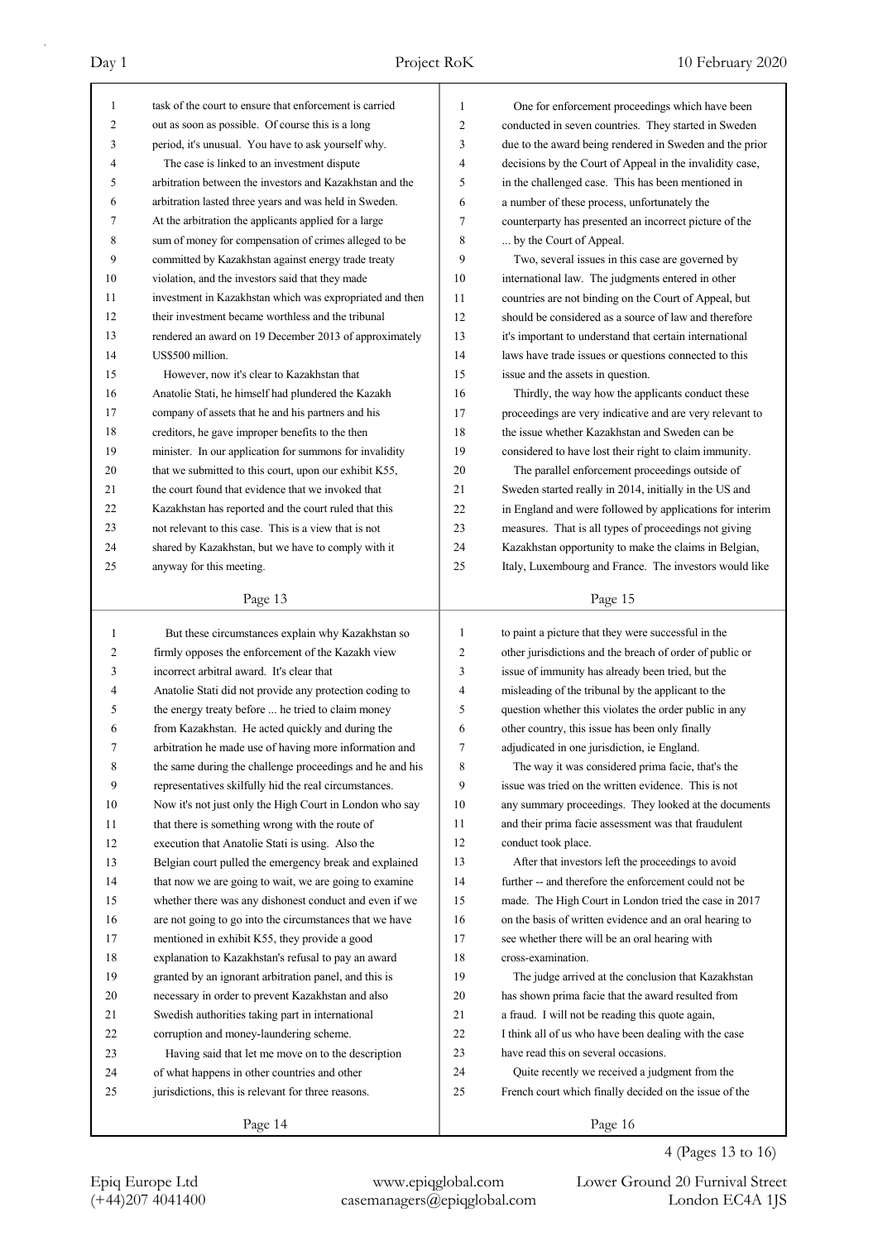| 1              | task of the court to ensure that enforcement is carried  | 1                   | One for enforcement proceedings which have been          |
|----------------|----------------------------------------------------------|---------------------|----------------------------------------------------------|
| $\overline{c}$ | out as soon as possible. Of course this is a long        | $\overline{c}$      | conducted in seven countries. They started in Sweden     |
| 3              | period, it's unusual. You have to ask yourself why.      | 3                   | due to the award being rendered in Sweden and the prior  |
| 4              | The case is linked to an investment dispute              | 4                   | decisions by the Court of Appeal in the invalidity case, |
| 5              | arbitration between the investors and Kazakhstan and the | 5                   | in the challenged case. This has been mentioned in       |
| 6              | arbitration lasted three years and was held in Sweden.   | 6                   | a number of these process, unfortunately the             |
| 7              | At the arbitration the applicants applied for a large    | $\tau$              | counterparty has presented an incorrect picture of the   |
| 8              | sum of money for compensation of crimes alleged to be    | 8                   | by the Court of Appeal.                                  |
| 9              | committed by Kazakhstan against energy trade treaty      | 9                   | Two, several issues in this case are governed by         |
| 10             | violation, and the investors said that they made         | 10                  | international law. The judgments entered in other        |
| 11             | investment in Kazakhstan which was expropriated and then | 11                  | countries are not binding on the Court of Appeal, but    |
| 12             | their investment became worthless and the tribunal       | 12                  | should be considered as a source of law and therefore    |
| 13             | rendered an award on 19 December 2013 of approximately   | 13                  | it's important to understand that certain international  |
| 14             | US\$500 million.                                         | 14                  | laws have trade issues or questions connected to this    |
| 15             | However, now it's clear to Kazakhstan that               | 15                  | issue and the assets in question.                        |
| 16             | Anatolie Stati, he himself had plundered the Kazakh      | 16                  | Thirdly, the way how the applicants conduct these        |
| 17             | company of assets that he and his partners and his       | 17                  | proceedings are very indicative and are very relevant to |
| 18             | creditors, he gave improper benefits to the then         | 18                  | the issue whether Kazakhstan and Sweden can be           |
| 19             | minister. In our application for summons for invalidity  | 19                  | considered to have lost their right to claim immunity.   |
| 20             | that we submitted to this court, upon our exhibit K55,   | 20                  | The parallel enforcement proceedings outside of          |
| 21             | the court found that evidence that we invoked that       | 21                  | Sweden started really in 2014, initially in the US and   |
| 22             | Kazakhstan has reported and the court ruled that this    | 22                  | in England and were followed by applications for interim |
| 23             | not relevant to this case. This is a view that is not    | 23                  | measures. That is all types of proceedings not giving    |
| 24             | shared by Kazakhstan, but we have to comply with it      | 24                  | Kazakhstan opportunity to make the claims in Belgian,    |
| 25             | anyway for this meeting.                                 | 25                  | Italy, Luxembourg and France. The investors would like   |
|                |                                                          |                     |                                                          |
|                | Page 13                                                  |                     | Page 15                                                  |
|                |                                                          |                     |                                                          |
|                |                                                          |                     |                                                          |
| $\mathbf{1}$   | But these circumstances explain why Kazakhstan so        | 1                   | to paint a picture that they were successful in the      |
| 2              | firmly opposes the enforcement of the Kazakh view        | 2                   | other jurisdictions and the breach of order of public or |
| 3              | incorrect arbitral award. It's clear that                | 3<br>$\overline{4}$ | issue of immunity has already been tried, but the        |
| 4              | Anatolie Stati did not provide any protection coding to  |                     | misleading of the tribunal by the applicant to the       |
| 5<br>6         | the energy treaty before  he tried to claim money        | 5<br>6              | question whether this violates the order public in any   |
|                | from Kazakhstan. He acted quickly and during the         |                     | other country, this issue has been only finally          |
| 7              | arbitration he made use of having more information and   | 7                   | adjudicated in one jurisdiction, ie England.             |
| 8              | the same during the challenge proceedings and he and his | 8                   | The way it was considered prima facie, that's the        |
| 9              | representatives skilfully hid the real circumstances.    | 9                   | issue was tried on the written evidence. This is not     |
| 10             | Now it's not just only the High Court in London who say  | 10                  | any summary proceedings. They looked at the documents    |
| 11             | that there is something wrong with the route of          | 11                  | and their prima facie assessment was that fraudulent     |
| 12             | execution that Anatolie Stati is using. Also the         | 12                  | conduct took place.                                      |
| 13             | Belgian court pulled the emergency break and explained   | 13                  | After that investors left the proceedings to avoid       |
| 14             | that now we are going to wait, we are going to examine   | 14                  | further -- and therefore the enforcement could not be    |
| 15             | whether there was any dishonest conduct and even if we   | 15                  | made. The High Court in London tried the case in 2017    |
| 16             | are not going to go into the circumstances that we have  | 16                  | on the basis of written evidence and an oral hearing to  |
| 17             | mentioned in exhibit K55, they provide a good            | 17                  | see whether there will be an oral hearing with           |
| 18             | explanation to Kazakhstan's refusal to pay an award      | 18                  | cross-examination.                                       |
| 19             | granted by an ignorant arbitration panel, and this is    | 19                  | The judge arrived at the conclusion that Kazakhstan      |
| $20\,$         | necessary in order to prevent Kazakhstan and also        | 20<br>21            | has shown prima facie that the award resulted from       |
| 21             | Swedish authorities taking part in international         |                     | a fraud. I will not be reading this quote again,         |
| 22             | corruption and money-laundering scheme.                  | 22                  | I think all of us who have been dealing with the case    |
| 23             | Having said that let me move on to the description       | 23                  | have read this on several occasions.                     |
| 24             | of what happens in other countries and other             | 24                  | Quite recently we received a judgment from the           |
| 25             | jurisdictions, this is relevant for three reasons.       | 25                  | French court which finally decided on the issue of the   |

4 (Pages 13 to 16)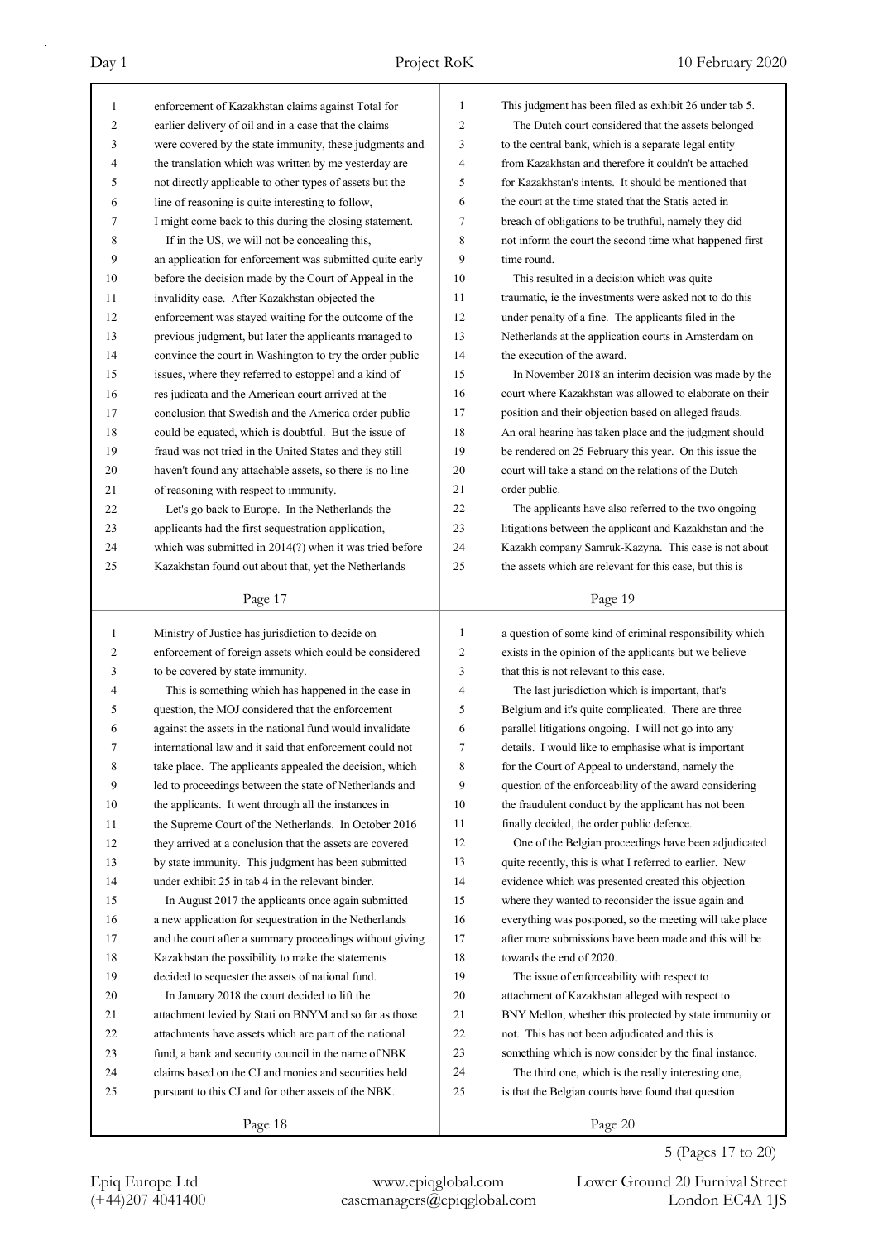| 1            | enforcement of Kazakhstan claims against Total for       | 1  | This judgment has been filed as exhibit 26 under tab 5.  |
|--------------|----------------------------------------------------------|----|----------------------------------------------------------|
| 2            | earlier delivery of oil and in a case that the claims    | 2  | The Dutch court considered that the assets belonged      |
| 3            | were covered by the state immunity, these judgments and  | 3  | to the central bank, which is a separate legal entity    |
| 4            | the translation which was written by me yesterday are    | 4  | from Kazakhstan and therefore it couldn't be attached    |
| 5            | not directly applicable to other types of assets but the | 5  | for Kazakhstan's intents. It should be mentioned that    |
| 6            | line of reasoning is quite interesting to follow,        | 6  | the court at the time stated that the Statis acted in    |
| 7            | I might come back to this during the closing statement.  | 7  | breach of obligations to be truthful, namely they did    |
| 8            | If in the US, we will not be concealing this,            | 8  | not inform the court the second time what happened first |
| 9            | an application for enforcement was submitted quite early | 9  | time round.                                              |
| 10           | before the decision made by the Court of Appeal in the   | 10 | This resulted in a decision which was quite              |
| 11           | invalidity case. After Kazakhstan objected the           | 11 | traumatic, ie the investments were asked not to do this  |
| 12           | enforcement was stayed waiting for the outcome of the    | 12 | under penalty of a fine. The applicants filed in the     |
| 13           | previous judgment, but later the applicants managed to   | 13 | Netherlands at the application courts in Amsterdam on    |
| 14           | convince the court in Washington to try the order public | 14 | the execution of the award.                              |
| 15           | issues, where they referred to estoppel and a kind of    | 15 | In November 2018 an interim decision was made by the     |
| 16           | res judicata and the American court arrived at the       | 16 | court where Kazakhstan was allowed to elaborate on their |
| 17           | conclusion that Swedish and the America order public     | 17 | position and their objection based on alleged frauds.    |
| 18           | could be equated, which is doubtful. But the issue of    | 18 | An oral hearing has taken place and the judgment should  |
| 19           | fraud was not tried in the United States and they still  | 19 | be rendered on 25 February this year. On this issue the  |
| 20           | haven't found any attachable assets, so there is no line | 20 | court will take a stand on the relations of the Dutch    |
| 21           | of reasoning with respect to immunity.                   | 21 | order public.                                            |
| 22           | Let's go back to Europe. In the Netherlands the          | 22 | The applicants have also referred to the two ongoing     |
| 23           | applicants had the first sequestration application,      | 23 | litigations between the applicant and Kazakhstan and the |
| 24           | which was submitted in 2014(?) when it was tried before  | 24 | Kazakh company Samruk-Kazyna. This case is not about     |
| 25           | Kazakhstan found out about that, yet the Netherlands     | 25 | the assets which are relevant for this case, but this is |
|              |                                                          |    |                                                          |
|              | Page 17                                                  |    | Page 19                                                  |
| $\mathbf{1}$ | Ministry of Justice has jurisdiction to decide on        | 1  | a question of some kind of criminal responsibility which |
| 2            | enforcement of foreign assets which could be considered  | 2  | exists in the opinion of the applicants but we believe   |
| 3            | to be covered by state immunity.                         | 3  | that this is not relevant to this case.                  |
| 4            | This is something which has happened in the case in      | 4  | The last jurisdiction which is important, that's         |
| 5            | question, the MOJ considered that the enforcement        | 5  | Belgium and it's quite complicated. There are three      |
| 6            | against the assets in the national fund would invalidate | 6  | parallel litigations ongoing. I will not go into any     |
| 7            | international law and it said that enforcement could not | 7  | details. I would like to emphasise what is important     |
| 8            | take place. The applicants appealed the decision, which  | 8  | for the Court of Appeal to understand, namely the        |
| 9            | led to proceedings between the state of Netherlands and  | 9  | question of the enforceability of the award considering  |
| 10           | the applicants. It went through all the instances in     |    |                                                          |
|              |                                                          |    |                                                          |
| 11           |                                                          | 10 | the fraudulent conduct by the applicant has not been     |
|              | the Supreme Court of the Netherlands. In October 2016    | 11 | finally decided, the order public defence.               |
| 12           | they arrived at a conclusion that the assets are covered | 12 | One of the Belgian proceedings have been adjudicated     |
| 13           | by state immunity. This judgment has been submitted      | 13 | quite recently, this is what I referred to earlier. New  |
| 14           | under exhibit 25 in tab 4 in the relevant binder.        | 14 | evidence which was presented created this objection      |
| 15           | In August 2017 the applicants once again submitted       | 15 | where they wanted to reconsider the issue again and      |
| 16           | a new application for sequestration in the Netherlands   | 16 | everything was postponed, so the meeting will take place |
| 17           | and the court after a summary proceedings without giving | 17 | after more submissions have been made and this will be   |
| 18           | Kazakhstan the possibility to make the statements        | 18 | towards the end of 2020.                                 |
| 19           | decided to sequester the assets of national fund.        | 19 | The issue of enforceability with respect to              |
| 20           | In January 2018 the court decided to lift the            | 20 | attachment of Kazakhstan alleged with respect to         |
| 21           | attachment levied by Stati on BNYM and so far as those   | 21 | BNY Mellon, whether this protected by state immunity or  |
| 22           | attachments have assets which are part of the national   | 22 | not. This has not been adjudicated and this is           |
| 23           | fund, a bank and security council in the name of NBK     | 23 | something which is now consider by the final instance.   |
| 24           | claims based on the CJ and monies and securities held    | 24 | The third one, which is the really interesting one,      |
| 25           | pursuant to this CJ and for other assets of the NBK.     | 25 | is that the Belgian courts have found that question      |

5 (Pages 17 to 20)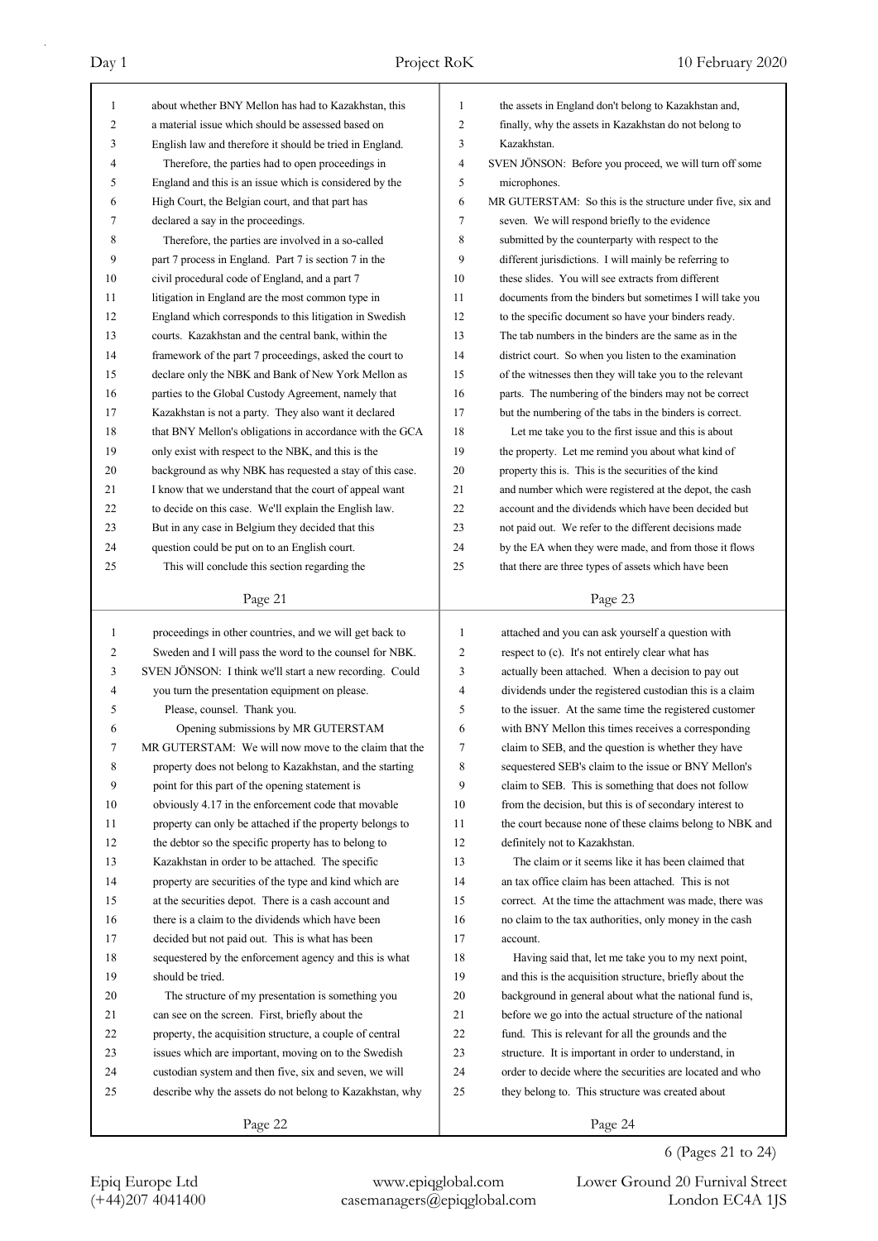| $\mathbf{1}$ | about whether BNY Mellon has had to Kazakhstan, this     | $\mathbf{1}$            | the assets in England don't belong to Kazakhstan and,      |
|--------------|----------------------------------------------------------|-------------------------|------------------------------------------------------------|
| 2            | a material issue which should be assessed based on       | 2                       | finally, why the assets in Kazakhstan do not belong to     |
| 3            | English law and therefore it should be tried in England. | 3                       | Kazakhstan.                                                |
| 4            | Therefore, the parties had to open proceedings in        | $\overline{\mathbf{4}}$ | SVEN JÖNSON: Before you proceed, we will turn off some     |
| 5            | England and this is an issue which is considered by the  | 5                       | microphones.                                               |
| 6            | High Court, the Belgian court, and that part has         | 6                       | MR GUTERSTAM: So this is the structure under five, six and |
| 7            | declared a say in the proceedings.                       | 7                       | seven. We will respond briefly to the evidence             |
| 8            | Therefore, the parties are involved in a so-called       | 8                       | submitted by the counterparty with respect to the          |
| 9            | part 7 process in England. Part 7 is section 7 in the    | 9                       | different jurisdictions. I will mainly be referring to     |
| 10           | civil procedural code of England, and a part 7           | 10                      | these slides. You will see extracts from different         |
| 11           | litigation in England are the most common type in        | 11                      | documents from the binders but sometimes I will take you   |
| 12           | England which corresponds to this litigation in Swedish  | 12                      | to the specific document so have your binders ready.       |
| 13           | courts. Kazakhstan and the central bank, within the      | 13                      | The tab numbers in the binders are the same as in the      |
| 14           | framework of the part 7 proceedings, asked the court to  | 14                      | district court. So when you listen to the examination      |
| 15           | declare only the NBK and Bank of New York Mellon as      | 15                      | of the witnesses then they will take you to the relevant   |
| 16           | parties to the Global Custody Agreement, namely that     | 16                      | parts. The numbering of the binders may not be correct     |
| 17           | Kazakhstan is not a party. They also want it declared    | 17                      | but the numbering of the tabs in the binders is correct.   |
| 18           | that BNY Mellon's obligations in accordance with the GCA | 18                      | Let me take you to the first issue and this is about       |
| 19           | only exist with respect to the NBK, and this is the      | 19                      | the property. Let me remind you about what kind of         |
| 20           | background as why NBK has requested a stay of this case. | 20                      | property this is. This is the securities of the kind       |
| 21           | I know that we understand that the court of appeal want  | 21                      | and number which were registered at the depot, the cash    |
| 22           |                                                          | 22                      |                                                            |
|              | to decide on this case. We'll explain the English law.   |                         | account and the dividends which have been decided but      |
| 23           | But in any case in Belgium they decided that this        | 23                      | not paid out. We refer to the different decisions made     |
| 24           | question could be put on to an English court.            | 24                      | by the EA when they were made, and from those it flows     |
| 25           | This will conclude this section regarding the            | 25                      | that there are three types of assets which have been       |
|              | Page 21                                                  |                         | Page 23                                                    |
|              |                                                          |                         |                                                            |
|              |                                                          |                         |                                                            |
| $\mathbf{1}$ | proceedings in other countries, and we will get back to  | $\mathbf{1}$            | attached and you can ask yourself a question with          |
| 2            | Sweden and I will pass the word to the counsel for NBK.  | 2                       | respect to (c). It's not entirely clear what has           |
| 3            | SVEN JÖNSON: I think we'll start a new recording. Could  | 3                       | actually been attached. When a decision to pay out         |
| 4            | you turn the presentation equipment on please.           | $\overline{4}$          | dividends under the registered custodian this is a claim   |
| 5            | Please, counsel. Thank you.                              | 5                       | to the issuer. At the same time the registered customer    |
| 6            | Opening submissions by MR GUTERSTAM                      | 6                       | with BNY Mellon this times receives a corresponding        |
| Τ            | MR GUTERSTAM: We will now move to the claim that the     | 7                       | claim to SEB, and the question is whether they have        |
| 8            | property does not belong to Kazakhstan, and the starting | 8                       | sequestered SEB's claim to the issue or BNY Mellon's       |
| 9            | point for this part of the opening statement is          | 9                       | claim to SEB. This is something that does not follow       |
| 10           | obviously 4.17 in the enforcement code that movable      | 10                      | from the decision, but this is of secondary interest to    |
| 11           | property can only be attached if the property belongs to | 11                      | the court because none of these claims belong to NBK and   |
| 12           | the debtor so the specific property has to belong to     | 12                      | definitely not to Kazakhstan.                              |
| 13           | Kazakhstan in order to be attached. The specific         | 13                      | The claim or it seems like it has been claimed that        |
| 14           | property are securities of the type and kind which are   | 14                      | an tax office claim has been attached. This is not         |
| 15           | at the securities depot. There is a cash account and     | 15                      | correct. At the time the attachment was made, there was    |
| 16           | there is a claim to the dividends which have been        | 16                      | no claim to the tax authorities, only money in the cash    |
| 17           | decided but not paid out. This is what has been          | 17                      | account.                                                   |
| 18           | sequestered by the enforcement agency and this is what   | 18                      | Having said that, let me take you to my next point,        |
| 19           | should be tried.                                         | 19                      | and this is the acquisition structure, briefly about the   |
| 20           | The structure of my presentation is something you        | 20                      | background in general about what the national fund is,     |
| 21           | can see on the screen. First, briefly about the          | 21                      | before we go into the actual structure of the national     |
| 22           | property, the acquisition structure, a couple of central | 22                      | fund. This is relevant for all the grounds and the         |
| 23           | issues which are important, moving on to the Swedish     | 23                      | structure. It is important in order to understand, in      |
| 24           | custodian system and then five, six and seven, we will   | 24                      | order to decide where the securities are located and who   |
| 25           | describe why the assets do not belong to Kazakhstan, why | 25                      | they belong to. This structure was created about           |
|              | Page 22                                                  |                         | Page 24                                                    |

6 (Pages 21 to 24)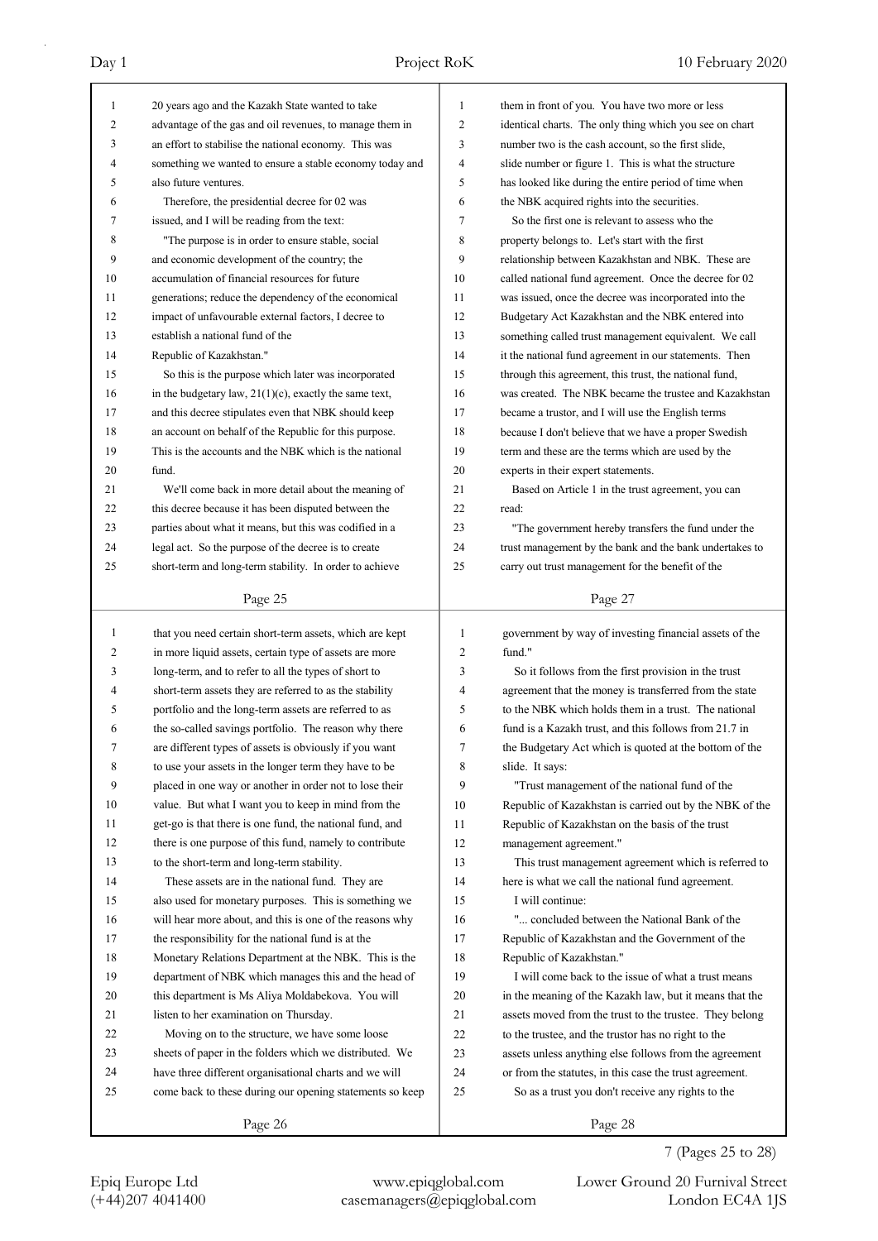| 1            | 20 years ago and the Kazakh State wanted to take          | 1  | them in front of you. You have two more or less         |
|--------------|-----------------------------------------------------------|----|---------------------------------------------------------|
| 2            | advantage of the gas and oil revenues, to manage them in  | 2  | identical charts. The only thing which you see on chart |
| 3            | an effort to stabilise the national economy. This was     | 3  | number two is the cash account, so the first slide,     |
| 4            | something we wanted to ensure a stable economy today and  | 4  | slide number or figure 1. This is what the structure    |
| 5            | also future ventures.                                     | 5  | has looked like during the entire period of time when   |
| 6            | Therefore, the presidential decree for 02 was             | 6  | the NBK acquired rights into the securities.            |
| 7            | issued, and I will be reading from the text:              | 7  | So the first one is relevant to assess who the          |
| 8            | "The purpose is in order to ensure stable, social         | 8  | property belongs to. Let's start with the first         |
| 9            | and economic development of the country; the              | 9  | relationship between Kazakhstan and NBK. These are      |
| 10           | accumulation of financial resources for future            | 10 | called national fund agreement. Once the decree for 02  |
| 11           | generations; reduce the dependency of the economical      | 11 | was issued, once the decree was incorporated into the   |
| 12           | impact of unfavourable external factors, I decree to      | 12 | Budgetary Act Kazakhstan and the NBK entered into       |
| 13           | establish a national fund of the                          | 13 | something called trust management equivalent. We call   |
| 14           | Republic of Kazakhstan."                                  | 14 | it the national fund agreement in our statements. Then  |
| 15           | So this is the purpose which later was incorporated       | 15 | through this agreement, this trust, the national fund,  |
| 16           | in the budgetary law, $21(1)(c)$ , exactly the same text, | 16 | was created. The NBK became the trustee and Kazakhstan  |
| 17           | and this decree stipulates even that NBK should keep      | 17 | became a trustor, and I will use the English terms      |
| 18           | an account on behalf of the Republic for this purpose.    | 18 | because I don't believe that we have a proper Swedish   |
| 19           | This is the accounts and the NBK which is the national    | 19 | term and these are the terms which are used by the      |
| 20           | fund.                                                     | 20 | experts in their expert statements.                     |
| 21           | We'll come back in more detail about the meaning of       | 21 | Based on Article 1 in the trust agreement, you can      |
| 22           | this decree because it has been disputed between the      | 22 | read:                                                   |
| 23           | parties about what it means, but this was codified in a   | 23 | "The government hereby transfers the fund under the     |
| 24           | legal act. So the purpose of the decree is to create      | 24 | trust management by the bank and the bank undertakes to |
| 25           | short-term and long-term stability. In order to achieve   | 25 | carry out trust management for the benefit of the       |
|              |                                                           |    |                                                         |
|              | Page 25                                                   |    | Page 27                                                 |
|              |                                                           |    |                                                         |
|              |                                                           |    |                                                         |
| $\mathbf{1}$ | that you need certain short-term assets, which are kept   | 1  | government by way of investing financial assets of the  |
| 2            | in more liquid assets, certain type of assets are more    | 2  | fund."                                                  |
| 3            | long-term, and to refer to all the types of short to      | 3  | So it follows from the first provision in the trust     |
| 4            | short-term assets they are referred to as the stability   | 4  | agreement that the money is transferred from the state  |
| 5            | portfolio and the long-term assets are referred to as     | 5  | to the NBK which holds them in a trust. The national    |
| 6            | the so-called savings portfolio. The reason why there     | 6  | fund is a Kazakh trust, and this follows from 21.7 in   |
| 7            | are different types of assets is obviously if you want    | 7  | the Budgetary Act which is quoted at the bottom of the  |
| 8            | to use your assets in the longer term they have to be     | 8  | slide. It says:                                         |
| 9            | placed in one way or another in order not to lose their   | 9  | "Trust management of the national fund of the           |
| 10           | value. But what I want you to keep in mind from the       | 10 | Republic of Kazakhstan is carried out by the NBK of the |
| 11           | get-go is that there is one fund, the national fund, and  | 11 | Republic of Kazakhstan on the basis of the trust        |
| 12           | there is one purpose of this fund, namely to contribute   | 12 | management agreement."                                  |
| 13           | to the short-term and long-term stability.                | 13 | This trust management agreement which is referred to    |
| 14           | These assets are in the national fund. They are           | 14 | here is what we call the national fund agreement.       |
| 15           | also used for monetary purposes. This is something we     | 15 | I will continue:                                        |
| 16           | will hear more about, and this is one of the reasons why  | 16 | " concluded between the National Bank of the            |
| 17           | the responsibility for the national fund is at the        | 17 | Republic of Kazakhstan and the Government of the        |
| 18           | Monetary Relations Department at the NBK. This is the     | 18 | Republic of Kazakhstan."                                |
| 19           | department of NBK which manages this and the head of      | 19 | I will come back to the issue of what a trust means     |
| 20           | this department is Ms Aliya Moldabekova. You will         | 20 | in the meaning of the Kazakh law, but it means that the |
| 21           | listen to her examination on Thursday.                    | 21 | assets moved from the trust to the trustee. They belong |
| 22           | Moving on to the structure, we have some loose            | 22 | to the trustee, and the trustor has no right to the     |
| 23           | sheets of paper in the folders which we distributed. We   | 23 | assets unless anything else follows from the agreement  |
| 24           | have three different organisational charts and we will    | 24 | or from the statutes, in this case the trust agreement. |
| 25           | come back to these during our opening statements so keep  | 25 | So as a trust you don't receive any rights to the       |
|              | Page 26                                                   |    | Page 28                                                 |

## 7 (Pages 25 to 28)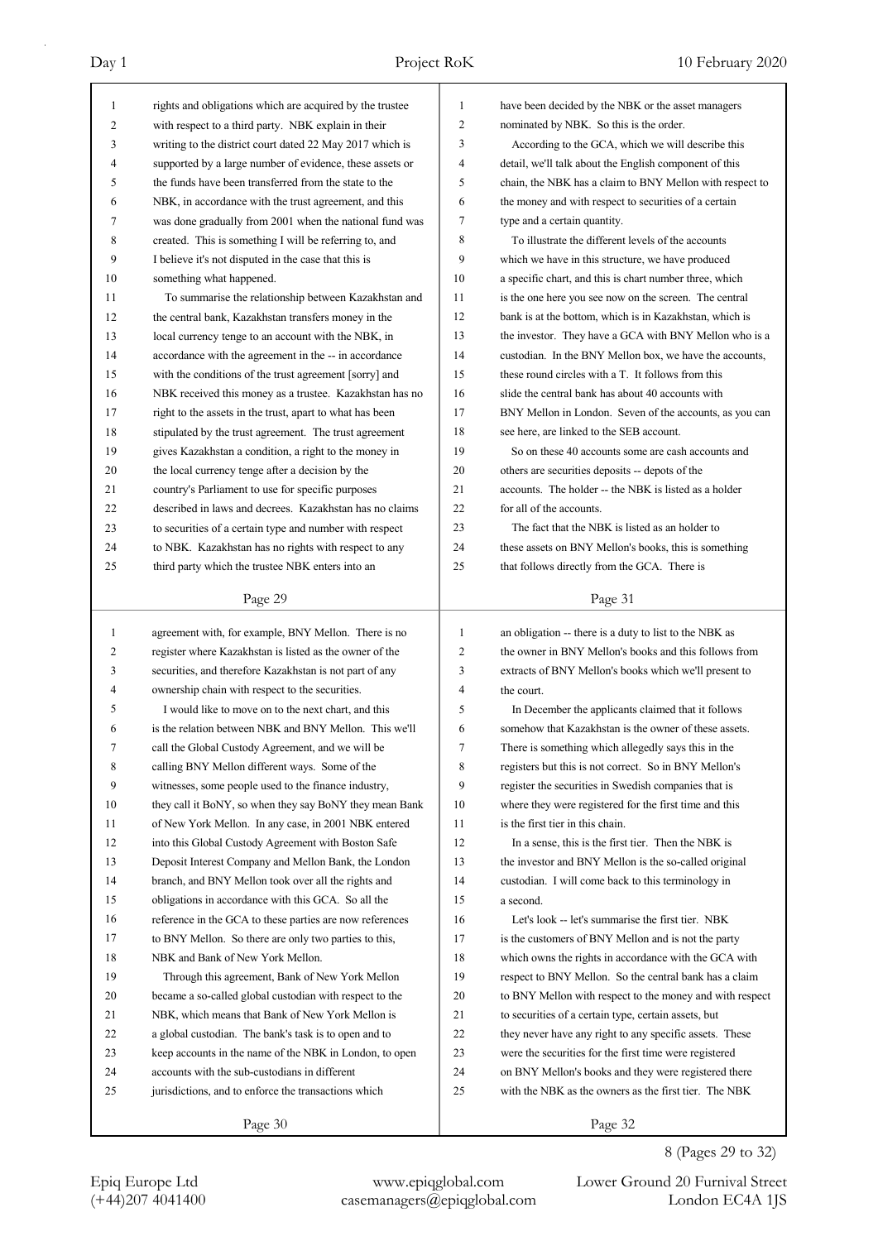| $\mathbf{1}$   | rights and obligations which are acquired by the trustee                                                        | 1              | have been decided by the NBK or the asset managers                                                               |
|----------------|-----------------------------------------------------------------------------------------------------------------|----------------|------------------------------------------------------------------------------------------------------------------|
| 2              | with respect to a third party. NBK explain in their                                                             | $\mathfrak{2}$ | nominated by NBK. So this is the order.                                                                          |
| 3              | writing to the district court dated 22 May 2017 which is                                                        | 3              | According to the GCA, which we will describe this                                                                |
| 4              | supported by a large number of evidence, these assets or                                                        | 4              | detail, we'll talk about the English component of this                                                           |
| 5              | the funds have been transferred from the state to the                                                           | 5              | chain, the NBK has a claim to BNY Mellon with respect to                                                         |
| 6              | NBK, in accordance with the trust agreement, and this                                                           | 6              | the money and with respect to securities of a certain                                                            |
| 7              | was done gradually from 2001 when the national fund was                                                         | 7              | type and a certain quantity.                                                                                     |
| 8              | created. This is something I will be referring to, and                                                          | 8              | To illustrate the different levels of the accounts                                                               |
| 9              | I believe it's not disputed in the case that this is                                                            | 9              | which we have in this structure, we have produced                                                                |
| 10             | something what happened.                                                                                        | 10             | a specific chart, and this is chart number three, which                                                          |
| 11             | To summarise the relationship between Kazakhstan and                                                            | 11             | is the one here you see now on the screen. The central                                                           |
| 12             | the central bank, Kazakhstan transfers money in the                                                             | 12             | bank is at the bottom, which is in Kazakhstan, which is                                                          |
| 13             | local currency tenge to an account with the NBK, in                                                             | 13             | the investor. They have a GCA with BNY Mellon who is a                                                           |
| 14             | accordance with the agreement in the -- in accordance                                                           | 14             | custodian. In the BNY Mellon box, we have the accounts,                                                          |
| 15             | with the conditions of the trust agreement [sorry] and                                                          | 15             | these round circles with a T. It follows from this                                                               |
| 16             | NBK received this money as a trustee. Kazakhstan has no                                                         | 16             | slide the central bank has about 40 accounts with                                                                |
| 17             | right to the assets in the trust, apart to what has been                                                        | 17             | BNY Mellon in London. Seven of the accounts, as you can                                                          |
| 18             | stipulated by the trust agreement. The trust agreement                                                          | 18             | see here, are linked to the SEB account.                                                                         |
| 19             | gives Kazakhstan a condition, a right to the money in                                                           | 19             | So on these 40 accounts some are cash accounts and                                                               |
| 20             | the local currency tenge after a decision by the                                                                | 20             | others are securities deposits -- depots of the                                                                  |
| 21             | country's Parliament to use for specific purposes                                                               | 21             | accounts. The holder -- the NBK is listed as a holder                                                            |
| 22             | described in laws and decrees. Kazakhstan has no claims                                                         | 22             | for all of the accounts.                                                                                         |
| 23             | to securities of a certain type and number with respect                                                         | 23             | The fact that the NBK is listed as an holder to                                                                  |
| 24             | to NBK. Kazakhstan has no rights with respect to any                                                            | 24             | these assets on BNY Mellon's books, this is something                                                            |
| 25             | third party which the trustee NBK enters into an                                                                | 25             | that follows directly from the GCA. There is                                                                     |
|                |                                                                                                                 |                |                                                                                                                  |
|                | Page 29                                                                                                         |                | Page 31                                                                                                          |
|                |                                                                                                                 |                |                                                                                                                  |
| 1              |                                                                                                                 | 1              |                                                                                                                  |
| 2              | agreement with, for example, BNY Mellon. There is no<br>register where Kazakhstan is listed as the owner of the | $\overline{c}$ | an obligation -- there is a duty to list to the NBK as<br>the owner in BNY Mellon's books and this follows from  |
| 3              | securities, and therefore Kazakhstan is not part of any                                                         | 3              |                                                                                                                  |
| $\overline{4}$ | ownership chain with respect to the securities.                                                                 | 4              | extracts of BNY Mellon's books which we'll present to<br>the court.                                              |
| 5              | I would like to move on to the next chart, and this                                                             | 5              | In December the applicants claimed that it follows                                                               |
| 6              | is the relation between NBK and BNY Mellon. This we'll                                                          | 6              | somehow that Kazakhstan is the owner of these assets.                                                            |
| 7              |                                                                                                                 | 7              | There is something which allegedly says this in the                                                              |
| 8              | call the Global Custody Agreement, and we will be<br>calling BNY Mellon different ways. Some of the             | 8              | registers but this is not correct. So in BNY Mellon's                                                            |
| 9              | witnesses, some people used to the finance industry,                                                            | 9              |                                                                                                                  |
| 10             | they call it BoNY, so when they say BoNY they mean Bank                                                         | 10             | register the securities in Swedish companies that is<br>where they were registered for the first time and this   |
| 11             | of New York Mellon. In any case, in 2001 NBK entered                                                            | 11             | is the first tier in this chain.                                                                                 |
| 12             | into this Global Custody Agreement with Boston Safe                                                             | 12             | In a sense, this is the first tier. Then the NBK is                                                              |
| 13             | Deposit Interest Company and Mellon Bank, the London                                                            | 13             | the investor and BNY Mellon is the so-called original                                                            |
| 14             | branch, and BNY Mellon took over all the rights and                                                             | 14             | custodian. I will come back to this terminology in                                                               |
| 15             | obligations in accordance with this GCA. So all the                                                             | 15             | a second.                                                                                                        |
| 16             | reference in the GCA to these parties are now references                                                        | 16             | Let's look -- let's summarise the first tier. NBK                                                                |
| 17             | to BNY Mellon. So there are only two parties to this,                                                           | 17             |                                                                                                                  |
| 18             | NBK and Bank of New York Mellon.                                                                                | 18             | is the customers of BNY Mellon and is not the party                                                              |
| 19             | Through this agreement, Bank of New York Mellon                                                                 | 19             | which owns the rights in accordance with the GCA with<br>respect to BNY Mellon. So the central bank has a claim  |
| 20             |                                                                                                                 | 20             |                                                                                                                  |
| 21             | became a so-called global custodian with respect to the<br>NBK, which means that Bank of New York Mellon is     | 21             | to BNY Mellon with respect to the money and with respect<br>to securities of a certain type, certain assets, but |
| 22             | a global custodian. The bank's task is to open and to                                                           | 22             | they never have any right to any specific assets. These                                                          |
| 23             | keep accounts in the name of the NBK in London, to open                                                         | 23             | were the securities for the first time were registered                                                           |
| 24             | accounts with the sub-custodians in different                                                                   | 24             | on BNY Mellon's books and they were registered there                                                             |
| 25             | jurisdictions, and to enforce the transactions which                                                            | 25             | with the NBK as the owners as the first tier. The NBK                                                            |
|                |                                                                                                                 |                |                                                                                                                  |

8 (Pages 29 to 32)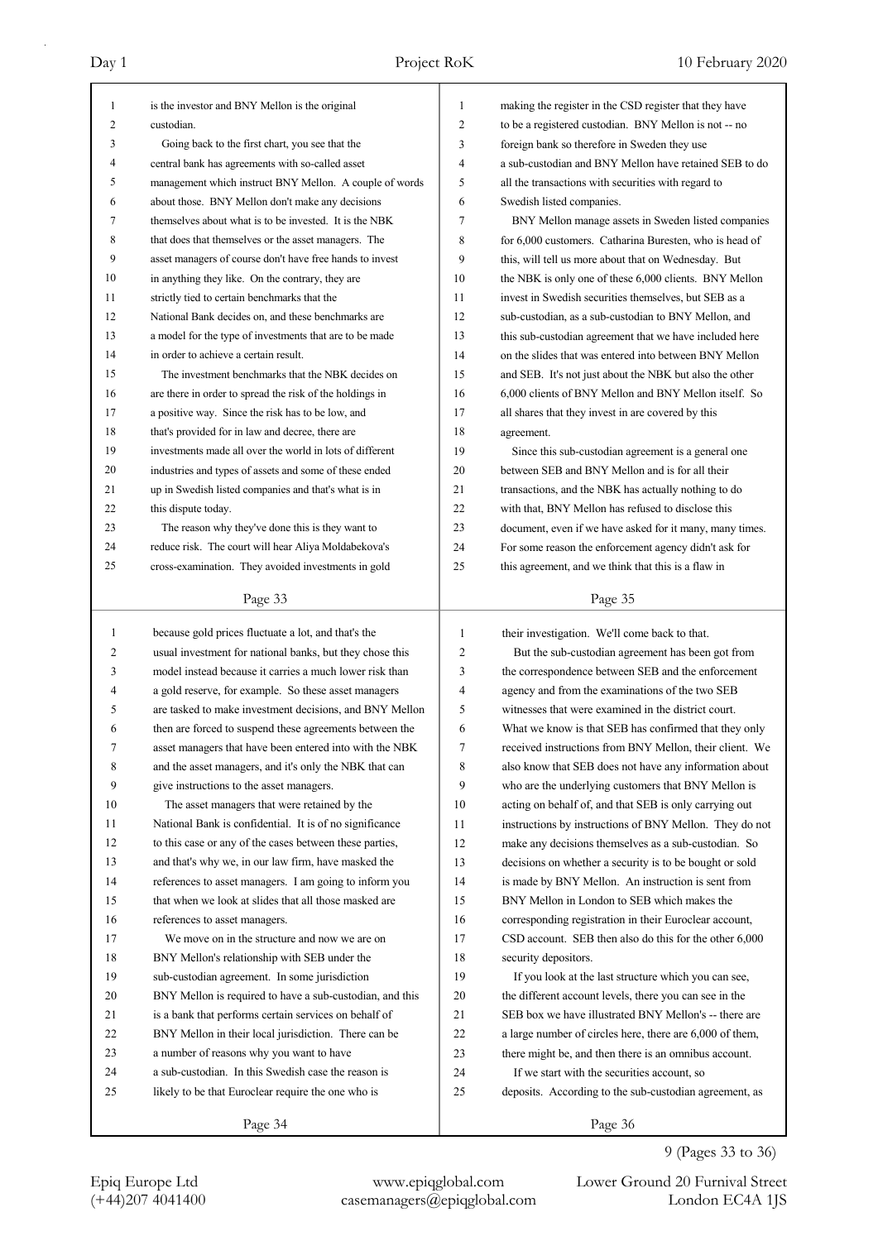| 1        | is the investor and BNY Mellon is the original                                                                  | $\mathbf{1}$        | making the register in the CSD register that they have                                                            |
|----------|-----------------------------------------------------------------------------------------------------------------|---------------------|-------------------------------------------------------------------------------------------------------------------|
| 2        | custodian.                                                                                                      | 2                   | to be a registered custodian. BNY Mellon is not -- no                                                             |
| 3        | Going back to the first chart, you see that the                                                                 | 3                   | foreign bank so therefore in Sweden they use                                                                      |
| 4        | central bank has agreements with so-called asset                                                                | $\overline{4}$<br>5 | a sub-custodian and BNY Mellon have retained SEB to do                                                            |
| 5        | management which instruct BNY Mellon. A couple of words                                                         |                     | all the transactions with securities with regard to                                                               |
| 6<br>7   | about those. BNY Mellon don't make any decisions                                                                | 6                   | Swedish listed companies.                                                                                         |
| 8        | themselves about what is to be invested. It is the NBK                                                          | 7<br>8              | BNY Mellon manage assets in Sweden listed companies                                                               |
| 9        | that does that themselves or the asset managers. The                                                            | 9                   | for 6,000 customers. Catharina Buresten, who is head of                                                           |
|          | asset managers of course don't have free hands to invest<br>in anything they like. On the contrary, they are    | 10                  | this, will tell us more about that on Wednesday. But                                                              |
| 10<br>11 |                                                                                                                 | 11                  | the NBK is only one of these 6,000 clients. BNY Mellon                                                            |
| 12       | strictly tied to certain benchmarks that the<br>National Bank decides on, and these benchmarks are              | 12                  | invest in Swedish securities themselves, but SEB as a<br>sub-custodian, as a sub-custodian to BNY Mellon, and     |
| 13       | a model for the type of investments that are to be made                                                         | 13                  |                                                                                                                   |
| 14       | in order to achieve a certain result.                                                                           | 14                  | this sub-custodian agreement that we have included here<br>on the slides that was entered into between BNY Mellon |
| 15       | The investment benchmarks that the NBK decides on                                                               | 15                  |                                                                                                                   |
| 16       | are there in order to spread the risk of the holdings in                                                        | 16                  | and SEB. It's not just about the NBK but also the other                                                           |
| 17       |                                                                                                                 | 17                  | 6,000 clients of BNY Mellon and BNY Mellon itself. So                                                             |
| 18       | a positive way. Since the risk has to be low, and                                                               | 18                  | all shares that they invest in are covered by this                                                                |
| 19       | that's provided for in law and decree, there are<br>investments made all over the world in lots of different    |                     | agreement.                                                                                                        |
| 20       |                                                                                                                 | 19<br>20            | Since this sub-custodian agreement is a general one<br>between SEB and BNY Mellon and is for all their            |
| 21       | industries and types of assets and some of these ended<br>up in Swedish listed companies and that's what is in  | 21                  |                                                                                                                   |
| 22       | this dispute today.                                                                                             | 22                  | transactions, and the NBK has actually nothing to do<br>with that, BNY Mellon has refused to disclose this        |
| 23       |                                                                                                                 | 23                  |                                                                                                                   |
| 24       | The reason why they've done this is they want to<br>reduce risk. The court will hear Aliya Moldabekova's        | 24                  | document, even if we have asked for it many, many times.                                                          |
| 25       | cross-examination. They avoided investments in gold                                                             | 25                  | For some reason the enforcement agency didn't ask for                                                             |
|          |                                                                                                                 |                     | this agreement, and we think that this is a flaw in                                                               |
|          | Page 33                                                                                                         |                     | Page 35                                                                                                           |
|          |                                                                                                                 |                     |                                                                                                                   |
| 1        |                                                                                                                 | $\mathbf{1}$        | their investigation. We'll come back to that.                                                                     |
| 2        | because gold prices fluctuate a lot, and that's the<br>usual investment for national banks, but they chose this | 2                   | But the sub-custodian agreement has been got from                                                                 |
| 3        | model instead because it carries a much lower risk than                                                         | 3                   | the correspondence between SEB and the enforcement                                                                |
| 4        | a gold reserve, for example. So these asset managers                                                            | 4                   | agency and from the examinations of the two SEB                                                                   |
| 5        | are tasked to make investment decisions, and BNY Mellon                                                         | 5                   | witnesses that were examined in the district court.                                                               |
| 6        | then are forced to suspend these agreements between the                                                         | 6                   | What we know is that SEB has confirmed that they only                                                             |
| 7        | asset managers that have been entered into with the NBK                                                         | 7                   | received instructions from BNY Mellon, their client. We                                                           |
| 8        | and the asset managers, and it's only the NBK that can                                                          | 8                   | also know that SEB does not have any information about                                                            |
| 9        | give instructions to the asset managers.                                                                        | 9                   | who are the underlying customers that BNY Mellon is                                                               |
| 10       | The asset managers that were retained by the                                                                    | 10                  | acting on behalf of, and that SEB is only carrying out                                                            |
| 11       | National Bank is confidential. It is of no significance                                                         | 11                  | instructions by instructions of BNY Mellon. They do not                                                           |
| 12       | to this case or any of the cases between these parties,                                                         | 12                  | make any decisions themselves as a sub-custodian. So                                                              |
| 13       | and that's why we, in our law firm, have masked the                                                             | 13                  | decisions on whether a security is to be bought or sold                                                           |
| 14       | references to asset managers. I am going to inform you                                                          | 14                  | is made by BNY Mellon. An instruction is sent from                                                                |
| 15       | that when we look at slides that all those masked are                                                           | 15                  | BNY Mellon in London to SEB which makes the                                                                       |
| 16       | references to asset managers.                                                                                   | 16                  | corresponding registration in their Euroclear account,                                                            |
| 17       | We move on in the structure and now we are on                                                                   | 17                  | CSD account. SEB then also do this for the other 6,000                                                            |
| 18       | BNY Mellon's relationship with SEB under the                                                                    | 18                  | security depositors.                                                                                              |
| 19       | sub-custodian agreement. In some jurisdiction                                                                   | 19                  | If you look at the last structure which you can see,                                                              |
| 20       | BNY Mellon is required to have a sub-custodian, and this                                                        | 20                  | the different account levels, there you can see in the                                                            |
| 21       | is a bank that performs certain services on behalf of                                                           | 21                  | SEB box we have illustrated BNY Mellon's -- there are                                                             |
| 22       | BNY Mellon in their local jurisdiction. There can be                                                            | 22                  | a large number of circles here, there are 6,000 of them,                                                          |
| 23       | a number of reasons why you want to have                                                                        | 23                  | there might be, and then there is an omnibus account.                                                             |
| 24       | a sub-custodian. In this Swedish case the reason is                                                             | 24                  | If we start with the securities account, so                                                                       |
| 25       | likely to be that Euroclear require the one who is                                                              | 25                  | deposits. According to the sub-custodian agreement, as                                                            |

9 (Pages 33 to 36)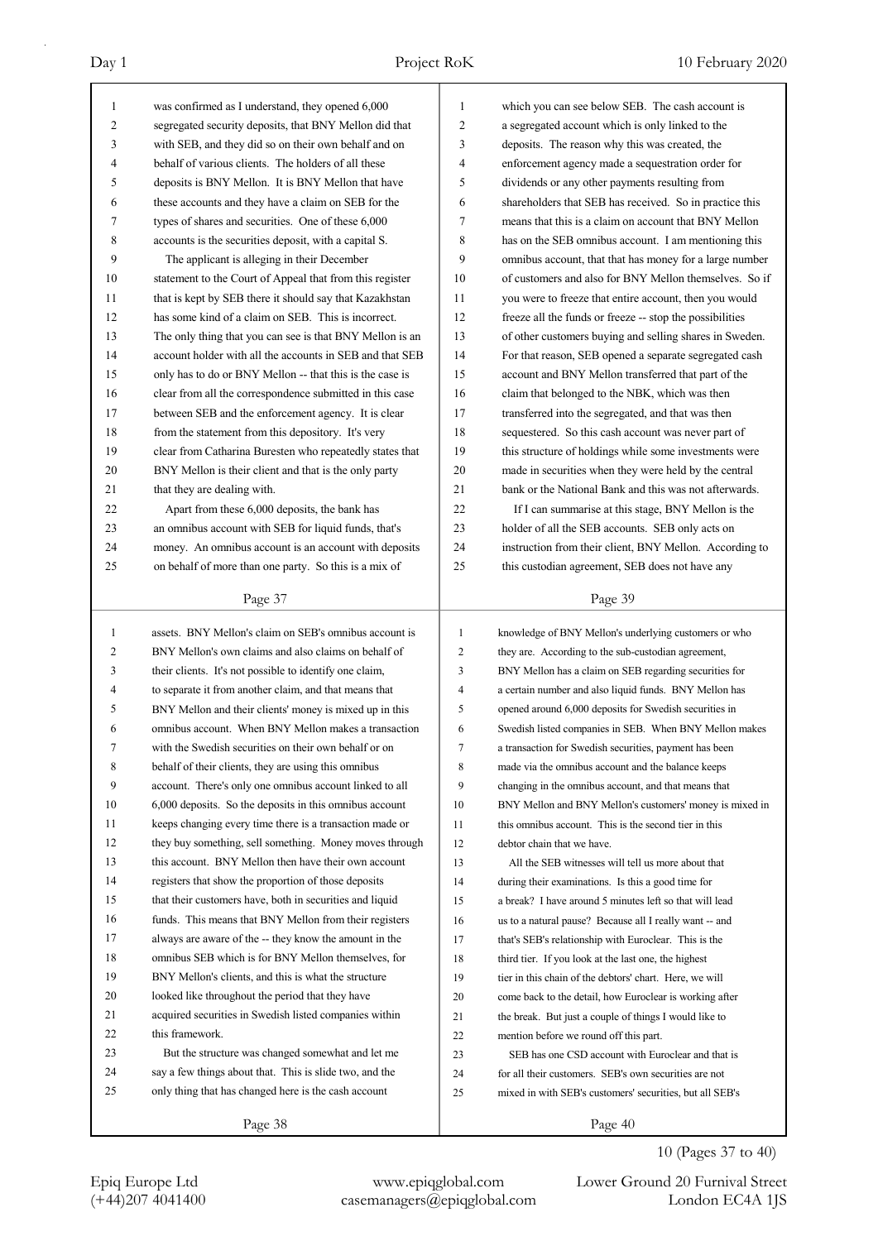| $\mathbf{1}$ | was confirmed as I understand, they opened 6,000         | 1            | which you can see below SEB. The cash account is         |
|--------------|----------------------------------------------------------|--------------|----------------------------------------------------------|
| 2            | segregated security deposits, that BNY Mellon did that   | 2            | a segregated account which is only linked to the         |
| 3            | with SEB, and they did so on their own behalf and on     | 3            | deposits. The reason why this was created, the           |
| 4            | behalf of various clients. The holders of all these      | 4            | enforcement agency made a sequestration order for        |
| 5            | deposits is BNY Mellon. It is BNY Mellon that have       | 5            | dividends or any other payments resulting from           |
| 6            | these accounts and they have a claim on SEB for the      | 6            | shareholders that SEB has received. So in practice this  |
| 7            | types of shares and securities. One of these 6,000       | $\tau$       | means that this is a claim on account that BNY Mellon    |
| 8            | accounts is the securities deposit, with a capital S.    | 8            | has on the SEB omnibus account. I am mentioning this     |
| 9            | The applicant is alleging in their December              | 9            | omnibus account, that that has money for a large number  |
| 10           | statement to the Court of Appeal that from this register | 10           | of customers and also for BNY Mellon themselves. So if   |
| 11           | that is kept by SEB there it should say that Kazakhstan  | 11           | you were to freeze that entire account, then you would   |
| 12           | has some kind of a claim on SEB. This is incorrect.      | 12           | freeze all the funds or freeze -- stop the possibilities |
| 13           | The only thing that you can see is that BNY Mellon is an | 13           | of other customers buying and selling shares in Sweden.  |
| 14           | account holder with all the accounts in SEB and that SEB | 14           | For that reason, SEB opened a separate segregated cash   |
| 15           | only has to do or BNY Mellon -- that this is the case is | 15           | account and BNY Mellon transferred that part of the      |
| 16           | clear from all the correspondence submitted in this case | 16           | claim that belonged to the NBK, which was then           |
| 17           | between SEB and the enforcement agency. It is clear      | 17           | transferred into the segregated, and that was then       |
| 18           | from the statement from this depository. It's very       | 18           | sequestered. So this cash account was never part of      |
| 19           | clear from Catharina Buresten who repeatedly states that | 19           | this structure of holdings while some investments were   |
| 20           | BNY Mellon is their client and that is the only party    | 20           | made in securities when they were held by the central    |
| 21           | that they are dealing with.                              | 21           | bank or the National Bank and this was not afterwards.   |
| 22           | Apart from these 6,000 deposits, the bank has            | 22           | If I can summarise at this stage, BNY Mellon is the      |
| 23           | an omnibus account with SEB for liquid funds, that's     | 23           | holder of all the SEB accounts. SEB only acts on         |
| 24           | money. An omnibus account is an account with deposits    | 24           | instruction from their client, BNY Mellon. According to  |
| 25           | on behalf of more than one party. So this is a mix of    | 25           | this custodian agreement, SEB does not have any          |
|              |                                                          |              |                                                          |
|              | Page 37                                                  |              | Page 39                                                  |
|              |                                                          |              |                                                          |
|              |                                                          |              |                                                          |
| $\mathbf{1}$ | assets. BNY Mellon's claim on SEB's omnibus account is   | $\mathbf{1}$ | knowledge of BNY Mellon's underlying customers or who    |
| 2            | BNY Mellon's own claims and also claims on behalf of     | 2            | they are. According to the sub-custodian agreement,      |
| 3            | their clients. It's not possible to identify one claim,  | 3            | BNY Mellon has a claim on SEB regarding securities for   |
| 4            | to separate it from another claim, and that means that   | 4            | a certain number and also liquid funds. BNY Mellon has   |
| 5            | BNY Mellon and their clients' money is mixed up in this  | 5            | opened around 6,000 deposits for Swedish securities in   |
| 6            | omnibus account. When BNY Mellon makes a transaction     | 6            | Swedish listed companies in SEB. When BNY Mellon makes   |
| 7            | with the Swedish securities on their own behalf or on    | 7            | a transaction for Swedish securities, payment has been   |
| 8            | behalf of their clients, they are using this omnibus     | 8            | made via the omnibus account and the balance keeps       |
| 9            | account. There's only one omnibus account linked to all  | 9            | changing in the omnibus account, and that means that     |
| 10           | 6,000 deposits. So the deposits in this omnibus account  | 10           | BNY Mellon and BNY Mellon's customers' money is mixed in |
| 11           | keeps changing every time there is a transaction made or | 11           | this omnibus account. This is the second tier in this    |
| 12           | they buy something, sell something. Money moves through  | 12           | debtor chain that we have.                               |
| 13           | this account. BNY Mellon then have their own account     | 13           | All the SEB witnesses will tell us more about that       |
| 14           | registers that show the proportion of those deposits     | 14           | during their examinations. Is this a good time for       |
| 15           | that their customers have, both in securities and liquid | 15           | a break? I have around 5 minutes left so that will lead  |
| 16           | funds. This means that BNY Mellon from their registers   | 16           | us to a natural pause? Because all I really want -- and  |
| 17           | always are aware of the -- they know the amount in the   | 17           | that's SEB's relationship with Euroclear. This is the    |
| 18           | omnibus SEB which is for BNY Mellon themselves, for      | 18           | third tier. If you look at the last one, the highest     |
| 19           | BNY Mellon's clients, and this is what the structure     | 19           | tier in this chain of the debtors' chart. Here, we will  |
| 20           | looked like throughout the period that they have         | 20           | come back to the detail, how Euroclear is working after  |
| 21           | acquired securities in Swedish listed companies within   | 21           | the break. But just a couple of things I would like to   |
| 22           | this framework.                                          | 22           | mention before we round off this part.                   |
| 23           | But the structure was changed somewhat and let me        | 23           | SEB has one CSD account with Euroclear and that is       |
| 24           | say a few things about that. This is slide two, and the  | 24           | for all their customers. SEB's own securities are not    |
| 25           | only thing that has changed here is the cash account     | 25           | mixed in with SEB's customers' securities, but all SEB's |
|              | Page 38                                                  |              | Page 40                                                  |

10 (Pages 37 to 40)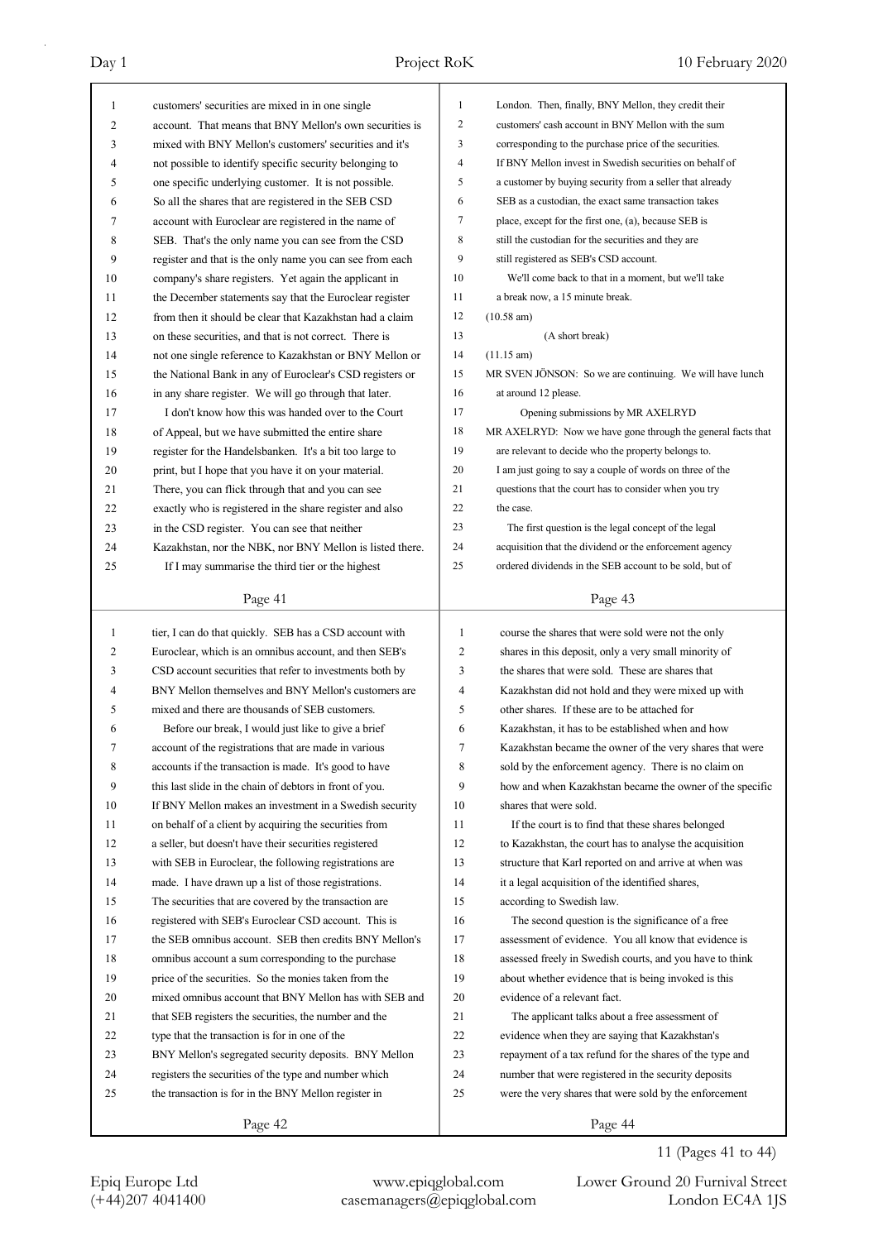| 1            | customers' securities are mixed in in one single         | 1              | London. Then, finally, BNY Mellon, they credit their        |
|--------------|----------------------------------------------------------|----------------|-------------------------------------------------------------|
| 2            | account. That means that BNY Mellon's own securities is  | $\overline{2}$ | customers' cash account in BNY Mellon with the sum          |
| 3            | mixed with BNY Mellon's customers' securities and it's   | 3              | corresponding to the purchase price of the securities.      |
| 4            | not possible to identify specific security belonging to  | $\overline{4}$ | If BNY Mellon invest in Swedish securities on behalf of     |
| 5            | one specific underlying customer. It is not possible.    | 5              | a customer by buying security from a seller that already    |
| 6            | So all the shares that are registered in the SEB CSD     | 6              | SEB as a custodian, the exact same transaction takes        |
| 7            | account with Euroclear are registered in the name of     | 7              | place, except for the first one, (a), because SEB is        |
| 8            | SEB. That's the only name you can see from the CSD       | 8              | still the custodian for the securities and they are         |
| 9            | register and that is the only name you can see from each | 9              | still registered as SEB's CSD account.                      |
| 10           | company's share registers. Yet again the applicant in    | 10             | We'll come back to that in a moment, but we'll take         |
| 11           | the December statements say that the Euroclear register  | 11             | a break now, a 15 minute break.                             |
| 12           | from then it should be clear that Kazakhstan had a claim | 12             | $(10.58 \text{ am})$                                        |
| 13           | on these securities, and that is not correct. There is   | 13             | (A short break)                                             |
| 14           | not one single reference to Kazakhstan or BNY Mellon or  | 14             | $(11.15 \text{ am})$                                        |
| 15           | the National Bank in any of Euroclear's CSD registers or | 15             | MR SVEN JÖNSON: So we are continuing. We will have lunch    |
| 16           | in any share register. We will go through that later.    | 16             | at around 12 please.                                        |
| 17           | I don't know how this was handed over to the Court       | 17             | Opening submissions by MR AXELRYD                           |
| 18           | of Appeal, but we have submitted the entire share        | 18             | MR AXELRYD: Now we have gone through the general facts that |
| 19           | register for the Handelsbanken. It's a bit too large to  | 19             | are relevant to decide who the property belongs to.         |
| 20           | print, but I hope that you have it on your material.     | 20             | I am just going to say a couple of words on three of the    |
| 21           | There, you can flick through that and you can see        | 21             | questions that the court has to consider when you try       |
| 22           | exactly who is registered in the share register and also | 22             | the case.                                                   |
| 23           | in the CSD register. You can see that neither            | 23             | The first question is the legal concept of the legal        |
| 24           | Kazakhstan, nor the NBK, nor BNY Mellon is listed there. | 24             | acquisition that the dividend or the enforcement agency     |
| 25           | If I may summarise the third tier or the highest         | 25             | ordered dividends in the SEB account to be sold, but of     |
|              |                                                          |                |                                                             |
|              | Page 41                                                  |                | Page 43                                                     |
|              |                                                          |                |                                                             |
|              |                                                          |                |                                                             |
| $\mathbf{1}$ | tier, I can do that quickly. SEB has a CSD account with  | 1              | course the shares that were sold were not the only          |
| 2            | Euroclear, which is an omnibus account, and then SEB's   | $\mathfrak{2}$ | shares in this deposit, only a very small minority of       |
| 3            | CSD account securities that refer to investments both by | 3              | the shares that were sold. These are shares that            |
| 4            | BNY Mellon themselves and BNY Mellon's customers are     | 4              | Kazakhstan did not hold and they were mixed up with         |
| 5            | mixed and there are thousands of SEB customers.          | 5              | other shares. If these are to be attached for               |
| 6            | Before our break, I would just like to give a brief      | 6              | Kazakhstan, it has to be established when and how           |
| 7            | account of the registrations that are made in various    | 7              | Kazakhstan became the owner of the very shares that were    |
| 8            | accounts if the transaction is made. It's good to have   | 8              | sold by the enforcement agency. There is no claim on        |
| 9            | this last slide in the chain of debtors in front of you. | 9              | how and when Kazakhstan became the owner of the specific    |
| 10           | If BNY Mellon makes an investment in a Swedish security  | 10             | shares that were sold.                                      |
| 11           | on behalf of a client by acquiring the securities from   | 11             | If the court is to find that these shares belonged          |
| 12           | a seller, but doesn't have their securities registered   | 12             | to Kazakhstan, the court has to analyse the acquisition     |
| 13           | with SEB in Euroclear, the following registrations are   | 13             | structure that Karl reported on and arrive at when was      |
| 14           | made. I have drawn up a list of those registrations.     | 14             | it a legal acquisition of the identified shares,            |
| 15           | The securities that are covered by the transaction are   | 15             | according to Swedish law.                                   |
| 16           | registered with SEB's Euroclear CSD account. This is     | 16             | The second question is the significance of a free           |
| 17           | the SEB omnibus account. SEB then credits BNY Mellon's   | 17             | assessment of evidence. You all know that evidence is       |
| 18           | omnibus account a sum corresponding to the purchase      | 18             | assessed freely in Swedish courts, and you have to think    |
| 19           | price of the securities. So the monies taken from the    | 19             | about whether evidence that is being invoked is this        |
| 20           | mixed omnibus account that BNY Mellon has with SEB and   | 20             | evidence of a relevant fact.                                |
| 21           | that SEB registers the securities, the number and the    | 21             | The applicant talks about a free assessment of              |
| 22           | type that the transaction is for in one of the           | 22             | evidence when they are saying that Kazakhstan's             |
| 23           | BNY Mellon's segregated security deposits. BNY Mellon    | 23             | repayment of a tax refund for the shares of the type and    |
| 24           | registers the securities of the type and number which    | 24             | number that were registered in the security deposits        |
| 25           | the transaction is for in the BNY Mellon register in     | 25             | were the very shares that were sold by the enforcement      |
|              | Page 42                                                  |                | Page 44                                                     |

11 (Pages 41 to 44)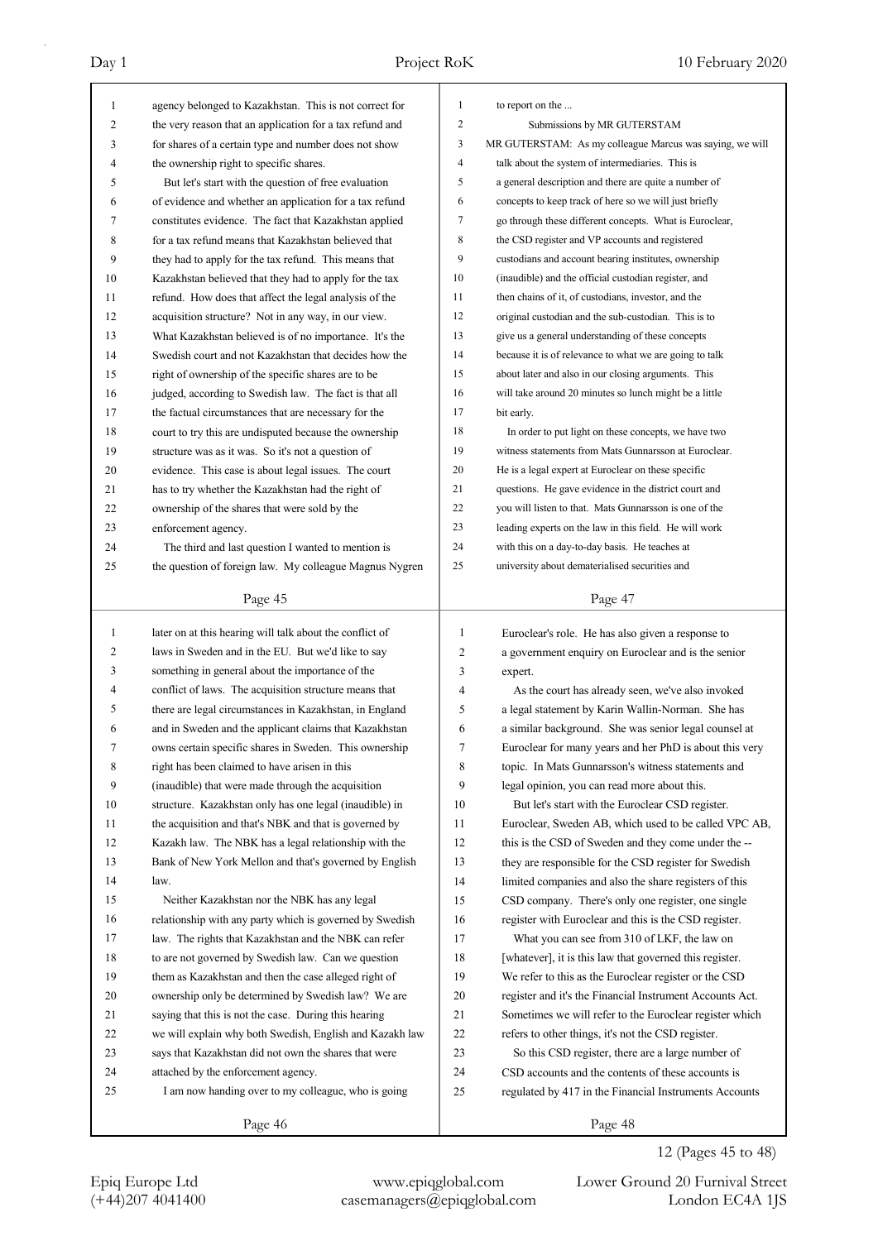| 1            | agency belonged to Kazakhstan. This is not correct for   | 1                | to report on the                                         |
|--------------|----------------------------------------------------------|------------------|----------------------------------------------------------|
| 2            | the very reason that an application for a tax refund and | $\boldsymbol{2}$ | Submissions by MR GUTERSTAM                              |
| 3            | for shares of a certain type and number does not show    | 3                | MR GUTERSTAM: As my colleague Marcus was saying, we will |
| 4            | the ownership right to specific shares.                  | $\overline{4}$   | talk about the system of intermediaries. This is         |
| 5            | But let's start with the question of free evaluation     | 5                | a general description and there are quite a number of    |
| 6            | of evidence and whether an application for a tax refund  | 6                | concepts to keep track of here so we will just briefly   |
| 7            | constitutes evidence. The fact that Kazakhstan applied   | 7                | go through these different concepts. What is Euroclear,  |
| 8            | for a tax refund means that Kazakhstan believed that     | 8                | the CSD register and VP accounts and registered          |
| 9            | they had to apply for the tax refund. This means that    | 9                | custodians and account bearing institutes, ownership     |
| 10           | Kazakhstan believed that they had to apply for the tax   | 10               | (inaudible) and the official custodian register, and     |
| 11           | refund. How does that affect the legal analysis of the   | 11               | then chains of it, of custodians, investor, and the      |
| 12           | acquisition structure? Not in any way, in our view.      | 12               | original custodian and the sub-custodian. This is to     |
| 13           | What Kazakhstan believed is of no importance. It's the   | 13               | give us a general understanding of these concepts        |
| 14           | Swedish court and not Kazakhstan that decides how the    | 14               | because it is of relevance to what we are going to talk  |
| 15           | right of ownership of the specific shares are to be      | 15               | about later and also in our closing arguments. This      |
| 16           | judged, according to Swedish law. The fact is that all   | 16               | will take around 20 minutes so lunch might be a little   |
| 17           | the factual circumstances that are necessary for the     | 17               | bit early.                                               |
| 18           | court to try this are undisputed because the ownership   | 18               | In order to put light on these concepts, we have two     |
| 19           | structure was as it was. So it's not a question of       | 19               | witness statements from Mats Gunnarsson at Euroclear.    |
| 20           | evidence. This case is about legal issues. The court     | 20               | He is a legal expert at Euroclear on these specific      |
| 21           | has to try whether the Kazakhstan had the right of       | 21               | questions. He gave evidence in the district court and    |
| 22           | ownership of the shares that were sold by the            | 22               | you will listen to that. Mats Gunnarsson is one of the   |
| 23           | enforcement agency.                                      | 23               | leading experts on the law in this field. He will work   |
| 24           | The third and last question I wanted to mention is       | 24               | with this on a day-to-day basis. He teaches at           |
| 25           | the question of foreign law. My colleague Magnus Nygren  | 25               | university about dematerialised securities and           |
|              |                                                          |                  |                                                          |
|              | Page 45                                                  |                  | Page 47                                                  |
|              |                                                          |                  |                                                          |
| $\mathbf{1}$ |                                                          | $\mathbf{1}$     |                                                          |
| 2            | later on at this hearing will talk about the conflict of | $\overline{c}$   | Euroclear's role. He has also given a response to        |
| 3            | laws in Sweden and in the EU. But we'd like to say       | 3                | a government enquiry on Euroclear and is the senior      |
| 4            | something in general about the importance of the         | 4                | expert.                                                  |
|              | conflict of laws. The acquisition structure means that   |                  | As the court has already seen, we've also invoked        |
| 5            | there are legal circumstances in Kazakhstan, in England  | 5                | a legal statement by Karin Wallin-Norman. She has        |
| 6            | and in Sweden and the applicant claims that Kazakhstan   | 6                | a similar background. She was senior legal counsel at    |
| 7            | owns certain specific shares in Sweden. This ownership   | 7                | Euroclear for many years and her PhD is about this very  |
| 8            | right has been claimed to have arisen in this            | 8                | topic. In Mats Gunnarsson's witness statements and       |
| 9            | (inaudible) that were made through the acquisition       | 9                | legal opinion, you can read more about this.             |
| 10           | structure. Kazakhstan only has one legal (inaudible) in  | 10               | But let's start with the Euroclear CSD register.         |
| 11           | the acquisition and that's NBK and that is governed by   | 11               | Euroclear, Sweden AB, which used to be called VPC AB,    |
| 12           | Kazakh law. The NBK has a legal relationship with the    | 12               | this is the CSD of Sweden and they come under the --     |
| 13           | Bank of New York Mellon and that's governed by English   | 13               | they are responsible for the CSD register for Swedish    |
| 14           | law.                                                     | 14               | limited companies and also the share registers of this   |
| 15           | Neither Kazakhstan nor the NBK has any legal             | 15               | CSD company. There's only one register, one single       |
| 16           | relationship with any party which is governed by Swedish | 16               | register with Euroclear and this is the CSD register.    |
| 17           | law. The rights that Kazakhstan and the NBK can refer    | 17               | What you can see from 310 of LKF, the law on             |
| $18\,$       | to are not governed by Swedish law. Can we question      | 18               | [whatever], it is this law that governed this register.  |
| 19           | them as Kazakhstan and then the case alleged right of    | 19               | We refer to this as the Euroclear register or the CSD    |
| 20           | ownership only be determined by Swedish law? We are      | $20\,$           | register and it's the Financial Instrument Accounts Act. |
| 21           | saying that this is not the case. During this hearing    | 21               | Sometimes we will refer to the Euroclear register which  |
| 22           | we will explain why both Swedish, English and Kazakh law | 22               | refers to other things, it's not the CSD register.       |
| 23           | says that Kazakhstan did not own the shares that were    | 23               | So this CSD register, there are a large number of        |
| 24           | attached by the enforcement agency.                      | 24               | CSD accounts and the contents of these accounts is       |
| 25           | I am now handing over to my colleague, who is going      | 25               | regulated by 417 in the Financial Instruments Accounts   |

12 (Pages 45 to 48)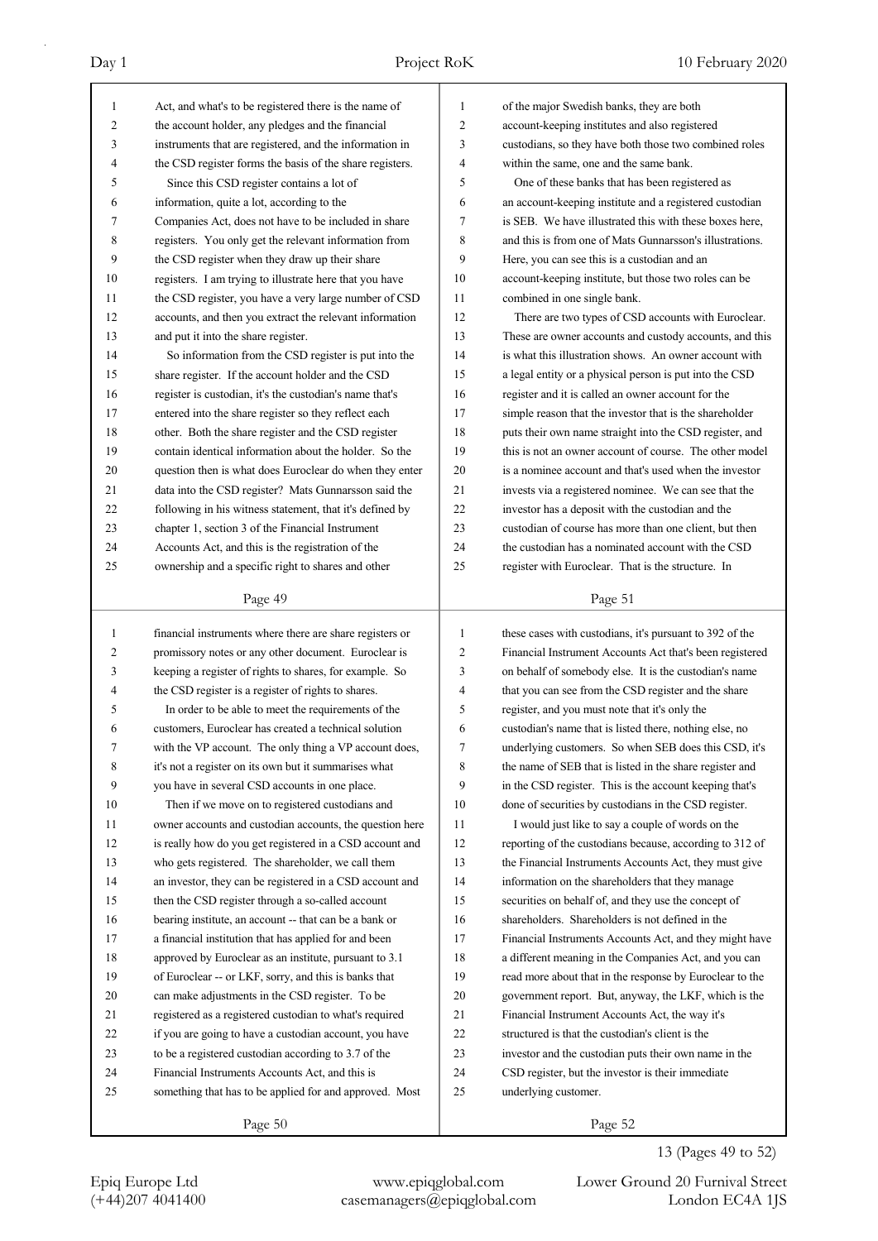| $\mathbf{1}$ | Act, and what's to be registered there is the name of    | 1              | of the major Swedish banks, they are both                |
|--------------|----------------------------------------------------------|----------------|----------------------------------------------------------|
| 2            | the account holder, any pledges and the financial        | 2              | account-keeping institutes and also registered           |
| 3            | instruments that are registered, and the information in  | 3              | custodians, so they have both those two combined roles   |
| 4            | the CSD register forms the basis of the share registers. | 4              | within the same, one and the same bank.                  |
| 5            | Since this CSD register contains a lot of                | 5              | One of these banks that has been registered as           |
| 6            | information, quite a lot, according to the               | 6              | an account-keeping institute and a registered custodian  |
| 7            | Companies Act, does not have to be included in share     | 7              | is SEB. We have illustrated this with these boxes here,  |
| 8            | registers. You only get the relevant information from    | 8              | and this is from one of Mats Gunnarsson's illustrations. |
| 9            | the CSD register when they draw up their share           | 9              | Here, you can see this is a custodian and an             |
| 10           | registers. I am trying to illustrate here that you have  | 10             | account-keeping institute, but those two roles can be    |
| 11           | the CSD register, you have a very large number of CSD    | 11             | combined in one single bank.                             |
| 12           | accounts, and then you extract the relevant information  | 12             | There are two types of CSD accounts with Euroclear.      |
| 13           | and put it into the share register.                      | 13             | These are owner accounts and custody accounts, and this  |
| 14           | So information from the CSD register is put into the     | 14             | is what this illustration shows. An owner account with   |
| 15           | share register. If the account holder and the CSD        | 15             | a legal entity or a physical person is put into the CSD  |
| 16           | register is custodian, it's the custodian's name that's  | 16             | register and it is called an owner account for the       |
| 17           | entered into the share register so they reflect each     | 17             | simple reason that the investor that is the shareholder  |
| 18           | other. Both the share register and the CSD register      | 18             | puts their own name straight into the CSD register, and  |
| 19           | contain identical information about the holder. So the   | 19             | this is not an owner account of course. The other model  |
| 20           | question then is what does Euroclear do when they enter  | 20             | is a nominee account and that's used when the investor   |
| 21           |                                                          | 21             | invests via a registered nominee. We can see that the    |
|              | data into the CSD register? Mats Gunnarsson said the     |                |                                                          |
| 22           | following in his witness statement, that it's defined by | 22             | investor has a deposit with the custodian and the        |
| 23           | chapter 1, section 3 of the Financial Instrument         | 23             | custodian of course has more than one client, but then   |
| 24           | Accounts Act, and this is the registration of the        | 24             | the custodian has a nominated account with the CSD       |
| 25           | ownership and a specific right to shares and other       | 25             | register with Euroclear. That is the structure. In       |
|              | Page 49                                                  |                | Page 51                                                  |
|              |                                                          |                |                                                          |
|              |                                                          |                |                                                          |
| $\mathbf{1}$ | financial instruments where there are share registers or | $\mathbf{1}$   | these cases with custodians, it's pursuant to 392 of the |
| 2            | promissory notes or any other document. Euroclear is     | $\overline{c}$ | Financial Instrument Accounts Act that's been registered |
| 3            | keeping a register of rights to shares, for example. So  | 3              | on behalf of somebody else. It is the custodian's name   |
| 4            | the CSD register is a register of rights to shares.      | 4              | that you can see from the CSD register and the share     |
| 5            | In order to be able to meet the requirements of the      | 5              | register, and you must note that it's only the           |
| 6            | customers, Euroclear has created a technical solution    | 6              | custodian's name that is listed there, nothing else, no  |
| 7            | with the VP account. The only thing a VP account does,   | 7              | underlying customers. So when SEB does this CSD, it's    |
| 8            | it's not a register on its own but it summarises what    | 8              | the name of SEB that is listed in the share register and |
| 9            | you have in several CSD accounts in one place.           | 9              | in the CSD register. This is the account keeping that's  |
| 10           | Then if we move on to registered custodians and          | 10             | done of securities by custodians in the CSD register.    |
| 11           | owner accounts and custodian accounts, the question here | 11             | I would just like to say a couple of words on the        |
| 12           | is really how do you get registered in a CSD account and | 12             | reporting of the custodians because, according to 312 of |
| 13           | who gets registered. The shareholder, we call them       | 13             | the Financial Instruments Accounts Act, they must give   |
| 14           | an investor, they can be registered in a CSD account and | 14             | information on the shareholders that they manage         |
| 15           | then the CSD register through a so-called account        | 15             | securities on behalf of, and they use the concept of     |
| 16           | bearing institute, an account -- that can be a bank or   | 16             | shareholders. Shareholders is not defined in the         |
| 17           | a financial institution that has applied for and been    | 17             | Financial Instruments Accounts Act, and they might have  |
| 18           | approved by Euroclear as an institute, pursuant to 3.1   | 18             | a different meaning in the Companies Act, and you can    |
| 19           | of Euroclear -- or LKF, sorry, and this is banks that    | 19             | read more about that in the response by Euroclear to the |
| 20           | can make adjustments in the CSD register. To be          | 20             | government report. But, anyway, the LKF, which is the    |
| 21           | registered as a registered custodian to what's required  | 21             | Financial Instrument Accounts Act, the way it's          |
| 22           | if you are going to have a custodian account, you have   | 22             | structured is that the custodian's client is the         |
| 23           | to be a registered custodian according to 3.7 of the     | 23             | investor and the custodian puts their own name in the    |
| 24           | Financial Instruments Accounts Act, and this is          | 24             | CSD register, but the investor is their immediate        |
| 25           | something that has to be applied for and approved. Most  | 25             | underlying customer.                                     |

13 (Pages 49 to 52)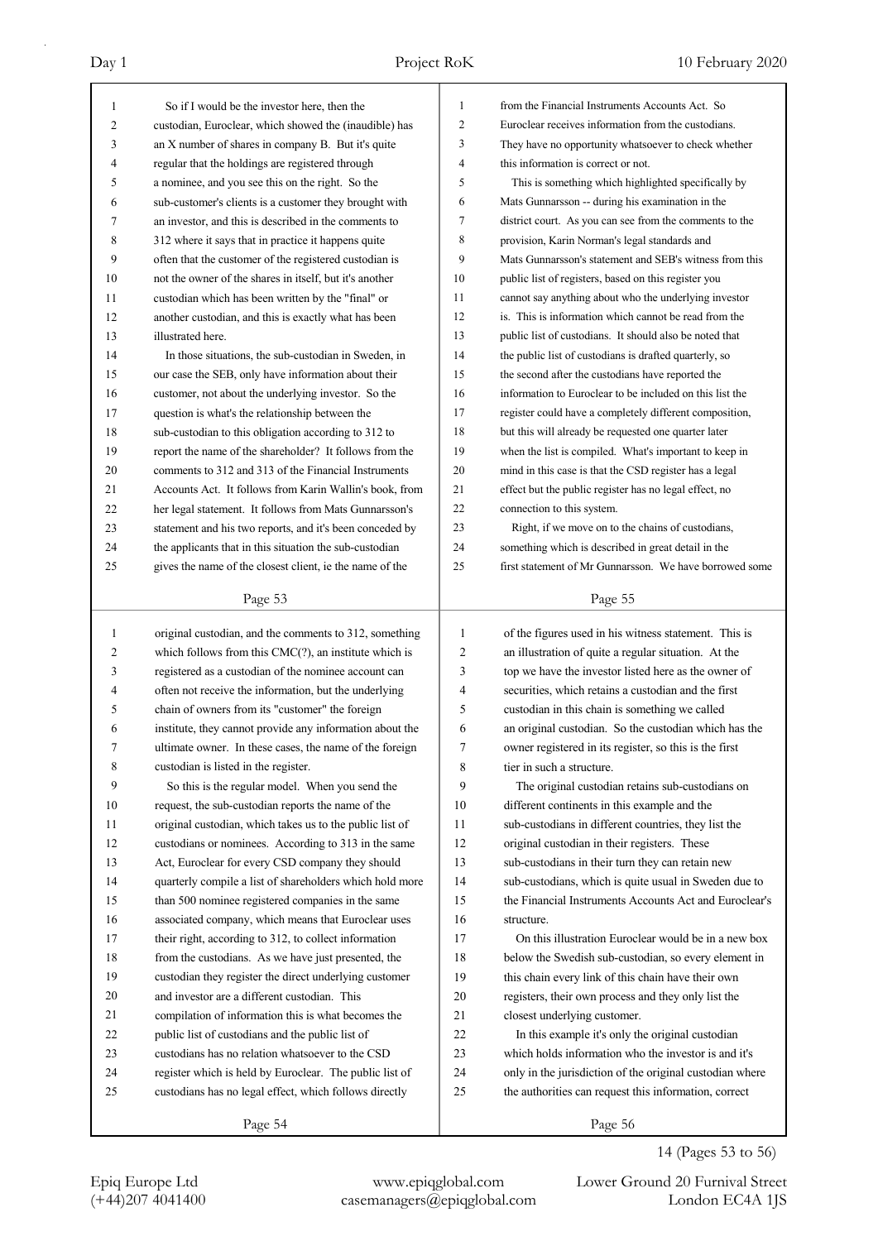| $\mathbf{1}$ | So if I would be the investor here, then the             | 1              | from the Financial Instruments Accounts Act. So          |
|--------------|----------------------------------------------------------|----------------|----------------------------------------------------------|
| 2            | custodian, Euroclear, which showed the (inaudible) has   | $\mathfrak{2}$ | Euroclear receives information from the custodians.      |
| 3            | an X number of shares in company B. But it's quite       | 3              | They have no opportunity whatsoever to check whether     |
| 4            | regular that the holdings are registered through         | $\overline{4}$ | this information is correct or not.                      |
| 5            | a nominee, and you see this on the right. So the         | 5              | This is something which highlighted specifically by      |
| 6            | sub-customer's clients is a customer they brought with   | 6              | Mats Gunnarsson -- during his examination in the         |
| 7            | an investor, and this is described in the comments to    | 7              | district court. As you can see from the comments to the  |
| 8            | 312 where it says that in practice it happens quite      | 8              | provision, Karin Norman's legal standards and            |
| 9            | often that the customer of the registered custodian is   | 9              | Mats Gunnarsson's statement and SEB's witness from this  |
| 10           | not the owner of the shares in itself, but it's another  | 10             | public list of registers, based on this register you     |
| 11           | custodian which has been written by the "final" or       | 11             | cannot say anything about who the underlying investor    |
| 12           | another custodian, and this is exactly what has been     | 12             | is. This is information which cannot be read from the    |
| 13           | illustrated here.                                        | 13             | public list of custodians. It should also be noted that  |
| 14           | In those situations, the sub-custodian in Sweden, in     | 14             | the public list of custodians is drafted quarterly, so   |
| 15           | our case the SEB, only have information about their      | 15             | the second after the custodians have reported the        |
| 16           | customer, not about the underlying investor. So the      | 16             | information to Euroclear to be included on this list the |
| 17           | question is what's the relationship between the          | 17             | register could have a completely different composition,  |
| 18           | sub-custodian to this obligation according to 312 to     | 18             | but this will already be requested one quarter later     |
| 19           | report the name of the shareholder? It follows from the  | 19             | when the list is compiled. What's important to keep in   |
| 20           | comments to 312 and 313 of the Financial Instruments     | 20             | mind in this case is that the CSD register has a legal   |
| 21           | Accounts Act. It follows from Karin Wallin's book, from  | 21             | effect but the public register has no legal effect, no   |
| 22           | her legal statement. It follows from Mats Gunnarsson's   | 22             | connection to this system.                               |
| 23           | statement and his two reports, and it's been conceded by | 23             | Right, if we move on to the chains of custodians,        |
| 24           | the applicants that in this situation the sub-custodian  | 24             | something which is described in great detail in the      |
| 25           | gives the name of the closest client, ie the name of the | 25             | first statement of Mr Gunnarsson. We have borrowed some  |
|              |                                                          |                |                                                          |
|              | Page 53                                                  |                | Page 55                                                  |
|              |                                                          |                |                                                          |
|              |                                                          |                |                                                          |
| 1            | original custodian, and the comments to 312, something   | $\mathbf{1}$   | of the figures used in his witness statement. This is    |
| 2            | which follows from this $CMC(?)$ , an institute which is | $\overline{c}$ | an illustration of quite a regular situation. At the     |
| 3            | registered as a custodian of the nominee account can     | 3              | top we have the investor listed here as the owner of     |
| 4            | often not receive the information, but the underlying    | 4              | securities, which retains a custodian and the first      |
| 5            | chain of owners from its "customer" the foreign          | 5              | custodian in this chain is something we called           |
| 6            | institute, they cannot provide any information about the | 6              | an original custodian. So the custodian which has the    |
| 7            | ultimate owner. In these cases, the name of the foreign  | 7              | owner registered in its register, so this is the first   |
| 8            | custodian is listed in the register.                     | 8              | tier in such a structure.                                |
| 9            | So this is the regular model. When you send the          | 9              | The original custodian retains sub-custodians on         |
| 10           | request, the sub-custodian reports the name of the       | 10             | different continents in this example and the             |
| 11           | original custodian, which takes us to the public list of | 11             | sub-custodians in different countries, they list the     |
| 12           | custodians or nominees. According to 313 in the same     | 12             | original custodian in their registers. These             |
| 13           | Act, Euroclear for every CSD company they should         | 13             | sub-custodians in their turn they can retain new         |
| 14           | quarterly compile a list of shareholders which hold more | 14             | sub-custodians, which is quite usual in Sweden due to    |
| 15           | than 500 nominee registered companies in the same        | 15             | the Financial Instruments Accounts Act and Euroclear's   |
| 16           | associated company, which means that Euroclear uses      | 16             | structure.                                               |
| 17           | their right, according to 312, to collect information    | 17             | On this illustration Euroclear would be in a new box     |
| 18           | from the custodians. As we have just presented, the      | 18             | below the Swedish sub-custodian, so every element in     |
| 19           | custodian they register the direct underlying customer   | 19             | this chain every link of this chain have their own       |
| 20           | and investor are a different custodian. This             | 20             | registers, their own process and they only list the      |
| 21           | compilation of information this is what becomes the      | 21             | closest underlying customer.                             |
| 22           | public list of custodians and the public list of         | 22             | In this example it's only the original custodian         |
| 23           | custodians has no relation whatsoever to the CSD         | 23             | which holds information who the investor is and it's     |
| 24           | register which is held by Euroclear. The public list of  | 24             | only in the jurisdiction of the original custodian where |
| 25           | custodians has no legal effect, which follows directly   | 25             | the authorities can request this information, correct    |

14 (Pages 53 to 56)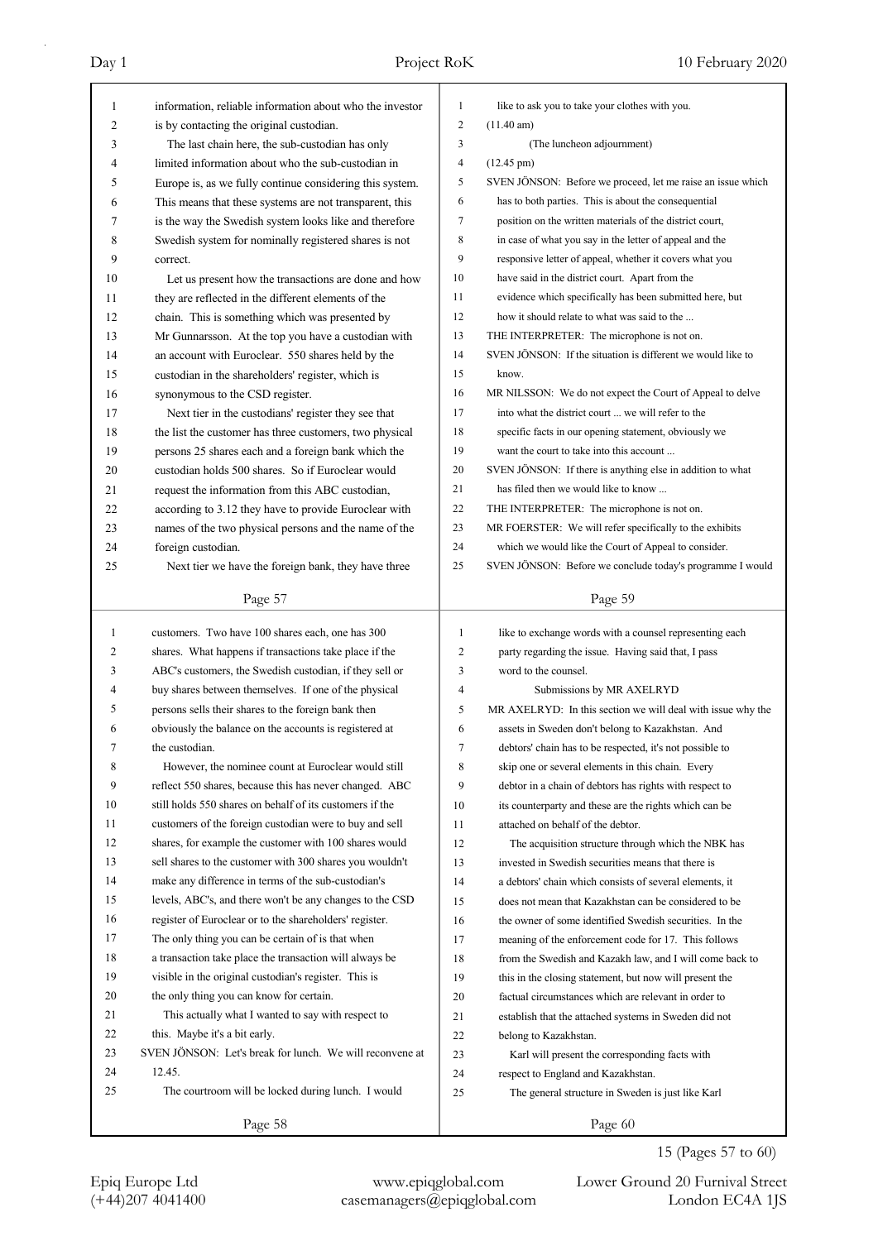| 1            | information, reliable information about who the investor                 | 1              | like to ask you to take your clothes with you.              |
|--------------|--------------------------------------------------------------------------|----------------|-------------------------------------------------------------|
| 2            | is by contacting the original custodian.                                 | $\mathbf{2}$   | $(11.40 \text{ am})$                                        |
| 3            | The last chain here, the sub-custodian has only                          | 3              | (The luncheon adjournment)                                  |
| 4            | limited information about who the sub-custodian in                       | 4              | $(12.45 \text{ pm})$                                        |
| 5            | Europe is, as we fully continue considering this system.                 | 5              | SVEN JÖNSON: Before we proceed, let me raise an issue which |
| 6            | This means that these systems are not transparent, this                  | 6              | has to both parties. This is about the consequential        |
| 7            | is the way the Swedish system looks like and therefore                   | 7              | position on the written materials of the district court,    |
| 8            | Swedish system for nominally registered shares is not                    | 8              | in case of what you say in the letter of appeal and the     |
| 9            | correct.                                                                 | 9              | responsive letter of appeal, whether it covers what you     |
| 10           | Let us present how the transactions are done and how                     | 10             | have said in the district court. Apart from the             |
| 11           | they are reflected in the different elements of the                      | 11             | evidence which specifically has been submitted here, but    |
| 12           | chain. This is something which was presented by                          | 12             | how it should relate to what was said to the                |
| 13           | Mr Gunnarsson. At the top you have a custodian with                      | 13             | THE INTERPRETER: The microphone is not on.                  |
| 14           | an account with Euroclear. 550 shares held by the                        | 14             | SVEN JÖNSON: If the situation is different we would like to |
| 15           | custodian in the shareholders' register, which is                        | 15             | know.                                                       |
| 16           | synonymous to the CSD register.                                          | 16             | MR NILSSON: We do not expect the Court of Appeal to delve   |
| 17           | Next tier in the custodians' register they see that                      | 17             | into what the district court  we will refer to the          |
| 18           | the list the customer has three customers, two physical                  | 18             | specific facts in our opening statement, obviously we       |
| 19           | persons 25 shares each and a foreign bank which the                      | 19             | want the court to take into this account                    |
| 20           | custodian holds 500 shares. So if Euroclear would                        | 20             | SVEN JÖNSON: If there is anything else in addition to what  |
| 21           | request the information from this ABC custodian,                         | 21             | has filed then we would like to know                        |
| 22           | according to 3.12 they have to provide Euroclear with                    | 22             | THE INTERPRETER: The microphone is not on.                  |
| 23           | names of the two physical persons and the name of the                    | 23             | MR FOERSTER: We will refer specifically to the exhibits     |
| 24           | foreign custodian.                                                       | 24             | which we would like the Court of Appeal to consider.        |
| 25           | Next tier we have the foreign bank, they have three                      | 25             | SVEN JÖNSON: Before we conclude today's programme I would   |
|              |                                                                          |                |                                                             |
|              | Page 57                                                                  |                | Page 59                                                     |
|              |                                                                          |                |                                                             |
|              |                                                                          |                |                                                             |
| $\mathbf{1}$ | customers. Two have 100 shares each, one has 300                         | $\mathbf{1}$   | like to exchange words with a counsel representing each     |
| 2            | shares. What happens if transactions take place if the                   | 2              | party regarding the issue. Having said that, I pass         |
| 3            | ABC's customers, the Swedish custodian, if they sell or                  | 3              | word to the counsel.                                        |
| 4            | buy shares between themselves. If one of the physical                    | $\overline{4}$ | Submissions by MR AXELRYD                                   |
| 5            | persons sells their shares to the foreign bank then                      | 5              | MR AXELRYD: In this section we will deal with issue why the |
| 6<br>7       | obviously the balance on the accounts is registered at<br>the custodian. | 6              | assets in Sweden don't belong to Kazakhstan. And            |
|              |                                                                          | 7              | debtors' chain has to be respected, it's not possible to    |
| 8            | However, the nominee count at Euroclear would still                      | 8              | skip one or several elements in this chain. Every           |
| 9            | reflect 550 shares, because this has never changed. ABC                  | 9              | debtor in a chain of debtors has rights with respect to     |
| 10           | still holds 550 shares on behalf of its customers if the                 | 10             | its counterparty and these are the rights which can be      |
| 11           | customers of the foreign custodian were to buy and sell                  | 11             | attached on behalf of the debtor.                           |
| 12           | shares, for example the customer with 100 shares would                   | 12             | The acquisition structure through which the NBK has         |
| 13           | sell shares to the customer with 300 shares you wouldn't                 | 13             | invested in Swedish securities means that there is          |
| 14           | make any difference in terms of the sub-custodian's                      | 14             | a debtors' chain which consists of several elements, it     |
| 15           | levels, ABC's, and there won't be any changes to the CSD                 | 15             | does not mean that Kazakhstan can be considered to be       |
| 16           | register of Euroclear or to the shareholders' register.                  | 16             | the owner of some identified Swedish securities. In the     |
| 17           | The only thing you can be certain of is that when                        | 17             | meaning of the enforcement code for 17. This follows        |
| 18           | a transaction take place the transaction will always be                  | 18             | from the Swedish and Kazakh law, and I will come back to    |
| 19           | visible in the original custodian's register. This is                    | 19             | this in the closing statement, but now will present the     |
| 20           | the only thing you can know for certain.                                 | 20             | factual circumstances which are relevant in order to        |
| 21           | This actually what I wanted to say with respect to                       | 21             | establish that the attached systems in Sweden did not       |
| 22           | this. Maybe it's a bit early.                                            | 22             | belong to Kazakhstan.                                       |
| 23           | SVEN JÖNSON: Let's break for lunch. We will reconvene at                 | 23             | Karl will present the corresponding facts with              |
| 24           | 12.45.                                                                   | 24             | respect to England and Kazakhstan.                          |
| 25           | The courtroom will be locked during lunch. I would                       | 25             | The general structure in Sweden is just like Karl           |

15 (Pages 57 to 60)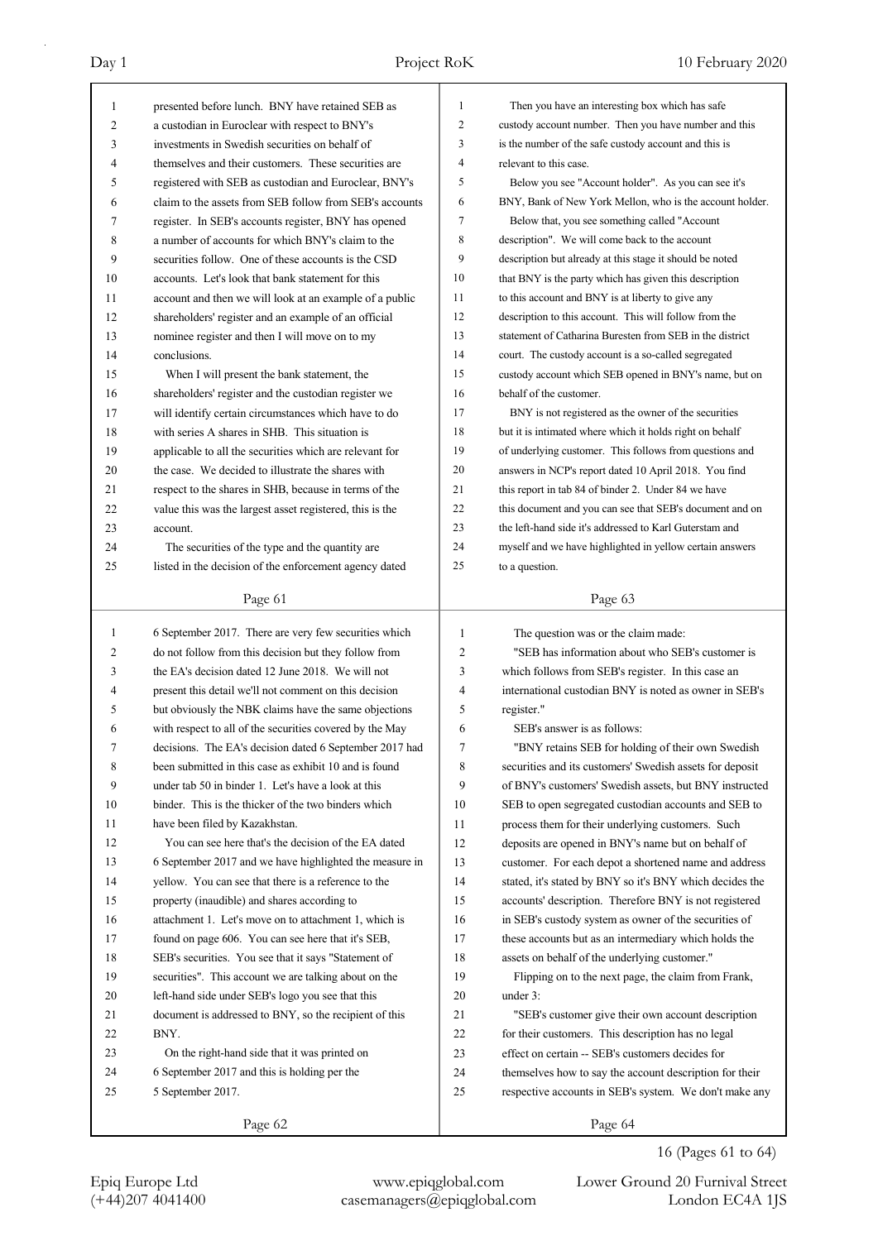| 1  | presented before lunch. BNY have retained SEB as         | 1              | Then you have an interesting box which has safe          |
|----|----------------------------------------------------------|----------------|----------------------------------------------------------|
| 2  | a custodian in Euroclear with respect to BNY's           | 2              | custody account number. Then you have number and this    |
| 3  | investments in Swedish securities on behalf of           | 3              | is the number of the safe custody account and this is    |
| 4  | themselves and their customers. These securities are     | $\overline{4}$ | relevant to this case.                                   |
| 5  | registered with SEB as custodian and Euroclear, BNY's    | 5              | Below you see "Account holder". As you can see it's      |
| 6  | claim to the assets from SEB follow from SEB's accounts  | 6              | BNY, Bank of New York Mellon, who is the account holder. |
| 7  | register. In SEB's accounts register, BNY has opened     | 7              | Below that, you see something called "Account            |
| 8  | a number of accounts for which BNY's claim to the        | 8              | description". We will come back to the account           |
| 9  | securities follow. One of these accounts is the CSD      | 9              | description but already at this stage it should be noted |
| 10 | accounts. Let's look that bank statement for this        | 10             | that BNY is the party which has given this description   |
| 11 | account and then we will look at an example of a public  | 11             | to this account and BNY is at liberty to give any        |
| 12 | shareholders' register and an example of an official     | 12             | description to this account. This will follow from the   |
| 13 | nominee register and then I will move on to my           | 13             | statement of Catharina Buresten from SEB in the district |
| 14 | conclusions.                                             | 14             | court. The custody account is a so-called segregated     |
| 15 | When I will present the bank statement, the              | 15             | custody account which SEB opened in BNY's name, but on   |
| 16 | shareholders' register and the custodian register we     | 16             | behalf of the customer.                                  |
| 17 | will identify certain circumstances which have to do     | 17             | BNY is not registered as the owner of the securities     |
| 18 | with series A shares in SHB. This situation is           | 18             | but it is intimated where which it holds right on behalf |
| 19 | applicable to all the securities which are relevant for  | 19             | of underlying customer. This follows from questions and  |
| 20 | the case. We decided to illustrate the shares with       | 20             | answers in NCP's report dated 10 April 2018. You find    |
| 21 | respect to the shares in SHB, because in terms of the    | 21             | this report in tab 84 of binder 2. Under 84 we have      |
| 22 | value this was the largest asset registered, this is the | 22             | this document and you can see that SEB's document and on |
| 23 | account.                                                 | 23             | the left-hand side it's addressed to Karl Guterstam and  |
| 24 | The securities of the type and the quantity are          | 24             | myself and we have highlighted in yellow certain answers |
| 25 | listed in the decision of the enforcement agency dated   | 25             | to a question.                                           |
|    |                                                          |                |                                                          |
|    | Page 61                                                  |                | Page 63                                                  |
|    |                                                          |                |                                                          |
|    |                                                          |                |                                                          |
| 1  | 6 September 2017. There are very few securities which    | $\mathbf{1}$   | The question was or the claim made:                      |
| 2  | do not follow from this decision but they follow from    | 2              | "SEB has information about who SEB's customer is         |
| 3  | the EA's decision dated 12 June 2018. We will not        | 3              | which follows from SEB's register. In this case an       |
| 4  | present this detail we'll not comment on this decision   | 4              | international custodian BNY is noted as owner in SEB's   |
| 5  | but obviously the NBK claims have the same objections    | 5              | register."                                               |
| 6  | with respect to all of the securities covered by the May | 6              | SEB's answer is as follows:                              |
| 7  | decisions. The EA's decision dated 6 September 2017 had  | 7              | "BNY retains SEB for holding of their own Swedish        |
| 8  | been submitted in this case as exhibit 10 and is found   | 8              | securities and its customers' Swedish assets for deposit |
| 9  | under tab 50 in binder 1. Let's have a look at this      | 9              | of BNY's customers' Swedish assets, but BNY instructed   |
| 10 | binder. This is the thicker of the two binders which     | 10             | SEB to open segregated custodian accounts and SEB to     |
| 11 | have been filed by Kazakhstan.                           | 11             | process them for their underlying customers. Such        |
| 12 | You can see here that's the decision of the EA dated     | 12             | deposits are opened in BNY's name but on behalf of       |
| 13 | 6 September 2017 and we have highlighted the measure in  | 13             | customer. For each depot a shortened name and address    |
| 14 | yellow. You can see that there is a reference to the     | 14             | stated, it's stated by BNY so it's BNY which decides the |
| 15 | property (inaudible) and shares according to             | 15             | accounts' description. Therefore BNY is not registered   |
| 16 | attachment 1. Let's move on to attachment 1, which is    | 16             | in SEB's custody system as owner of the securities of    |
| 17 | found on page 606. You can see here that it's SEB,       | 17             | these accounts but as an intermediary which holds the    |
| 18 | SEB's securities. You see that it says "Statement of     | 18             | assets on behalf of the underlying customer."            |
| 19 | securities". This account we are talking about on the    | 19             | Flipping on to the next page, the claim from Frank,      |
| 20 | left-hand side under SEB's logo you see that this        | 20             | under 3:                                                 |
| 21 | document is addressed to BNY, so the recipient of this   | 21             | "SEB's customer give their own account description       |
| 22 | BNY.                                                     | 22             | for their customers. This description has no legal       |
| 23 | On the right-hand side that it was printed on            | 23             | effect on certain -- SEB's customers decides for         |
| 24 | 6 September 2017 and this is holding per the             | 24             | themselves how to say the account description for their  |
| 25 | 5 September 2017.                                        | 25             | respective accounts in SEB's system. We don't make any   |
|    | Page 62                                                  |                | Page 64                                                  |

16 (Pages 61 to 64)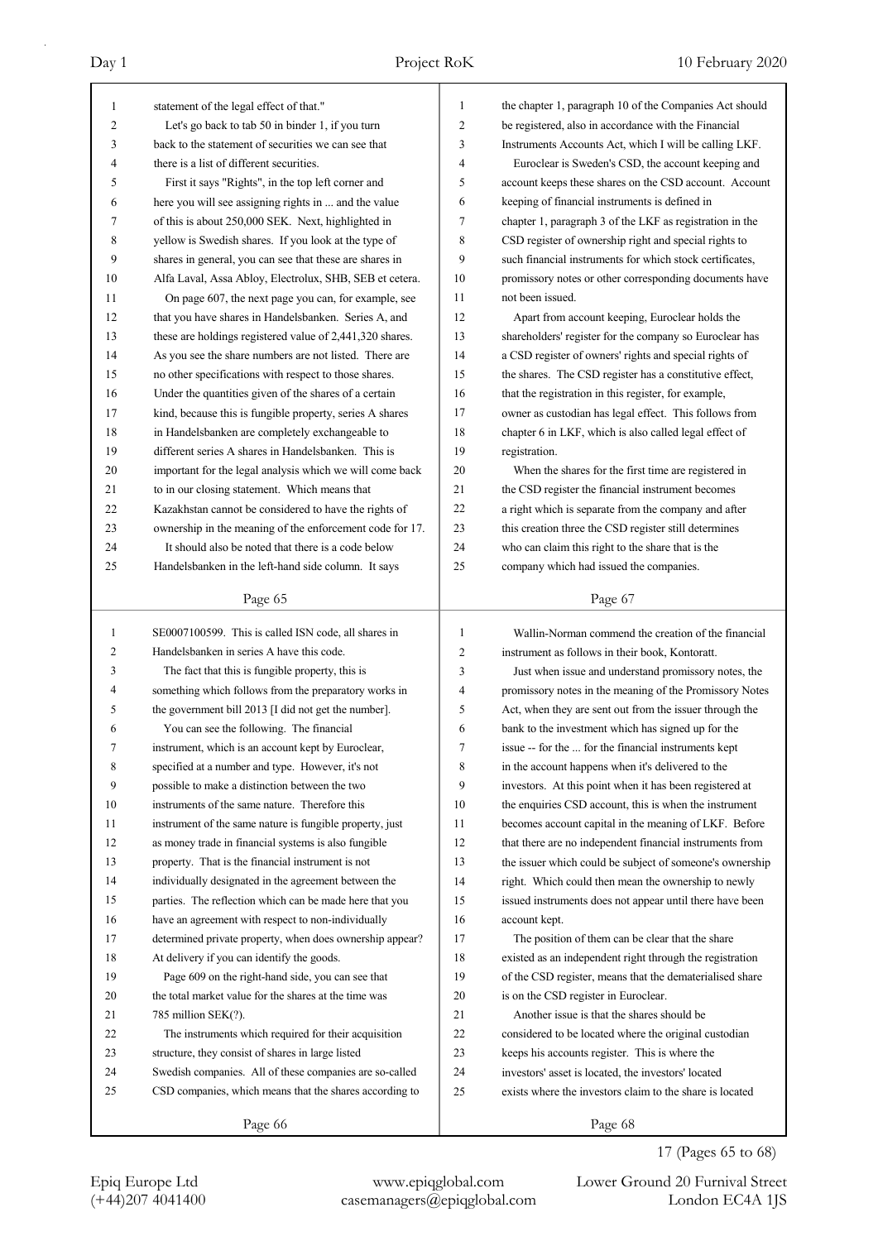| $\mathbf{1}$   | statement of the legal effect of that."                  | $\mathbf{1}$   | the chapter 1, paragraph 10 of the Companies Act should  |
|----------------|----------------------------------------------------------|----------------|----------------------------------------------------------|
| 2              | Let's go back to tab 50 in binder 1, if you turn         | $\overline{2}$ | be registered, also in accordance with the Financial     |
| 3              | back to the statement of securities we can see that      | 3              | Instruments Accounts Act, which I will be calling LKF.   |
| 4              | there is a list of different securities.                 | $\overline{4}$ | Euroclear is Sweden's CSD, the account keeping and       |
| 5              | First it says "Rights", in the top left corner and       | 5              | account keeps these shares on the CSD account. Account   |
| 6              | here you will see assigning rights in  and the value     | 6              | keeping of financial instruments is defined in           |
| 7              | of this is about 250,000 SEK. Next, highlighted in       | 7              | chapter 1, paragraph 3 of the LKF as registration in the |
| 8              | yellow is Swedish shares. If you look at the type of     | 8              | CSD register of ownership right and special rights to    |
| 9              | shares in general, you can see that these are shares in  | 9              | such financial instruments for which stock certificates, |
| 10             | Alfa Laval, Assa Abloy, Electrolux, SHB, SEB et cetera.  | 10             | promissory notes or other corresponding documents have   |
| 11             | On page 607, the next page you can, for example, see     | 11             | not been issued.                                         |
| 12             | that you have shares in Handelsbanken. Series A, and     | 12             | Apart from account keeping, Euroclear holds the          |
| 13             | these are holdings registered value of 2,441,320 shares. | 13             | shareholders' register for the company so Euroclear has  |
| 14             | As you see the share numbers are not listed. There are   | 14             | a CSD register of owners' rights and special rights of   |
| 15             | no other specifications with respect to those shares.    | 15             | the shares. The CSD register has a constitutive effect,  |
| 16             | Under the quantities given of the shares of a certain    | 16             | that the registration in this register, for example,     |
| 17             | kind, because this is fungible property, series A shares | 17             | owner as custodian has legal effect. This follows from   |
| 18             | in Handelsbanken are completely exchangeable to          | 18             | chapter 6 in LKF, which is also called legal effect of   |
| 19             | different series A shares in Handelsbanken. This is      | 19             | registration.                                            |
| 20             | important for the legal analysis which we will come back | 20             | When the shares for the first time are registered in     |
| 21             | to in our closing statement. Which means that            | 21             | the CSD register the financial instrument becomes        |
| 22             | Kazakhstan cannot be considered to have the rights of    | 22             | a right which is separate from the company and after     |
| 23             | ownership in the meaning of the enforcement code for 17. | 23             | this creation three the CSD register still determines    |
| 24             | It should also be noted that there is a code below       | 24             | who can claim this right to the share that is the        |
| 25             | Handelsbanken in the left-hand side column. It says      | 25             | company which had issued the companies.                  |
|                |                                                          |                |                                                          |
|                | Page 65                                                  |                | Page 67                                                  |
|                |                                                          |                |                                                          |
|                |                                                          |                |                                                          |
| 1              | SE0007100599. This is called ISN code, all shares in     | $\mathbf{1}$   | Wallin-Norman commend the creation of the financial      |
| $\overline{c}$ | Handelsbanken in series A have this code.                | 2              | instrument as follows in their book, Kontoratt.          |
| 3              | The fact that this is fungible property, this is         | 3              | Just when issue and understand promissory notes, the     |
| $\overline{4}$ | something which follows from the preparatory works in    | 4              | promissory notes in the meaning of the Promissory Notes  |
| 5              | the government bill 2013 [I did not get the number].     | 5              | Act, when they are sent out from the issuer through the  |
| 6              | You can see the following. The financial                 | 6              | bank to the investment which has signed up for the       |
| 7              | instrument, which is an account kept by Euroclear,       | 7              | issue -- for the  for the financial instruments kept     |
| 8              | specified at a number and type. However, it's not        | 8              | in the account happens when it's delivered to the        |
| 9              | possible to make a distinction between the two           | 9              | investors. At this point when it has been registered at  |
| 10             | instruments of the same nature. Therefore this           | 10             | the enquiries CSD account, this is when the instrument   |
| 11             | instrument of the same nature is fungible property, just | 11             | becomes account capital in the meaning of LKF. Before    |
| 12             | as money trade in financial systems is also fungible     | 12             | that there are no independent financial instruments from |
| 13             | property. That is the financial instrument is not        | 13             | the issuer which could be subject of someone's ownership |
| 14             | individually designated in the agreement between the     | 14             | right. Which could then mean the ownership to newly      |
| 15             | parties. The reflection which can be made here that you  | 15             | issued instruments does not appear until there have been |
| 16             | have an agreement with respect to non-individually       | 16             | account kept.                                            |
| 17             | determined private property, when does ownership appear? | 17             | The position of them can be clear that the share         |
| 18             | At delivery if you can identify the goods.               | 18             | existed as an independent right through the registration |
| 19             | Page 609 on the right-hand side, you can see that        | 19             | of the CSD register, means that the dematerialised share |
| 20             | the total market value for the shares at the time was    | 20             | is on the CSD register in Euroclear.                     |
| 21             | 785 million SEK(?).                                      | 21             | Another issue is that the shares should be               |
| 22             | The instruments which required for their acquisition     | 22             | considered to be located where the original custodian    |
| 23             | structure, they consist of shares in large listed        | 23             | keeps his accounts register. This is where the           |
| 24             | Swedish companies. All of these companies are so-called  | 24             | investors' asset is located, the investors' located      |
| 25             | CSD companies, which means that the shares according to  | 25             | exists where the investors claim to the share is located |

17 (Pages 65 to 68)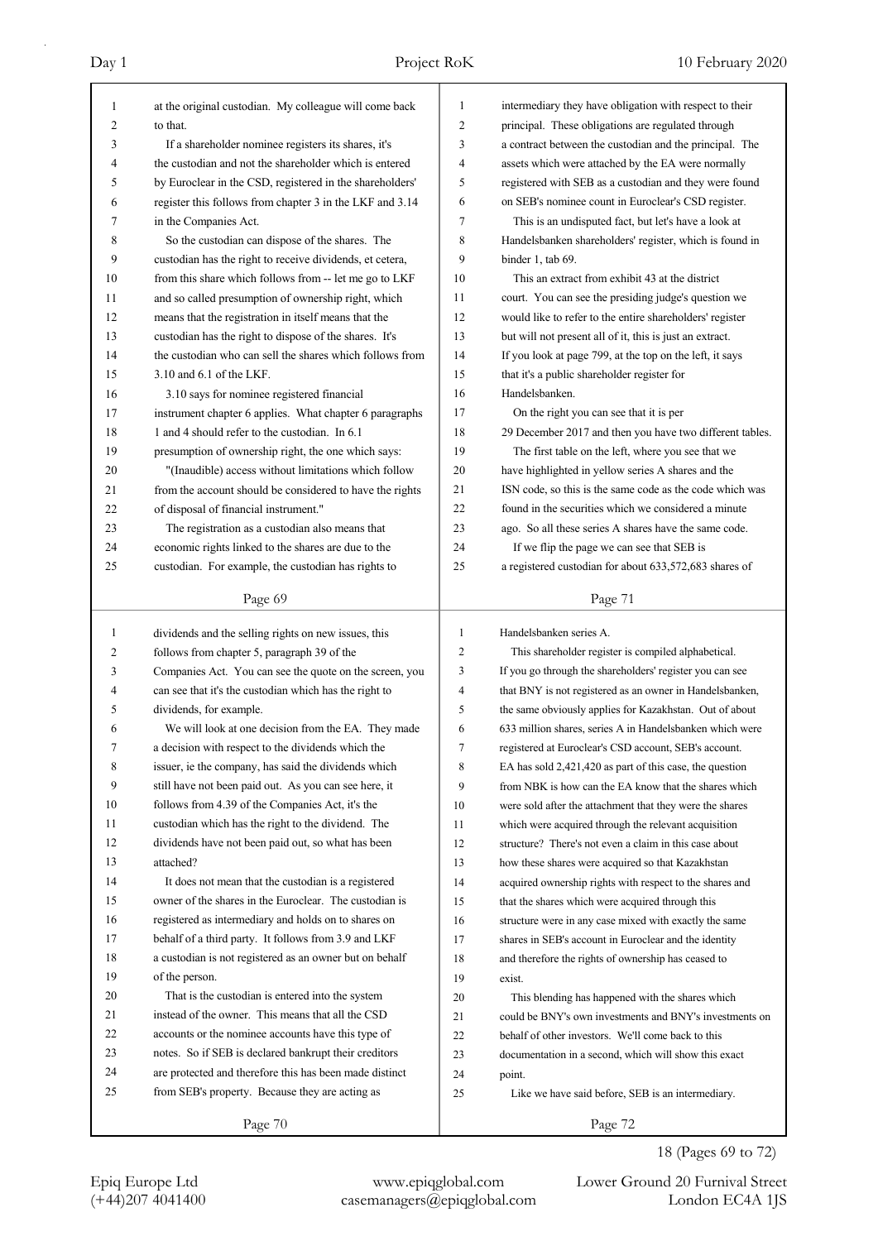| 1             | at the original custodian. My colleague will come back   | 1  | intermediary they have obligation with respect to their  |
|---------------|----------------------------------------------------------|----|----------------------------------------------------------|
| 2             | to that.                                                 | 2  | principal. These obligations are regulated through       |
| 3             | If a shareholder nominee registers its shares, it's      | 3  | a contract between the custodian and the principal. The  |
| 4             | the custodian and not the shareholder which is entered   | 4  | assets which were attached by the EA were normally       |
| 5             | by Euroclear in the CSD, registered in the shareholders' | 5  | registered with SEB as a custodian and they were found   |
| 6             | register this follows from chapter 3 in the LKF and 3.14 | 6  | on SEB's nominee count in Euroclear's CSD register.      |
| 7             | in the Companies Act.                                    | 7  | This is an undisputed fact, but let's have a look at     |
| 8             | So the custodian can dispose of the shares. The          | 8  | Handelsbanken shareholders' register, which is found in  |
| 9             | custodian has the right to receive dividends, et cetera, | 9  | binder 1, tab 69.                                        |
| 10            | from this share which follows from -- let me go to LKF   | 10 | This an extract from exhibit 43 at the district          |
| 11            | and so called presumption of ownership right, which      | 11 | court. You can see the presiding judge's question we     |
| 12            | means that the registration in itself means that the     | 12 | would like to refer to the entire shareholders' register |
| 13            | custodian has the right to dispose of the shares. It's   | 13 | but will not present all of it, this is just an extract. |
| 14            | the custodian who can sell the shares which follows from | 14 | If you look at page 799, at the top on the left, it says |
| 15            | 3.10 and 6.1 of the LKF.                                 | 15 | that it's a public shareholder register for              |
| 16            | 3.10 says for nominee registered financial               | 16 | Handelsbanken.                                           |
| 17            | instrument chapter 6 applies. What chapter 6 paragraphs  | 17 | On the right you can see that it is per                  |
| 18            | 1 and 4 should refer to the custodian. In 6.1            | 18 | 29 December 2017 and then you have two different tables. |
| 19            | presumption of ownership right, the one which says:      | 19 | The first table on the left, where you see that we       |
| 20            | "(Inaudible) access without limitations which follow     | 20 | have highlighted in yellow series A shares and the       |
| 21            | from the account should be considered to have the rights | 21 | ISN code, so this is the same code as the code which was |
| 22            | of disposal of financial instrument."                    | 22 | found in the securities which we considered a minute     |
| 23            | The registration as a custodian also means that          | 23 | ago. So all these series A shares have the same code.    |
| 24            | economic rights linked to the shares are due to the      | 24 | If we flip the page we can see that SEB is               |
| 25            | custodian. For example, the custodian has rights to      | 25 | a registered custodian for about 633,572,683 shares of   |
|               |                                                          |    |                                                          |
|               | Page 69                                                  |    | Page 71                                                  |
|               |                                                          |    |                                                          |
|               |                                                          |    |                                                          |
| 1             | dividends and the selling rights on new issues, this     | 1  | Handelsbanken series A.                                  |
| 2             | follows from chapter 5, paragraph 39 of the              | 2  | This shareholder register is compiled alphabetical.      |
| 3             | Companies Act. You can see the quote on the screen, you  | 3  | If you go through the shareholders' register you can see |
| 4             | can see that it's the custodian which has the right to   | 4  | that BNY is not registered as an owner in Handelsbanken, |
| 5             | dividends, for example.                                  | 5  | the same obviously applies for Kazakhstan. Out of about  |
| 6             | We will look at one decision from the EA. They made      | 6  | 633 million shares, series A in Handelsbanken which were |
| $\mathcal{L}$ | a decision with respect to the dividends which the       | 7  | registered at Euroclear's CSD account, SEB's account.    |
| 8             | issuer, ie the company, has said the dividends which     | 8  | EA has sold 2,421,420 as part of this case, the question |
| 9             | still have not been paid out. As you can see here, it    | 9  | from NBK is how can the EA know that the shares which    |
| 10            | follows from 4.39 of the Companies Act, it's the         | 10 | were sold after the attachment that they were the shares |
| 11            | custodian which has the right to the dividend. The       | 11 | which were acquired through the relevant acquisition     |
| 12            | dividends have not been paid out, so what has been       | 12 | structure? There's not even a claim in this case about   |
| 13            | attached?                                                | 13 | how these shares were acquired so that Kazakhstan        |
| 14            | It does not mean that the custodian is a registered      | 14 | acquired ownership rights with respect to the shares and |
| 15            | owner of the shares in the Euroclear. The custodian is   | 15 | that the shares which were acquired through this         |
| 16            | registered as intermediary and holds on to shares on     | 16 | structure were in any case mixed with exactly the same   |
| 17            | behalf of a third party. It follows from 3.9 and LKF     | 17 | shares in SEB's account in Euroclear and the identity    |
| 18            | a custodian is not registered as an owner but on behalf  | 18 | and therefore the rights of ownership has ceased to      |
| 19            | of the person.                                           | 19 | exist.                                                   |
| 20            | That is the custodian is entered into the system         | 20 | This blending has happened with the shares which         |
| 21            | instead of the owner. This means that all the CSD        | 21 | could be BNY's own investments and BNY's investments on  |
| 22            | accounts or the nominee accounts have this type of       | 22 | behalf of other investors. We'll come back to this       |
| 23            | notes. So if SEB is declared bankrupt their creditors    | 23 | documentation in a second, which will show this exact    |
| 24            | are protected and therefore this has been made distinct  | 24 | point.                                                   |
| 25            | from SEB's property. Because they are acting as          | 25 | Like we have said before, SEB is an intermediary.        |

18 (Pages 69 to 72)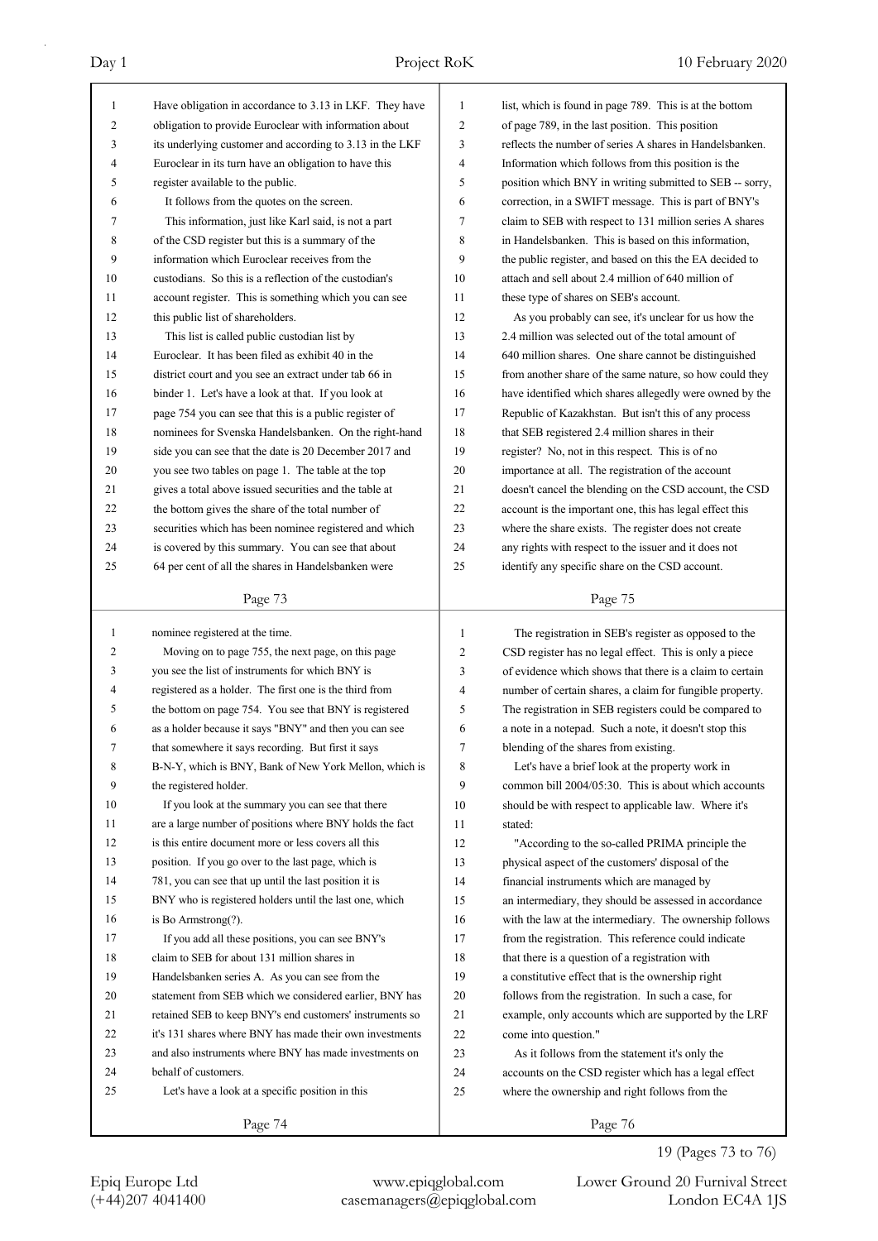| $\mathbf{1}$ | Have obligation in accordance to 3.13 in LKF. They have  | 1  | list, which is found in page 789. This is at the bottom  |
|--------------|----------------------------------------------------------|----|----------------------------------------------------------|
| 2            | obligation to provide Euroclear with information about   | 2  | of page 789, in the last position. This position         |
| 3            | its underlying customer and according to 3.13 in the LKF | 3  | reflects the number of series A shares in Handelsbanken. |
| 4            | Euroclear in its turn have an obligation to have this    | 4  | Information which follows from this position is the      |
| 5            | register available to the public.                        | 5  | position which BNY in writing submitted to SEB -- sorry, |
| 6            | It follows from the quotes on the screen.                | 6  | correction, in a SWIFT message. This is part of BNY's    |
| 7            | This information, just like Karl said, is not a part     | 7  | claim to SEB with respect to 131 million series A shares |
| 8            | of the CSD register but this is a summary of the         | 8  | in Handelsbanken. This is based on this information,     |
| 9            | information which Euroclear receives from the            | 9  | the public register, and based on this the EA decided to |
| 10           | custodians. So this is a reflection of the custodian's   | 10 | attach and sell about 2.4 million of 640 million of      |
| 11           | account register. This is something which you can see    | 11 | these type of shares on SEB's account.                   |
| 12           | this public list of shareholders.                        | 12 | As you probably can see, it's unclear for us how the     |
| 13           | This list is called public custodian list by             | 13 | 2.4 million was selected out of the total amount of      |
| 14           | Euroclear. It has been filed as exhibit 40 in the        | 14 | 640 million shares. One share cannot be distinguished    |
| 15           | district court and you see an extract under tab 66 in    | 15 | from another share of the same nature, so how could they |
| 16           | binder 1. Let's have a look at that. If you look at      | 16 | have identified which shares allegedly were owned by the |
| 17           | page 754 you can see that this is a public register of   | 17 | Republic of Kazakhstan. But isn't this of any process    |
| 18           | nominees for Svenska Handelsbanken. On the right-hand    | 18 | that SEB registered 2.4 million shares in their          |
| 19           | side you can see that the date is 20 December 2017 and   | 19 | register? No, not in this respect. This is of no         |
| 20           | you see two tables on page 1. The table at the top       | 20 | importance at all. The registration of the account       |
| 21           | gives a total above issued securities and the table at   | 21 | doesn't cancel the blending on the CSD account, the CSD  |
| 22           | the bottom gives the share of the total number of        | 22 | account is the important one, this has legal effect this |
| 23           | securities which has been nominee registered and which   | 23 | where the share exists. The register does not create     |
| 24           | is covered by this summary. You can see that about       | 24 | any rights with respect to the issuer and it does not    |
| 25           | 64 per cent of all the shares in Handelsbanken were      | 25 | identify any specific share on the CSD account.          |
|              |                                                          |    |                                                          |
|              | Page 73                                                  |    | Page 75                                                  |
|              |                                                          |    |                                                          |
| $\mathbf{1}$ | nominee registered at the time.                          | 1  | The registration in SEB's register as opposed to the     |
| 2            | Moving on to page 755, the next page, on this page       | 2  | CSD register has no legal effect. This is only a piece   |
| 3            | you see the list of instruments for which BNY is         | 3  | of evidence which shows that there is a claim to certain |
| 4            | registered as a holder. The first one is the third from  | 4  | number of certain shares, a claim for fungible property. |
| 5            | the bottom on page 754. You see that BNY is registered   | 5  | The registration in SEB registers could be compared to   |
| 6            | as a holder because it says "BNY" and then you can see   | 6  | a note in a notepad. Such a note, it doesn't stop this   |
| 7            | that somewhere it says recording. But first it says      | 7  | blending of the shares from existing.                    |
| 8            | B-N-Y, which is BNY, Bank of New York Mellon, which is   | 8  | Let's have a brief look at the property work in          |
| 9            | the registered holder.                                   | 9  | common bill 2004/05:30. This is about which accounts     |
| 10           | If you look at the summary you can see that there        | 10 | should be with respect to applicable law. Where it's     |
| 11           | are a large number of positions where BNY holds the fact | 11 | stated:                                                  |
| 12           | is this entire document more or less covers all this     | 12 | "According to the so-called PRIMA principle the          |
| 13           | position. If you go over to the last page, which is      | 13 | physical aspect of the customers' disposal of the        |
| 14           | 781, you can see that up until the last position it is   | 14 | financial instruments which are managed by               |
| 15           | BNY who is registered holders until the last one, which  | 15 | an intermediary, they should be assessed in accordance   |
| 16           | is Bo Armstrong(?).                                      | 16 | with the law at the intermediary. The ownership follows  |
| 17           | If you add all these positions, you can see BNY's        | 17 | from the registration. This reference could indicate     |
| 18           | claim to SEB for about 131 million shares in             | 18 | that there is a question of a registration with          |
| 19           | Handelsbanken series A. As you can see from the          | 19 | a constitutive effect that is the ownership right        |
| 20           | statement from SEB which we considered earlier, BNY has  | 20 | follows from the registration. In such a case, for       |
| 21           | retained SEB to keep BNY's end customers' instruments so | 21 | example, only accounts which are supported by the LRF    |
| 22           | it's 131 shares where BNY has made their own investments | 22 | come into question."                                     |
| 23           | and also instruments where BNY has made investments on   | 23 | As it follows from the statement it's only the           |
| 24           | behalf of customers.                                     | 24 | accounts on the CSD register which has a legal effect    |
| 25           | Let's have a look at a specific position in this         | 25 | where the ownership and right follows from the           |
|              | Page 74                                                  |    | Page 76                                                  |

## 19 (Pages 73 to 76)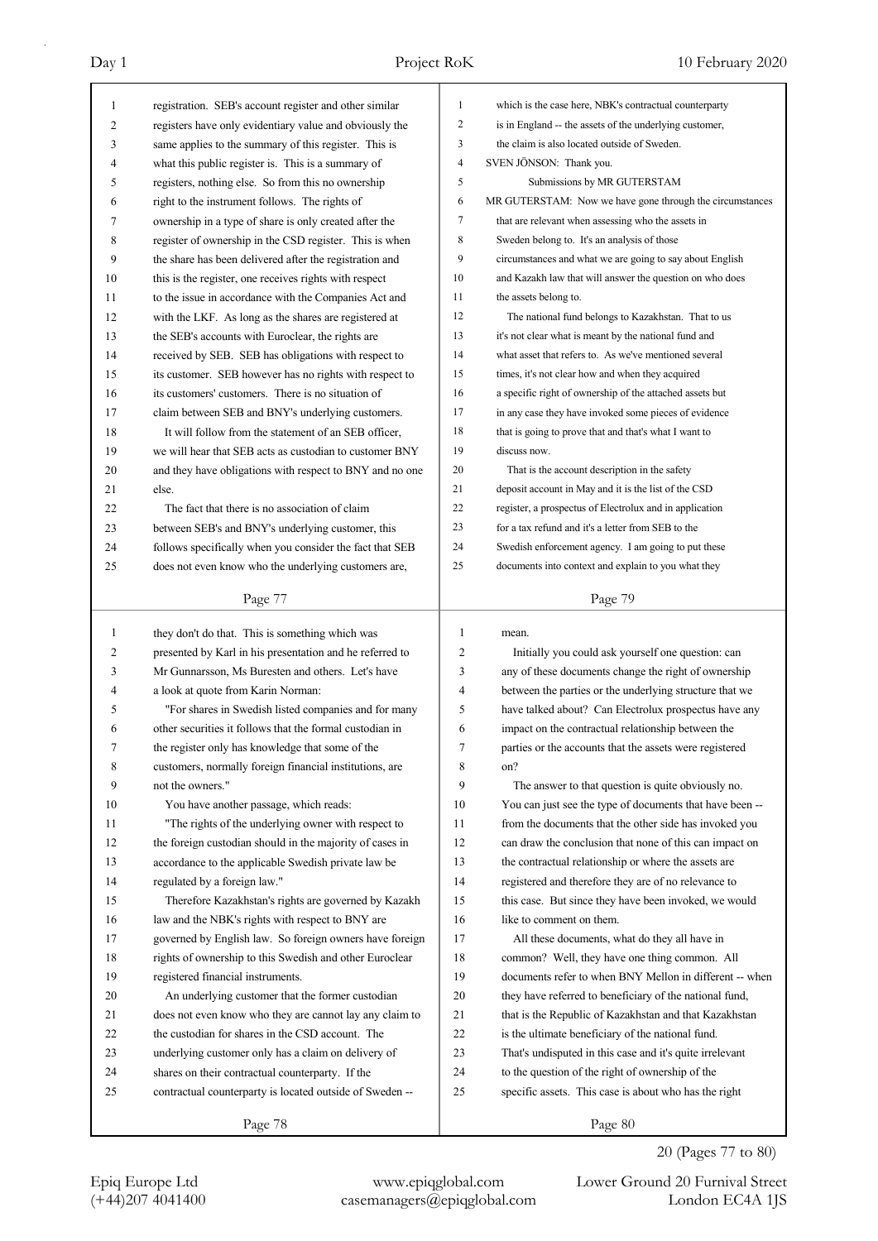| 16<br>17<br>18<br>19<br>20<br>21<br>22<br>23<br>24<br>25 | governed by English law. So foreign owners have foreign<br>rights of ownership to this Swedish and other Euroclear<br>registered financial instruments.<br>An underlying customer that the former custodian<br>does not even know who they are cannot lay any claim to<br>the custodian for shares in the CSD account. The<br>underlying customer only has a claim on delivery of<br>shares on their contractual counterparty. If the<br>contractual counterparty is located outside of Sweden -- | 17<br>18<br>19<br>20<br>21<br>22<br>23<br>24<br>25 | All these documents, what do they all have in<br>common? Well, they have one thing common. All<br>documents refer to when BNY Mellon in different -- when<br>they have referred to beneficiary of the national fund,<br>that is the Republic of Kazakhstan and that Kazakhstan<br>is the ultimate beneficiary of the national fund.<br>That's undisputed in this case and it's quite irrelevant<br>to the question of the right of ownership of the<br>specific assets. This case is about who has the right |
|----------------------------------------------------------|---------------------------------------------------------------------------------------------------------------------------------------------------------------------------------------------------------------------------------------------------------------------------------------------------------------------------------------------------------------------------------------------------------------------------------------------------------------------------------------------------|----------------------------------------------------|--------------------------------------------------------------------------------------------------------------------------------------------------------------------------------------------------------------------------------------------------------------------------------------------------------------------------------------------------------------------------------------------------------------------------------------------------------------------------------------------------------------|
|                                                          |                                                                                                                                                                                                                                                                                                                                                                                                                                                                                                   |                                                    |                                                                                                                                                                                                                                                                                                                                                                                                                                                                                                              |
|                                                          |                                                                                                                                                                                                                                                                                                                                                                                                                                                                                                   |                                                    |                                                                                                                                                                                                                                                                                                                                                                                                                                                                                                              |
|                                                          |                                                                                                                                                                                                                                                                                                                                                                                                                                                                                                   |                                                    |                                                                                                                                                                                                                                                                                                                                                                                                                                                                                                              |
|                                                          |                                                                                                                                                                                                                                                                                                                                                                                                                                                                                                   |                                                    |                                                                                                                                                                                                                                                                                                                                                                                                                                                                                                              |
|                                                          |                                                                                                                                                                                                                                                                                                                                                                                                                                                                                                   |                                                    |                                                                                                                                                                                                                                                                                                                                                                                                                                                                                                              |
|                                                          |                                                                                                                                                                                                                                                                                                                                                                                                                                                                                                   |                                                    |                                                                                                                                                                                                                                                                                                                                                                                                                                                                                                              |
|                                                          |                                                                                                                                                                                                                                                                                                                                                                                                                                                                                                   |                                                    |                                                                                                                                                                                                                                                                                                                                                                                                                                                                                                              |
|                                                          |                                                                                                                                                                                                                                                                                                                                                                                                                                                                                                   |                                                    |                                                                                                                                                                                                                                                                                                                                                                                                                                                                                                              |
|                                                          |                                                                                                                                                                                                                                                                                                                                                                                                                                                                                                   |                                                    |                                                                                                                                                                                                                                                                                                                                                                                                                                                                                                              |
|                                                          | law and the NBK's rights with respect to BNY are                                                                                                                                                                                                                                                                                                                                                                                                                                                  | 16                                                 | like to comment on them.                                                                                                                                                                                                                                                                                                                                                                                                                                                                                     |
| 15                                                       | Therefore Kazakhstan's rights are governed by Kazakh                                                                                                                                                                                                                                                                                                                                                                                                                                              | 15                                                 | this case. But since they have been invoked, we would                                                                                                                                                                                                                                                                                                                                                                                                                                                        |
| 14                                                       | regulated by a foreign law."                                                                                                                                                                                                                                                                                                                                                                                                                                                                      | 14                                                 | registered and therefore they are of no relevance to                                                                                                                                                                                                                                                                                                                                                                                                                                                         |
| 13                                                       | accordance to the applicable Swedish private law be                                                                                                                                                                                                                                                                                                                                                                                                                                               | 13                                                 | the contractual relationship or where the assets are                                                                                                                                                                                                                                                                                                                                                                                                                                                         |
| 12                                                       | the foreign custodian should in the majority of cases in                                                                                                                                                                                                                                                                                                                                                                                                                                          | 12                                                 | can draw the conclusion that none of this can impact on                                                                                                                                                                                                                                                                                                                                                                                                                                                      |
| 11                                                       | "The rights of the underlying owner with respect to                                                                                                                                                                                                                                                                                                                                                                                                                                               | 11                                                 | from the documents that the other side has invoked you                                                                                                                                                                                                                                                                                                                                                                                                                                                       |
| 10                                                       | You have another passage, which reads:                                                                                                                                                                                                                                                                                                                                                                                                                                                            | 10                                                 | You can just see the type of documents that have been --                                                                                                                                                                                                                                                                                                                                                                                                                                                     |
| 9                                                        | not the owners."                                                                                                                                                                                                                                                                                                                                                                                                                                                                                  | 9                                                  | The answer to that question is quite obviously no.                                                                                                                                                                                                                                                                                                                                                                                                                                                           |
| 8                                                        | customers, normally foreign financial institutions, are                                                                                                                                                                                                                                                                                                                                                                                                                                           | 8                                                  | on?                                                                                                                                                                                                                                                                                                                                                                                                                                                                                                          |
| 7                                                        | the register only has knowledge that some of the                                                                                                                                                                                                                                                                                                                                                                                                                                                  | 7                                                  | parties or the accounts that the assets were registered                                                                                                                                                                                                                                                                                                                                                                                                                                                      |
| 6                                                        | other securities it follows that the formal custodian in                                                                                                                                                                                                                                                                                                                                                                                                                                          | 6                                                  | impact on the contractual relationship between the                                                                                                                                                                                                                                                                                                                                                                                                                                                           |
| 5                                                        | "For shares in Swedish listed companies and for many                                                                                                                                                                                                                                                                                                                                                                                                                                              | 5                                                  | have talked about? Can Electrolux prospectus have any                                                                                                                                                                                                                                                                                                                                                                                                                                                        |
| 4                                                        | a look at quote from Karin Norman:                                                                                                                                                                                                                                                                                                                                                                                                                                                                | 4                                                  | between the parties or the underlying structure that we                                                                                                                                                                                                                                                                                                                                                                                                                                                      |
| 3                                                        | Mr Gunnarsson, Ms Buresten and others. Let's have                                                                                                                                                                                                                                                                                                                                                                                                                                                 | 3                                                  | any of these documents change the right of ownership                                                                                                                                                                                                                                                                                                                                                                                                                                                         |
| 2                                                        | presented by Karl in his presentation and he referred to                                                                                                                                                                                                                                                                                                                                                                                                                                          | 2                                                  | Initially you could ask yourself one question: can                                                                                                                                                                                                                                                                                                                                                                                                                                                           |
| $\mathbf{1}$                                             | they don't do that. This is something which was                                                                                                                                                                                                                                                                                                                                                                                                                                                   | $\mathbf{1}$                                       | mean.                                                                                                                                                                                                                                                                                                                                                                                                                                                                                                        |
|                                                          |                                                                                                                                                                                                                                                                                                                                                                                                                                                                                                   |                                                    |                                                                                                                                                                                                                                                                                                                                                                                                                                                                                                              |
|                                                          | Page 77                                                                                                                                                                                                                                                                                                                                                                                                                                                                                           |                                                    | Page 79                                                                                                                                                                                                                                                                                                                                                                                                                                                                                                      |
| 25                                                       | does not even know who the underlying customers are,                                                                                                                                                                                                                                                                                                                                                                                                                                              | 25                                                 | documents into context and explain to you what they                                                                                                                                                                                                                                                                                                                                                                                                                                                          |
| 24                                                       | follows specifically when you consider the fact that SEB                                                                                                                                                                                                                                                                                                                                                                                                                                          | 24                                                 | Swedish enforcement agency. I am going to put these                                                                                                                                                                                                                                                                                                                                                                                                                                                          |
| 23                                                       | between SEB's and BNY's underlying customer, this                                                                                                                                                                                                                                                                                                                                                                                                                                                 | 23                                                 | for a tax refund and it's a letter from SEB to the                                                                                                                                                                                                                                                                                                                                                                                                                                                           |
| 22                                                       | The fact that there is no association of claim                                                                                                                                                                                                                                                                                                                                                                                                                                                    | 22                                                 | register, a prospectus of Electrolux and in application                                                                                                                                                                                                                                                                                                                                                                                                                                                      |
| 21                                                       | else.                                                                                                                                                                                                                                                                                                                                                                                                                                                                                             | 21                                                 | deposit account in May and it is the list of the CSD                                                                                                                                                                                                                                                                                                                                                                                                                                                         |
| 20                                                       | and they have obligations with respect to BNY and no one                                                                                                                                                                                                                                                                                                                                                                                                                                          | 20                                                 | That is the account description in the safety                                                                                                                                                                                                                                                                                                                                                                                                                                                                |
| 19                                                       | we will hear that SEB acts as custodian to customer BNY                                                                                                                                                                                                                                                                                                                                                                                                                                           | 19                                                 | discuss now.                                                                                                                                                                                                                                                                                                                                                                                                                                                                                                 |
| 18                                                       | It will follow from the statement of an SEB officer,                                                                                                                                                                                                                                                                                                                                                                                                                                              | 18                                                 | that is going to prove that and that's what I want to                                                                                                                                                                                                                                                                                                                                                                                                                                                        |
| 17                                                       | claim between SEB and BNY's underlying customers.                                                                                                                                                                                                                                                                                                                                                                                                                                                 | 17                                                 | in any case they have invoked some pieces of evidence                                                                                                                                                                                                                                                                                                                                                                                                                                                        |
| 16                                                       | its customers' customers. There is no situation of                                                                                                                                                                                                                                                                                                                                                                                                                                                | 16                                                 | a specific right of ownership of the attached assets but                                                                                                                                                                                                                                                                                                                                                                                                                                                     |
| 15                                                       | its customer. SEB however has no rights with respect to                                                                                                                                                                                                                                                                                                                                                                                                                                           | 15                                                 | times, it's not clear how and when they acquired                                                                                                                                                                                                                                                                                                                                                                                                                                                             |
| 14                                                       | received by SEB. SEB has obligations with respect to                                                                                                                                                                                                                                                                                                                                                                                                                                              | 14                                                 | what asset that refers to. As we've mentioned several                                                                                                                                                                                                                                                                                                                                                                                                                                                        |
| 13                                                       | the SEB's accounts with Euroclear, the rights are                                                                                                                                                                                                                                                                                                                                                                                                                                                 | 13                                                 | it's not clear what is meant by the national fund and                                                                                                                                                                                                                                                                                                                                                                                                                                                        |
| 12                                                       | with the LKF. As long as the shares are registered at                                                                                                                                                                                                                                                                                                                                                                                                                                             | 12                                                 | The national fund belongs to Kazakhstan. That to us                                                                                                                                                                                                                                                                                                                                                                                                                                                          |
| 11                                                       | to the issue in accordance with the Companies Act and                                                                                                                                                                                                                                                                                                                                                                                                                                             | 11                                                 | the assets belong to.                                                                                                                                                                                                                                                                                                                                                                                                                                                                                        |
| 10                                                       | this is the register, one receives rights with respect                                                                                                                                                                                                                                                                                                                                                                                                                                            | 10                                                 | and Kazakh law that will answer the question on who does                                                                                                                                                                                                                                                                                                                                                                                                                                                     |
| 9                                                        | the share has been delivered after the registration and                                                                                                                                                                                                                                                                                                                                                                                                                                           | 9                                                  | circumstances and what we are going to say about English                                                                                                                                                                                                                                                                                                                                                                                                                                                     |
| 8                                                        | register of ownership in the CSD register. This is when                                                                                                                                                                                                                                                                                                                                                                                                                                           | 8                                                  | Sweden belong to. It's an analysis of those                                                                                                                                                                                                                                                                                                                                                                                                                                                                  |
| 7                                                        | ownership in a type of share is only created after the                                                                                                                                                                                                                                                                                                                                                                                                                                            | 7                                                  | that are relevant when assessing who the assets in                                                                                                                                                                                                                                                                                                                                                                                                                                                           |
| 6                                                        | right to the instrument follows. The rights of                                                                                                                                                                                                                                                                                                                                                                                                                                                    | 6                                                  | MR GUTERSTAM: Now we have gone through the circumstances                                                                                                                                                                                                                                                                                                                                                                                                                                                     |
| 5                                                        | registers, nothing else. So from this no ownership                                                                                                                                                                                                                                                                                                                                                                                                                                                | 5                                                  | Submissions by MR GUTERSTAM                                                                                                                                                                                                                                                                                                                                                                                                                                                                                  |
| 4                                                        | what this public register is. This is a summary of                                                                                                                                                                                                                                                                                                                                                                                                                                                | $\overline{4}$                                     | SVEN JÖNSON: Thank you.                                                                                                                                                                                                                                                                                                                                                                                                                                                                                      |
| 3                                                        | same applies to the summary of this register. This is                                                                                                                                                                                                                                                                                                                                                                                                                                             | 3                                                  | the claim is also located outside of Sweden.                                                                                                                                                                                                                                                                                                                                                                                                                                                                 |
|                                                          | registers have only evidentiary value and obviously the                                                                                                                                                                                                                                                                                                                                                                                                                                           | $\overline{2}$                                     | is in England -- the assets of the underlying customer,                                                                                                                                                                                                                                                                                                                                                                                                                                                      |
| 2                                                        | registration. SEB's account register and other similar                                                                                                                                                                                                                                                                                                                                                                                                                                            |                                                    |                                                                                                                                                                                                                                                                                                                                                                                                                                                                                                              |
| 1                                                        |                                                                                                                                                                                                                                                                                                                                                                                                                                                                                                   | 1                                                  | which is the case here, NBK's contractual counterparty                                                                                                                                                                                                                                                                                                                                                                                                                                                       |

20 (Pages 77 to 80)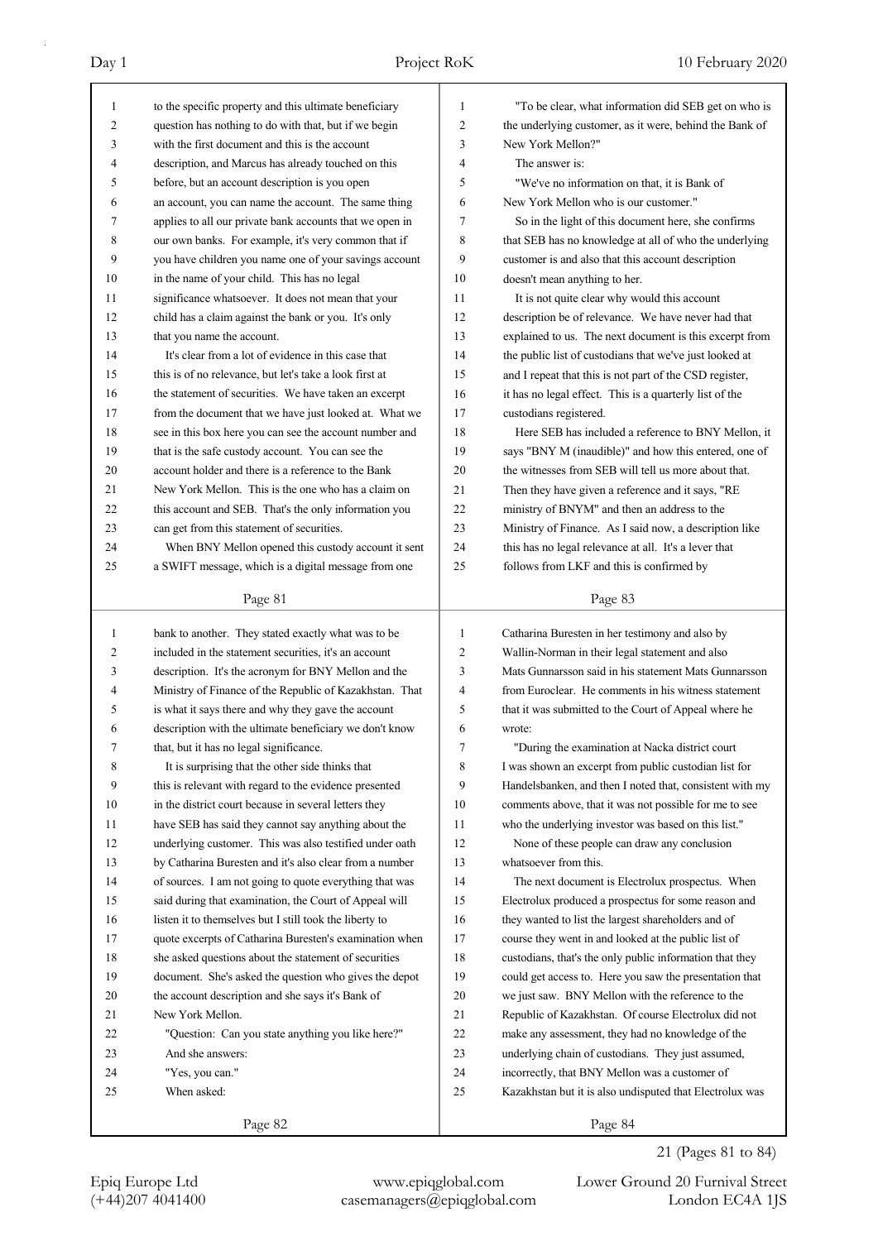| 1  | to the specific property and this ultimate beneficiary   | $\mathbf{1}$   | "To be clear, what information did SEB get on who is     |
|----|----------------------------------------------------------|----------------|----------------------------------------------------------|
| 2  | question has nothing to do with that, but if we begin    | $\overline{c}$ | the underlying customer, as it were, behind the Bank of  |
| 3  | with the first document and this is the account          | 3              | New York Mellon?"                                        |
| 4  | description, and Marcus has already touched on this      | $\overline{4}$ | The answer is:                                           |
| 5  | before, but an account description is you open           | 5              | "We've no information on that, it is Bank of             |
| 6  | an account, you can name the account. The same thing     | 6              | New York Mellon who is our customer."                    |
| 7  | applies to all our private bank accounts that we open in | 7              | So in the light of this document here, she confirms      |
| 8  | our own banks. For example, it's very common that if     | 8              | that SEB has no knowledge at all of who the underlying   |
| 9  | you have children you name one of your savings account   | 9              | customer is and also that this account description       |
| 10 | in the name of your child. This has no legal             | 10             | doesn't mean anything to her.                            |
| 11 | significance whatsoever. It does not mean that your      | 11             | It is not quite clear why would this account             |
| 12 | child has a claim against the bank or you. It's only     | 12             | description be of relevance. We have never had that      |
| 13 | that you name the account.                               | 13             | explained to us. The next document is this excerpt from  |
| 14 | It's clear from a lot of evidence in this case that      | 14             | the public list of custodians that we've just looked at  |
| 15 | this is of no relevance, but let's take a look first at  | 15             | and I repeat that this is not part of the CSD register,  |
| 16 | the statement of securities. We have taken an excerpt    | 16             | it has no legal effect. This is a quarterly list of the  |
| 17 | from the document that we have just looked at. What we   | 17             | custodians registered.                                   |
| 18 | see in this box here you can see the account number and  | 18             | Here SEB has included a reference to BNY Mellon, it      |
| 19 | that is the safe custody account. You can see the        | 19             | says "BNY M (inaudible)" and how this entered, one of    |
| 20 | account holder and there is a reference to the Bank      | 20             | the witnesses from SEB will tell us more about that.     |
| 21 | New York Mellon. This is the one who has a claim on      | 21             | Then they have given a reference and it says, "RE        |
| 22 | this account and SEB. That's the only information you    | 22             | ministry of BNYM" and then an address to the             |
| 23 | can get from this statement of securities.               | 23             | Ministry of Finance. As I said now, a description like   |
| 24 | When BNY Mellon opened this custody account it sent      | 24             | this has no legal relevance at all. It's a lever that    |
| 25 | a SWIFT message, which is a digital message from one     | 25             | follows from LKF and this is confirmed by                |
|    |                                                          |                |                                                          |
|    | Page 81                                                  |                | Page 83                                                  |
|    |                                                          |                |                                                          |
|    |                                                          |                |                                                          |
| 1  | bank to another. They stated exactly what was to be      | 1              | Catharina Buresten in her testimony and also by          |
| 2  | included in the statement securities, it's an account    | $\overline{2}$ | Wallin-Norman in their legal statement and also          |
| 3  | description. It's the acronym for BNY Mellon and the     | 3              | Mats Gunnarsson said in his statement Mats Gunnarsson    |
| 4  | Ministry of Finance of the Republic of Kazakhstan. That  | $\overline{4}$ | from Euroclear. He comments in his witness statement     |
| 5  | is what it says there and why they gave the account      | 5              | that it was submitted to the Court of Appeal where he    |
| 6  | description with the ultimate beneficiary we don't know  | 6              | wrote:                                                   |
| 7  | that, but it has no legal significance.                  | 7              | "During the examination at Nacka district court          |
| 8  | It is surprising that the other side thinks that         | 8              | I was shown an excerpt from public custodian list for    |
| 9  | this is relevant with regard to the evidence presented   | 9              | Handelsbanken, and then I noted that, consistent with my |
| 10 | in the district court because in several letters they    | 10             | comments above, that it was not possible for me to see   |
| 11 | have SEB has said they cannot say anything about the     | 11             | who the underlying investor was based on this list."     |
| 12 | underlying customer. This was also testified under oath  | 12             | None of these people can draw any conclusion             |
| 13 | by Catharina Buresten and it's also clear from a number  | 13             | whatsoever from this.                                    |
| 14 | of sources. I am not going to quote everything that was  | 14             | The next document is Electrolux prospectus. When         |
| 15 | said during that examination, the Court of Appeal will   | 15             | Electrolux produced a prospectus for some reason and     |
| 16 | listen it to themselves but I still took the liberty to  | 16             | they wanted to list the largest shareholders and of      |
| 17 | quote excerpts of Catharina Buresten's examination when  | 17             | course they went in and looked at the public list of     |
| 18 | she asked questions about the statement of securities    | 18             | custodians, that's the only public information that they |
| 19 | document. She's asked the question who gives the depot   | 19             | could get access to. Here you saw the presentation that  |
| 20 | the account description and she says it's Bank of        | 20             | we just saw. BNY Mellon with the reference to the        |
| 21 | New York Mellon.                                         | 21             | Republic of Kazakhstan. Of course Electrolux did not     |
| 22 | "Question: Can you state anything you like here?"        | 22             | make any assessment, they had no knowledge of the        |
| 23 | And she answers:                                         | 23             | underlying chain of custodians. They just assumed,       |
| 24 | "Yes, you can."                                          | 24             | incorrectly, that BNY Mellon was a customer of           |
| 25 | When asked:                                              | 25             | Kazakhstan but it is also undisputed that Electrolux was |

21 (Pages 81 to 84)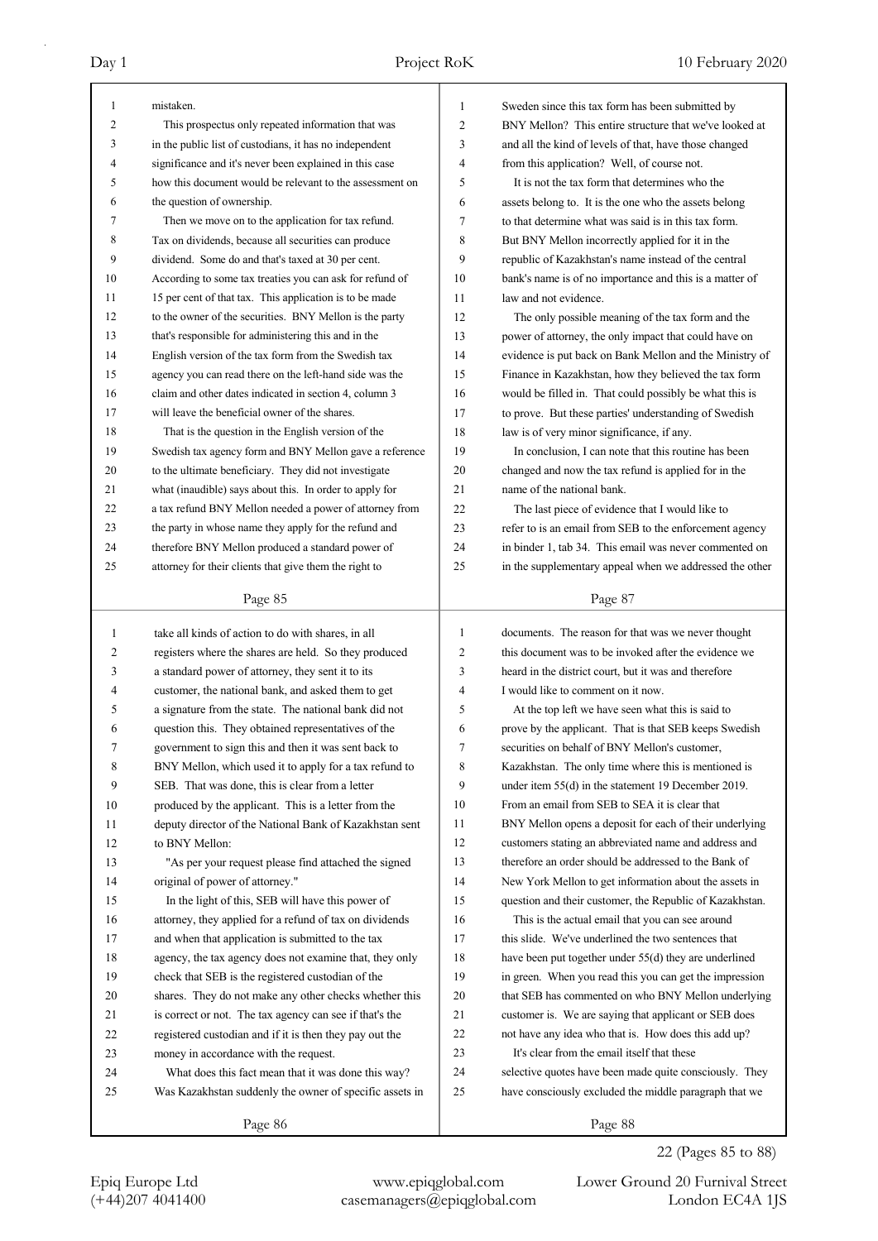| $\mathbf{1}$ | mistaken.                                                | 1  | Sweden since this tax form has been submitted by         |
|--------------|----------------------------------------------------------|----|----------------------------------------------------------|
| 2            | This prospectus only repeated information that was       | 2  | BNY Mellon? This entire structure that we've looked at   |
| 3            | in the public list of custodians, it has no independent  | 3  | and all the kind of levels of that, have those changed   |
| 4            | significance and it's never been explained in this case  | 4  | from this application? Well, of course not.              |
| 5            | how this document would be relevant to the assessment on | 5  | It is not the tax form that determines who the           |
| 6            | the question of ownership.                               | 6  | assets belong to. It is the one who the assets belong    |
| 7            | Then we move on to the application for tax refund.       | 7  | to that determine what was said is in this tax form.     |
| 8            | Tax on dividends, because all securities can produce     | 8  | But BNY Mellon incorrectly applied for it in the         |
| 9            | dividend. Some do and that's taxed at 30 per cent.       | 9  | republic of Kazakhstan's name instead of the central     |
| 10           | According to some tax treaties you can ask for refund of | 10 | bank's name is of no importance and this is a matter of  |
| 11           | 15 per cent of that tax. This application is to be made  | 11 | law and not evidence.                                    |
| 12           | to the owner of the securities. BNY Mellon is the party  | 12 | The only possible meaning of the tax form and the        |
| 13           | that's responsible for administering this and in the     | 13 | power of attorney, the only impact that could have on    |
| 14           | English version of the tax form from the Swedish tax     | 14 | evidence is put back on Bank Mellon and the Ministry of  |
| 15           | agency you can read there on the left-hand side was the  | 15 | Finance in Kazakhstan, how they believed the tax form    |
| 16           | claim and other dates indicated in section 4, column 3   | 16 | would be filled in. That could possibly be what this is  |
| 17           | will leave the beneficial owner of the shares.           | 17 | to prove. But these parties' understanding of Swedish    |
| 18           | That is the question in the English version of the       | 18 | law is of very minor significance, if any.               |
| 19           | Swedish tax agency form and BNY Mellon gave a reference  | 19 | In conclusion, I can note that this routine has been     |
| 20           | to the ultimate beneficiary. They did not investigate    | 20 | changed and now the tax refund is applied for in the     |
| 21           | what (inaudible) says about this. In order to apply for  | 21 | name of the national bank.                               |
| 22           | a tax refund BNY Mellon needed a power of attorney from  | 22 | The last piece of evidence that I would like to          |
| 23           | the party in whose name they apply for the refund and    | 23 | refer to is an email from SEB to the enforcement agency  |
| 24           | therefore BNY Mellon produced a standard power of        | 24 | in binder 1, tab 34. This email was never commented on   |
| 25           | attorney for their clients that give them the right to   | 25 | in the supplementary appeal when we addressed the other  |
|              |                                                          |    |                                                          |
|              | Page 85                                                  |    | Page 87                                                  |
|              |                                                          |    |                                                          |
|              |                                                          |    |                                                          |
| 1            | take all kinds of action to do with shares, in all       | 1  | documents. The reason for that was we never thought      |
| 2            | registers where the shares are held. So they produced    | 2  | this document was to be invoked after the evidence we    |
| 3            | a standard power of attorney, they sent it to its        | 3  | heard in the district court, but it was and therefore    |
| 4            | customer, the national bank, and asked them to get       | 4  | I would like to comment on it now.                       |
| 5            | a signature from the state. The national bank did not    | 5  | At the top left we have seen what this is said to        |
| 6            | question this. They obtained representatives of the      | 6  | prove by the applicant. That is that SEB keeps Swedish   |
| 7            | government to sign this and then it was sent back to     | 7  | securities on behalf of BNY Mellon's customer.           |
| 8            | BNY Mellon, which used it to apply for a tax refund to   | 8  | Kazakhstan. The only time where this is mentioned is     |
| 9            | SEB. That was done, this is clear from a letter          | 9  | under item $55(d)$ in the statement 19 December 2019.    |
| 10           | produced by the applicant. This is a letter from the     | 10 | From an email from SEB to SEA it is clear that           |
| 11           | deputy director of the National Bank of Kazakhstan sent  | 11 | BNY Mellon opens a deposit for each of their underlying  |
| 12           | to BNY Mellon:                                           | 12 | customers stating an abbreviated name and address and    |
| 13           | "As per your request please find attached the signed     | 13 | therefore an order should be addressed to the Bank of    |
| 14           | original of power of attorney."                          | 14 | New York Mellon to get information about the assets in   |
| 15           | In the light of this, SEB will have this power of        | 15 | question and their customer, the Republic of Kazakhstan. |
| 16           | attorney, they applied for a refund of tax on dividends  | 16 | This is the actual email that you can see around         |
| 17           | and when that application is submitted to the tax        | 17 | this slide. We've underlined the two sentences that      |
| 18           | agency, the tax agency does not examine that, they only  | 18 | have been put together under 55(d) they are underlined   |
| 19           | check that SEB is the registered custodian of the        | 19 | in green. When you read this you can get the impression  |
| 20           | shares. They do not make any other checks whether this   | 20 | that SEB has commented on who BNY Mellon underlying      |
| 21           | is correct or not. The tax agency can see if that's the  | 21 | customer is. We are saying that applicant or SEB does    |
| 22           | registered custodian and if it is then they pay out the  | 22 | not have any idea who that is. How does this add up?     |
| 23           | money in accordance with the request.                    | 23 | It's clear from the email itself that these              |
| 24           | What does this fact mean that it was done this way?      | 24 | selective quotes have been made quite consciously. They  |
| 25           | Was Kazakhstan suddenly the owner of specific assets in  | 25 | have consciously excluded the middle paragraph that we   |
|              | Page 86                                                  |    | Page 88                                                  |

22 (Pages 85 to 88)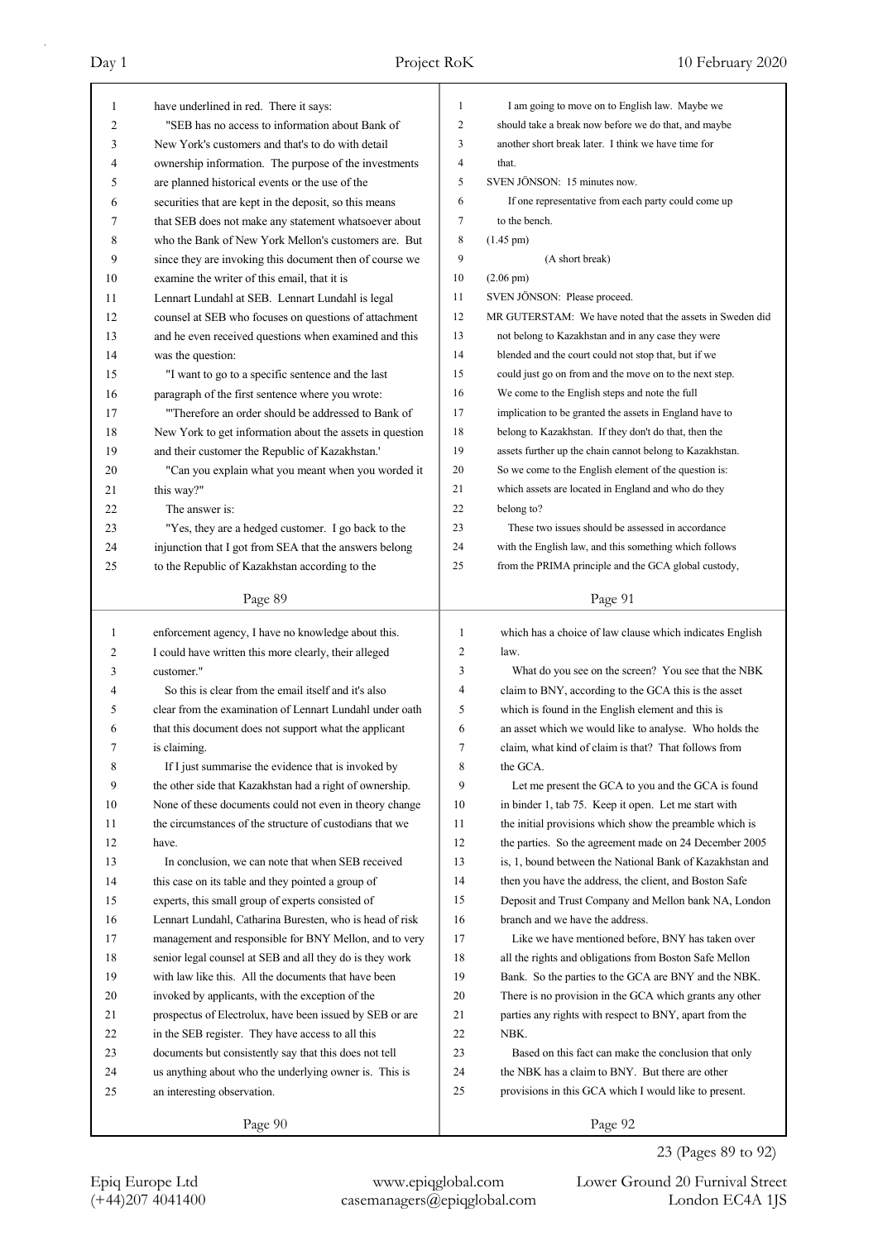| 1            | have underlined in red. There it says:                   | $\mathbf{1}$   | I am going to move on to English law. Maybe we            |
|--------------|----------------------------------------------------------|----------------|-----------------------------------------------------------|
| 2            | "SEB has no access to information about Bank of          | 2              | should take a break now before we do that, and maybe      |
| 3            | New York's customers and that's to do with detail        | 3              | another short break later. I think we have time for       |
| 4            | ownership information. The purpose of the investments    | 4              | that.                                                     |
| 5            | are planned historical events or the use of the          | 5              | SVEN JÖNSON: 15 minutes now.                              |
| 6            | securities that are kept in the deposit, so this means   | 6              | If one representative from each party could come up       |
| 7            | that SEB does not make any statement whatsoever about    | 7              | to the bench.                                             |
| 8            | who the Bank of New York Mellon's customers are. But     | 8              | $(1.45 \text{ pm})$                                       |
| 9            | since they are invoking this document then of course we  | 9              | (A short break)                                           |
| 10           | examine the writer of this email, that it is             | 10             | $(2.06 \text{ pm})$                                       |
| 11           | Lennart Lundahl at SEB. Lennart Lundahl is legal         | 11             | SVEN JÖNSON: Please proceed.                              |
| 12           | counsel at SEB who focuses on questions of attachment    | 12             | MR GUTERSTAM: We have noted that the assets in Sweden did |
| 13           | and he even received questions when examined and this    | 13             | not belong to Kazakhstan and in any case they were        |
| 14           | was the question:                                        | 14             | blended and the court could not stop that, but if we      |
| 15           | "I want to go to a specific sentence and the last        | 15             | could just go on from and the move on to the next step.   |
| 16           | paragraph of the first sentence where you wrote:         | 16             | We come to the English steps and note the full            |
| 17           | "Therefore an order should be addressed to Bank of       | 17             | implication to be granted the assets in England have to   |
| 18           | New York to get information about the assets in question | 18             | belong to Kazakhstan. If they don't do that, then the     |
| 19           | and their customer the Republic of Kazakhstan.'          | 19             | assets further up the chain cannot belong to Kazakhstan.  |
| 20           | "Can you explain what you meant when you worded it       | 20             | So we come to the English element of the question is:     |
| 21           | this way?"                                               | 21             | which assets are located in England and who do they       |
| 22           | The answer is:                                           | 22             | belong to?                                                |
| 23           | "Yes, they are a hedged customer. I go back to the       | 23             | These two issues should be assessed in accordance         |
| 24           | injunction that I got from SEA that the answers belong   | 24             | with the English law, and this something which follows    |
| 25           | to the Republic of Kazakhstan according to the           | 25             | from the PRIMA principle and the GCA global custody,      |
|              | Page 89                                                  |                | Page 91                                                   |
|              |                                                          |                |                                                           |
|              |                                                          |                |                                                           |
| $\mathbf{1}$ | enforcement agency, I have no knowledge about this.      | $\mathbf{1}$   | which has a choice of law clause which indicates English  |
| 2            | I could have written this more clearly, their alleged    | $\overline{2}$ | law.                                                      |
| 3            | customer."                                               | 3              | What do you see on the screen? You see that the NBK       |
| 4            | So this is clear from the email itself and it's also     | 4              | claim to BNY, according to the GCA this is the asset      |
| 5            | clear from the examination of Lennart Lundahl under oath | 5              | which is found in the English element and this is         |
| 6            | that this document does not support what the applicant   | 6              | an asset which we would like to analyse. Who holds the    |
| 7            | is claiming.                                             | 7              | claim, what kind of claim is that? That follows from      |
| 8            | If I just summarise the evidence that is invoked by      | 8              | the GCA.                                                  |
| 9            | the other side that Kazakhstan had a right of ownership. | 9              | Let me present the GCA to you and the GCA is found        |
| 10           | None of these documents could not even in theory change  | 10             | in binder 1, tab 75. Keep it open. Let me start with      |
| 11           | the circumstances of the structure of custodians that we | 11             | the initial provisions which show the preamble which is   |
| 12           | have.                                                    | 12             | the parties. So the agreement made on 24 December 2005    |
| 13           | In conclusion, we can note that when SEB received        | 13             | is, 1, bound between the National Bank of Kazakhstan and  |
| 14           | this case on its table and they pointed a group of       | 14             | then you have the address, the client, and Boston Safe    |
| 15           | experts, this small group of experts consisted of        | 15             | Deposit and Trust Company and Mellon bank NA, London      |
| 16           | Lennart Lundahl, Catharina Buresten, who is head of risk | 16             | branch and we have the address.                           |
| 17           | management and responsible for BNY Mellon, and to very   | 17             | Like we have mentioned before, BNY has taken over         |
| 18           | senior legal counsel at SEB and all they do is they work | 18             | all the rights and obligations from Boston Safe Mellon    |
| 19           | with law like this. All the documents that have been     | 19             | Bank. So the parties to the GCA are BNY and the NBK.      |
| 20           | invoked by applicants, with the exception of the         | 20             | There is no provision in the GCA which grants any other   |
| 21           | prospectus of Electrolux, have been issued by SEB or are | 21             | parties any rights with respect to BNY, apart from the    |
| 22           | in the SEB register. They have access to all this        | 22             | NBK.                                                      |
| 23           | documents but consistently say that this does not tell   | 23             | Based on this fact can make the conclusion that only      |
| 24           | us anything about who the underlying owner is. This is   | 24<br>25       | the NBK has a claim to BNY. But there are other           |
| 25           | an interesting observation.                              |                | provisions in this GCA which I would like to present.     |

23 (Pages 89 to 92)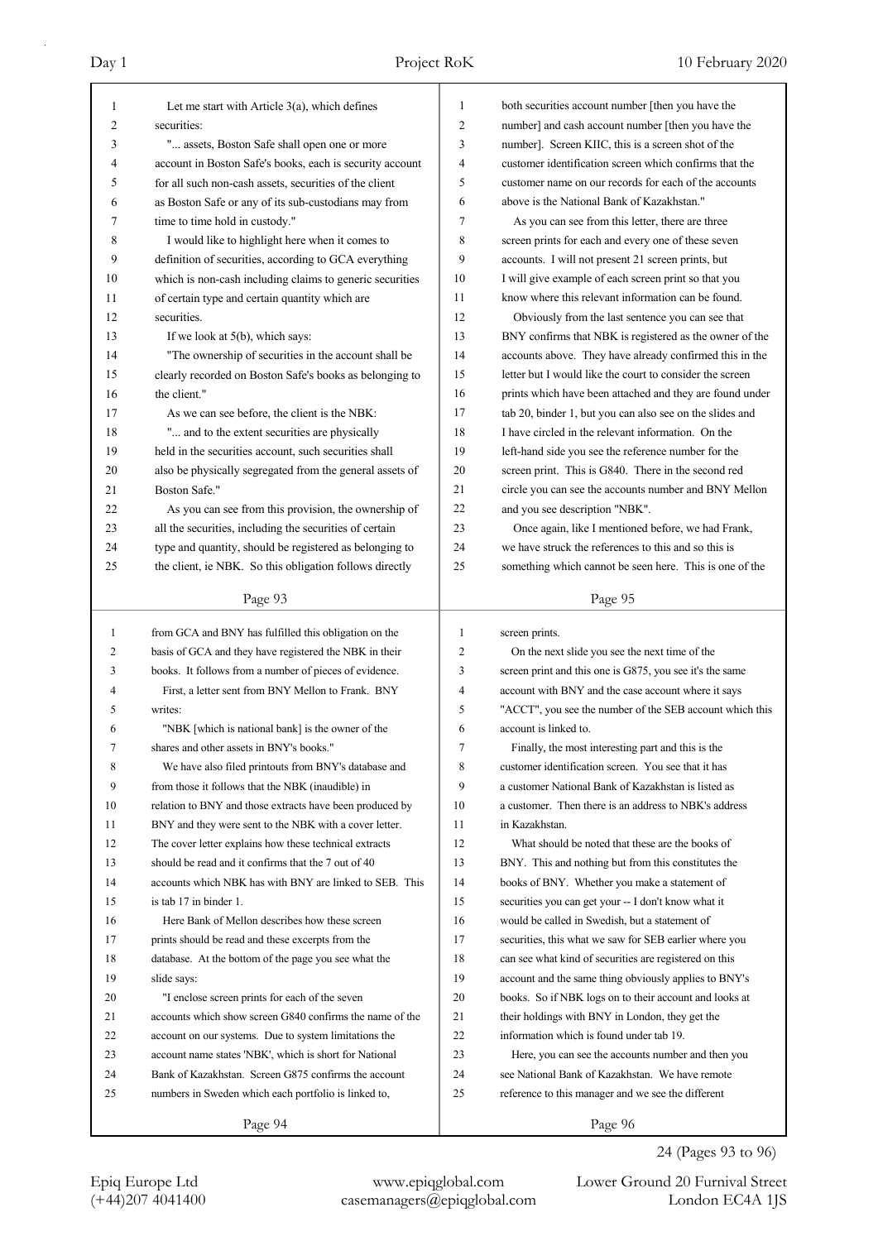| 1  | Let me start with Article $3(a)$ , which defines                                                                   | 1              | both securities account number [then you have the                                                          |
|----|--------------------------------------------------------------------------------------------------------------------|----------------|------------------------------------------------------------------------------------------------------------|
| 2  | securities:                                                                                                        | $\overline{2}$ | number] and cash account number [then you have the                                                         |
| 3  | " assets, Boston Safe shall open one or more                                                                       | 3              | number]. Screen KIIC, this is a screen shot of the                                                         |
| 4  | account in Boston Safe's books, each is security account                                                           | $\overline{4}$ | customer identification screen which confirms that the                                                     |
| 5  | for all such non-cash assets, securities of the client                                                             | 5              | customer name on our records for each of the accounts                                                      |
| 6  | as Boston Safe or any of its sub-custodians may from                                                               | 6              | above is the National Bank of Kazakhstan."                                                                 |
| 7  | time to time hold in custody."                                                                                     | 7              | As you can see from this letter, there are three                                                           |
| 8  | I would like to highlight here when it comes to                                                                    | 8              | screen prints for each and every one of these seven                                                        |
| 9  | definition of securities, according to GCA everything                                                              | 9              | accounts. I will not present 21 screen prints, but                                                         |
| 10 | which is non-cash including claims to generic securities                                                           | 10             | I will give example of each screen print so that you                                                       |
| 11 | of certain type and certain quantity which are                                                                     | 11             | know where this relevant information can be found.                                                         |
| 12 | securities.                                                                                                        | 12             | Obviously from the last sentence you can see that                                                          |
| 13 | If we look at 5(b), which says:                                                                                    | 13             | BNY confirms that NBK is registered as the owner of the                                                    |
| 14 | "The ownership of securities in the account shall be                                                               | 14             | accounts above. They have already confirmed this in the                                                    |
| 15 | clearly recorded on Boston Safe's books as belonging to                                                            | 15             | letter but I would like the court to consider the screen                                                   |
| 16 | the client."                                                                                                       | 16             | prints which have been attached and they are found under                                                   |
| 17 | As we can see before, the client is the NBK:                                                                       | 17             | tab 20, binder 1, but you can also see on the slides and                                                   |
| 18 | " and to the extent securities are physically                                                                      | 18             | I have circled in the relevant information. On the                                                         |
| 19 | held in the securities account, such securities shall                                                              | 19             | left-hand side you see the reference number for the                                                        |
| 20 | also be physically segregated from the general assets of                                                           | 20             | screen print. This is G840. There in the second red                                                        |
| 21 | Boston Safe."                                                                                                      | 21             | circle you can see the accounts number and BNY Mellon                                                      |
| 22 | As you can see from this provision, the ownership of                                                               | 22             | and you see description "NBK".                                                                             |
| 23 |                                                                                                                    | 23             |                                                                                                            |
| 24 | all the securities, including the securities of certain<br>type and quantity, should be registered as belonging to | 24             | Once again, like I mentioned before, we had Frank,<br>we have struck the references to this and so this is |
|    |                                                                                                                    | 25             |                                                                                                            |
| 25 | the client, ie NBK. So this obligation follows directly                                                            |                | something which cannot be seen here. This is one of the                                                    |
|    | Page 93                                                                                                            |                | Page 95                                                                                                    |
|    |                                                                                                                    |                |                                                                                                            |
|    |                                                                                                                    |                |                                                                                                            |
| 1  | from GCA and BNY has fulfilled this obligation on the                                                              | 1              | screen prints.                                                                                             |
| 2  | basis of GCA and they have registered the NBK in their                                                             | $\overline{c}$ | On the next slide you see the next time of the                                                             |
| 3  | books. It follows from a number of pieces of evidence.                                                             | 3              | screen print and this one is G875, you see it's the same                                                   |
| 4  | First, a letter sent from BNY Mellon to Frank. BNY                                                                 | $\overline{4}$ | account with BNY and the case account where it says                                                        |
| 5  | writes:                                                                                                            | 5              | "ACCT", you see the number of the SEB account which this                                                   |
| 6  | "NBK [which is national bank] is the owner of the                                                                  | 6              | account is linked to.                                                                                      |
| 7  | shares and other assets in BNY's books."                                                                           | 7              | Finally, the most interesting part and this is the                                                         |
| 8  | We have also filed printouts from BNY's database and                                                               | 8              | customer identification screen. You see that it has                                                        |
| 9  | from those it follows that the NBK (inaudible) in                                                                  | 9              | a customer National Bank of Kazakhstan is listed as                                                        |
| 10 | relation to BNY and those extracts have been produced by                                                           | 10             | a customer. Then there is an address to NBK's address                                                      |
| 11 | BNY and they were sent to the NBK with a cover letter.                                                             | 11             | in Kazakhstan.                                                                                             |
| 12 | The cover letter explains how these technical extracts                                                             | 12             | What should be noted that these are the books of                                                           |
| 13 | should be read and it confirms that the 7 out of 40                                                                | 13             | BNY. This and nothing but from this constitutes the                                                        |
| 14 | accounts which NBK has with BNY are linked to SEB. This                                                            | 14             | books of BNY. Whether you make a statement of                                                              |
| 15 | is tab 17 in binder 1.                                                                                             | 15             | securities you can get your -- I don't know what it                                                        |
| 16 | Here Bank of Mellon describes how these screen                                                                     | 16             | would be called in Swedish, but a statement of                                                             |
| 17 | prints should be read and these excerpts from the                                                                  | 17             | securities, this what we saw for SEB earlier where you                                                     |
| 18 | database. At the bottom of the page you see what the                                                               | 18             | can see what kind of securities are registered on this                                                     |
| 19 | slide says:                                                                                                        | 19             | account and the same thing obviously applies to BNY's                                                      |
| 20 | "I enclose screen prints for each of the seven                                                                     | 20             | books. So if NBK logs on to their account and looks at                                                     |
| 21 | accounts which show screen G840 confirms the name of the                                                           | 21             | their holdings with BNY in London, they get the                                                            |
| 22 | account on our systems. Due to system limitations the                                                              | 22             | information which is found under tab 19.                                                                   |
| 23 | account name states 'NBK', which is short for National                                                             | 23             | Here, you can see the accounts number and then you                                                         |
| 24 | Bank of Kazakhstan. Screen G875 confirms the account                                                               | 24             | see National Bank of Kazakhstan. We have remote                                                            |
| 25 | numbers in Sweden which each portfolio is linked to,                                                               | 25             | reference to this manager and we see the different                                                         |

24 (Pages 93 to 96)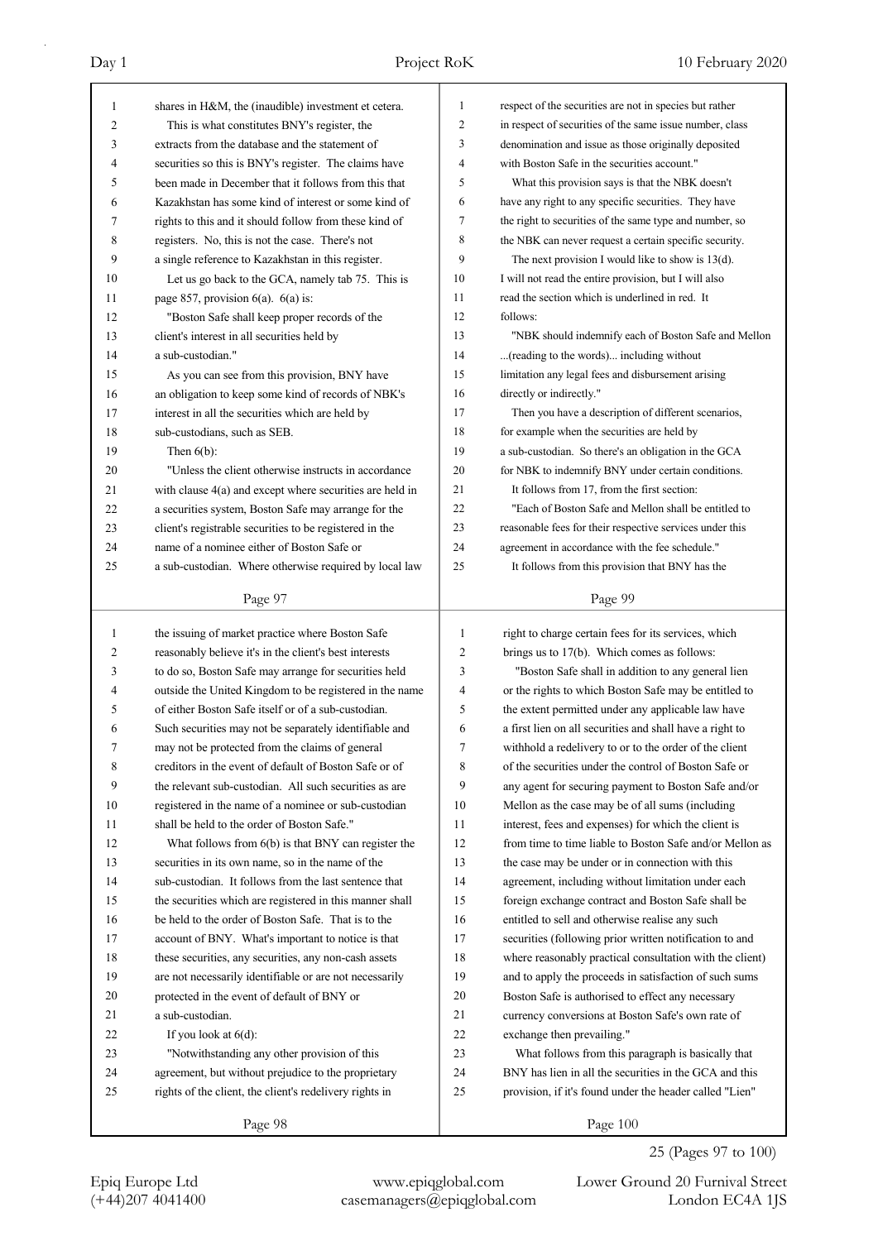| 1            | shares in H&M, the (inaudible) investment et cetera.                                                            | $\mathbf{1}$   | respect of the securities are not in species but rather                                                  |
|--------------|-----------------------------------------------------------------------------------------------------------------|----------------|----------------------------------------------------------------------------------------------------------|
| 2            | This is what constitutes BNY's register, the                                                                    | $\overline{2}$ | in respect of securities of the same issue number, class                                                 |
| 3            | extracts from the database and the statement of                                                                 | 3              | denomination and issue as those originally deposited                                                     |
| 4            | securities so this is BNY's register. The claims have                                                           | 4              | with Boston Safe in the securities account."                                                             |
| 5            | been made in December that it follows from this that                                                            | 5              | What this provision says is that the NBK doesn't                                                         |
| 6            | Kazakhstan has some kind of interest or some kind of                                                            | 6              | have any right to any specific securities. They have                                                     |
| 7            | rights to this and it should follow from these kind of                                                          | 7              | the right to securities of the same type and number, so                                                  |
| 8            | registers. No, this is not the case. There's not                                                                | 8              | the NBK can never request a certain specific security.                                                   |
| 9            | a single reference to Kazakhstan in this register.                                                              | 9              | The next provision I would like to show is $13(d)$ .                                                     |
| 10           | Let us go back to the GCA, namely tab 75. This is                                                               | 10             | I will not read the entire provision, but I will also                                                    |
| 11           | page 857, provision $6(a)$ . $6(a)$ is:                                                                         | 11             | read the section which is underlined in red. It                                                          |
| 12           | "Boston Safe shall keep proper records of the                                                                   | 12             | follows:                                                                                                 |
| 13           | client's interest in all securities held by                                                                     | 13             | "NBK should indemnify each of Boston Safe and Mellon                                                     |
| 14           | a sub-custodian."                                                                                               | 14             | (reading to the words) including without                                                                 |
| 15           | As you can see from this provision, BNY have                                                                    | 15             | limitation any legal fees and disbursement arising                                                       |
| 16           | an obligation to keep some kind of records of NBK's                                                             | 16             | directly or indirectly."                                                                                 |
| 17           | interest in all the securities which are held by                                                                | 17             | Then you have a description of different scenarios,                                                      |
| 18           | sub-custodians, such as SEB.                                                                                    | 18             | for example when the securities are held by                                                              |
| 19           | Then $6(b)$ :                                                                                                   | 19             | a sub-custodian. So there's an obligation in the GCA                                                     |
| 20           | "Unless the client otherwise instructs in accordance                                                            | 20             | for NBK to indemnify BNY under certain conditions.                                                       |
| 21           | with clause $4(a)$ and except where securities are held in                                                      | 21             | It follows from 17, from the first section:                                                              |
| 22           | a securities system, Boston Safe may arrange for the                                                            | 22             | "Each of Boston Safe and Mellon shall be entitled to                                                     |
| 23           | client's registrable securities to be registered in the                                                         | 23             | reasonable fees for their respective services under this                                                 |
| 24           | name of a nominee either of Boston Safe or                                                                      | 24             | agreement in accordance with the fee schedule."                                                          |
| 25           | a sub-custodian. Where otherwise required by local law                                                          | 25             | It follows from this provision that BNY has the                                                          |
|              |                                                                                                                 |                |                                                                                                          |
|              | Page 97                                                                                                         |                | Page 99                                                                                                  |
| $\mathbf{1}$ | the issuing of market practice where Boston Safe                                                                | 1              | right to charge certain fees for its services, which                                                     |
| 2            | reasonably believe it's in the client's best interests                                                          | 2              | brings us to 17(b). Which comes as follows:                                                              |
| 3            | to do so, Boston Safe may arrange for securities held                                                           | 3              | "Boston Safe shall in addition to any general lien                                                       |
| 4            | outside the United Kingdom to be registered in the name                                                         | 4              | or the rights to which Boston Safe may be entitled to                                                    |
| 5            | of either Boston Safe itself or of a sub-custodian.                                                             | 5              | the extent permitted under any applicable law have                                                       |
| 6            | Such securities may not be separately identifiable and                                                          | 6              | a first lien on all securities and shall have a right to                                                 |
| 7            | may not be protected from the claims of general                                                                 | 7              | withhold a redelivery to or to the order of the client                                                   |
| 8            | creditors in the event of default of Boston Safe or of                                                          | 8              | of the securities under the control of Boston Safe or                                                    |
| 9            | the relevant sub-custodian. All such securities as are                                                          | 9              | any agent for securing payment to Boston Safe and/or                                                     |
| 10           | registered in the name of a nominee or sub-custodian                                                            | 10             | Mellon as the case may be of all sums (including                                                         |
| 11           | shall be held to the order of Boston Safe."                                                                     | 11             | interest, fees and expenses) for which the client is                                                     |
| 12           | What follows from $6(b)$ is that BNY can register the                                                           | 12             | from time to time liable to Boston Safe and/or Mellon as                                                 |
| 13           | securities in its own name, so in the name of the                                                               | 13             | the case may be under or in connection with this                                                         |
| 14           | sub-custodian. It follows from the last sentence that                                                           | 14             |                                                                                                          |
| 15           |                                                                                                                 | 15             | agreement, including without limitation under each<br>foreign exchange contract and Boston Safe shall be |
|              | the securities which are registered in this manner shall<br>be held to the order of Boston Safe. That is to the |                |                                                                                                          |
| 16           |                                                                                                                 | 16             | entitled to sell and otherwise realise any such                                                          |
| 17           | account of BNY. What's important to notice is that                                                              | 17             | securities (following prior written notification to and                                                  |
| 18<br>19     | these securities, any securities, any non-cash assets                                                           | 18             | where reasonably practical consultation with the client)                                                 |
|              |                                                                                                                 |                | and to apply the proceeds in satisfaction of such sums                                                   |
|              | are not necessarily identifiable or are not necessarily                                                         | 19             |                                                                                                          |
| 20           | protected in the event of default of BNY or                                                                     | 20             | Boston Safe is authorised to effect any necessary                                                        |
| 21           | a sub-custodian.                                                                                                | 21             | currency conversions at Boston Safe's own rate of                                                        |
| 22           | If you look at $6(d)$ :                                                                                         | 22             | exchange then prevailing."                                                                               |
| 23           | "Notwithstanding any other provision of this                                                                    | 23             | What follows from this paragraph is basically that                                                       |
| 24           | agreement, but without prejudice to the proprietary                                                             | 24             | BNY has lien in all the securities in the GCA and this                                                   |
| 25           | rights of the client, the client's redelivery rights in                                                         | 25             | provision, if it's found under the header called "Lien"                                                  |

25 (Pages 97 to 100)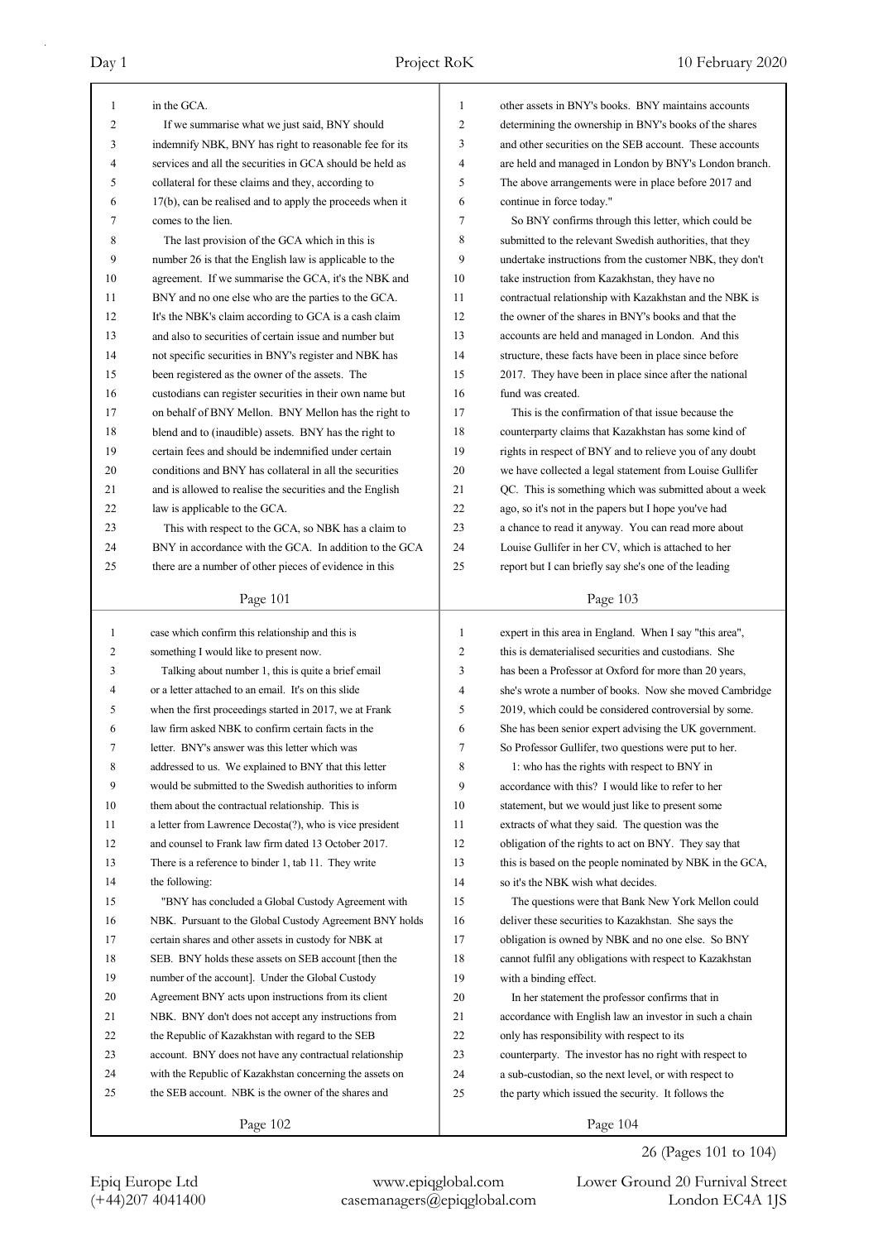| 1            | in the GCA.                                              | 1              | other assets in BNY's books. BNY maintains accounts      |
|--------------|----------------------------------------------------------|----------------|----------------------------------------------------------|
| 2            | If we summarise what we just said, BNY should            | 2              | determining the ownership in BNY's books of the shares   |
| 3            | indemnify NBK, BNY has right to reasonable fee for its   | 3              | and other securities on the SEB account. These accounts  |
| 4            | services and all the securities in GCA should be held as | $\overline{4}$ | are held and managed in London by BNY's London branch.   |
| 5            | collateral for these claims and they, according to       | 5              | The above arrangements were in place before 2017 and     |
| 6            | 17(b), can be realised and to apply the proceeds when it | 6              | continue in force today."                                |
| 7            | comes to the lien.                                       | 7              | So BNY confirms through this letter, which could be      |
| 8            | The last provision of the GCA which in this is           | 8              | submitted to the relevant Swedish authorities, that they |
| 9            | number 26 is that the English law is applicable to the   | 9              | undertake instructions from the customer NBK, they don't |
| 10           | agreement. If we summarise the GCA, it's the NBK and     | 10             | take instruction from Kazakhstan, they have no           |
| 11           | BNY and no one else who are the parties to the GCA.      | 11             | contractual relationship with Kazakhstan and the NBK is  |
| 12           | It's the NBK's claim according to GCA is a cash claim    | 12             | the owner of the shares in BNY's books and that the      |
| 13           | and also to securities of certain issue and number but   | 13             | accounts are held and managed in London. And this        |
| 14           | not specific securities in BNY's register and NBK has    | 14             | structure, these facts have been in place since before   |
| 15           | been registered as the owner of the assets. The          | 15             | 2017. They have been in place since after the national   |
| 16           | custodians can register securities in their own name but | 16             | fund was created.                                        |
| 17           | on behalf of BNY Mellon. BNY Mellon has the right to     | 17             | This is the confirmation of that issue because the       |
| 18           | blend and to (inaudible) assets. BNY has the right to    | 18             | counterparty claims that Kazakhstan has some kind of     |
| 19           | certain fees and should be indemnified under certain     | 19             | rights in respect of BNY and to relieve you of any doubt |
| 20           | conditions and BNY has collateral in all the securities  | 20             | we have collected a legal statement from Louise Gullifer |
| 21           | and is allowed to realise the securities and the English | 21             | QC. This is something which was submitted about a week   |
| 22           | law is applicable to the GCA.                            | 22             | ago, so it's not in the papers but I hope you've had     |
| 23           | This with respect to the GCA, so NBK has a claim to      | 23             | a chance to read it anyway. You can read more about      |
| 24           | BNY in accordance with the GCA. In addition to the GCA   | 24             | Louise Gullifer in her CV, which is attached to her      |
| 25           | there are a number of other pieces of evidence in this   | 25             | report but I can briefly say she's one of the leading    |
|              |                                                          |                |                                                          |
|              | Page 101                                                 |                | Page 103                                                 |
|              |                                                          |                |                                                          |
|              |                                                          |                |                                                          |
| $\mathbf{1}$ | case which confirm this relationship and this is         | $\mathbf{1}$   | expert in this area in England. When I say "this area",  |
| 2            | something I would like to present now.                   | $\mathfrak{2}$ | this is dematerialised securities and custodians. She    |
| 3<br>4       | Talking about number 1, this is quite a brief email      | 3              | has been a Professor at Oxford for more than 20 years,   |
| 5            | or a letter attached to an email. It's on this slide     | 4<br>5         | she's wrote a number of books. Now she moved Cambridge   |
| 6            | when the first proceedings started in 2017, we at Frank  | 6              | 2019, which could be considered controversial by some.   |
| 7            | law firm asked NBK to confirm certain facts in the       |                | She has been senior expert advising the UK government.   |
|              | letter. BNY's answer was this letter which was           | 7              | So Professor Gullifer, two questions were put to her.    |
| 8            | addressed to us. We explained to BNY that this letter    | 8              | 1: who has the rights with respect to BNY in             |
| 9<br>10      | would be submitted to the Swedish authorities to inform  | 9              | accordance with this? I would like to refer to her       |
|              | them about the contractual relationship. This is         | 10             | statement, but we would just like to present some        |
| 11           | a letter from Lawrence Decosta(?), who is vice president | 11             | extracts of what they said. The question was the         |
| 12           | and counsel to Frank law firm dated 13 October 2017.     | 12             | obligation of the rights to act on BNY. They say that    |
| 13           | There is a reference to binder 1, tab 11. They write     | 13             | this is based on the people nominated by NBK in the GCA, |
| 14           | the following:                                           | 14             | so it's the NBK wish what decides.                       |
| 15           | "BNY has concluded a Global Custody Agreement with       | 15             | The questions were that Bank New York Mellon could       |
| 16           | NBK. Pursuant to the Global Custody Agreement BNY holds  | 16             | deliver these securities to Kazakhstan. She says the     |
| 17           | certain shares and other assets in custody for NBK at    | 17             | obligation is owned by NBK and no one else. So BNY       |
| 18           | SEB. BNY holds these assets on SEB account [then the     | 18             | cannot fulfil any obligations with respect to Kazakhstan |
| 19           | number of the account]. Under the Global Custody         | 19             | with a binding effect.                                   |
| 20           | Agreement BNY acts upon instructions from its client     | 20             | In her statement the professor confirms that in          |
| 21           | NBK. BNY don't does not accept any instructions from     | 21             | accordance with English law an investor in such a chain  |
| 22           | the Republic of Kazakhstan with regard to the SEB        | 22             | only has responsibility with respect to its              |
| 23           | account. BNY does not have any contractual relationship  | 23             | counterparty. The investor has no right with respect to  |
| 24           | with the Republic of Kazakhstan concerning the assets on | 24             | a sub-custodian, so the next level, or with respect to   |
| 25           | the SEB account. NBK is the owner of the shares and      | 25             | the party which issued the security. It follows the      |

26 (Pages 101 to 104)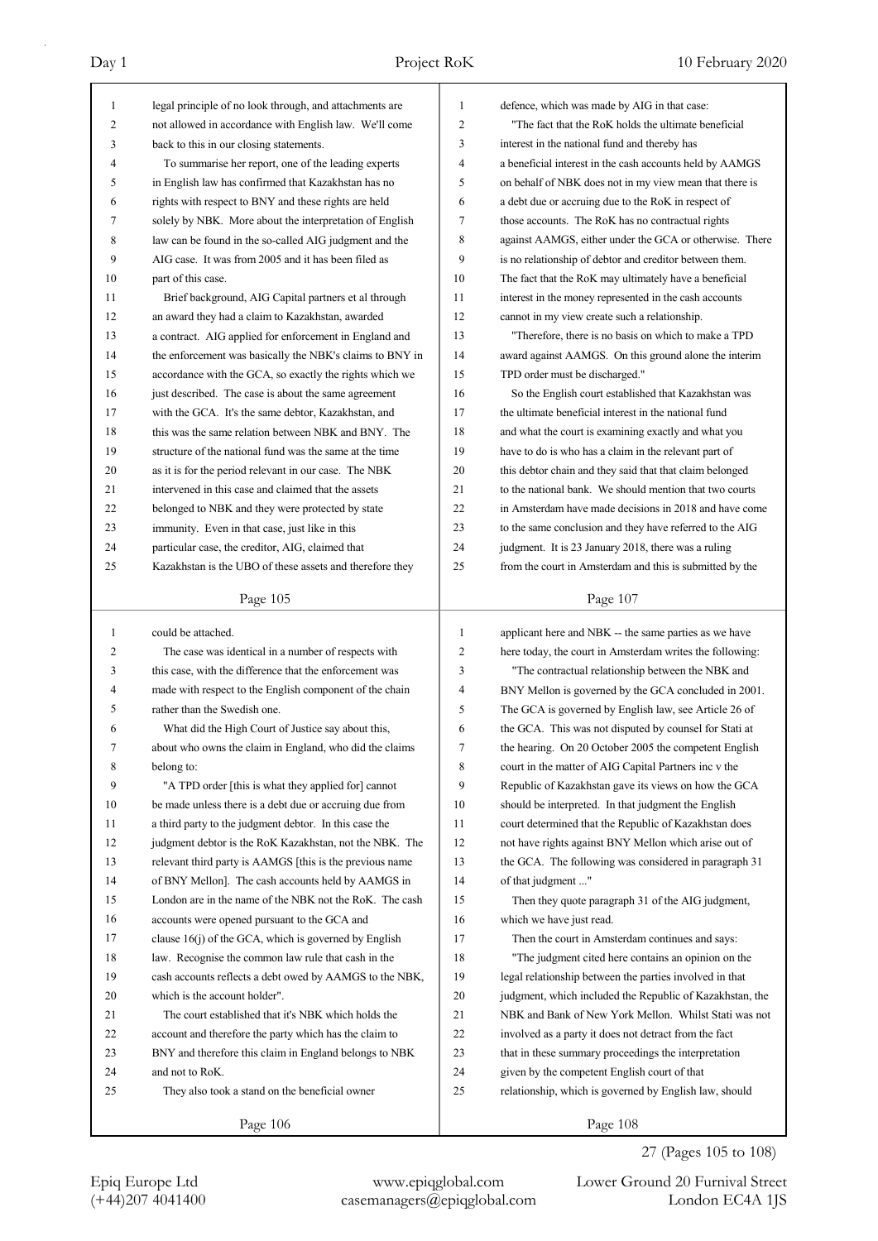| 1            | legal principle of no look through, and attachments are  | $\mathbf{1}$   | defence, which was made by AIG in that case:             |
|--------------|----------------------------------------------------------|----------------|----------------------------------------------------------|
| 2            | not allowed in accordance with English law. We'll come   | $\mathfrak{2}$ | "The fact that the RoK holds the ultimate beneficial"    |
| 3            | back to this in our closing statements.                  | 3              | interest in the national fund and thereby has            |
| 4            | To summarise her report, one of the leading experts      | $\overline{4}$ | a beneficial interest in the cash accounts held by AAMGS |
| 5            | in English law has confirmed that Kazakhstan has no      | 5              | on behalf of NBK does not in my view mean that there is  |
| 6            | rights with respect to BNY and these rights are held     | 6              | a debt due or accruing due to the RoK in respect of      |
| 7            | solely by NBK. More about the interpretation of English  | 7              | those accounts. The RoK has no contractual rights        |
| 8            | law can be found in the so-called AIG judgment and the   | 8              | against AAMGS, either under the GCA or otherwise. There  |
| 9            | AIG case. It was from 2005 and it has been filed as      | 9              | is no relationship of debtor and creditor between them.  |
| 10           | part of this case.                                       | 10             | The fact that the RoK may ultimately have a beneficial   |
| 11           | Brief background, AIG Capital partners et al through     | 11             | interest in the money represented in the cash accounts   |
| 12           | an award they had a claim to Kazakhstan, awarded         | 12             | cannot in my view create such a relationship.            |
| 13           | a contract. AIG applied for enforcement in England and   | 13             | "Therefore, there is no basis on which to make a TPD     |
| 14           | the enforcement was basically the NBK's claims to BNY in | 14             | award against AAMGS. On this ground alone the interim    |
| 15           | accordance with the GCA, so exactly the rights which we  | 15             | TPD order must be discharged."                           |
| 16           | just described. The case is about the same agreement     | 16             | So the English court established that Kazakhstan was     |
| 17           | with the GCA. It's the same debtor, Kazakhstan, and      | 17             | the ultimate beneficial interest in the national fund    |
| 18           | this was the same relation between NBK and BNY. The      | 18             | and what the court is examining exactly and what you     |
| 19           | structure of the national fund was the same at the time  | 19             | have to do is who has a claim in the relevant part of    |
| 20           | as it is for the period relevant in our case. The NBK    | 20             | this debtor chain and they said that that claim belonged |
| 21           | intervened in this case and claimed that the assets      | 21             | to the national bank. We should mention that two courts  |
| 22           |                                                          | 22             | in Amsterdam have made decisions in 2018 and have come   |
|              | belonged to NBK and they were protected by state         |                |                                                          |
| 23           | immunity. Even in that case, just like in this           | 23             | to the same conclusion and they have referred to the AIG |
| 24           | particular case, the creditor, AIG, claimed that         | 24             | judgment. It is 23 January 2018, there was a ruling      |
| 25           | Kazakhstan is the UBO of these assets and therefore they | 25             | from the court in Amsterdam and this is submitted by the |
|              | Page 105                                                 |                | Page 107                                                 |
|              |                                                          |                |                                                          |
|              |                                                          |                |                                                          |
| $\mathbf{1}$ | could be attached.                                       | $\mathbf{1}$   | applicant here and NBK -- the same parties as we have    |
| 2            | The case was identical in a number of respects with      | $\mathfrak{2}$ | here today, the court in Amsterdam writes the following: |
| 3            | this case, with the difference that the enforcement was  | 3              | "The contractual relationship between the NBK and        |
| 4            | made with respect to the English component of the chain  | $\overline{4}$ | BNY Mellon is governed by the GCA concluded in 2001.     |
| 5            | rather than the Swedish one.                             | 5              | The GCA is governed by English law, see Article 26 of    |
| 6            | What did the High Court of Justice say about this,       | 6              | the GCA. This was not disputed by counsel for Stati at   |
| 7            | about who owns the claim in England, who did the claims  | 7              | the hearing. On 20 October 2005 the competent English    |
| 8            | belong to:                                               | 8              | court in the matter of AIG Capital Partners inc v the    |
| 9            | "A TPD order [this is what they applied for] cannot      | 9              | Republic of Kazakhstan gave its views on how the GCA     |
| 10           | be made unless there is a debt due or accruing due from  | 10             | should be interpreted. In that judgment the English      |
| 11           | a third party to the judgment debtor. In this case the   | 11             | court determined that the Republic of Kazakhstan does    |
| 12           | judgment debtor is the RoK Kazakhstan, not the NBK. The  | 12             | not have rights against BNY Mellon which arise out of    |
| 13           | relevant third party is AAMGS [this is the previous name | 13             | the GCA. The following was considered in paragraph 31    |
| 14           | of BNY Mellon]. The cash accounts held by AAMGS in       | 14             | of that judgment "                                       |
| 15           | London are in the name of the NBK not the RoK. The cash  | 15             | Then they quote paragraph 31 of the AIG judgment,        |
| 16           | accounts were opened pursuant to the GCA and             | 16             | which we have just read.                                 |
| 17           | clause 16(j) of the GCA, which is governed by English    | 17             | Then the court in Amsterdam continues and says:          |
| 18           | law. Recognise the common law rule that cash in the      | 18             | "The judgment cited here contains an opinion on the      |
| 19           | cash accounts reflects a debt owed by AAMGS to the NBK,  | 19             | legal relationship between the parties involved in that  |
| 20           | which is the account holder".                            | 20             | judgment, which included the Republic of Kazakhstan, the |
| 21           | The court established that it's NBK which holds the      | $21\,$         | NBK and Bank of New York Mellon. Whilst Stati was not    |
| 22           | account and therefore the party which has the claim to   | $22\,$         | involved as a party it does not detract from the fact    |
| 23           | BNY and therefore this claim in England belongs to NBK   | 23             | that in these summary proceedings the interpretation     |
| 24           | and not to RoK.                                          | 24             | given by the competent English court of that             |
| 25           | They also took a stand on the beneficial owner           | 25             | relationship, which is governed by English law, should   |

27 (Pages 105 to 108)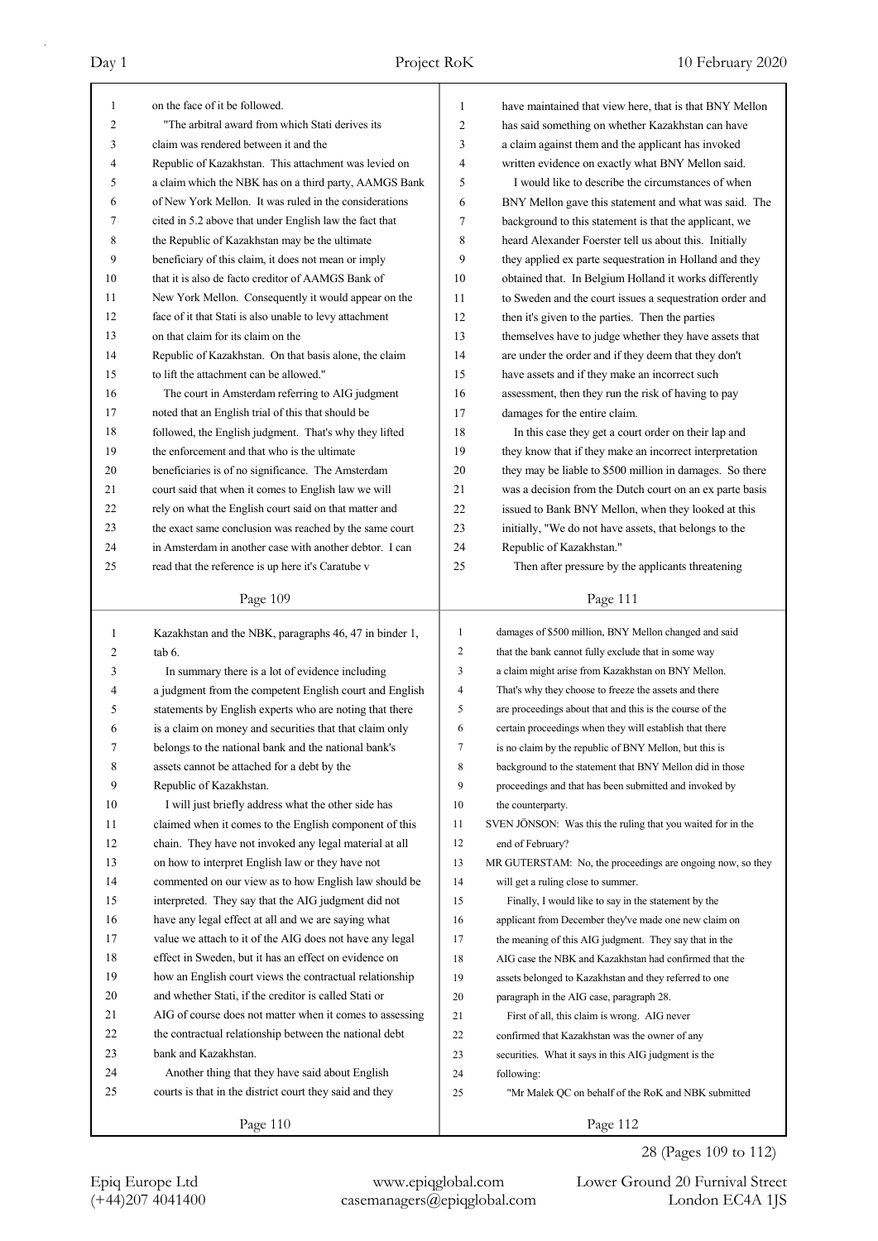| 1              | on the face of it be followed.                           | $\mathbf{1}$            | have maintained that view here, that is that BNY Mellon     |
|----------------|----------------------------------------------------------|-------------------------|-------------------------------------------------------------|
| $\overline{2}$ | "The arbitral award from which Stati derives its         | $\overline{2}$          | has said something on whether Kazakhstan can have           |
| 3              | claim was rendered between it and the                    | 3                       | a claim against them and the applicant has invoked          |
| 4              | Republic of Kazakhstan. This attachment was levied on    | 4                       | written evidence on exactly what BNY Mellon said.           |
| 5              | a claim which the NBK has on a third party, AAMGS Bank   | 5                       | I would like to describe the circumstances of when          |
| 6              | of New York Mellon. It was ruled in the considerations   | 6                       | BNY Mellon gave this statement and what was said. The       |
| 7              | cited in 5.2 above that under English law the fact that  | $\tau$                  | background to this statement is that the applicant, we      |
| 8              | the Republic of Kazakhstan may be the ultimate           | 8                       | heard Alexander Foerster tell us about this. Initially      |
| 9              | beneficiary of this claim, it does not mean or imply     | 9                       | they applied ex parte sequestration in Holland and they     |
| 10             | that it is also de facto creditor of AAMGS Bank of       | 10                      | obtained that. In Belgium Holland it works differently      |
| 11             | New York Mellon. Consequently it would appear on the     | 11                      | to Sweden and the court issues a sequestration order and    |
| 12             | face of it that Stati is also unable to levy attachment  | 12                      | then it's given to the parties. Then the parties            |
| 13             | on that claim for its claim on the                       | 13                      | themselves have to judge whether they have assets that      |
| 14             | Republic of Kazakhstan. On that basis alone, the claim   | 14                      | are under the order and if they deem that they don't        |
| 15             | to lift the attachment can be allowed."                  | 15                      | have assets and if they make an incorrect such              |
| 16             | The court in Amsterdam referring to AIG judgment         | 16                      | assessment, then they run the risk of having to pay         |
| 17             | noted that an English trial of this that should be       | 17                      | damages for the entire claim.                               |
| 18             | followed, the English judgment. That's why they lifted   | 18                      | In this case they get a court order on their lap and        |
| 19             | the enforcement and that who is the ultimate             | 19                      | they know that if they make an incorrect interpretation     |
| 20             | beneficiaries is of no significance. The Amsterdam       | 20                      | they may be liable to \$500 million in damages. So there    |
| 21             | court said that when it comes to English law we will     | 21                      | was a decision from the Dutch court on an ex parte basis    |
| 22             | rely on what the English court said on that matter and   | 22                      | issued to Bank BNY Mellon, when they looked at this         |
| 23             | the exact same conclusion was reached by the same court  | 23                      | initially, "We do not have assets, that belongs to the      |
| 24             | in Amsterdam in another case with another debtor. I can  | 24                      | Republic of Kazakhstan."                                    |
| 25             | read that the reference is up here it's Caratube v       | 25                      | Then after pressure by the applicants threatening           |
|                |                                                          |                         |                                                             |
|                | Page 109                                                 |                         | Page 111                                                    |
|                |                                                          |                         |                                                             |
|                |                                                          |                         |                                                             |
| $\mathbf{1}$   | Kazakhstan and the NBK, paragraphs 46, 47 in binder 1,   | 1                       | damages of \$500 million, BNY Mellon changed and said       |
| 2              | tab 6.                                                   | $\mathfrak{2}$          | that the bank cannot fully exclude that in some way         |
| 3              | In summary there is a lot of evidence including          | 3                       | a claim might arise from Kazakhstan on BNY Mellon.          |
| 4              | a judgment from the competent English court and English  | $\overline{\mathbf{4}}$ | That's why they choose to freeze the assets and there       |
| 5              | statements by English experts who are noting that there  | 5                       | are proceedings about that and this is the course of the    |
| 6              | is a claim on money and securities that that claim only  | 6                       | certain proceedings when they will establish that there     |
| 7              | belongs to the national bank and the national bank's     | 7                       | is no claim by the republic of BNY Mellon, but this is      |
| 8              | assets cannot be attached for a debt by the              | 8                       | background to the statement that BNY Mellon did in those    |
| 9              | Republic of Kazakhstan.                                  | 9                       | proceedings and that has been submitted and invoked by      |
| 10             | I will just briefly address what the other side has      | 10                      | the counterparty.                                           |
| 11             | claimed when it comes to the English component of this   | 11                      | SVEN JÖNSON: Was this the ruling that you waited for in the |
| 12             | chain. They have not invoked any legal material at all   | 12                      | end of February?                                            |
| 13             | on how to interpret English law or they have not         | 13                      | MR GUTERSTAM: No, the proceedings are ongoing now, so they  |
| 14             | commented on our view as to how English law should be    | 14                      | will get a ruling close to summer.                          |
| 15             | interpreted. They say that the AIG judgment did not      | 15                      | Finally, I would like to say in the statement by the        |
| 16             | have any legal effect at all and we are saying what      | 16                      | applicant from December they've made one new claim on       |
| 17             | value we attach to it of the AIG does not have any legal | 17                      | the meaning of this AIG judgment. They say that in the      |
| 18             | effect in Sweden, but it has an effect on evidence on    | 18                      | AIG case the NBK and Kazakhstan had confirmed that the      |
| 19             | how an English court views the contractual relationship  | 19                      | assets belonged to Kazakhstan and they referred to one      |
| 20             | and whether Stati, if the creditor is called Stati or    | 20                      | paragraph in the AIG case, paragraph 28.                    |
| 21             | AIG of course does not matter when it comes to assessing | 21                      | First of all, this claim is wrong. AIG never                |
| 22             | the contractual relationship between the national debt   | 22                      | confirmed that Kazakhstan was the owner of any              |
| 23             | bank and Kazakhstan.                                     | 23                      | securities. What it says in this AIG judgment is the        |
| 24             | Another thing that they have said about English          | 24                      | following:                                                  |
| 25             | courts is that in the district court they said and they  | 25                      | "Mr Malek QC on behalf of the RoK and NBK submitted         |

28 (Pages 109 to 112)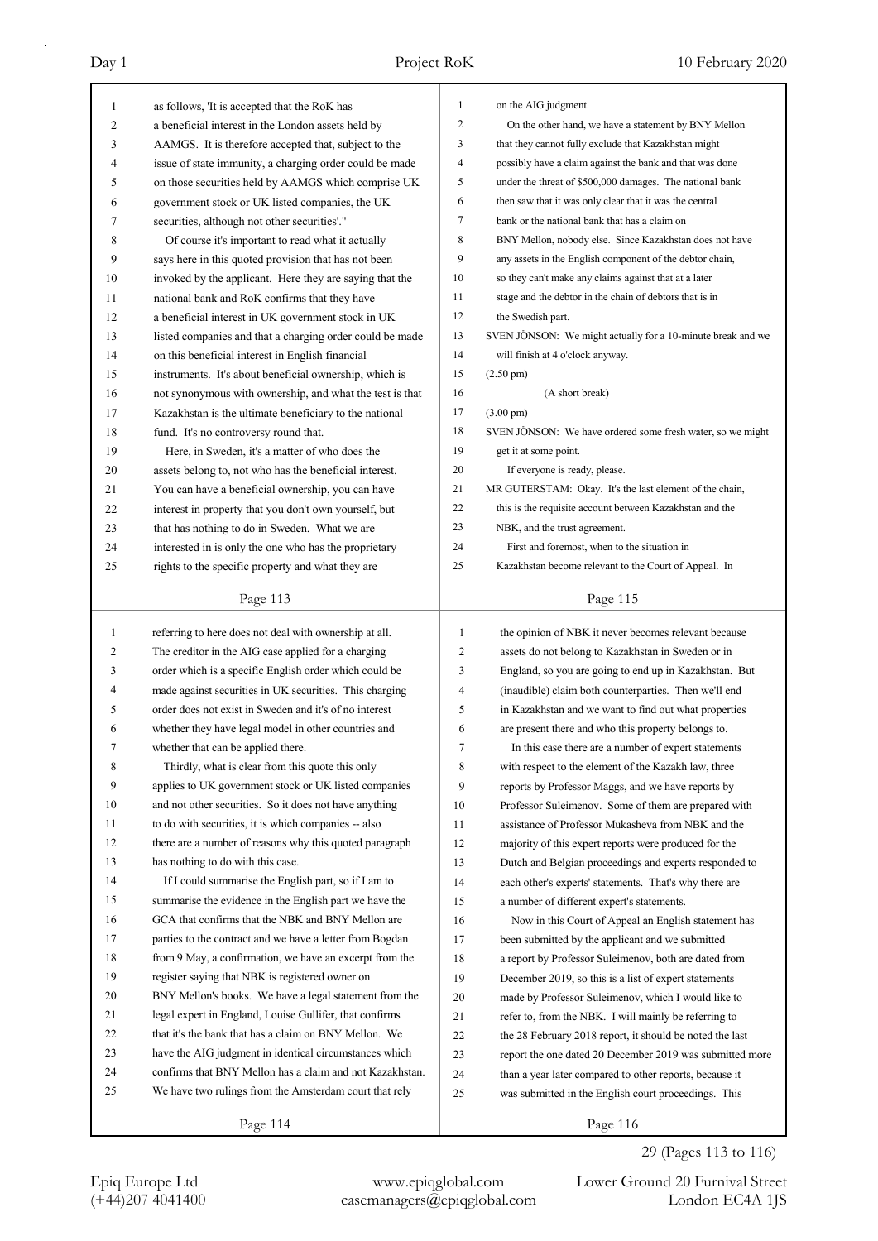| 1            | as follows, 'It is accepted that the RoK has             | 1              | on the AIG judgment.                                        |
|--------------|----------------------------------------------------------|----------------|-------------------------------------------------------------|
| 2            | a beneficial interest in the London assets held by       | $\overline{2}$ | On the other hand, we have a statement by BNY Mellon        |
| 3            | AAMGS. It is therefore accepted that, subject to the     | 3              | that they cannot fully exclude that Kazakhstan might        |
| 4            | issue of state immunity, a charging order could be made  | $\overline{4}$ | possibly have a claim against the bank and that was done    |
| 5            | on those securities held by AAMGS which comprise UK      | 5              | under the threat of \$500,000 damages. The national bank    |
| 6            | government stock or UK listed companies, the UK          | 6              | then saw that it was only clear that it was the central     |
| 7            | securities, although not other securities'."             | 7              | bank or the national bank that has a claim on               |
| 8            | Of course it's important to read what it actually        | 8              | BNY Mellon, nobody else. Since Kazakhstan does not have     |
| 9            | says here in this quoted provision that has not been     | 9              | any assets in the English component of the debtor chain,    |
| 10           | invoked by the applicant. Here they are saying that the  | 10             | so they can't make any claims against that at a later       |
| 11           | national bank and RoK confirms that they have            | 11             | stage and the debtor in the chain of debtors that is in     |
| 12           | a beneficial interest in UK government stock in UK       | 12             | the Swedish part.                                           |
| 13           | listed companies and that a charging order could be made | 13             | SVEN JÖNSON: We might actually for a 10-minute break and we |
| 14           | on this beneficial interest in English financial         | 14             | will finish at 4 o'clock anyway.                            |
| 15           | instruments. It's about beneficial ownership, which is   | 15             | $(2.50 \text{ pm})$                                         |
| 16           | not synonymous with ownership, and what the test is that | 16             | (A short break)                                             |
| 17           | Kazakhstan is the ultimate beneficiary to the national   | 17             | $(3.00 \text{ pm})$                                         |
| 18           | fund. It's no controversy round that.                    | 18             | SVEN JÖNSON: We have ordered some fresh water, so we might  |
| 19           | Here, in Sweden, it's a matter of who does the           | 19             | get it at some point.                                       |
| 20           | assets belong to, not who has the beneficial interest.   | 20             | If everyone is ready, please.                               |
| 21           | You can have a beneficial ownership, you can have        | 21             | MR GUTERSTAM: Okay. It's the last element of the chain,     |
| 22           | interest in property that you don't own yourself, but    | 22             | this is the requisite account between Kazakhstan and the    |
| 23           | that has nothing to do in Sweden. What we are            | 23             | NBK, and the trust agreement.                               |
| 24           | interested in is only the one who has the proprietary    | 24             | First and foremost, when to the situation in                |
| 25           | rights to the specific property and what they are        | 25             | Kazakhstan become relevant to the Court of Appeal. In       |
|              |                                                          |                |                                                             |
|              | Page 113                                                 |                | Page 115                                                    |
|              |                                                          |                |                                                             |
|              |                                                          |                |                                                             |
| $\mathbf{1}$ | referring to here does not deal with ownership at all.   | $\mathbf{1}$   | the opinion of NBK it never becomes relevant because        |
| 2            | The creditor in the AIG case applied for a charging      | 2              | assets do not belong to Kazakhstan in Sweden or in          |
| 3            | order which is a specific English order which could be   | 3              | England, so you are going to end up in Kazakhstan. But      |
| 4            | made against securities in UK securities. This charging  | 4              | (inaudible) claim both counterparties. Then we'll end       |
| 5            | order does not exist in Sweden and it's of no interest   | 5              | in Kazakhstan and we want to find out what properties       |
| 6            | whether they have legal model in other countries and     | 6              | are present there and who this property belongs to.         |
| 7            | whether that can be applied there.                       | 7              | In this case there are a number of expert statements        |
| 8            | Thirdly, what is clear from this quote this only         | 8              | with respect to the element of the Kazakh law, three        |
| 9            | applies to UK government stock or UK listed companies    | 9              | reports by Professor Maggs, and we have reports by          |
| 10           | and not other securities. So it does not have anything   | 10             | Professor Suleimenov. Some of them are prepared with        |
| 11           | to do with securities, it is which companies -- also     | 11             | assistance of Professor Mukasheva from NBK and the          |
| 12           | there are a number of reasons why this quoted paragraph  | 12             | majority of this expert reports were produced for the       |
| 13           | has nothing to do with this case.                        | 13             | Dutch and Belgian proceedings and experts responded to      |
| 14           | If I could summarise the English part, so if I am to     | 14             | each other's experts' statements. That's why there are      |
| 15           | summarise the evidence in the English part we have the   | 15             | a number of different expert's statements.                  |
| 16           | GCA that confirms that the NBK and BNY Mellon are        | 16             | Now in this Court of Appeal an English statement has        |
| 17           | parties to the contract and we have a letter from Bogdan | 17             | been submitted by the applicant and we submitted            |
| 18           | from 9 May, a confirmation, we have an excerpt from the  | 18             | a report by Professor Suleimenov, both are dated from       |
| 19           | register saying that NBK is registered owner on          | 19             | December 2019, so this is a list of expert statements       |
| 20           | BNY Mellon's books. We have a legal statement from the   | 20             | made by Professor Suleimenov, which I would like to         |
| 21           | legal expert in England, Louise Gullifer, that confirms  | 21             | refer to, from the NBK. I will mainly be referring to       |
| 22           | that it's the bank that has a claim on BNY Mellon. We    | 22             | the 28 February 2018 report, it should be noted the last    |
| 23           | have the AIG judgment in identical circumstances which   | 23             | report the one dated 20 December 2019 was submitted more    |
| 24           | confirms that BNY Mellon has a claim and not Kazakhstan. | 24             | than a year later compared to other reports, because it     |
| 25           | We have two rulings from the Amsterdam court that rely   | 25             | was submitted in the English court proceedings. This        |

Page 114

Epiq Europe Ltd www.epiqglobal.com Lower Ground 20 Furnival Street<br>
(+44)207 4041400 casemanagers@epiqglobal.com London EC4A 1JS

Lower Ground 20 Furnival Street

29 (Pages 113 to 116)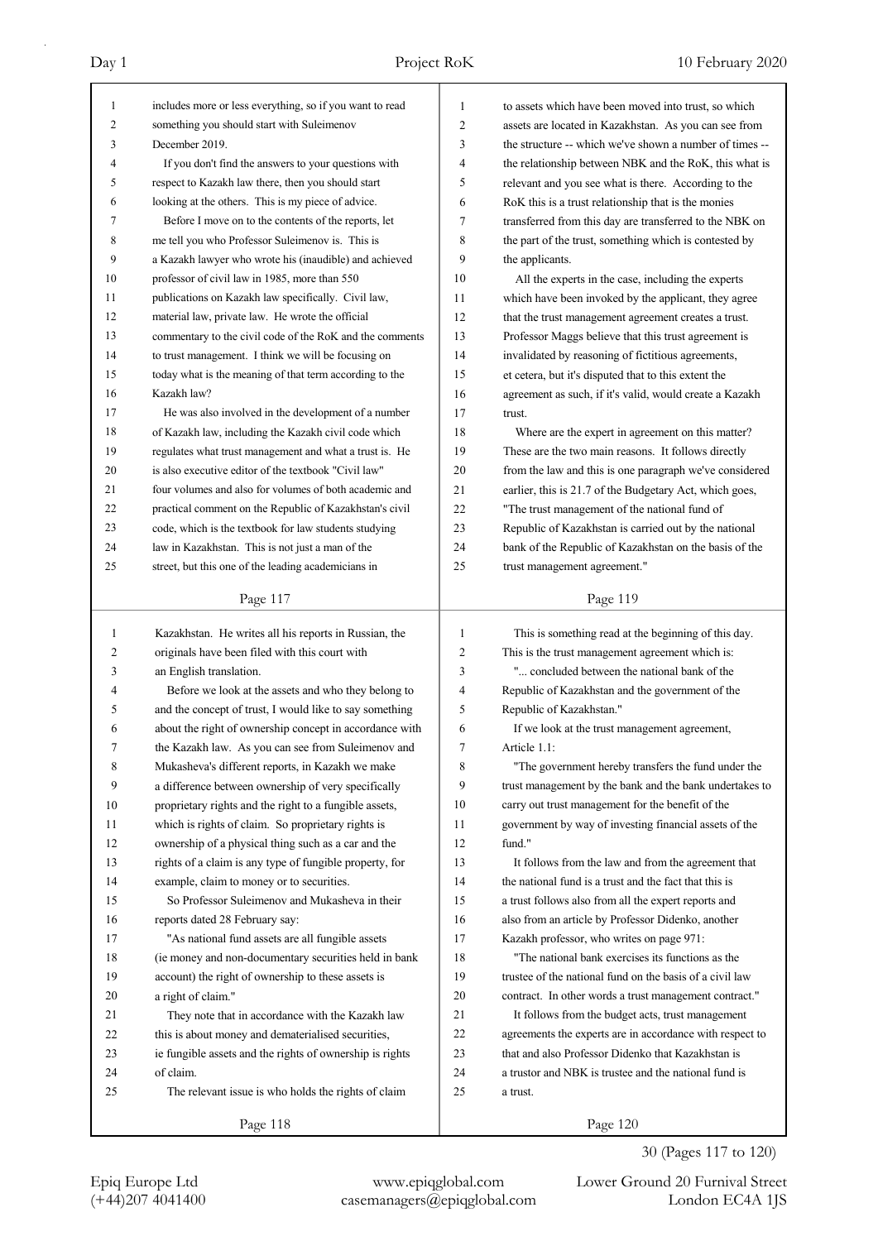| 1      | includes more or less everything, so if you want to read | 1            | to assets which have been moved into trust, so which     |
|--------|----------------------------------------------------------|--------------|----------------------------------------------------------|
| 2      | something you should start with Suleimenov               | 2            | assets are located in Kazakhstan. As you can see from    |
| 3      | December 2019.                                           | 3            | the structure -- which we've shown a number of times --  |
| 4      | If you don't find the answers to your questions with     | 4            | the relationship between NBK and the RoK, this what is   |
| 5      | respect to Kazakh law there, then you should start       | 5            | relevant and you see what is there. According to the     |
| 6      | looking at the others. This is my piece of advice.       | 6            | RoK this is a trust relationship that is the monies      |
| 7      | Before I move on to the contents of the reports, let     | 7            | transferred from this day are transferred to the NBK on  |
| 8      | me tell you who Professor Suleimenov is. This is         | 8            | the part of the trust, something which is contested by   |
| 9      | a Kazakh lawyer who wrote his (inaudible) and achieved   | 9            | the applicants.                                          |
| 10     | professor of civil law in 1985, more than 550            | 10           | All the experts in the case, including the experts       |
| 11     | publications on Kazakh law specifically. Civil law,      | 11           | which have been invoked by the applicant, they agree     |
| 12     | material law, private law. He wrote the official         | 12           | that the trust management agreement creates a trust.     |
| 13     | commentary to the civil code of the RoK and the comments | 13           | Professor Maggs believe that this trust agreement is     |
| 14     | to trust management. I think we will be focusing on      | 14           | invalidated by reasoning of fictitious agreements,       |
| 15     | today what is the meaning of that term according to the  | 15           | et cetera, but it's disputed that to this extent the     |
| 16     | Kazakh law?                                              | 16           | agreement as such, if it's valid, would create a Kazakh  |
| 17     | He was also involved in the development of a number      | 17           | trust.                                                   |
| 18     | of Kazakh law, including the Kazakh civil code which     | 18           | Where are the expert in agreement on this matter?        |
| 19     | regulates what trust management and what a trust is. He  | 19           | These are the two main reasons. It follows directly      |
| 20     | is also executive editor of the textbook "Civil law"     | 20           | from the law and this is one paragraph we've considered  |
| 21     | four volumes and also for volumes of both academic and   | 21           | earlier, this is 21.7 of the Budgetary Act, which goes,  |
| 22     | practical comment on the Republic of Kazakhstan's civil  | 22           | "The trust management of the national fund of            |
| 23     | code, which is the textbook for law students studying    | 23           | Republic of Kazakhstan is carried out by the national    |
| 24     | law in Kazakhstan. This is not just a man of the         | 24           | bank of the Republic of Kazakhstan on the basis of the   |
| 25     | street, but this one of the leading academicians in      | 25           | trust management agreement."                             |
|        |                                                          |              |                                                          |
|        | Page 117                                                 |              | Page 119                                                 |
|        |                                                          |              |                                                          |
| 1      |                                                          | $\mathbf{1}$ |                                                          |
|        | Kazakhstan. He writes all his reports in Russian, the    |              | This is something read at the beginning of this day.     |
| 2<br>3 | originals have been filed with this court with           | 2<br>3       | This is the trust management agreement which is:         |
| 4      | an English translation.                                  | 4            | " concluded between the national bank of the             |
|        | Before we look at the assets and who they belong to      | 5            | Republic of Kazakhstan and the government of the         |
| 5      | and the concept of trust, I would like to say something  |              | Republic of Kazakhstan."                                 |
| 6      | about the right of ownership concept in accordance with  | 6            | If we look at the trust management agreement,            |
| 7      | the Kazakh law. As you can see from Suleimenov and       | 7            | Article 1.1:                                             |
| 8      | Mukasheva's different reports, in Kazakh we make         | 8            | "The government hereby transfers the fund under the      |
| 9      | a difference between ownership of very specifically      | 9            | trust management by the bank and the bank undertakes to  |
| 10     | proprietary rights and the right to a fungible assets,   | 10           | carry out trust management for the benefit of the        |
| 11     | which is rights of claim. So proprietary rights is       | 11           | government by way of investing financial assets of the   |
| 12     | ownership of a physical thing such as a car and the      | 12           | fund."                                                   |
| 13     | rights of a claim is any type of fungible property, for  | 13           | It follows from the law and from the agreement that      |
| 14     | example, claim to money or to securities.                | 14           | the national fund is a trust and the fact that this is   |
| 15     | So Professor Suleimenov and Mukasheva in their           | 15           | a trust follows also from all the expert reports and     |
| 16     | reports dated 28 February say:                           | 16           | also from an article by Professor Didenko, another       |
| 17     | "As national fund assets are all fungible assets         | 17           | Kazakh professor, who writes on page 971:                |
| 18     | (ie money and non-documentary securities held in bank    | 18           | "The national bank exercises its functions as the        |
| 19     | account) the right of ownership to these assets is       | 19           | trustee of the national fund on the basis of a civil law |
| 20     | a right of claim."                                       | 20           | contract. In other words a trust management contract."   |
| 21     | They note that in accordance with the Kazakh law         | 21           | It follows from the budget acts, trust management        |
| 22     | this is about money and dematerialised securities,       | 22           | agreements the experts are in accordance with respect to |
| 23     | ie fungible assets and the rights of ownership is rights | 23           | that and also Professor Didenko that Kazakhstan is       |
| 24     | of claim.                                                | 24           | a trustor and NBK is trustee and the national fund is    |
| 25     | The relevant issue is who holds the rights of claim      | 25           | a trust.                                                 |

30 (Pages 117 to 120)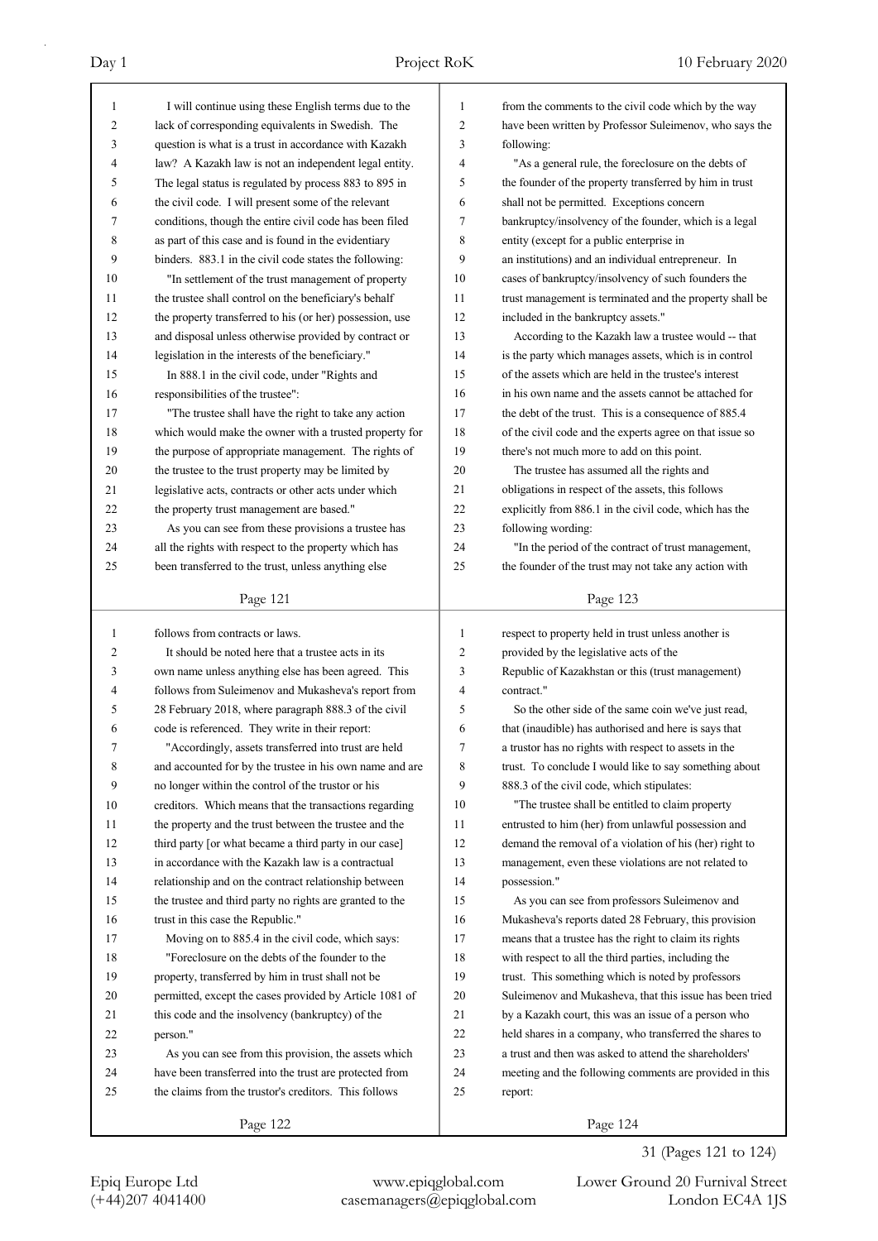| $\mathbf{1}$ | I will continue using these English terms due to the     | 1            | from the comments to the civil code which by the way     |
|--------------|----------------------------------------------------------|--------------|----------------------------------------------------------|
| 2            | lack of corresponding equivalents in Swedish. The        | 2            | have been written by Professor Suleimenov, who says the  |
| 3            | question is what is a trust in accordance with Kazakh    | 3            | following:                                               |
| 4            | law? A Kazakh law is not an independent legal entity.    | 4            | "As a general rule, the foreclosure on the debts of      |
| 5            | The legal status is regulated by process 883 to 895 in   | 5            | the founder of the property transferred by him in trust  |
| 6            | the civil code. I will present some of the relevant      | 6            | shall not be permitted. Exceptions concern               |
| 7            | conditions, though the entire civil code has been filed  | 7            | bankruptcy/insolvency of the founder, which is a legal   |
| 8            | as part of this case and is found in the evidentiary     | 8            | entity (except for a public enterprise in                |
| 9            | binders. 883.1 in the civil code states the following:   | 9            | an institutions) and an individual entrepreneur. In      |
| 10           | "In settlement of the trust management of property       | 10           | cases of bankruptcy/insolvency of such founders the      |
| 11           | the trustee shall control on the beneficiary's behalf    | 11           | trust management is terminated and the property shall be |
| 12           | the property transferred to his (or her) possession, use | 12           | included in the bankruptcy assets."                      |
| 13           | and disposal unless otherwise provided by contract or    | 13           | According to the Kazakh law a trustee would -- that      |
| 14           | legislation in the interests of the beneficiary."        | 14           | is the party which manages assets, which is in control   |
| 15           | In 888.1 in the civil code, under "Rights and            | 15           | of the assets which are held in the trustee's interest   |
| 16           | responsibilities of the trustee":                        | 16           | in his own name and the assets cannot be attached for    |
| 17           | "The trustee shall have the right to take any action     | 17           | the debt of the trust. This is a consequence of 885.4    |
| 18           | which would make the owner with a trusted property for   | 18           | of the civil code and the experts agree on that issue so |
| 19           | the purpose of appropriate management. The rights of     | 19           | there's not much more to add on this point.              |
| 20           | the trustee to the trust property may be limited by      | 20           | The trustee has assumed all the rights and               |
| 21           | legislative acts, contracts or other acts under which    | 21           | obligations in respect of the assets, this follows       |
| 22           | the property trust management are based."                | 22           | explicitly from 886.1 in the civil code, which has the   |
| 23           | As you can see from these provisions a trustee has       | 23           | following wording:                                       |
| 24           | all the rights with respect to the property which has    | 24           | "In the period of the contract of trust management,      |
| 25           | been transferred to the trust, unless anything else      | 25           | the founder of the trust may not take any action with    |
|              |                                                          |              |                                                          |
|              | Page 121                                                 |              | Page 123                                                 |
|              |                                                          |              |                                                          |
|              |                                                          |              |                                                          |
| $\mathbf{1}$ | follows from contracts or laws.                          | $\mathbf{1}$ | respect to property held in trust unless another is      |
| 2            | It should be noted here that a trustee acts in its       | 2            | provided by the legislative acts of the                  |
| 3            | own name unless anything else has been agreed. This      | 3            | Republic of Kazakhstan or this (trust management)        |
| 4            | follows from Suleimenov and Mukasheva's report from      | 4            | contract."                                               |
| 5            | 28 February 2018, where paragraph 888.3 of the civil     | 5            | So the other side of the same coin we've just read,      |
| 6            | code is referenced. They write in their report:          | 6            | that (inaudible) has authorised and here is says that    |
| 7            | "Accordingly, assets transferred into trust are held     | 7            | a trustor has no rights with respect to assets in the    |
| 8            | and accounted for by the trustee in his own name and are | 8            | trust. To conclude I would like to say something about   |
| 9            | no longer within the control of the trustor or his       | 9            | 888.3 of the civil code, which stipulates:               |
| 10           | creditors. Which means that the transactions regarding   | 10           | "The trustee shall be entitled to claim property         |
| 11           | the property and the trust between the trustee and the   | 11           | entrusted to him (her) from unlawful possession and      |
| 12           | third party [or what became a third party in our case]   | 12           | demand the removal of a violation of his (her) right to  |
| 13           | in accordance with the Kazakh law is a contractual       | 13           | management, even these violations are not related to     |
| 14           | relationship and on the contract relationship between    | 14           | possession."                                             |
| 15           | the trustee and third party no rights are granted to the | 15           | As you can see from professors Suleimenov and            |
| 16           | trust in this case the Republic."                        | 16           | Mukasheva's reports dated 28 February, this provision    |
| 17           | Moving on to 885.4 in the civil code, which says:        | 17           | means that a trustee has the right to claim its rights   |
| 18           | "Foreclosure on the debts of the founder to the          | 18           | with respect to all the third parties, including the     |
| 19           | property, transferred by him in trust shall not be       | 19           | trust. This something which is noted by professors       |
| 20           | permitted, except the cases provided by Article 1081 of  | 20           | Suleimenov and Mukasheva, that this issue has been tried |
| 21           | this code and the insolvency (bankruptcy) of the         | 21           | by a Kazakh court, this was an issue of a person who     |
| 22           | person."                                                 | 22           | held shares in a company, who transferred the shares to  |
| 23           | As you can see from this provision, the assets which     | 23           | a trust and then was asked to attend the shareholders'   |
| 24           | have been transferred into the trust are protected from  | 24           | meeting and the following comments are provided in this  |
| 25           | the claims from the trustor's creditors. This follows    | 25           | report:                                                  |

31 (Pages 121 to 124)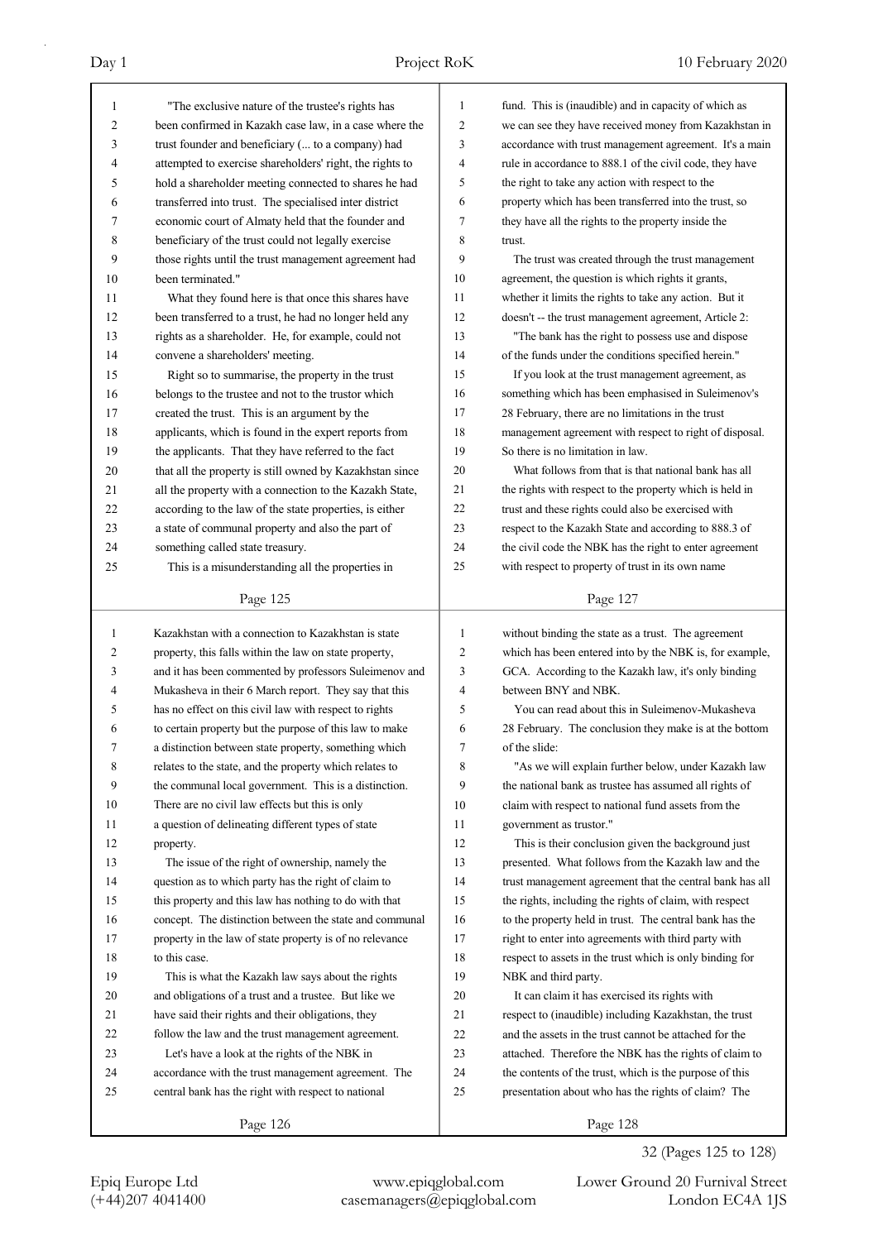| 1              | "The exclusive nature of the trustee's rights has        | 1            | fund. This is (inaudible) and in capacity of which as                       |
|----------------|----------------------------------------------------------|--------------|-----------------------------------------------------------------------------|
| 2              | been confirmed in Kazakh case law, in a case where the   | 2            | we can see they have received money from Kazakhstan in                      |
| 3              | trust founder and beneficiary ( to a company) had        | 3            | accordance with trust management agreement. It's a main                     |
| 4              | attempted to exercise shareholders' right, the rights to | 4            | rule in accordance to 888.1 of the civil code, they have                    |
| 5              | hold a shareholder meeting connected to shares he had    | 5            | the right to take any action with respect to the                            |
| 6              | transferred into trust. The specialised inter district   | 6            | property which has been transferred into the trust, so                      |
| 7              | economic court of Almaty held that the founder and       | 7            | they have all the rights to the property inside the                         |
| 8              | beneficiary of the trust could not legally exercise      | 8            | trust.                                                                      |
| 9              | those rights until the trust management agreement had    | 9            | The trust was created through the trust management                          |
| 10             | been terminated."                                        | 10           | agreement, the question is which rights it grants,                          |
| 11             | What they found here is that once this shares have       | 11           | whether it limits the rights to take any action. But it                     |
| 12             | been transferred to a trust, he had no longer held any   | 12           | doesn't -- the trust management agreement, Article 2:                       |
| 13             | rights as a shareholder. He, for example, could not      | 13           | "The bank has the right to possess use and dispose                          |
| 14             | convene a shareholders' meeting.                         | 14           | of the funds under the conditions specified herein."                        |
| 15             | Right so to summarise, the property in the trust         | 15           | If you look at the trust management agreement, as                           |
| 16             | belongs to the trustee and not to the trustor which      | 16           | something which has been emphasised in Suleimenov's                         |
| 17             | created the trust. This is an argument by the            | 17           | 28 February, there are no limitations in the trust                          |
| 18             | applicants, which is found in the expert reports from    | 18           | management agreement with respect to right of disposal.                     |
| 19             | the applicants. That they have referred to the fact      | 19           | So there is no limitation in law.                                           |
| 20             | that all the property is still owned by Kazakhstan since | 20           | What follows from that is that national bank has all                        |
| 21             | all the property with a connection to the Kazakh State,  | 21           | the rights with respect to the property which is held in                    |
| 22             | according to the law of the state properties, is either  | 22           | trust and these rights could also be exercised with                         |
| 23             | a state of communal property and also the part of        | 23           | respect to the Kazakh State and according to 888.3 of                       |
| 24             | something called state treasury.                         | 24           | the civil code the NBK has the right to enter agreement                     |
| 25             | This is a misunderstanding all the properties in         | 25           | with respect to property of trust in its own name                           |
|                |                                                          |              |                                                                             |
|                | Page 125                                                 |              | Page 127                                                                    |
|                |                                                          |              |                                                                             |
| 1              | Kazakhstan with a connection to Kazakhstan is state      | $\mathbf{1}$ |                                                                             |
|                |                                                          |              | without binding the state as a trust. The agreement                         |
| 2              | property, this falls within the law on state property,   | 2<br>3       | which has been entered into by the NBK is, for example,                     |
| 3<br>4         | and it has been commented by professors Suleimenov and   | 4            | GCA. According to the Kazakh law, it's only binding<br>between BNY and NBK. |
| 5              | Mukasheva in their 6 March report. They say that this    | 5            | You can read about this in Suleimenov-Mukasheva                             |
| 6              | has no effect on this civil law with respect to rights   | 6            |                                                                             |
|                | to certain property but the purpose of this law to make  |              | 28 February. The conclusion they make is at the bottom                      |
| 7              | a distinction between state property, something which    | 7            | of the slide:                                                               |
| 8              | relates to the state, and the property which relates to  | 8            | "As we will explain further below, under Kazakh law                         |
| $\overline{9}$ | the communal local government. This is a distinction.    | 9            | the national bank as trustee has assumed all rights of                      |
| 10             | There are no civil law effects but this is only          | 10           | claim with respect to national fund assets from the                         |
| 11             | a question of delineating different types of state       | 11           | government as trustor."                                                     |
| 12             | property.                                                | 12           | This is their conclusion given the background just                          |
| 13             | The issue of the right of ownership, namely the          | 13           | presented. What follows from the Kazakh law and the                         |
| 14             | question as to which party has the right of claim to     | 14           | trust management agreement that the central bank has all                    |
| 15             | this property and this law has nothing to do with that   | 15           | the rights, including the rights of claim, with respect                     |
| 16             | concept. The distinction between the state and communal  | 16           | to the property held in trust. The central bank has the                     |
| 17             | property in the law of state property is of no relevance | 17           | right to enter into agreements with third party with                        |
| 18             | to this case.                                            | 18           | respect to assets in the trust which is only binding for                    |
| 19             | This is what the Kazakh law says about the rights        | 19           | NBK and third party.                                                        |
| 20             | and obligations of a trust and a trustee. But like we    | 20           | It can claim it has exercised its rights with                               |
| 21             | have said their rights and their obligations, they       | 21           | respect to (inaudible) including Kazakhstan, the trust                      |
| 22             | follow the law and the trust management agreement.       | 22           | and the assets in the trust cannot be attached for the                      |
| 23             | Let's have a look at the rights of the NBK in            | 23           | attached. Therefore the NBK has the rights of claim to                      |
| 24             | accordance with the trust management agreement. The      | 24           | the contents of the trust, which is the purpose of this                     |
| 25             | central bank has the right with respect to national      | 25           | presentation about who has the rights of claim? The                         |

# 32 (Pages 125 to 128)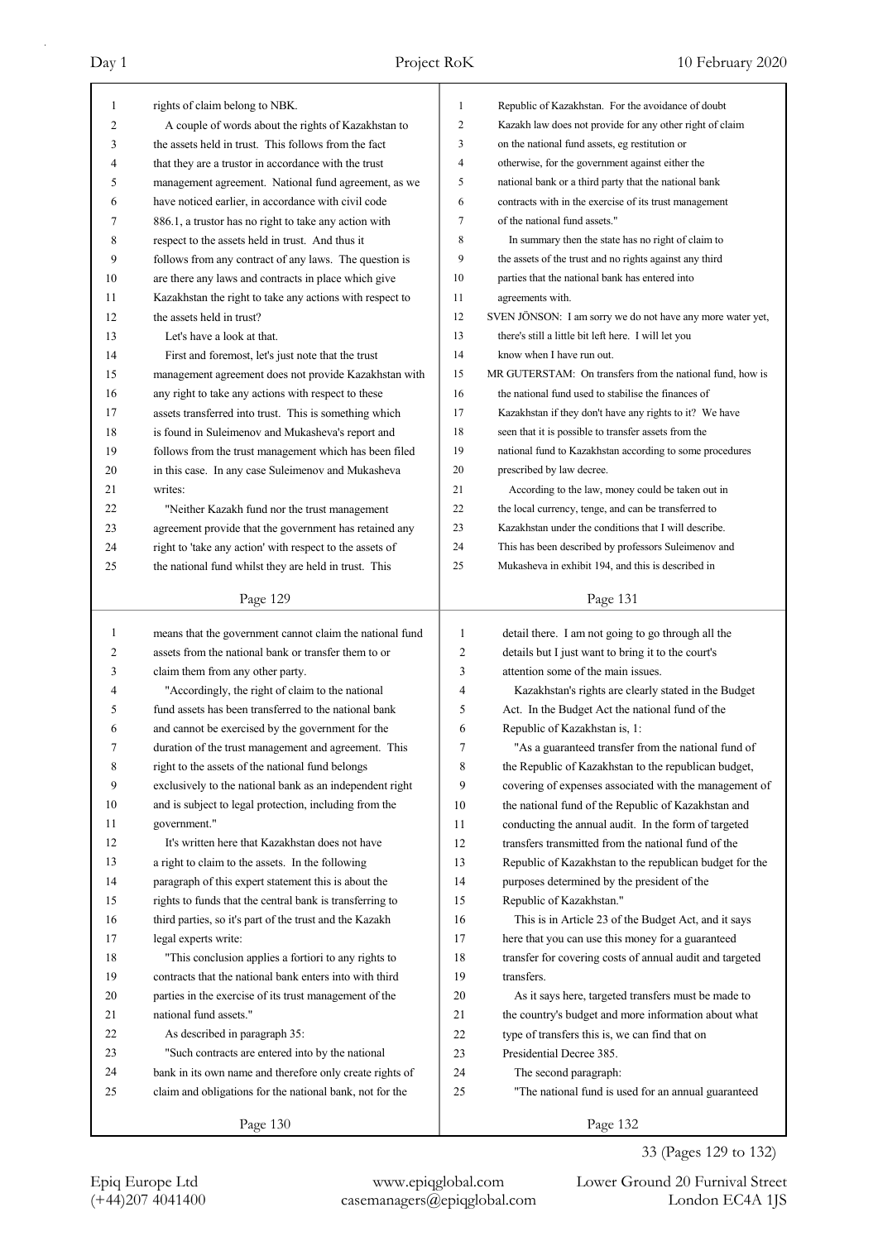| $\mathbf{1}$ | rights of claim belong to NBK.                           | 1              | Republic of Kazakhstan. For the avoidance of doubt         |
|--------------|----------------------------------------------------------|----------------|------------------------------------------------------------|
| 2            | A couple of words about the rights of Kazakhstan to      | $\overline{2}$ | Kazakh law does not provide for any other right of claim   |
| 3            | the assets held in trust. This follows from the fact     | 3              | on the national fund assets, eg restitution or             |
| 4            | that they are a trustor in accordance with the trust     | $\overline{4}$ | otherwise, for the government against either the           |
| 5            | management agreement. National fund agreement, as we     | 5              | national bank or a third party that the national bank      |
| 6            | have noticed earlier, in accordance with civil code      | 6              | contracts with in the exercise of its trust management     |
| 7            | 886.1, a trustor has no right to take any action with    | 7              | of the national fund assets."                              |
| 8            | respect to the assets held in trust. And thus it         | 8              | In summary then the state has no right of claim to         |
| 9            | follows from any contract of any laws. The question is   | 9              | the assets of the trust and no rights against any third    |
| 10           | are there any laws and contracts in place which give     | 10             | parties that the national bank has entered into            |
| 11           | Kazakhstan the right to take any actions with respect to | 11             | agreements with.                                           |
| 12           | the assets held in trust?                                | 12             | SVEN JÖNSON: I am sorry we do not have any more water yet, |
| 13           | Let's have a look at that.                               | 13             | there's still a little bit left here. I will let you       |
| 14           | First and foremost, let's just note that the trust       | 14             | know when I have run out.                                  |
| 15           | management agreement does not provide Kazakhstan with    | 15             | MR GUTERSTAM: On transfers from the national fund, how is  |
| 16           | any right to take any actions with respect to these      | 16             | the national fund used to stabilise the finances of        |
| 17           | assets transferred into trust. This is something which   | 17             | Kazakhstan if they don't have any rights to it? We have    |
| 18           | is found in Suleimenov and Mukasheva's report and        | 18             | seen that it is possible to transfer assets from the       |
| 19           | follows from the trust management which has been filed   | 19             | national fund to Kazakhstan according to some procedures   |
| 20           | in this case. In any case Suleimenov and Mukasheva       | 20             | prescribed by law decree.                                  |
| 21           | writes:                                                  | 21             | According to the law, money could be taken out in          |
| 22           | "Neither Kazakh fund nor the trust management            | 22             | the local currency, tenge, and can be transferred to       |
| 23           | agreement provide that the government has retained any   | 23             | Kazakhstan under the conditions that I will describe.      |
| 24           | right to 'take any action' with respect to the assets of | 24             | This has been described by professors Suleimenov and       |
| 25           | the national fund whilst they are held in trust. This    | 25             | Mukasheva in exhibit 194, and this is described in         |
|              |                                                          |                |                                                            |
|              | Page 129                                                 |                | Page 131                                                   |
|              |                                                          |                |                                                            |
|              |                                                          |                |                                                            |
| $\mathbf{1}$ | means that the government cannot claim the national fund | 1              | detail there. I am not going to go through all the         |
| 2            | assets from the national bank or transfer them to or     | 2              | details but I just want to bring it to the court's         |
| 3            | claim them from any other party.                         | 3              | attention some of the main issues.                         |
| 4            | "Accordingly, the right of claim to the national         | 4              | Kazakhstan's rights are clearly stated in the Budget       |
| 5            | fund assets has been transferred to the national bank    | 5              | Act. In the Budget Act the national fund of the            |
| 6            | and cannot be exercised by the government for the        | 6              | Republic of Kazakhstan is, 1:                              |
| 7            | duration of the trust management and agreement. This     | 7              | "As a guaranteed transfer from the national fund of        |
| 8            | right to the assets of the national fund belongs         | 8              | the Republic of Kazakhstan to the republican budget,       |
| 9            | exclusively to the national bank as an independent right | 9              | covering of expenses associated with the management of     |
| 10           | and is subject to legal protection, including from the   | 10             | the national fund of the Republic of Kazakhstan and        |
| 11           | government."                                             | 11             | conducting the annual audit. In the form of targeted       |
| 12           | It's written here that Kazakhstan does not have          | 12             | transfers transmitted from the national fund of the        |
| 13           | a right to claim to the assets. In the following         | 13             | Republic of Kazakhstan to the republican budget for the    |
| 14           | paragraph of this expert statement this is about the     | 14             | purposes determined by the president of the                |
| 15           | rights to funds that the central bank is transferring to | 15             | Republic of Kazakhstan."                                   |
| 16           | third parties, so it's part of the trust and the Kazakh  | 16             | This is in Article 23 of the Budget Act, and it says       |
| 17           | legal experts write:                                     | 17             | here that you can use this money for a guaranteed          |
| 18           | "This conclusion applies a fortiori to any rights to     | 18             | transfer for covering costs of annual audit and targeted   |
| 19           | contracts that the national bank enters into with third  | 19             | transfers.                                                 |
| 20           | parties in the exercise of its trust management of the   | 20             | As it says here, targeted transfers must be made to        |
| 21           | national fund assets."                                   | 21             | the country's budget and more information about what       |
| 22           | As described in paragraph 35:                            | 22             | type of transfers this is, we can find that on             |
| 23           | "Such contracts are entered into by the national         | 23             | Presidential Decree 385.                                   |
| 24           | bank in its own name and therefore only create rights of | 24             | The second paragraph:                                      |
| 25           | claim and obligations for the national bank, not for the | 25             | "The national fund is used for an annual guaranteed        |
|              | Page 130                                                 |                | Page 132                                                   |

33 (Pages 129 to 132)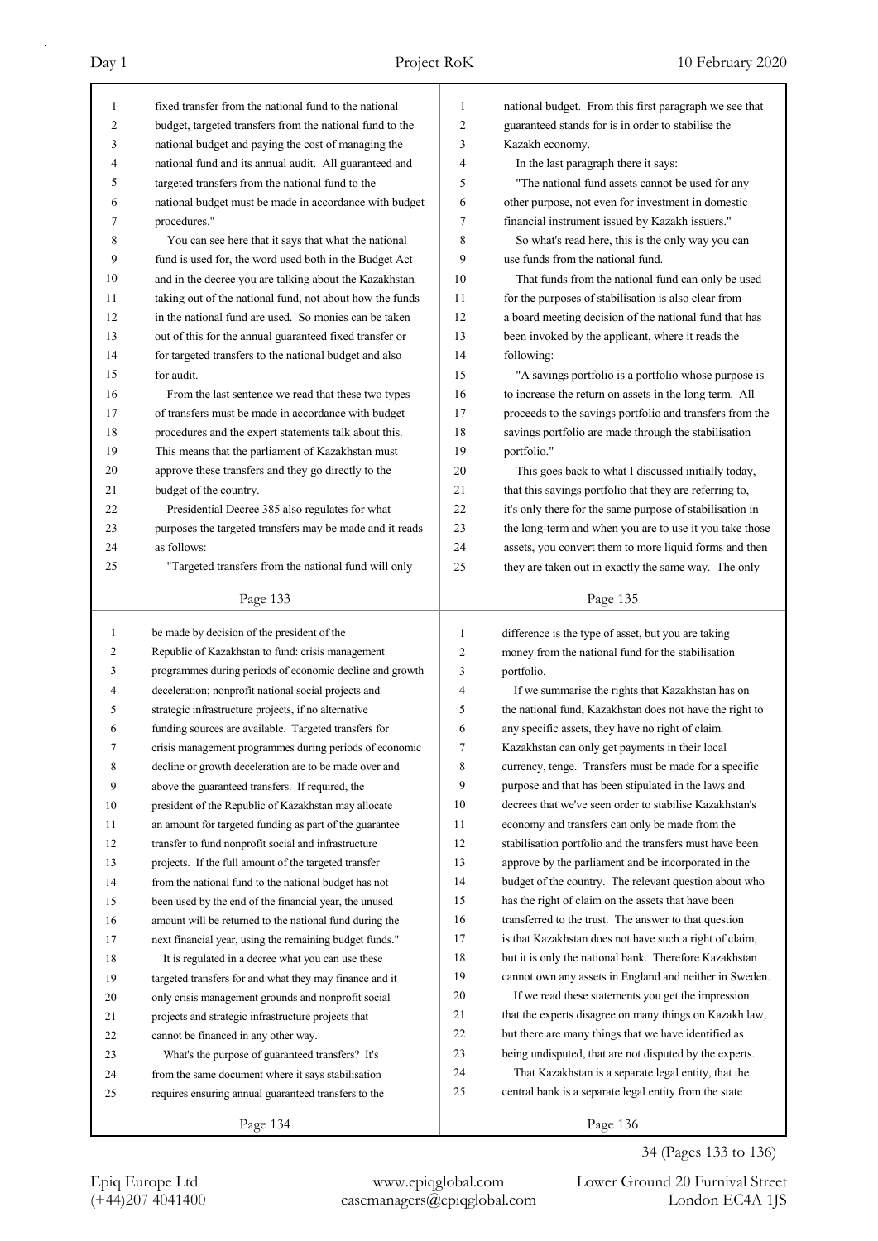| $\mathbf{1}$ | fixed transfer from the national fund to the national    | 1            | national budget. From this first paragraph we see that   |
|--------------|----------------------------------------------------------|--------------|----------------------------------------------------------|
| 2            | budget, targeted transfers from the national fund to the | 2            | guaranteed stands for is in order to stabilise the       |
| 3            | national budget and paying the cost of managing the      | 3            | Kazakh economy.                                          |
| 4            | national fund and its annual audit. All guaranteed and   | 4            | In the last paragraph there it says:                     |
| 5            | targeted transfers from the national fund to the         | 5            | "The national fund assets cannot be used for any         |
| 6            | national budget must be made in accordance with budget   | 6            | other purpose, not even for investment in domestic       |
| 7            | procedures."                                             | 7            | financial instrument issued by Kazakh issuers."          |
| 8            | You can see here that it says that what the national     | 8            | So what's read here, this is the only way you can        |
| 9            | fund is used for, the word used both in the Budget Act   | 9            | use funds from the national fund.                        |
| 10           | and in the decree you are talking about the Kazakhstan   | 10           | That funds from the national fund can only be used       |
| 11           | taking out of the national fund, not about how the funds | 11           | for the purposes of stabilisation is also clear from     |
| 12           | in the national fund are used. So monies can be taken    | 12           | a board meeting decision of the national fund that has   |
| 13           | out of this for the annual guaranteed fixed transfer or  | 13           | been invoked by the applicant, where it reads the        |
| 14           | for targeted transfers to the national budget and also   | 14           | following:                                               |
| 15           | for audit.                                               | 15           | "A savings portfolio is a portfolio whose purpose is     |
| 16           | From the last sentence we read that these two types      | 16           | to increase the return on assets in the long term. All   |
| 17           | of transfers must be made in accordance with budget      | 17           | proceeds to the savings portfolio and transfers from the |
| 18           | procedures and the expert statements talk about this.    | 18           | savings portfolio are made through the stabilisation     |
| 19           | This means that the parliament of Kazakhstan must        | 19           | portfolio."                                              |
| 20           |                                                          |              |                                                          |
|              | approve these transfers and they go directly to the      | 20           | This goes back to what I discussed initially today,      |
| 21           | budget of the country.                                   | 21           | that this savings portfolio that they are referring to,  |
| 22           | Presidential Decree 385 also regulates for what          | 22           | it's only there for the same purpose of stabilisation in |
| 23           | purposes the targeted transfers may be made and it reads | 23           | the long-term and when you are to use it you take those  |
| 24           | as follows:                                              | 24           | assets, you convert them to more liquid forms and then   |
| 25           | "Targeted transfers from the national fund will only     | 25           | they are taken out in exactly the same way. The only     |
|              | Page 133                                                 |              | Page 135                                                 |
|              |                                                          |              |                                                          |
|              |                                                          |              |                                                          |
| $\mathbf{1}$ | be made by decision of the president of the              | $\mathbf{1}$ | difference is the type of asset, but you are taking      |
| 2            | Republic of Kazakhstan to fund: crisis management        | 2            | money from the national fund for the stabilisation       |
| 3            | programmes during periods of economic decline and growth | 3            | portfolio.                                               |
| 4            | deceleration; nonprofit national social projects and     | 4            | If we summarise the rights that Kazakhstan has on        |
| 5            | strategic infrastructure projects, if no alternative     | 5            | the national fund, Kazakhstan does not have the right to |
| 6            | funding sources are available. Targeted transfers for    | 6            | any specific assets, they have no right of claim.        |
| 7            | crisis management programmes during periods of economic  | 7            | Kazakhstan can only get payments in their local          |
| 8            | decline or growth deceleration are to be made over and   | 8            | currency, tenge. Transfers must be made for a specific   |
| 9            | above the guaranteed transfers. If required, the         | 9            | purpose and that has been stipulated in the laws and     |
| 10           | president of the Republic of Kazakhstan may allocate     | 10           | decrees that we've seen order to stabilise Kazakhstan's  |
| 11           | an amount for targeted funding as part of the guarantee  | 11           | economy and transfers can only be made from the          |
| 12           | transfer to fund nonprofit social and infrastructure     | 12           | stabilisation portfolio and the transfers must have been |
| 13           | projects. If the full amount of the targeted transfer    | 13           | approve by the parliament and be incorporated in the     |
| 14           | from the national fund to the national budget has not    | 14           | budget of the country. The relevant question about who   |
| 15           | been used by the end of the financial year, the unused   | 15           | has the right of claim on the assets that have been      |
| 16           | amount will be returned to the national fund during the  | 16           | transferred to the trust. The answer to that question    |
| 17           | next financial year, using the remaining budget funds."  | 17           | is that Kazakhstan does not have such a right of claim,  |
| 18           | It is regulated in a decree what you can use these       | 18           | but it is only the national bank. Therefore Kazakhstan   |
| 19           | targeted transfers for and what they may finance and it  | 19           | cannot own any assets in England and neither in Sweden.  |
| 20           | only crisis management grounds and nonprofit social      | 20           | If we read these statements you get the impression       |
| 21           | projects and strategic infrastructure projects that      | 21           | that the experts disagree on many things on Kazakh law,  |
| 22           | cannot be financed in any other way.                     | 22           | but there are many things that we have identified as     |
| 23           | What's the purpose of guaranteed transfers? It's         | 23           | being undisputed, that are not disputed by the experts.  |
| 24           | from the same document where it says stabilisation       | 24           | That Kazakhstan is a separate legal entity, that the     |
| 25           | requires ensuring annual guaranteed transfers to the     | 25           | central bank is a separate legal entity from the state   |

34 (Pages 133 to 136)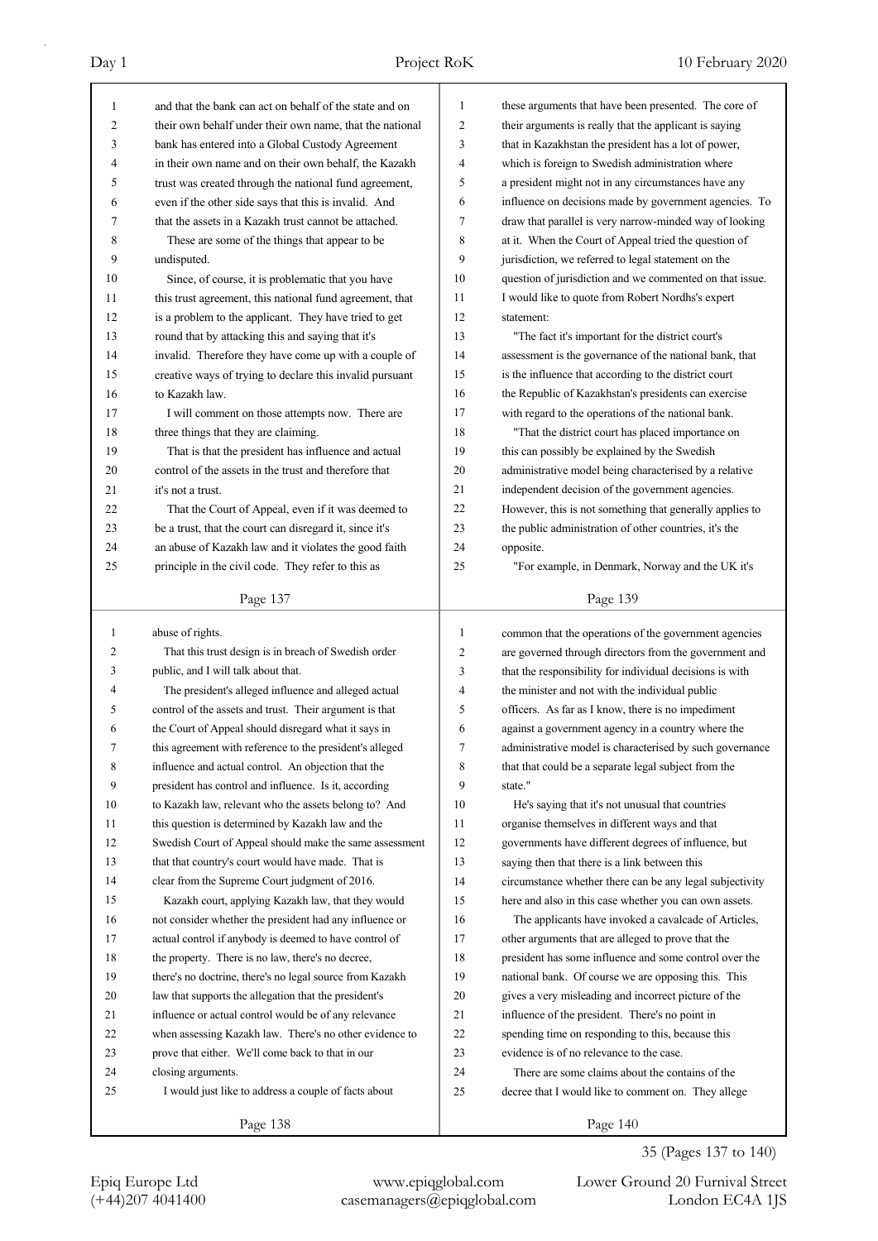| 1              | and that the bank can act on behalf of the state and on  | 1              | these arguments that have been presented. The core of    |
|----------------|----------------------------------------------------------|----------------|----------------------------------------------------------|
| $\overline{2}$ | their own behalf under their own name, that the national | 2              | their arguments is really that the applicant is saying   |
| 3              | bank has entered into a Global Custody Agreement         | 3              | that in Kazakhstan the president has a lot of power,     |
| 4              | in their own name and on their own behalf, the Kazakh    | 4              | which is foreign to Swedish administration where         |
| 5              | trust was created through the national fund agreement,   | 5              | a president might not in any circumstances have any      |
| 6              | even if the other side says that this is invalid. And    | 6              | influence on decisions made by government agencies. To   |
| 7              | that the assets in a Kazakh trust cannot be attached.    | 7              | draw that parallel is very narrow-minded way of looking  |
| 8              | These are some of the things that appear to be           | 8              | at it. When the Court of Appeal tried the question of    |
| 9              | undisputed.                                              | 9              | jurisdiction, we referred to legal statement on the      |
| 10             | Since, of course, it is problematic that you have        | 10             | question of jurisdiction and we commented on that issue. |
| 11             | this trust agreement, this national fund agreement, that | 11             | I would like to quote from Robert Nordhs's expert        |
| 12             | is a problem to the applicant. They have tried to get    | 12             | statement:                                               |
| 13             | round that by attacking this and saying that it's        | 13             | "The fact it's important for the district court's        |
| 14             | invalid. Therefore they have come up with a couple of    | 14             | assessment is the governance of the national bank, that  |
| 15             | creative ways of trying to declare this invalid pursuant | 15             | is the influence that according to the district court    |
| 16             | to Kazakh law.                                           | 16             | the Republic of Kazakhstan's presidents can exercise     |
| 17             | I will comment on those attempts now. There are          | 17             | with regard to the operations of the national bank.      |
| 18             | three things that they are claiming.                     | 18             | "That the district court has placed importance on        |
| 19             | That is that the president has influence and actual      | 19             | this can possibly be explained by the Swedish            |
| 20             | control of the assets in the trust and therefore that    | 20             | administrative model being characterised by a relative   |
| 21             | it's not a trust.                                        | 21             | independent decision of the government agencies.         |
| 22             | That the Court of Appeal, even if it was deemed to       | 22             | However, this is not something that generally applies to |
| 23             |                                                          | 23             |                                                          |
|                | be a trust, that the court can disregard it, since it's  |                | the public administration of other countries, it's the   |
| 24             | an abuse of Kazakh law and it violates the good faith    | 24             | opposite.                                                |
| 25             | principle in the civil code. They refer to this as       | 25             | "For example, in Denmark, Norway and the UK it's         |
|                | Page 137                                                 |                | Page 139                                                 |
|                |                                                          |                |                                                          |
|                |                                                          |                |                                                          |
| 1              | abuse of rights.                                         | 1              | common that the operations of the government agencies    |
| 2              | That this trust design is in breach of Swedish order     | $\overline{2}$ | are governed through directors from the government and   |
| 3              | public, and I will talk about that.                      | 3              | that the responsibility for individual decisions is with |
| 4              | The president's alleged influence and alleged actual     | 4              | the minister and not with the individual public          |
| 5              | control of the assets and trust. Their argument is that  | 5              | officers. As far as I know, there is no impediment       |
| 6              | the Court of Appeal should disregard what it says in     | 6              | against a government agency in a country where the       |
| 7              | this agreement with reference to the president's alleged | 7              | administrative model is characterised by such governance |
| 8              | influence and actual control. An objection that the      | 8              | that that could be a separate legal subject from the     |
| 9              | president has control and influence. Is it, according    | 9              | state."                                                  |
| 10             | to Kazakh law, relevant who the assets belong to? And    | 10             | He's saying that it's not unusual that countries         |
| 11             | this question is determined by Kazakh law and the        | 11             | organise themselves in different ways and that           |
| 12             | Swedish Court of Appeal should make the same assessment  | 12             | governments have different degrees of influence, but     |
| 13             | that that country's court would have made. That is       | 13             | saying then that there is a link between this            |
| 14             | clear from the Supreme Court judgment of 2016.           | 14             | circumstance whether there can be any legal subjectivity |
| 15             | Kazakh court, applying Kazakh law, that they would       | 15             | here and also in this case whether you can own assets.   |
| 16             | not consider whether the president had any influence or  | 16             | The applicants have invoked a cavalcade of Articles,     |
| 17             | actual control if anybody is deemed to have control of   | 17             | other arguments that are alleged to prove that the       |
| 18             | the property. There is no law, there's no decree,        | 18             | president has some influence and some control over the   |
| 19             | there's no doctrine, there's no legal source from Kazakh | 19             | national bank. Of course we are opposing this. This      |
| 20             | law that supports the allegation that the president's    | 20             | gives a very misleading and incorrect picture of the     |
| 21             | influence or actual control would be of any relevance    | 21             | influence of the president. There's no point in          |
| 22             | when assessing Kazakh law. There's no other evidence to  | 22             | spending time on responding to this, because this        |
| 23             | prove that either. We'll come back to that in our        | 23             | evidence is of no relevance to the case.                 |
| 24             | closing arguments.                                       | 24             | There are some claims about the contains of the          |
| 25             | I would just like to address a couple of facts about     | 25             | decree that I would like to comment on. They allege      |

35 (Pages 137 to 140)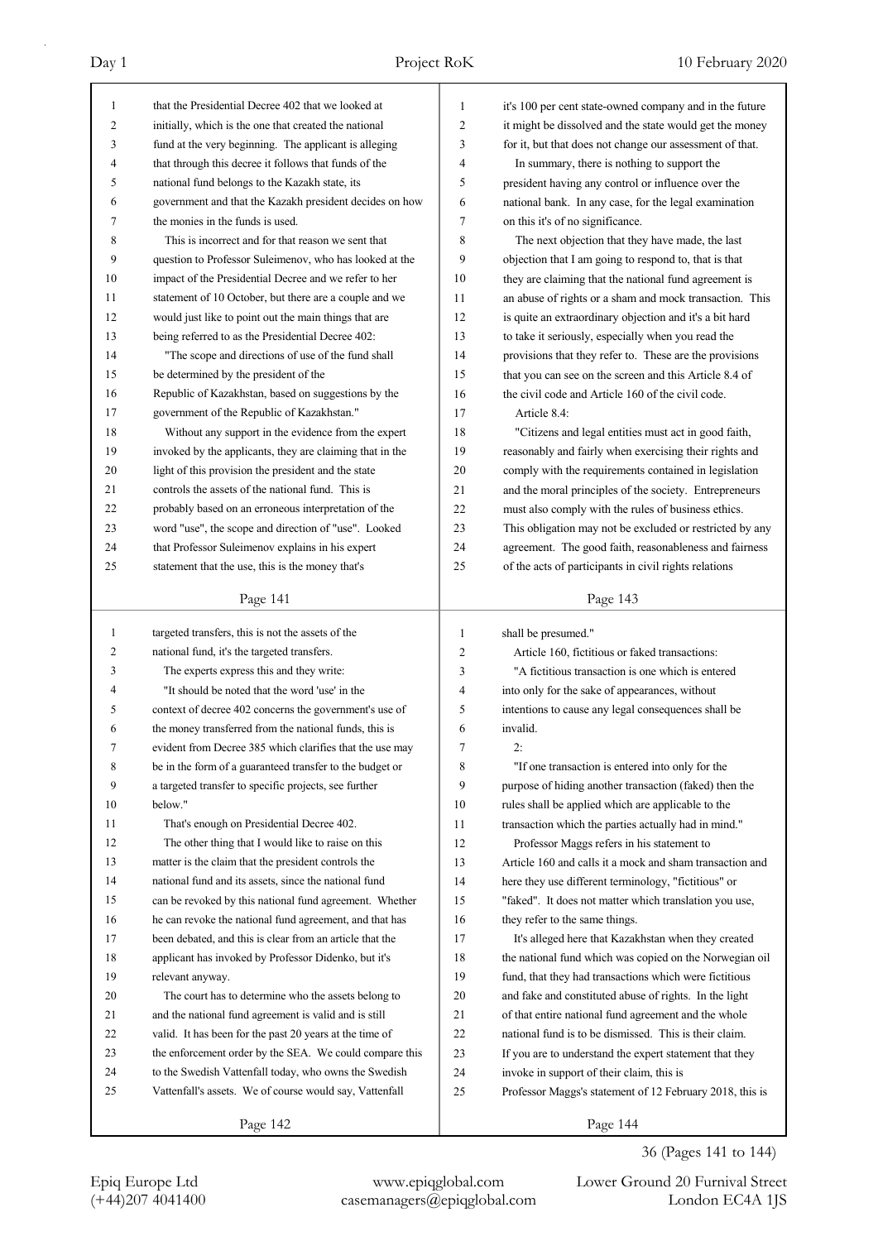|                     | that the Presidential Decree 402 that we looked at                                                             |                   |                                                                                                             |
|---------------------|----------------------------------------------------------------------------------------------------------------|-------------------|-------------------------------------------------------------------------------------------------------------|
| 1<br>$\overline{c}$ | initially, which is the one that created the national                                                          | $\mathbf{1}$<br>2 | it's 100 per cent state-owned company and in the future                                                     |
| 3                   |                                                                                                                |                   | it might be dissolved and the state would get the money                                                     |
| 4                   | fund at the very beginning. The applicant is alleging<br>that through this decree it follows that funds of the | 3<br>4            | for it, but that does not change our assessment of that.                                                    |
| 5                   | national fund belongs to the Kazakh state, its                                                                 | 5                 | In summary, there is nothing to support the                                                                 |
| 6                   | government and that the Kazakh president decides on how                                                        | 6                 | president having any control or influence over the<br>national bank. In any case, for the legal examination |
| 7                   | the monies in the funds is used.                                                                               | 7                 | on this it's of no significance.                                                                            |
| 8                   | This is incorrect and for that reason we sent that                                                             | 8                 | The next objection that they have made, the last                                                            |
| 9                   | question to Professor Suleimenov, who has looked at the                                                        | 9                 | objection that I am going to respond to, that is that                                                       |
| 10                  | impact of the Presidential Decree and we refer to her                                                          | 10                | they are claiming that the national fund agreement is                                                       |
| 11                  | statement of 10 October, but there are a couple and we                                                         | 11                | an abuse of rights or a sham and mock transaction. This                                                     |
| 12                  | would just like to point out the main things that are                                                          | 12                | is quite an extraordinary objection and it's a bit hard                                                     |
| 13                  | being referred to as the Presidential Decree 402:                                                              | 13                | to take it seriously, especially when you read the                                                          |
| 14                  | "The scope and directions of use of the fund shall                                                             | 14                | provisions that they refer to. These are the provisions                                                     |
| 15                  | be determined by the president of the                                                                          | 15                | that you can see on the screen and this Article 8.4 of                                                      |
| 16                  | Republic of Kazakhstan, based on suggestions by the                                                            | 16                | the civil code and Article 160 of the civil code.                                                           |
| 17                  | government of the Republic of Kazakhstan."                                                                     | 17                | Article 8.4:                                                                                                |
| 18                  | Without any support in the evidence from the expert                                                            | 18                | "Citizens and legal entities must act in good faith,                                                        |
| 19                  | invoked by the applicants, they are claiming that in the                                                       | 19                | reasonably and fairly when exercising their rights and                                                      |
| 20                  | light of this provision the president and the state                                                            | 20                | comply with the requirements contained in legislation                                                       |
| 21                  | controls the assets of the national fund. This is                                                              | 21                | and the moral principles of the society. Entrepreneurs                                                      |
| 22                  | probably based on an erroneous interpretation of the                                                           | 22                | must also comply with the rules of business ethics.                                                         |
| 23                  | word "use", the scope and direction of "use". Looked                                                           | 23                | This obligation may not be excluded or restricted by any                                                    |
| 24                  | that Professor Suleimenov explains in his expert                                                               | 24                | agreement. The good faith, reasonableness and fairness                                                      |
| 25                  | statement that the use, this is the money that's                                                               | 25                | of the acts of participants in civil rights relations                                                       |
|                     |                                                                                                                |                   |                                                                                                             |
|                     | Page 141                                                                                                       |                   | Page 143                                                                                                    |
|                     |                                                                                                                |                   |                                                                                                             |
| 1                   | targeted transfers, this is not the assets of the                                                              | 1                 | shall be presumed."                                                                                         |
| 2                   | national fund, it's the targeted transfers.                                                                    | 2                 | Article 160, fictitious or faked transactions:                                                              |
| 3                   | The experts express this and they write:                                                                       | 3                 | "A fictitious transaction is one which is entered                                                           |
| 4                   | "It should be noted that the word 'use' in the                                                                 | 4                 | into only for the sake of appearances, without                                                              |
| 5                   | context of decree 402 concerns the government's use of                                                         | 5                 | intentions to cause any legal consequences shall be                                                         |
| 6                   | the money transferred from the national funds, this is                                                         | 6                 | invalid.                                                                                                    |
| 7                   | evident from Decree 385 which clarifies that the use may                                                       | 7                 | 2:                                                                                                          |
| 8                   | be in the form of a guaranteed transfer to the budget or                                                       | 8                 | "If one transaction is entered into only for the                                                            |
| 9                   | a targeted transfer to specific projects, see further                                                          | 9                 | purpose of hiding another transaction (faked) then the                                                      |
| 10                  | below."                                                                                                        | 10                | rules shall be applied which are applicable to the                                                          |
| 11                  | That's enough on Presidential Decree 402.                                                                      | 11                | transaction which the parties actually had in mind."                                                        |
| 12                  | The other thing that I would like to raise on this                                                             | 12                | Professor Maggs refers in his statement to                                                                  |
| 13                  | matter is the claim that the president controls the                                                            | 13                | Article 160 and calls it a mock and sham transaction and                                                    |
| 14                  | national fund and its assets, since the national fund                                                          | 14                | here they use different terminology, "fictitious" or                                                        |
| 15                  | can be revoked by this national fund agreement. Whether                                                        | 15                | "faked". It does not matter which translation you use,                                                      |
| 16                  | he can revoke the national fund agreement, and that has                                                        | 16                | they refer to the same things.                                                                              |
| 17                  | been debated, and this is clear from an article that the                                                       | 17                | It's alleged here that Kazakhstan when they created                                                         |
| 18                  | applicant has invoked by Professor Didenko, but it's                                                           | 18                | the national fund which was copied on the Norwegian oil                                                     |
| 19                  | relevant anyway.                                                                                               | 19                | fund, that they had transactions which were fictitious                                                      |
| 20                  | The court has to determine who the assets belong to                                                            | 20                | and fake and constituted abuse of rights. In the light                                                      |
| 21                  | and the national fund agreement is valid and is still                                                          | 21                | of that entire national fund agreement and the whole                                                        |
| 22                  | valid. It has been for the past 20 years at the time of                                                        | 22                | national fund is to be dismissed. This is their claim.                                                      |
| 23                  | the enforcement order by the SEA. We could compare this                                                        | 23                | If you are to understand the expert statement that they                                                     |
| 24                  | to the Swedish Vattenfall today, who owns the Swedish                                                          | 24                | invoke in support of their claim, this is                                                                   |
| 25                  | Vattenfall's assets. We of course would say, Vattenfall                                                        | 25                | Professor Maggs's statement of 12 February 2018, this is                                                    |

36 (Pages 141 to 144)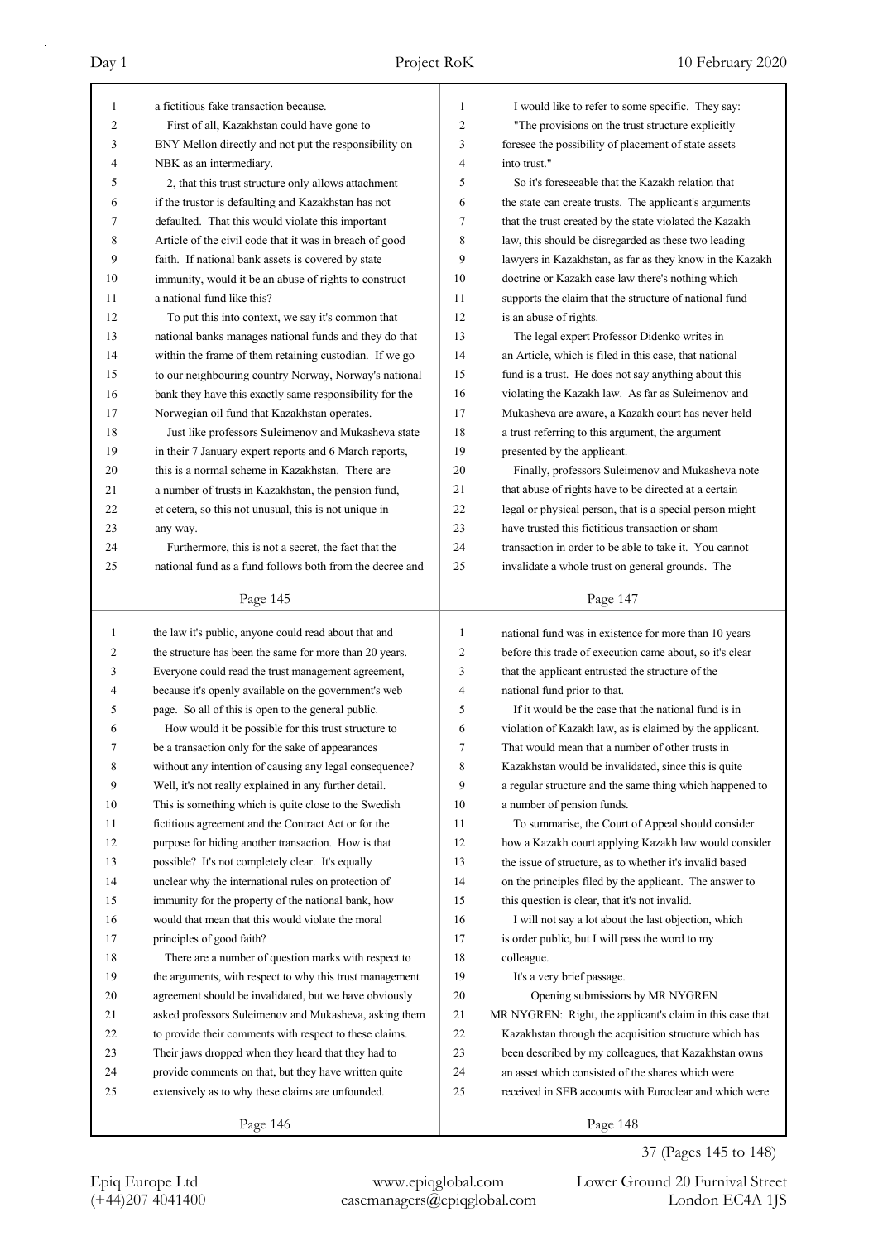| $\mathbf{1}$ |                                                          |    |                                                           |
|--------------|----------------------------------------------------------|----|-----------------------------------------------------------|
|              | a fictitious fake transaction because.                   | 1  | I would like to refer to some specific. They say:         |
| 2            | First of all, Kazakhstan could have gone to              | 2  | "The provisions on the trust structure explicitly         |
| 3            | BNY Mellon directly and not put the responsibility on    | 3  | foresee the possibility of placement of state assets      |
| 4            | NBK as an intermediary.                                  | 4  | into trust."                                              |
| 5            | 2, that this trust structure only allows attachment      | 5  | So it's foreseeable that the Kazakh relation that         |
| 6            | if the trustor is defaulting and Kazakhstan has not      | 6  | the state can create trusts. The applicant's arguments    |
| 7            | defaulted. That this would violate this important        | 7  | that the trust created by the state violated the Kazakh   |
| 8            | Article of the civil code that it was in breach of good  | 8  | law, this should be disregarded as these two leading      |
| 9            | faith. If national bank assets is covered by state       | 9  | lawyers in Kazakhstan, as far as they know in the Kazakh  |
| 10           | immunity, would it be an abuse of rights to construct    | 10 | doctrine or Kazakh case law there's nothing which         |
| 11           | a national fund like this?                               | 11 | supports the claim that the structure of national fund    |
| 12           | To put this into context, we say it's common that        | 12 | is an abuse of rights.                                    |
| 13           | national banks manages national funds and they do that   | 13 | The legal expert Professor Didenko writes in              |
| 14           | within the frame of them retaining custodian. If we go   | 14 | an Article, which is filed in this case, that national    |
| 15           | to our neighbouring country Norway, Norway's national    | 15 | fund is a trust. He does not say anything about this      |
| 16           | bank they have this exactly same responsibility for the  | 16 | violating the Kazakh law. As far as Suleimenov and        |
| 17           | Norwegian oil fund that Kazakhstan operates.             | 17 | Mukasheva are aware, a Kazakh court has never held        |
| 18           | Just like professors Suleimenov and Mukasheva state      | 18 | a trust referring to this argument, the argument          |
| 19           | in their 7 January expert reports and 6 March reports,   | 19 | presented by the applicant.                               |
| 20           | this is a normal scheme in Kazakhstan. There are         | 20 | Finally, professors Suleimenov and Mukasheva note         |
| 21           | a number of trusts in Kazakhstan, the pension fund,      | 21 | that abuse of rights have to be directed at a certain     |
| 22           | et cetera, so this not unusual, this is not unique in    | 22 | legal or physical person, that is a special person might  |
| 23           | any way.                                                 | 23 | have trusted this fictitious transaction or sham          |
| 24           | Furthermore, this is not a secret, the fact that the     | 24 | transaction in order to be able to take it. You cannot    |
| 25           | national fund as a fund follows both from the decree and | 25 | invalidate a whole trust on general grounds. The          |
|              |                                                          |    |                                                           |
|              | Page 145                                                 |    | Page 147                                                  |
| $\mathbf{1}$ | the law it's public, anyone could read about that and    | 1  | national fund was in existence for more than 10 years     |
| 2            | the structure has been the same for more than 20 years.  | 2  | before this trade of execution came about, so it's clear  |
| 3            | Everyone could read the trust management agreement,      |    |                                                           |
|              |                                                          |    |                                                           |
|              |                                                          | 3  | that the applicant entrusted the structure of the         |
| 4            | because it's openly available on the government's web    | 4  | national fund prior to that.                              |
| 5            | page. So all of this is open to the general public.      | 5  | If it would be the case that the national fund is in      |
| 6            | How would it be possible for this trust structure to     | 6  | violation of Kazakh law, as is claimed by the applicant.  |
| 7            | be a transaction only for the sake of appearances        | 7  | That would mean that a number of other trusts in          |
| 8            | without any intention of causing any legal consequence?  | 8  | Kazakhstan would be invalidated, since this is quite      |
| 9            | Well, it's not really explained in any further detail.   | 9  | a regular structure and the same thing which happened to  |
| 10           | This is something which is quite close to the Swedish    | 10 | a number of pension funds.                                |
| 11           | fictitious agreement and the Contract Act or for the     | 11 | To summarise, the Court of Appeal should consider         |
| 12           | purpose for hiding another transaction. How is that      | 12 | how a Kazakh court applying Kazakh law would consider     |
| 13           | possible? It's not completely clear. It's equally        | 13 | the issue of structure, as to whether it's invalid based  |
| 14           | unclear why the international rules on protection of     | 14 | on the principles filed by the applicant. The answer to   |
| 15           | immunity for the property of the national bank, how      | 15 | this question is clear, that it's not invalid.            |
| 16           | would that mean that this would violate the moral        | 16 | I will not say a lot about the last objection, which      |
| 17           | principles of good faith?                                | 17 | is order public, but I will pass the word to my           |
| 18           | There are a number of question marks with respect to     | 18 | colleague.                                                |
| 19           | the arguments, with respect to why this trust management | 19 | It's a very brief passage.                                |
| 20           | agreement should be invalidated, but we have obviously   | 20 | Opening submissions by MR NYGREN                          |
| 21           | asked professors Suleimenov and Mukasheva, asking them   | 21 | MR NYGREN: Right, the applicant's claim in this case that |
| 22           | to provide their comments with respect to these claims.  | 22 | Kazakhstan through the acquisition structure which has    |
| 23           | Their jaws dropped when they heard that they had to      | 23 | been described by my colleagues, that Kazakhstan owns     |
| 24           | provide comments on that, but they have written quite    | 24 | an asset which consisted of the shares which were         |
| 25           | extensively as to why these claims are unfounded.        | 25 | received in SEB accounts with Euroclear and which were    |

37 (Pages 145 to 148)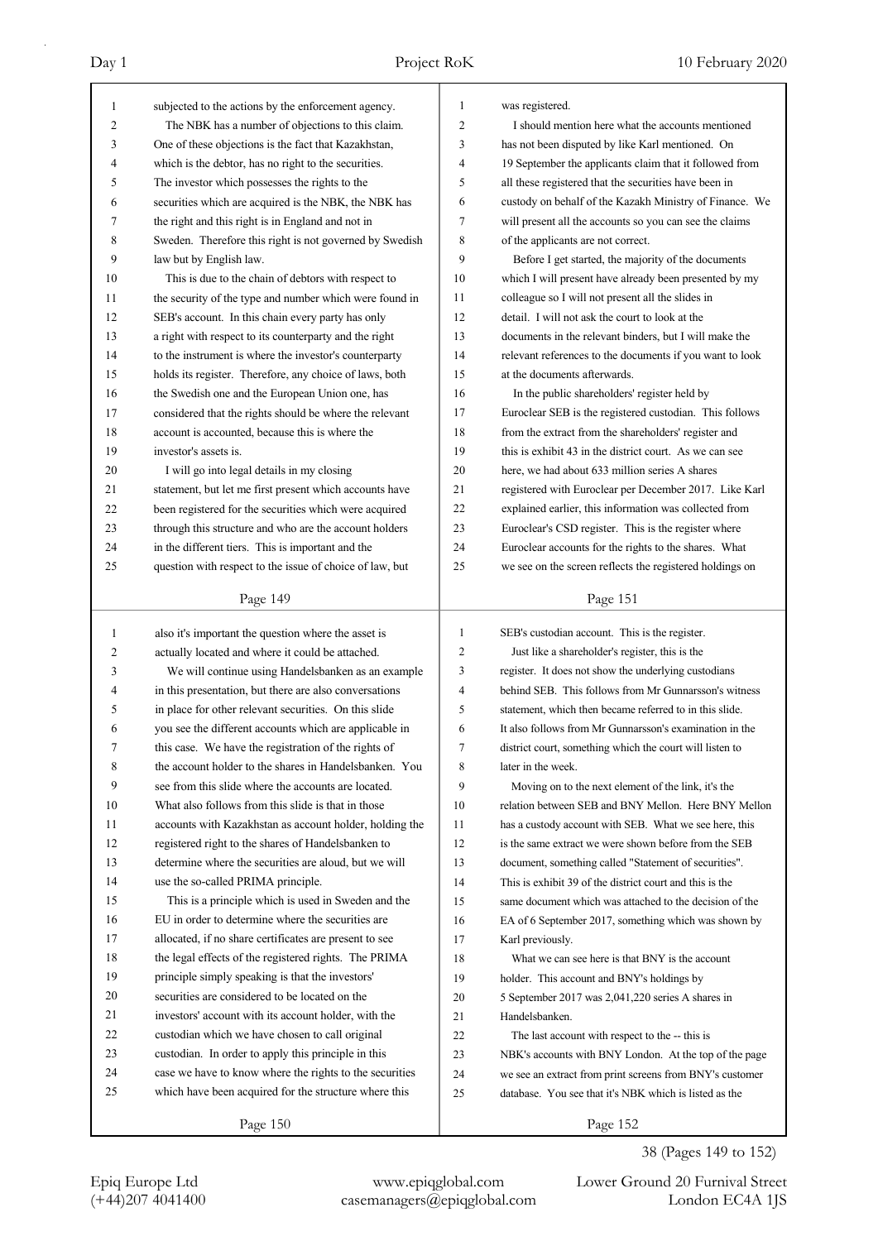| 1              | subjected to the actions by the enforcement agency.      | $\mathbf{1}$   | was registered.                                          |
|----------------|----------------------------------------------------------|----------------|----------------------------------------------------------|
| $\overline{2}$ | The NBK has a number of objections to this claim.        | $\overline{c}$ | I should mention here what the accounts mentioned        |
| 3              | One of these objections is the fact that Kazakhstan,     | 3              | has not been disputed by like Karl mentioned. On         |
| 4              | which is the debtor, has no right to the securities.     | 4              | 19 September the applicants claim that it followed from  |
| 5              | The investor which possesses the rights to the           | 5              | all these registered that the securities have been in    |
| 6              | securities which are acquired is the NBK, the NBK has    | 6              | custody on behalf of the Kazakh Ministry of Finance. We  |
| 7              | the right and this right is in England and not in        | 7              | will present all the accounts so you can see the claims  |
| 8              | Sweden. Therefore this right is not governed by Swedish  | 8              | of the applicants are not correct.                       |
| 9              | law but by English law.                                  | 9              | Before I get started, the majority of the documents      |
| 10             | This is due to the chain of debtors with respect to      | 10             | which I will present have already been presented by my   |
| 11             | the security of the type and number which were found in  | 11             | colleague so I will not present all the slides in        |
| 12             | SEB's account. In this chain every party has only        | 12             | detail. I will not ask the court to look at the          |
| 13             | a right with respect to its counterparty and the right   | 13             | documents in the relevant binders, but I will make the   |
| 14             | to the instrument is where the investor's counterparty   | 14             | relevant references to the documents if you want to look |
| 15             | holds its register. Therefore, any choice of laws, both  | 15             | at the documents afterwards.                             |
| 16             | the Swedish one and the European Union one, has          | 16             | In the public shareholders' register held by             |
| 17             | considered that the rights should be where the relevant  | 17             | Euroclear SEB is the registered custodian. This follows  |
| 18             | account is accounted, because this is where the          | 18             | from the extract from the shareholders' register and     |
| 19             | investor's assets is.                                    | 19             | this is exhibit 43 in the district court. As we can see  |
| 20             | I will go into legal details in my closing               | 20             | here, we had about 633 million series A shares           |
| 21             | statement, but let me first present which accounts have  | 21             | registered with Euroclear per December 2017. Like Karl   |
| 22             | been registered for the securities which were acquired   | 22             | explained earlier, this information was collected from   |
| 23             | through this structure and who are the account holders   | 23             | Euroclear's CSD register. This is the register where     |
| 24             | in the different tiers. This is important and the        | 24             | Euroclear accounts for the rights to the shares. What    |
| 25             | question with respect to the issue of choice of law, but | 25             | we see on the screen reflects the registered holdings on |
|                |                                                          |                |                                                          |
|                | Page 149                                                 |                | Page 151                                                 |
|                |                                                          |                |                                                          |
|                |                                                          | 1              |                                                          |
| $\mathbf{1}$   | also it's important the question where the asset is      | $\overline{2}$ | SEB's custodian account. This is the register.           |
| 2              | actually located and where it could be attached.         |                | Just like a shareholder's register, this is the          |
| 3              | We will continue using Handelsbanken as an example       | 3              | register. It does not show the underlying custodians     |
| 4              | in this presentation, but there are also conversations   | $\overline{4}$ | behind SEB. This follows from Mr Gunnarsson's witness    |
| 5              | in place for other relevant securities. On this slide    | 5              | statement, which then became referred to in this slide.  |
| 6              | you see the different accounts which are applicable in   | 6              | It also follows from Mr Gunnarsson's examination in the  |
|                | this case. We have the registration of the rights of     | 7              | district court, something which the court will listen to |
| 8              | the account holder to the shares in Handelsbanken. You   | 8              | later in the week.                                       |
| 9              | see from this slide where the accounts are located.      | 9              | Moving on to the next element of the link, it's the      |
| 10             | What also follows from this slide is that in those       | 10             | relation between SEB and BNY Mellon. Here BNY Mellon     |
| 11             | accounts with Kazakhstan as account holder, holding the  | 11             | has a custody account with SEB. What we see here, this   |
| 12             | registered right to the shares of Handelsbanken to       | 12             | is the same extract we were shown before from the SEB    |
| 13             | determine where the securities are aloud, but we will    | 13             | document, something called "Statement of securities".    |
| 14             | use the so-called PRIMA principle.                       | 14             | This is exhibit 39 of the district court and this is the |
| 15             | This is a principle which is used in Sweden and the      | 15             | same document which was attached to the decision of the  |
| 16             | EU in order to determine where the securities are        | 16             | EA of 6 September 2017, something which was shown by     |
| 17             | allocated, if no share certificates are present to see   | 17             | Karl previously.                                         |
| 18             | the legal effects of the registered rights. The PRIMA    | 18             | What we can see here is that BNY is the account          |
| 19             | principle simply speaking is that the investors'         | 19             | holder. This account and BNY's holdings by               |
| 20             | securities are considered to be located on the           | 20             | 5 September 2017 was 2,041,220 series A shares in        |
| 21             | investors' account with its account holder, with the     | 21             | Handelsbanken.                                           |
| 22             | custodian which we have chosen to call original          | 22             | The last account with respect to the -- this is          |
| 23             | custodian. In order to apply this principle in this      | 23             | NBK's accounts with BNY London. At the top of the page   |
| 24             | case we have to know where the rights to the securities  | 24             | we see an extract from print screens from BNY's customer |
| 25             | which have been acquired for the structure where this    | 25             | database. You see that it's NBK which is listed as the   |

# 38 (Pages 149 to 152)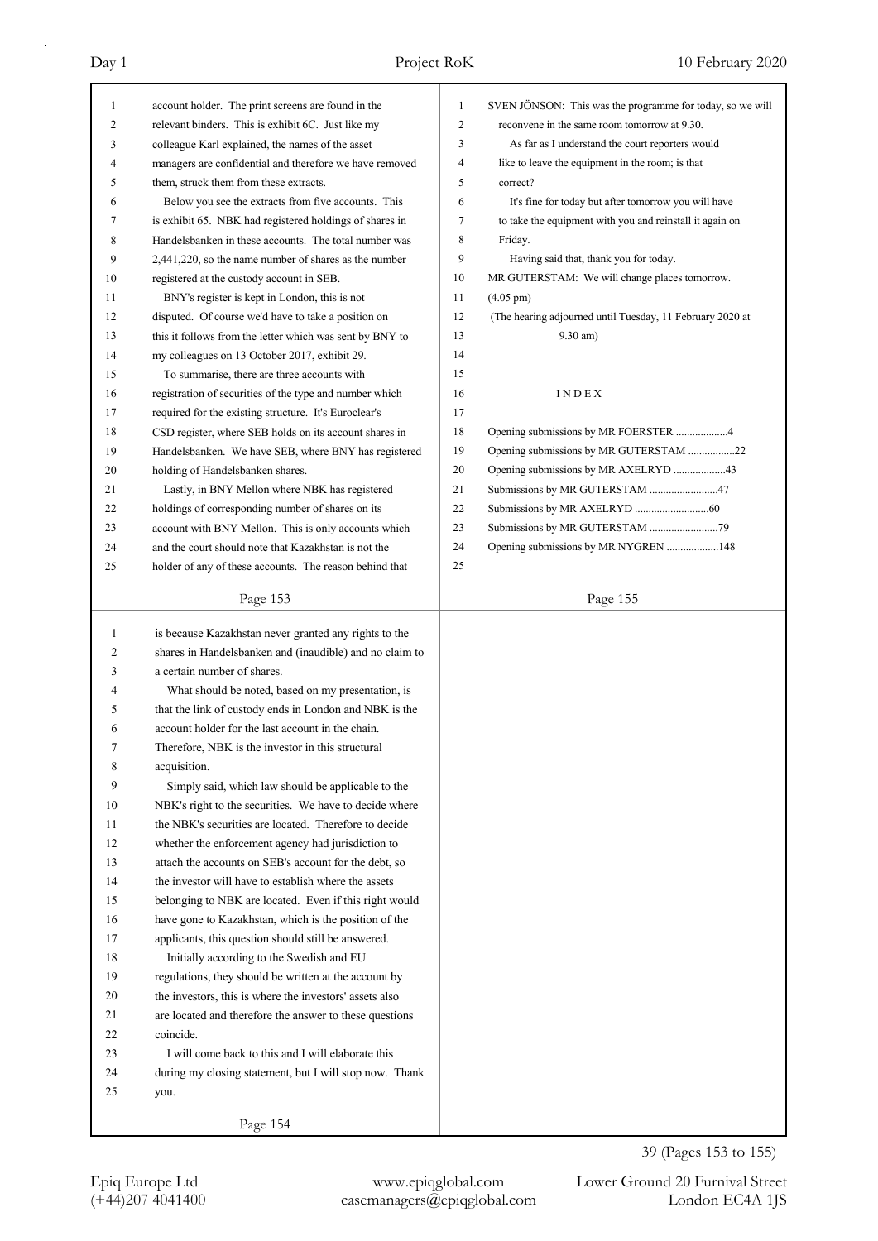| 1  | account holder. The print screens are found in the       | 1  | SVEN JÖNSON: This was the programme for today, so we will |
|----|----------------------------------------------------------|----|-----------------------------------------------------------|
| 2  | relevant binders. This is exhibit 6C. Just like my       | 2  | reconvene in the same room tomorrow at 9.30.              |
| 3  | colleague Karl explained, the names of the asset         | 3  | As far as I understand the court reporters would          |
| 4  | managers are confidential and therefore we have removed  | 4  | like to leave the equipment in the room; is that          |
| 5  | them, struck them from these extracts.                   | 5  | correct?                                                  |
| 6  | Below you see the extracts from five accounts. This      | 6  | It's fine for today but after tomorrow you will have      |
| 7  | is exhibit 65. NBK had registered holdings of shares in  | 7  | to take the equipment with you and reinstall it again on  |
| 8  | Handelsbanken in these accounts. The total number was    | 8  | Friday.                                                   |
| 9  | 2,441,220, so the name number of shares as the number    | 9  | Having said that, thank you for today.                    |
| 10 | registered at the custody account in SEB.                | 10 | MR GUTERSTAM: We will change places tomorrow.             |
| 11 | BNY's register is kept in London, this is not            | 11 | $(4.05 \text{ pm})$                                       |
| 12 | disputed. Of course we'd have to take a position on      | 12 | (The hearing adjourned until Tuesday, 11 February 2020 at |
| 13 | this it follows from the letter which was sent by BNY to | 13 | $9.30$ am)                                                |
| 14 | my colleagues on 13 October 2017, exhibit 29.            | 14 |                                                           |
| 15 | To summarise, there are three accounts with              | 15 |                                                           |
| 16 | registration of securities of the type and number which  | 16 | INDEX                                                     |
| 17 | required for the existing structure. It's Euroclear's    | 17 |                                                           |
| 18 | CSD register, where SEB holds on its account shares in   | 18 |                                                           |
| 19 | Handelsbanken. We have SEB, where BNY has registered     | 19 | Opening submissions by MR GUTERSTAM 22                    |
| 20 | holding of Handelsbanken shares.                         | 20 | Opening submissions by MR AXELRYD 43                      |
| 21 | Lastly, in BNY Mellon where NBK has registered           | 21 | Submissions by MR GUTERSTAM 47                            |
| 22 | holdings of corresponding number of shares on its        | 22 |                                                           |
| 23 | account with BNY Mellon. This is only accounts which     | 23 |                                                           |
| 24 | and the court should note that Kazakhstan is not the     | 24 | Opening submissions by MR NYGREN 148                      |
| 25 | holder of any of these accounts. The reason behind that  | 25 |                                                           |
|    |                                                          |    |                                                           |
|    | Page 153                                                 |    | Page 155                                                  |
|    |                                                          |    |                                                           |
|    |                                                          |    |                                                           |
| 1  | is because Kazakhstan never granted any rights to the    |    |                                                           |
| 2  | shares in Handelsbanken and (inaudible) and no claim to  |    |                                                           |
| 3  | a certain number of shares.                              |    |                                                           |
| 4  | What should be noted, based on my presentation, is       |    |                                                           |
| 5  | that the link of custody ends in London and NBK is the   |    |                                                           |
| 6  | account holder for the last account in the chain.        |    |                                                           |
| 7  | Therefore, NBK is the investor in this structural        |    |                                                           |
| 8  | acquisition.                                             |    |                                                           |
| 9  | Simply said, which law should be applicable to the       |    |                                                           |
| 10 | NBK's right to the securities. We have to decide where   |    |                                                           |
| 11 | the NBK's securities are located. Therefore to decide    |    |                                                           |
| 12 | whether the enforcement agency had jurisdiction to       |    |                                                           |
| 13 | attach the accounts on SEB's account for the debt, so    |    |                                                           |
| 14 | the investor will have to establish where the assets     |    |                                                           |
| 15 | belonging to NBK are located. Even if this right would   |    |                                                           |
| 16 | have gone to Kazakhstan, which is the position of the    |    |                                                           |
| 17 | applicants, this question should still be answered.      |    |                                                           |
| 18 | Initially according to the Swedish and EU                |    |                                                           |
| 19 | regulations, they should be written at the account by    |    |                                                           |
| 20 | the investors, this is where the investors' assets also  |    |                                                           |
| 21 | are located and therefore the answer to these questions  |    |                                                           |
| 22 | coincide.                                                |    |                                                           |
| 23 | I will come back to this and I will elaborate this       |    |                                                           |
| 24 | during my closing statement, but I will stop now. Thank  |    |                                                           |
| 25 | you.                                                     |    |                                                           |
|    | Page 154                                                 |    |                                                           |

39 (Pages 153 to 155)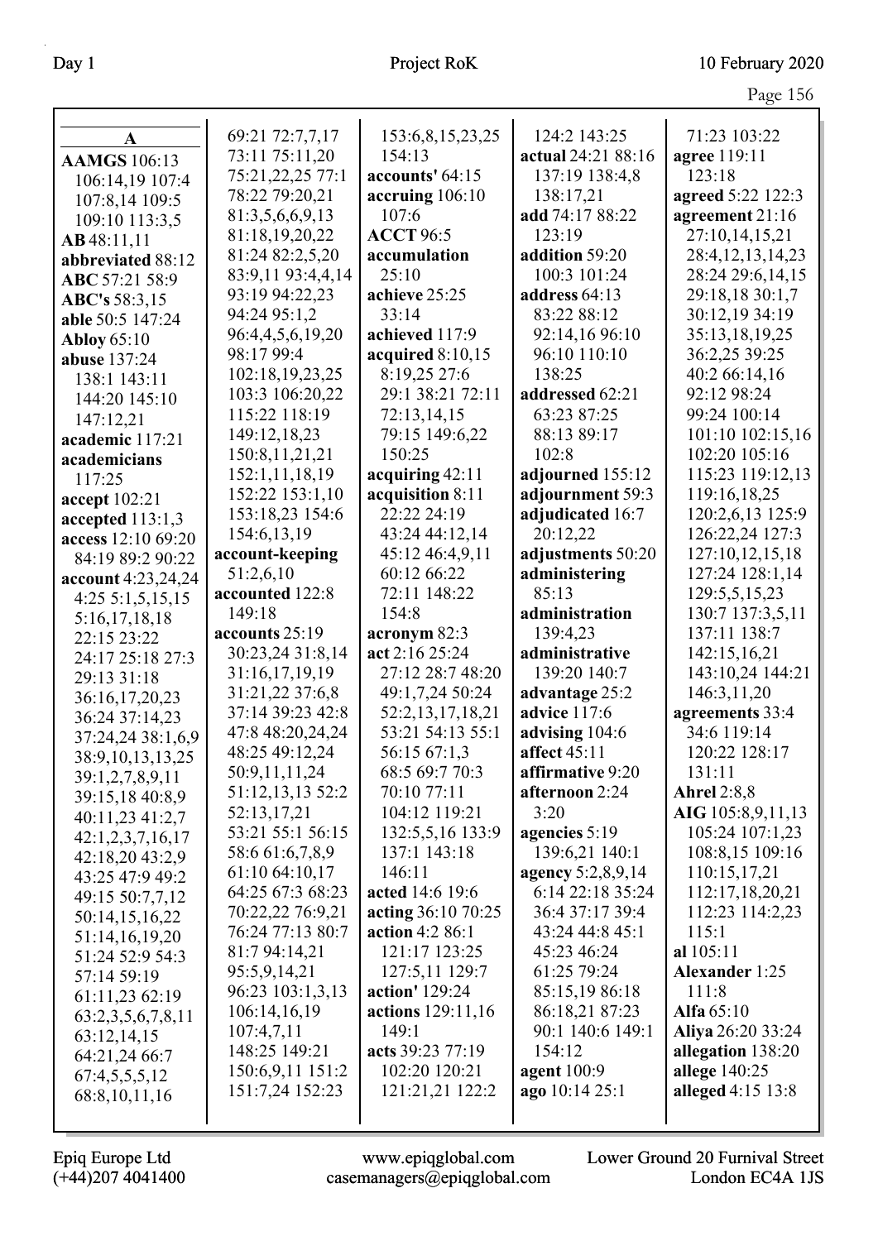| A                            | 69:21 72:7,7,17   | 153:6,8,15,23,25   | 124:2 143:25       | 71:23 103:22                 |
|------------------------------|-------------------|--------------------|--------------------|------------------------------|
| <b>AAMGS</b> 106:13          | 73:11 75:11,20    | 154:13             | actual 24:21 88:16 | agree 119:11                 |
|                              | 75:21,22,25 77:1  | accounts' 64:15    | 137:19 138:4,8     | 123:18                       |
| 106:14,19 107:4              | 78:22 79:20,21    | accruing 106:10    | 138:17,21          | agreed 5:22 122:3            |
| 107:8,14 109:5               | 81:3,5,6,6,9,13   | 107:6              | add 74:17 88:22    | agreement 21:16              |
| 109:10 113:3,5               | 81:18,19,20,22    | <b>ACCT 96:5</b>   | 123:19             | 27:10,14,15,21               |
| AB48:11,11                   | 81:24 82:2,5,20   | accumulation       | addition 59:20     | 28:4, 12, 13, 14, 23         |
| abbreviated 88:12            | 83:9,11 93:4,4,14 | 25:10              | 100:3 101:24       | 28:24 29:6,14,15             |
| ABC 57:21 58:9               | 93:19 94:22,23    | achieve 25:25      | address 64:13      | 29:18,18 30:1,7              |
| ABC's 58:3,15                | 94:24 95:1,2      | 33:14              | 83:22 88:12        | 30:12,19 34:19               |
| able 50:5 147:24             | 96:4,4,5,6,19,20  | achieved 117:9     | 92:14,16 96:10     | 35:13,18,19,25               |
| <b>Abloy</b> 65:10           | 98:17 99:4        | acquired 8:10,15   | 96:10 110:10       | 36:2,25 39:25                |
| abuse 137:24                 |                   | 8:19,25 27:6       | 138:25             |                              |
| 138:1 143:11                 | 102:18,19,23,25   | 29:1 38:21 72:11   |                    | 40:2 66:14,16<br>92:12 98:24 |
| 144:20 145:10                | 103:3 106:20,22   |                    | addressed 62:21    |                              |
| 147:12,21                    | 115:22 118:19     | 72:13,14,15        | 63:23 87:25        | 99:24 100:14                 |
| academic 117:21              | 149:12,18,23      | 79:15 149:6,22     | 88:13 89:17        | 101:10 102:15,16             |
| academicians                 | 150:8, 11, 21, 21 | 150:25             | 102:8              | 102:20 105:16                |
| 117:25                       | 152:1,11,18,19    | acquiring 42:11    | adjourned 155:12   | 115:23 119:12,13             |
| accept 102:21                | 152:22 153:1,10   | acquisition 8:11   | adjournment 59:3   | 119:16,18,25                 |
| accepted $113:1,3$           | 153:18,23 154:6   | 22:22 24:19        | adjudicated 16:7   | 120:2,6,13 125:9             |
| access 12:10 69:20           | 154:6, 13, 19     | 43:24 44:12,14     | 20:12,22           | 126:22,24 127:3              |
| 84:19 89:2 90:22             | account-keeping   | 45:12 46:4,9,11    | adjustments 50:20  | 127:10,12,15,18              |
| account 4:23,24,24           | 51:2,6,10         | 60:12 66:22        | administering      | 127:24 128:1,14              |
| $4:25\;5:1,5,15,15$          | accounted 122:8   | 72:11 148:22       | 85:13              | 129:5,5,15,23                |
| 5:16,17,18,18                | 149:18            | 154:8              | administration     | 130:7 137:3,5,11             |
| 22:15 23:22                  | accounts 25:19    | acronym 82:3       | 139:4,23           | 137:11 138:7                 |
| 24:17 25:18 27:3             | 30:23,24 31:8,14  | act 2:16 25:24     | administrative     | 142:15,16,21                 |
| 29:13 31:18                  | 31:16,17,19,19    | 27:12 28:7 48:20   | 139:20 140:7       | 143:10,24 144:21             |
| 36:16,17,20,23               | 31:21,22 37:6,8   | 49:1,7,24 50:24    | advantage 25:2     | 146:3,11,20                  |
| 36:24 37:14,23               | 37:14 39:23 42:8  | 52:2,13,17,18,21   | advice 117:6       | agreements 33:4              |
| 37:24,24 38:1,6,9            | 47:8 48:20,24,24  | 53:21 54:13 55:1   | advising 104:6     | 34:6 119:14                  |
| 38:9,10,13,13,25             | 48:25 49:12,24    | 56:15 67:1,3       | affect 45:11       | 120:22 128:17                |
| 39:1,2,7,8,9,11              | 50:9,11,11,24     | 68:5 69:7 70:3     | affirmative 9:20   | 131:11                       |
| 39:15,18 40:8,9              | 51:12,13,13 52:2  | 70:10 77:11        | afternoon 2:24     | <b>Ahrel 2:8,8</b>           |
| 40:11,23 41:2,7              | 52:13,17,21       | 104:12 119:21      | 3:20               | AIG 105:8,9,11,13            |
| 42:1,2,3,7,16,17             | 53:21 55:1 56:15  | 132:5,5,16 133:9   | agencies 5:19      | 105:24 107:1,23              |
| 42:18,20 43:2,9              | 58:6 61:6,7,8,9   | 137:1 143:18       | 139:6,21 140:1     | 108:8,15 109:16              |
| 43:25 47:9 49:2              | 61:10 64:10,17    | 146:11             | agency 5:2,8,9,14  | 110:15,17,21                 |
| 49:15 50:7,7,12              | 64:25 67:3 68:23  | acted 14:6 19:6    | 6:14 22:18 35:24   | 112:17,18,20,21              |
| 50:14,15,16,22               | 70:22,22 76:9,21  | acting 36:10 70:25 | 36:4 37:17 39:4    | 112:23 114:2,23              |
| 51:14,16,19,20               | 76:24 77:13 80:7  | action 4:2 86:1    | 43:24 44:8 45:1    | 115:1                        |
| 51:24 52:9 54:3              | 81:7 94:14,21     | 121:17 123:25      | 45:23 46:24        | al 105:11                    |
| 57:14 59:19                  | 95:5,9,14,21      | 127:5,11 129:7     | 61:25 79:24        | <b>Alexander 1:25</b>        |
| 61:11,23 62:19               | 96:23 103:1,3,13  | action' 129:24     | 85:15,19 86:18     | 111:8                        |
| 63:2,3,5,6,7,8,11            | 106:14,16,19      | actions 129:11,16  | 86:18,21 87:23     | Alfa 65:10                   |
|                              | 107:4,7,11        | 149:1              | 90:1 140:6 149:1   | Aliya 26:20 33:24            |
| 63:12,14,15<br>64:21,24 66:7 | 148:25 149:21     | acts 39:23 77:19   | 154:12             | allegation 138:20            |
|                              | 150:6,9,11 151:2  | 102:20 120:21      | agent $100:9$      | allege 140:25                |
| 67:4,5,5,5,12                | 151:7,24 152:23   | 121:21,21 122:2    | ago 10:14 25:1     | alleged 4:15 13:8            |
| 68:8, 10, 11, 16             |                   |                    |                    |                              |
|                              |                   |                    |                    |                              |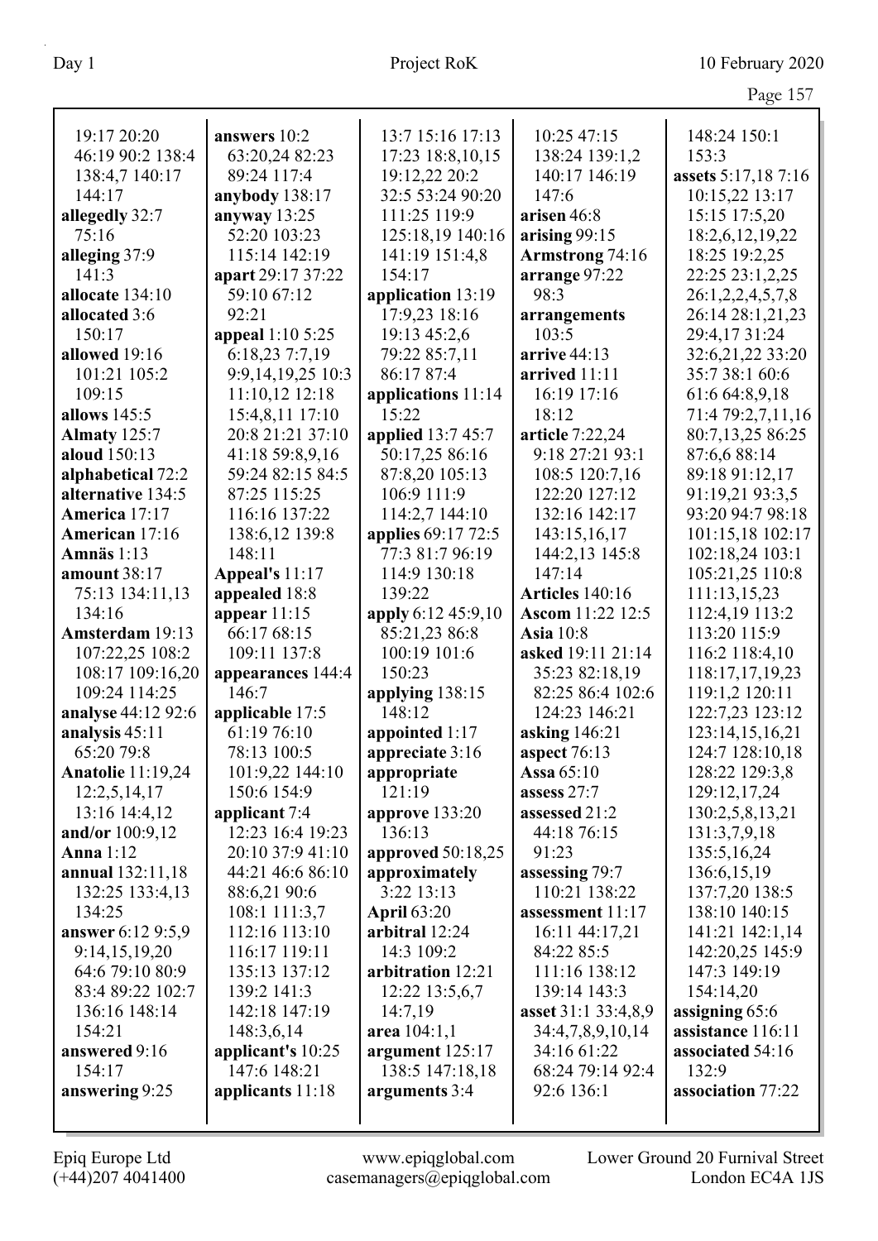| 19:17 20:20              | answers 10:2      | 13:7 15:16 17:13   | 10:25 47:15           | 148:24 150:1        |
|--------------------------|-------------------|--------------------|-----------------------|---------------------|
| 46:19 90:2 138:4         | 63:20,24 82:23    | 17:23 18:8,10,15   | 138:24 139:1,2        | 153:3               |
| 138:4,7 140:17           | 89:24 117:4       | 19:12,22 20:2      | 140:17 146:19         | assets 5:17,18 7:16 |
| 144:17                   | anybody 138:17    | 32:5 53:24 90:20   | 147:6                 | 10:15,22 13:17      |
| allegedly 32:7           | anyway $13:25$    | 111:25 119:9       | arisen 46:8           | 15:15 17:5,20       |
| 75:16                    | 52:20 103:23      | 125:18,19 140:16   | arising $99:15$       | 18:2,6,12,19,22     |
|                          | 115:14 142:19     | 141:19 151:4,8     |                       | 18:25 19:2,25       |
| alleging 37:9<br>141:3   |                   | 154:17             | Armstrong 74:16       | 22:25 23:1,2,25     |
|                          | apart 29:17 37:22 |                    | arrange 97:22<br>98:3 |                     |
| allocate 134:10          | 59:10 67:12       | application 13:19  |                       | 26:1,2,2,4,5,7,8    |
| allocated 3:6            | 92:21             | 17:9,23 18:16      | arrangements          | 26:14 28:1,21,23    |
| 150:17                   | appeal 1:10 5:25  | 19:13 45:2,6       | 103:5                 | 29:4,17 31:24       |
| allowed 19:16            | 6:18,23 7:7,19    | 79:22 85:7,11      | arrive 44:13          | 32:6,21,22 33:20    |
| 101:21 105:2             | 9:9,14,19,25 10:3 | 86:17 87:4         | arrived 11:11         | 35:7 38:1 60:6      |
| 109:15                   | 11:10,12 12:18    | applications 11:14 | 16:19 17:16           | 61:6 64:8,9,18      |
| allows 145:5             | 15:4,8,11 17:10   | 15:22              | 18:12                 | 71:4 79:2,7,11,16   |
| Almaty 125:7             | 20:8 21:21 37:10  | applied 13:7 45:7  | article 7:22,24       | 80:7,13,25 86:25    |
| aloud 150:13             | 41:18 59:8,9,16   | 50:17,25 86:16     | 9:18 27:21 93:1       | 87:6,6 88:14        |
| alphabetical 72:2        | 59:24 82:15 84:5  | 87:8,20 105:13     | 108:5 120:7,16        | 89:18 91:12,17      |
| alternative 134:5        | 87:25 115:25      | 106:9 111:9        | 122:20 127:12         | 91:19,21 93:3,5     |
| America 17:17            | 116:16 137:22     | 114:2,7 144:10     | 132:16 142:17         | 93:20 94:7 98:18    |
| American 17:16           | 138:6,12 139:8    | applies 69:17 72:5 | 143:15,16,17          | 101:15,18 102:17    |
| Amnäs $1:13$             | 148:11            | 77:3 81:7 96:19    | 144:2,13 145:8        | 102:18,24 103:1     |
| amount $38:17$           | Appeal's 11:17    | 114:9 130:18       | 147:14                | 105:21,25 110:8     |
| 75:13 134:11,13          | appealed 18:8     | 139:22             | Articles 140:16       | 111:13,15,23        |
| 134:16                   | appear $11:15$    | apply 6:12 45:9,10 | Ascom 11:22 12:5      | 112:4,19 113:2      |
| Amsterdam 19:13          | 66:17 68:15       | 85:21,23 86:8      | <b>Asia</b> 10:8      | 113:20 115:9        |
| 107:22,25 108:2          | 109:11 137:8      | 100:19 101:6       | asked 19:11 21:14     | 116:2 118:4,10      |
| 108:17 109:16,20         | appearances 144:4 | 150:23             | 35:23 82:18,19        | 118:17,17,19,23     |
| 109:24 114:25            | 146:7             | applying 138:15    | 82:25 86:4 102:6      | 119:1,2 120:11      |
| analyse 44:12 92:6       | applicable 17:5   | 148:12             | 124:23 146:21         | 122:7,23 123:12     |
| analysis 45:11           | 61:19 76:10       | appointed 1:17     | asking $146:21$       | 123:14,15,16,21     |
| 65:20 79:8               | 78:13 100:5       | appreciate 3:16    | aspect $76:13$        | 124:7 128:10,18     |
| <b>Anatolie</b> 11:19,24 | 101:9,22 144:10   | appropriate        | Assa $65:10$          | 128:22 129:3,8      |
| 12:2,5,14,17             | 150:6 154:9       | 121:19             | assess 27:7           | 129:12,17,24        |
| 13:16 14:4,12            | applicant 7:4     | approve 133:20     | assessed 21:2         | 130:2,5,8,13,21     |
| and/or 100:9,12          | 12:23 16:4 19:23  | 136:13             | 44:18 76:15           | 131:3,7,9,18        |
| <b>Anna</b> 1:12         | 20:10 37:9 41:10  | approved 50:18,25  | 91:23                 | 135:5,16,24         |
| annual 132:11,18         | 44:21 46:6 86:10  | approximately      | assessing 79:7        | 136:6,15,19         |
| 132:25 133:4,13          | 88:6,21 90:6      | 3:22 13:13         | 110:21 138:22         | 137:7,20 138:5      |
| 134:25                   | 108:1 111:3,7     | <b>April 63:20</b> | assessment 11:17      | 138:10 140:15       |
| answer 6:12 9:5,9        | 112:16 113:10     | arbitral 12:24     | 16:11 44:17,21        | 141:21 142:1,14     |
| 9:14,15,19,20            | 116:17 119:11     | 14:3 109:2         | 84:22 85:5            | 142:20,25 145:9     |
| 64:6 79:10 80:9          | 135:13 137:12     | arbitration 12:21  | 111:16 138:12         | 147:3 149:19        |
| 83:4 89:22 102:7         | 139:2 141:3       | 12:22 13:5,6,7     | 139:14 143:3          | 154:14,20           |
| 136:16 148:14            | 142:18 147:19     | 14:7,19            | asset 31:1 33:4,8,9   | assigning 65:6      |
| 154:21                   | 148:3,6,14        | area 104:1,1       | 34:4,7,8,9,10,14      | assistance 116:11   |
| answered 9:16            | applicant's 10:25 | argument 125:17    | 34:16 61:22           | associated 54:16    |
| 154:17                   | 147:6 148:21      | 138:5 147:18,18    | 68:24 79:14 92:4      | 132:9               |
| answering 9:25           | applicants 11:18  | arguments 3:4      | 92:6 136:1            | association 77:22   |
|                          |                   |                    |                       |                     |
|                          |                   |                    |                       |                     |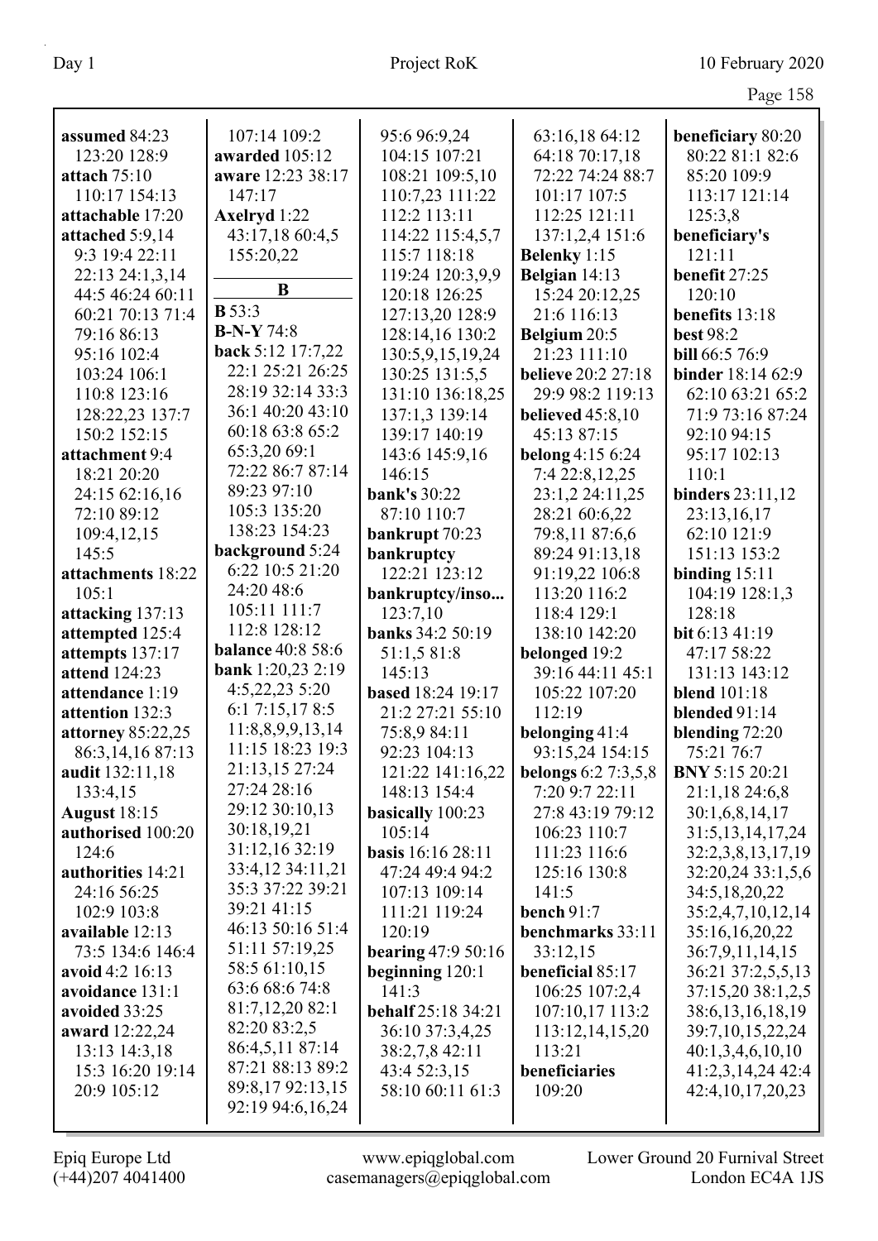|                          |                          |                           |                            | O                    |
|--------------------------|--------------------------|---------------------------|----------------------------|----------------------|
| assumed 84:23            | 107:14 109:2             | 95:6 96:9,24              | 63:16,18 64:12             | beneficiary 80:20    |
| 123:20 128:9             | awarded 105:12           | 104:15 107:21             | 64:18 70:17,18             | 80:22 81:1 82:6      |
| attach $75:10$           | aware 12:23 38:17        | 108:21 109:5,10           | 72:22 74:24 88:7           | 85:20 109:9          |
| 110:17 154:13            | 147:17                   | 110:7,23 111:22           | 101:17 107:5               | 113:17 121:14        |
| attachable 17:20         | <b>Axelryd</b> 1:22      | 112:2 113:11              | 112:25 121:11              | 125:3,8              |
| attached 5:9,14          | 43:17,18 60:4,5          | 114:22 115:4,5,7          | 137:1,2,4 151:6            | beneficiary's        |
| 9:3 19:4 22:11           | 155:20,22                | 115:7 118:18              | Belenky 1:15               | 121:11               |
| 22:13 24:1,3,14          |                          | 119:24 120:3,9,9          | Belgian 14:13              | benefit 27:25        |
| 44:5 46:24 60:11         | B                        | 120:18 126:25             | 15:24 20:12,25             | 120:10               |
| 60:21 70:13 71:4         | <b>B</b> 53:3            | 127:13,20 128:9           | 21:6 116:13                | benefits 13:18       |
| 79:16 86:13              | $B-N-Y 74:8$             | 128:14,16 130:2           | Belgium 20:5               | <b>best 98:2</b>     |
| 95:16 102:4              | back 5:12 17:7,22        | 130:5,9,15,19,24          | 21:23 111:10               | bill 66:5 76:9       |
| 103:24 106:1             | 22:1 25:21 26:25         | 130:25 131:5,5            | <b>believe</b> 20:2 27:18  | binder 18:14 62:9    |
| 110:8 123:16             | 28:19 32:14 33:3         | 131:10 136:18,25          | 29:9 98:2 119:13           | 62:10 63:21 65:2     |
| 128:22,23 137:7          | 36:1 40:20 43:10         | 137:1,3 139:14            | <b>believed</b> 45:8,10    | 71:9 73:16 87:24     |
| 150:2 152:15             | 60:18 63:8 65:2          | 139:17 140:19             | 45:13 87:15                | 92:10 94:15          |
| attachment 9:4           | 65:3,20 69:1             | 143:6 145:9,16            | belong 4:15 6:24           | 95:17 102:13         |
| 18:21 20:20              | 72:22 86:7 87:14         | 146:15                    | 7:4 22:8,12,25             | 110:1                |
| 24:15 62:16,16           | 89:23 97:10              | <b>bank's 30:22</b>       | 23:1,2 24:11,25            | binders 23:11,12     |
| 72:10 89:12              | 105:3 135:20             | 87:10 110:7               | 28:21 60:6,22              | 23:13,16,17          |
| 109:4,12,15              | 138:23 154:23            | bankrupt 70:23            | 79:8,11 87:6,6             | 62:10 121:9          |
| 145:5                    | background 5:24          | bankruptcy                | 89:24 91:13,18             | 151:13 153:2         |
| attachments 18:22        | 6:22 10:5 21:20          | 122:21 123:12             | 91:19,22 106:8             | binding $15:11$      |
| 105:1                    | 24:20 48:6               | bankruptcy/inso           | 113:20 116:2               | 104:19 128:1,3       |
| attacking 137:13         | 105:11 111:7             | 123:7,10                  | 118:4 129:1                | 128:18               |
| attempted 125:4          | 112:8 128:12             | banks 34:2 50:19          | 138:10 142:20              | bit 6:13 41:19       |
| attempts 137:17          | <b>balance 40:8 58:6</b> | 51:1,5 81:8               | belonged 19:2              | 47:17 58:22          |
| attend 124:23            | <b>bank</b> 1:20,23 2:19 | 145:13                    | 39:16 44:11 45:1           | 131:13 143:12        |
| attendance 1:19          | 4:5,22,23 5:20           | based 18:24 19:17         | 105:22 107:20              | <b>blend</b> 101:18  |
| attention 132:3          | 6:1 7:15,17 8:5          | 21:2 27:21 55:10          | 112:19                     | blended 91:14        |
| <b>attorney 85:22,25</b> | 11:8,8,9,9,13,14         | 75:8,9 84:11              | belonging 41:4             | blending 72:20       |
| 86:3, 14, 16 87:13       | 11:15 18:23 19:3         | 92:23 104:13              | 93:15,24 154:15            | 75:21 76:7           |
| audit 132:11,18          | 21:13,15 27:24           | 121:22 141:16,22          | <b>belongs</b> 6:2 7:3,5,8 | BNY 5:15 20:21       |
| 133:4,15                 | 27:24 28:16              | 148:13 154:4              | 7:20 9:7 22:11             | 21:1,18 24:6,8       |
| <b>August</b> 18:15      | 29:12 30:10,13           | basically 100:23          | 27:8 43:19 79:12           | 30:1,6,8,14,17       |
| authorised 100:20        | 30:18,19,21              | 105:14                    | 106:23 110:7               | 31:5, 13, 14, 17, 24 |
| 124:6                    | 31:12,16 32:19           | <b>basis</b> 16:16 28:11  | 111:23 116:6               | 32:2,3,8,13,17,19    |
| authorities 14:21        | 33:4,12 34:11,21         | 47:24 49:4 94:2           | 125:16 130:8               | 32:20,24 33:1,5,6    |
| 24:16 56:25              | 35:3 37:22 39:21         | 107:13 109:14             | 141:5                      | 34:5, 18, 20, 22     |
| 102:9 103:8              | 39:21 41:15              | 111:21 119:24             | bench $91:7$               | 35:2,4,7,10,12,14    |
| available 12:13          | 46:13 50:16 51:4         | 120:19                    | benchmarks 33:11           | 35:16,16,20,22       |
| 73:5 134:6 146:4         | 51:11 57:19,25           | bearing $47:950:16$       | 33:12,15                   | 36:7,9,11,14,15      |
| avoid 4:2 16:13          | 58:5 61:10,15            | beginning $120:1$         | beneficial 85:17           | 36:21 37:2,5,5,13    |
| avoidance 131:1          | 63:6 68:6 74:8           | 141:3                     | 106:25 107:2,4             | 37:15,20 38:1,2,5    |
| avoided 33:25            | 81:7,12,20 82:1          | <b>behalf</b> 25:18 34:21 | 107:10,17 113:2            | 38:6, 13, 16, 18, 19 |
| award 12:22,24           | 82:20 83:2,5             | 36:10 37:3,4,25           | 113:12,14,15,20            | 39:7, 10, 15, 22, 24 |
| 13:13 14:3,18            | 86:4,5,11 87:14          | 38:2,7,8 42:11            | 113:21                     | 40:1,3,4,6,10,10     |
| 15:3 16:20 19:14         | 87:21 88:13 89:2         | 43:4 52:3,15              | beneficiaries              | 41:2,3,14,24 42:4    |
| 20:9 105:12              | 89:8,17 92:13,15         | 58:10 60:11 61:3          | 109:20                     | 42:4, 10, 17, 20, 23 |
|                          | 92:19 94:6,16,24         |                           |                            |                      |
|                          |                          |                           |                            |                      |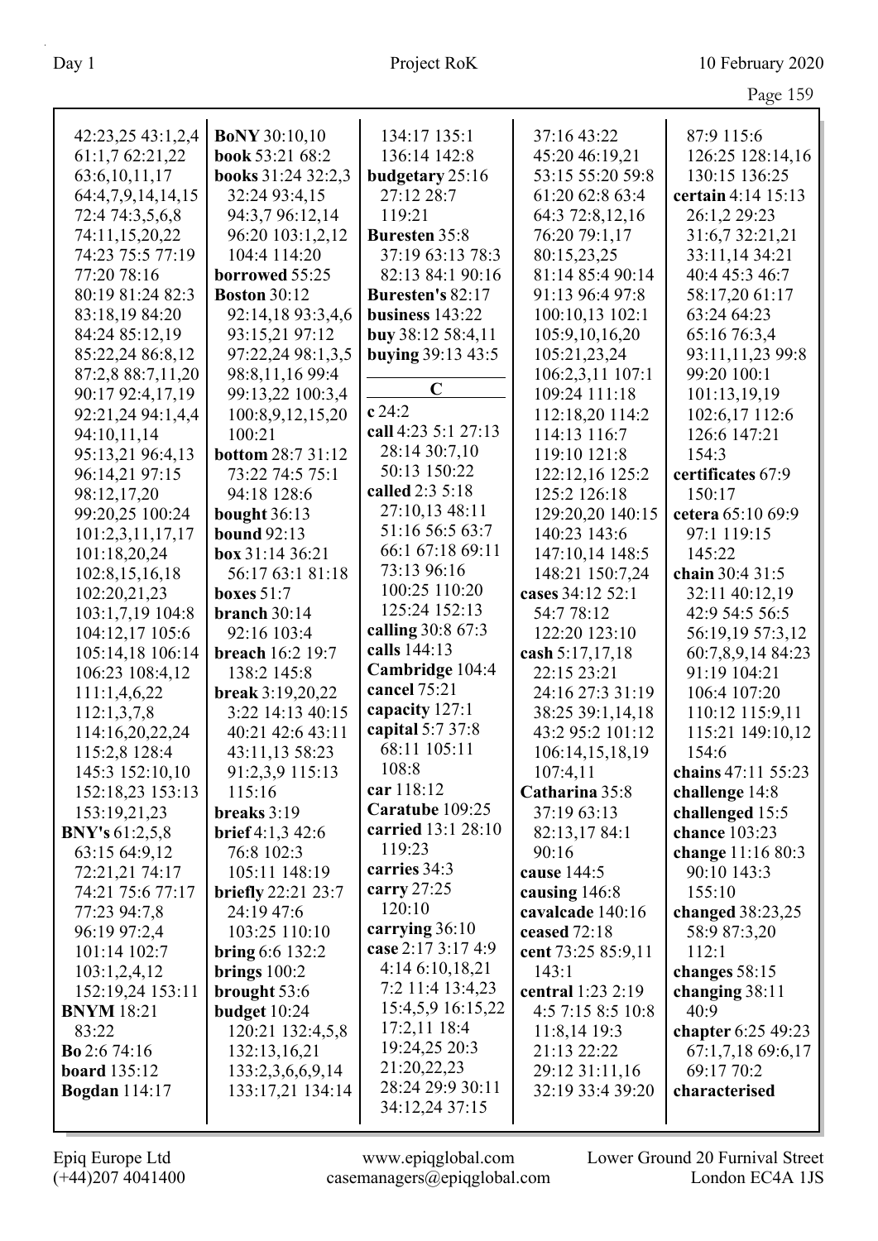|      | э |
|------|---|
| 74 O |   |

| 42:23,25 43:1,2,4       | <b>BoNY</b> 30:10,10      | 134:17 135:1         | 37:16 43:22        | 87:9 115:6         |
|-------------------------|---------------------------|----------------------|--------------------|--------------------|
| 61:1,7 62:21,22         | book 53:21 68:2           | 136:14 142:8         | 45:20 46:19,21     | 126:25 128:14,16   |
| 63:6, 10, 11, 17        | books 31:24 32:2,3        | budgetary 25:16      | 53:15 55:20 59:8   | 130:15 136:25      |
| 64:4,7,9,14,14,15       | 32:24 93:4,15             | 27:12 28:7           | 61:20 62:8 63:4    | certain 4:14 15:13 |
| 72:4 74:3,5,6,8         | 94:3,7 96:12,14           | 119:21               | 64:3 72:8,12,16    | 26:1,2 29:23       |
| 74:11,15,20,22          | 96:20 103:1,2,12          | <b>Buresten 35:8</b> | 76:20 79:1,17      | 31:6,7 32:21,21    |
| 74:23 75:5 77:19        | 104:4 114:20              | 37:19 63:13 78:3     | 80:15,23,25        | 33:11,14 34:21     |
| 77:20 78:16             | borrowed 55:25            | 82:13 84:1 90:16     | 81:14 85:4 90:14   | 40:4 45:3 46:7     |
| 80:19 81:24 82:3        | <b>Boston 30:12</b>       | Buresten's 82:17     | 91:13 96:4 97:8    | 58:17,20 61:17     |
| 83:18,19 84:20          | 92:14,18 93:3,4,6         | business $143:22$    | 100:10,13 102:1    | 63:24 64:23        |
| 84:24 85:12,19          | 93:15,21 97:12            | buy 38:12 58:4,11    | 105:9,10,16,20     | 65:16 76:3,4       |
| 85:22,24 86:8,12        | 97:22,24 98:1,3,5         | buying 39:13 43:5    | 105:21,23,24       | 93:11,11,23 99:8   |
| 87:2,8 88:7,11,20       | 98:8,11,16 99:4           |                      | 106:2,3,11 107:1   | 99:20 100:1        |
| 90:17 92:4,17,19        | 99:13,22 100:3,4          | $\mathbf C$          | 109:24 111:18      | 101:13,19,19       |
| 92:21,24 94:1,4,4       | 100:8,9,12,15,20          | c 24:2               | 112:18,20 114:2    | 102:6,17 112:6     |
| 94:10,11,14             | 100:21                    | call 4:23 5:1 27:13  | 114:13 116:7       | 126:6 147:21       |
| 95:13,21 96:4,13        | <b>bottom 28:7 31:12</b>  | 28:14 30:7,10        | 119:10 121:8       | 154:3              |
| 96:14,21 97:15          | 73:22 74:5 75:1           | 50:13 150:22         | 122:12,16 125:2    | certificates 67:9  |
| 98:12,17,20             | 94:18 128:6               | called 2:3 5:18      | 125:2 126:18       | 150:17             |
| 99:20,25 100:24         | bought 36:13              | 27:10,13 48:11       | 129:20,20 140:15   | cetera 65:10 69:9  |
| 101:2,3,11,17,17        | <b>bound</b> 92:13        | 51:16 56:5 63:7      | 140:23 143:6       | 97:1 119:15        |
| 101:18,20,24            | box 31:14 36:21           | 66:1 67:18 69:11     | 147:10,14 148:5    | 145:22             |
| 102:8,15,16,18          | 56:17 63:1 81:18          | 73:13 96:16          | 148:21 150:7,24    | chain 30:4 31:5    |
| 102:20,21,23            | boxes $51:7$              | 100:25 110:20        | cases 34:12 52:1   | 32:11 40:12,19     |
| 103:1,7,19 104:8        | branch $30:14$            | 125:24 152:13        | 54:7 78:12         | 42:9 54:5 56:5     |
| 104:12,17 105:6         | 92:16 103:4               | calling 30:8 67:3    | 122:20 123:10      | 56:19,19 57:3,12   |
| 105:14,18 106:14        | breach 16:2 19:7          | calls 144:13         | cash 5:17,17,18    | 60:7,8,9,14 84:23  |
| 106:23 108:4,12         | 138:2 145:8               | Cambridge 104:4      | 22:15 23:21        | 91:19 104:21       |
| 111:1,4,6,22            | break 3:19,20,22          | cancel 75:21         | 24:16 27:3 31:19   | 106:4 107:20       |
| 112:1,3,7,8             | 3:22 14:13 40:15          | capacity 127:1       | 38:25 39:1,14,18   | 110:12 115:9,11    |
| 114:16,20,22,24         | 40:21 42:6 43:11          | capital 5:7 37:8     | 43:2 95:2 101:12   | 115:21 149:10,12   |
| 115:2,8 128:4           | 43:11,13 58:23            | 68:11 105:11         | 106:14,15,18,19    | 154:6              |
| 145:3 152:10,10         | 91:2,3,9 115:13           | 108:8                | 107:4,11           | chains 47:11 55:23 |
| 152:18,23 153:13        | 115:16                    | car 118:12           | Catharina 35:8     | challenge 14:8     |
| 153:19,21,23            | breaks 3:19               | Caratube 109:25      | 37:19 63:13        | challenged 15:5    |
| <b>BNY's</b> $61:2,5,8$ | <b>brief</b> 4:1,3 42:6   | carried 13:1 28:10   | 82:13,17 84:1      | chance 103:23      |
| 63:15 64:9,12           | 76:8 102:3                | 119:23               | 90:16              | change 11:16 80:3  |
| 72:21,21 74:17          | 105:11 148:19             | carries 34:3         | cause 144:5        | 90:10 143:3        |
| 74:21 75:6 77:17        | <b>briefly</b> 22:21 23:7 | carry $27:25$        | causing 146:8      | 155:10             |
| 77:23 94:7,8            | 24:19 47:6                | 120:10               | cavalcade 140:16   | changed 38:23,25   |
| 96:19 97:2,4            | 103:25 110:10             | carrying 36:10       | ceased 72:18       | 58:9 87:3,20       |
| 101:14 102:7            | <b>bring</b> 6:6 132:2    | case 2:17 3:17 4:9   | cent 73:25 85:9,11 | 112:1              |
| 103:1,2,4,12            | brings $100:2$            | 4:146:10,18,21       | 143:1              | changes 58:15      |
| 152:19,24 153:11        | brought 53:6              | 7:2 11:4 13:4,23     | central 1:23 2:19  | changing $38:11$   |
| <b>BNYM</b> 18:21       | budget 10:24              | 15:4,5,9 16:15,22    | 4:57:158:510:8     | 40:9               |
| 83:22                   | 120:21 132:4,5,8          | 17:2,11 18:4         | $11:8,14$ 19:3     | chapter 6:25 49:23 |
| <b>Bo</b> 2:6 74:16     | 132:13,16,21              | 19:24,25 20:3        | 21:13 22:22        | 67:1,7,18 69:6,17  |
| <b>board</b> 135:12     | 133:2,3,6,6,9,14          | 21:20,22,23          | 29:12 31:11,16     | 69:17 70:2         |
| <b>Bogdan</b> 114:17    | 133:17,21 134:14          | 28:24 29:9 30:11     | 32:19 33:4 39:20   | characterised      |
|                         |                           | 34:12,24 37:15       |                    |                    |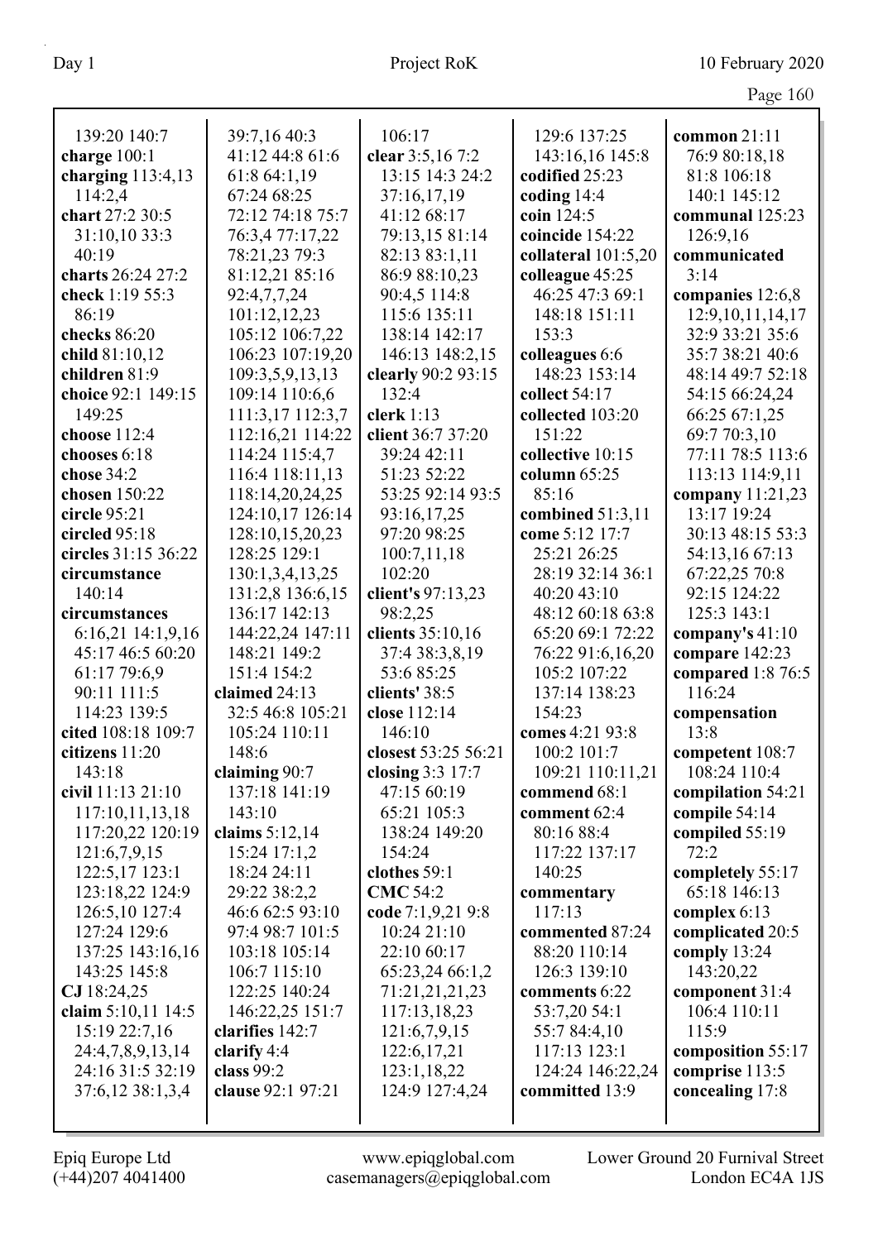| 139:20 140:7        | 39:7,16 40:3      | 106:17              | 129:6 137:25          | common $21:11$                  |
|---------------------|-------------------|---------------------|-----------------------|---------------------------------|
| charge 100:1        | 41:12 44:8 61:6   | clear 3:5,16 7:2    | 143:16,16 145:8       | 76:9 80:18,18                   |
| charging $113:4,13$ | 61:8 64:1,19      | 13:15 14:3 24:2     | codified 25:23        | 81:8 106:18                     |
| 114:2,4             | 67:24 68:25       | 37:16,17,19         | coding $14:4$         | 140:1 145:12                    |
| chart 27:2 30:5     | 72:12 74:18 75:7  | 41:12 68:17         | coin 124:5            | communal 125:23                 |
| 31:10,10 33:3       | 76:3,4 77:17,22   | 79:13,15 81:14      | coincide 154:22       | 126:9,16                        |
| 40:19               | 78:21,23 79:3     | 82:13 83:1,11       | collateral $101:5,20$ | communicated                    |
| charts 26:24 27:2   | 81:12,21 85:16    | 86:9 88:10,23       | colleague 45:25       | 3:14                            |
| check 1:19 55:3     | 92:4,7,7,24       | 90:4,5 114:8        | 46:25 47:3 69:1       | companies 12:6,8                |
| 86:19               | 101:12,12,23      | 115:6 135:11        | 148:18 151:11         | 12:9, 10, 11, 14, 17            |
| checks 86:20        | 105:12 106:7,22   | 138:14 142:17       | 153:3                 | 32:9 33:21 35:6                 |
| child 81:10,12      | 106:23 107:19,20  | 146:13 148:2,15     | colleagues 6:6        | 35:7 38:21 40:6                 |
| children 81:9       | 109:3,5,9,13,13   | clearly 90:2 93:15  | 148:23 153:14         | 48:14 49:7 52:18                |
| choice 92:1 149:15  | 109:14 110:6,6    | 132:4               | collect 54:17         | 54:15 66:24,24                  |
| 149:25              | 111:3,17 112:3,7  | clerk 1:13          | collected 103:20      | 66:25 67:1,25                   |
| choose 112:4        | 112:16,21 114:22  | client 36:7 37:20   | 151:22                | 69:7 70:3,10                    |
| chooses 6:18        | 114:24 115:4,7    | 39:24 42:11         | collective 10:15      | 77:11 78:5 113:6                |
| chose 34:2          | 116:4 118:11,13   | 51:23 52:22         | column $65:25$        | 113:13 114:9,11                 |
| chosen 150:22       | 118:14,20,24,25   | 53:25 92:14 93:5    | 85:16                 |                                 |
|                     |                   |                     |                       | company 11:21,23<br>13:17 19:24 |
| circle 95:21        | 124:10,17 126:14  | 93:16,17,25         | combined 51:3,11      |                                 |
| circled 95:18       | 128:10,15,20,23   | 97:20 98:25         | come 5:12 17:7        | 30:13 48:15 53:3                |
| circles 31:15 36:22 | 128:25 129:1      | 100:7,11,18         | 25:21 26:25           | 54:13,16 67:13                  |
| circumstance        | 130:1,3,4,13,25   | 102:20              | 28:19 32:14 36:1      | 67:22,25 70:8                   |
| 140:14              | 131:2,8 136:6,15  | client's 97:13,23   | 40:20 43:10           | 92:15 124:22                    |
| circumstances       | 136:17 142:13     | 98:2,25             | 48:12 60:18 63:8      | 125:3 143:1                     |
| 6:16,21 14:1,9,16   | 144:22,24 147:11  | clients 35:10,16    | 65:20 69:1 72:22      | company's $41:10$               |
| 45:17 46:5 60:20    | 148:21 149:2      | 37:4 38:3,8,19      | 76:22 91:6,16,20      | compare 142:23                  |
| 61:17 79:6,9        | 151:4 154:2       | 53:685:25           | 105:2 107:22          | compared 1:8 76:5               |
| 90:11 111:5         | claimed 24:13     | clients' 38:5       | 137:14 138:23         | 116:24                          |
| 114:23 139:5        | 32:5 46:8 105:21  | close 112:14        | 154:23                | compensation                    |
| cited 108:18 109:7  | 105:24 110:11     | 146:10              | comes 4:21 93:8       | 13:8                            |
| citizens 11:20      | 148:6             | closest 53:25 56:21 | 100:2 101:7           | competent 108:7                 |
| 143:18              | claiming 90:7     | closing $3:3$ 17:7  | 109:21 110:11,21      | 108:24 110:4                    |
| civil 11:13 21:10   | 137:18 141:19     | 47:15 60:19         | commend 68:1          | compilation 54:21               |
| 117:10,11,13,18     | 143:10            | 65:21 105:3         | comment 62:4          | compile 54:14                   |
| 117:20,22 120:19    | claims 5:12,14    | 138:24 149:20       | 80:16 88:4            | compiled 55:19                  |
| 121:6,7,9,15        | 15:24 17:1,2      | 154:24              | 117:22 137:17         | 72:2                            |
| 122:5,17 123:1      | 18:24 24:11       | clothes 59:1        | 140:25                | completely 55:17                |
| 123:18,22 124:9     | 29:22 38:2,2      | <b>CMC 54:2</b>     | commentary            | 65:18 146:13                    |
| 126:5,10 127:4      | 46:6 62:5 93:10   | code 7:1,9,21 9:8   | 117:13                | complex $6:13$                  |
| 127:24 129:6        | 97:4 98:7 101:5   | 10:24 21:10         | commented 87:24       | complicated 20:5                |
| 137:25 143:16,16    | 103:18 105:14     | 22:10 60:17         | 88:20 110:14          | comply 13:24                    |
| 143:25 145:8        | 106:7 115:10      | 65:23,24 66:1,2     | 126:3 139:10          | 143:20,22                       |
| CJ 18:24,25         | 122:25 140:24     | 71:21,21,21,23      | comments 6:22         | component 31:4                  |
| claim 5:10,11 14:5  | 146:22,25 151:7   | 117:13,18,23        | 53:7,20 54:1          | 106:4 110:11                    |
| 15:19 22:7,16       | clarifies 142:7   | 121:6,7,9,15        | 55:7 84:4,10          | 115:9                           |
| 24:4,7,8,9,13,14    | clarify 4:4       | 122:6, 17, 21       | 117:13 123:1          | composition 55:17               |
| 24:16 31:5 32:19    | class 99:2        | 123:1,18,22         | 124:24 146:22,24      | comprise 113:5                  |
| 37:6,12 38:1,3,4    | clause 92:1 97:21 | 124:9 127:4,24      | committed 13:9        | concealing 17:8                 |
|                     |                   |                     |                       |                                 |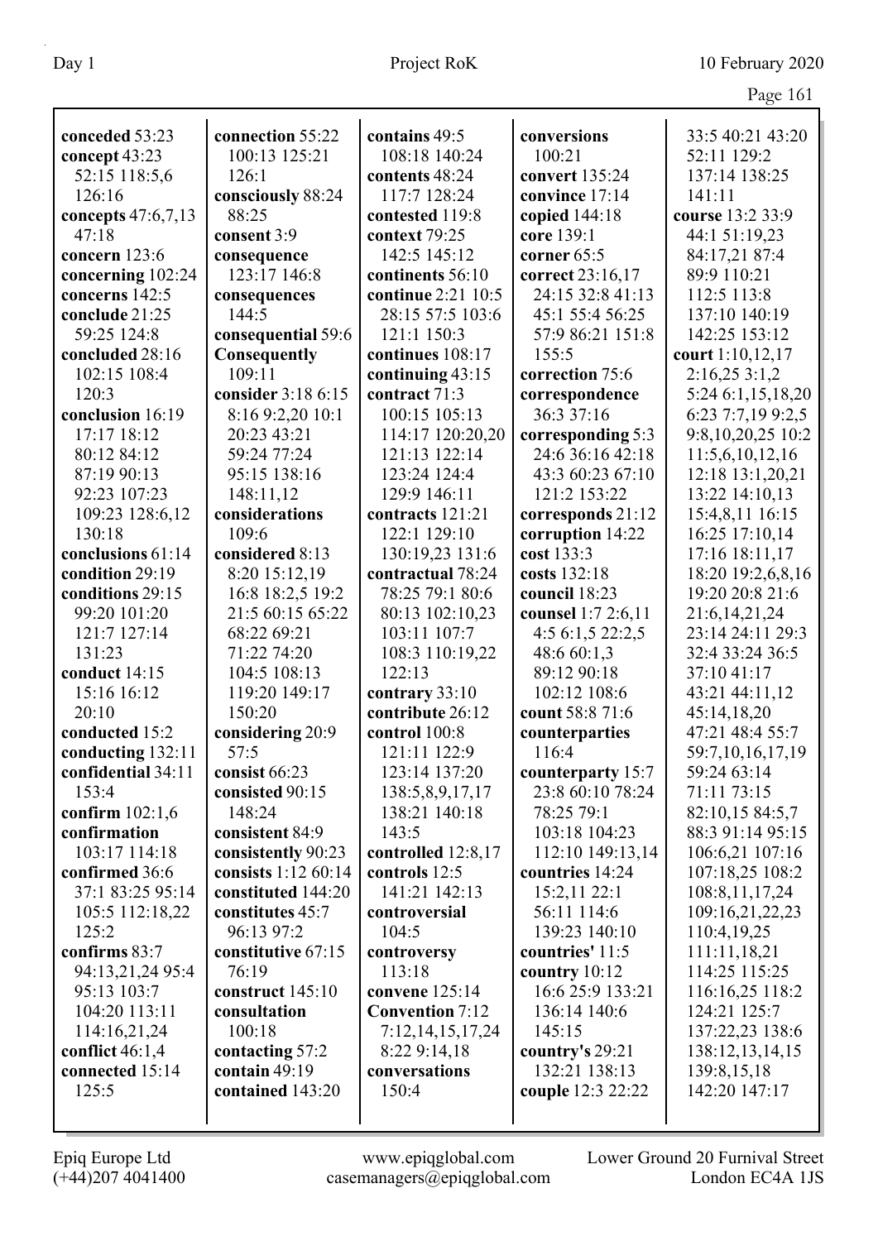| Page 161 |  |
|----------|--|
|          |  |

|                           |                       |                                      |                                       | $145c$ 101                          |
|---------------------------|-----------------------|--------------------------------------|---------------------------------------|-------------------------------------|
| conceded 53:23            | connection 55:22      | contains 49:5                        | conversions                           | 33:5 40:21 43:20                    |
| concept 43:23             | 100:13 125:21         | 108:18 140:24                        | 100:21                                | 52:11 129:2                         |
| 52:15 118:5,6             | 126:1                 | contents 48:24                       | convert 135:24                        | 137:14 138:25                       |
| 126:16                    | consciously 88:24     | 117:7 128:24                         | convince 17:14                        | 141:11                              |
| concepts 47:6,7,13        | 88:25                 | contested 119:8                      | copied 144:18                         | course 13:2 33:9                    |
| 47:18                     | consent 3:9           | context 79:25                        | core 139:1                            | 44:1 51:19,23                       |
| concern 123:6             | consequence           | 142:5 145:12                         | corner 65:5                           | 84:17,21 87:4                       |
| concerning 102:24         | 123:17 146:8          | continents 56:10                     | correct 23:16,17                      | 89:9 110:21                         |
| concerns 142:5            |                       | continue 2:21 10:5                   | 24:15 32:8 41:13                      | 112:5 113:8                         |
| conclude 21:25            | consequences<br>144:5 | 28:15 57:5 103:6                     | 45:1 55:4 56:25                       | 137:10 140:19                       |
| 59:25 124:8               | consequential 59:6    | 121:1 150:3                          | 57:9 86:21 151:8                      | 142:25 153:12                       |
| concluded 28:16           | Consequently          | continues 108:17                     | 155:5                                 | court 1:10,12,17                    |
| 102:15 108:4              | 109:11                | continuing 43:15                     | correction 75:6                       | 2:16,253:1,2                        |
| 120:3                     | consider 3:18 6:15    | contract 71:3                        | correspondence                        | 5:24 6:1,15,18,20                   |
| conclusion 16:19          | 8:16 9:2,20 10:1      | 100:15 105:13                        | 36:3 37:16                            | 6:23 7:7,19 9:2,5                   |
| 17:17 18:12               | 20:23 43:21           | 114:17 120:20,20                     |                                       |                                     |
| 80:12 84:12               | 59:24 77:24           | 121:13 122:14                        | corresponding 5:3<br>24:6 36:16 42:18 | 9:8,10,20,25 10:2                   |
| 87:19 90:13               | 95:15 138:16          | 123:24 124:4                         | 43:3 60:23 67:10                      | 11:5,6,10,12,16                     |
| 92:23 107:23              | 148:11,12             | 129:9 146:11                         | 121:2 153:22                          | 12:18 13:1,20,21<br>13:22 14:10,13  |
|                           | considerations        | contracts 121:21                     |                                       | 15:4,8,11 16:15                     |
| 109:23 128:6,12<br>130:18 | 109:6                 | 122:1 129:10                         | corresponds 21:12                     | 16:25 17:10,14                      |
| conclusions 61:14         | considered 8:13       |                                      | corruption 14:22<br>cost 133:3        |                                     |
| condition 29:19           | 8:20 15:12,19         | 130:19,23 131:6<br>contractual 78:24 | costs 132:18                          | 17:16 18:11,17<br>18:20 19:2,6,8,16 |
| conditions 29:15          | 16:8 18:2,5 19:2      | 78:25 79:1 80:6                      | council 18:23                         | 19:20 20:8 21:6                     |
| 99:20 101:20              | 21:5 60:15 65:22      | 80:13 102:10,23                      | counsel 1:7 2:6,11                    | 21:6, 14, 21, 24                    |
| 121:7 127:14              | 68:22 69:21           | 103:11 107:7                         | 4:5 6:1,5 22:2,5                      | 23:14 24:11 29:3                    |
| 131:23                    | 71:22 74:20           | 108:3 110:19,22                      | 48:6 60:1,3                           | 32:4 33:24 36:5                     |
| conduct 14:15             | 104:5 108:13          | 122:13                               | 89:12 90:18                           | 37:10 41:17                         |
| 15:16 16:12               | 119:20 149:17         | contrary 33:10                       | 102:12 108:6                          | 43:21 44:11,12                      |
| 20:10                     | 150:20                | contribute 26:12                     | count 58:8 71:6                       | 45:14,18,20                         |
| conducted 15:2            | considering 20:9      | control 100:8                        | counterparties                        | 47:21 48:4 55:7                     |
| conducting 132:11         | 57:5                  | 121:11 122:9                         | 116:4                                 | 59:7,10,16,17,19                    |
| confidential 34:11        | consist 66:23         | 123:14 137:20                        | counterparty 15:7                     | 59:24 63:14                         |
| 153:4                     | consisted 90:15       | 138:5,8,9,17,17                      | 23:8 60:10 78:24                      | 71:11 73:15                         |
| confirm 102:1,6           | 148:24                | 138:21 140:18                        | 78:25 79:1                            | 82:10,15 84:5,7                     |
| confirmation              | consistent 84:9       | 143:5                                | 103:18 104:23                         | 88:3 91:14 95:15                    |
| 103:17 114:18             | consistently 90:23    | controlled 12:8,17                   | 112:10 149:13,14                      | 106:6,21 107:16                     |
| confirmed 36:6            | consists 1:12 60:14   | controls 12:5                        | countries 14:24                       | 107:18,25 108:2                     |
| 37:1 83:25 95:14          | constituted 144:20    | 141:21 142:13                        | 15:2,11 22:1                          | 108:8, 11, 17, 24                   |
| 105:5 112:18,22           | constitutes 45:7      | controversial                        | 56:11 114:6                           | 109:16,21,22,23                     |
| 125:2                     | 96:13 97:2            | 104:5                                | 139:23 140:10                         | 110:4,19,25                         |
| confirms 83:7             | constitutive 67:15    | controversy                          | countries' 11:5                       | 111:11,18,21                        |
| 94:13,21,24 95:4          | 76:19                 | 113:18                               | country $10:12$                       | 114:25 115:25                       |
| 95:13 103:7               | construct 145:10      | convene 125:14                       | 16:6 25:9 133:21                      | 116:16,25 118:2                     |
| 104:20 113:11             | consultation          | <b>Convention 7:12</b>               | 136:14 140:6                          | 124:21 125:7                        |
| 114:16,21,24              | 100:18                | 7:12, 14, 15, 17, 24                 | 145:15                                | 137:22,23 138:6                     |
| conflict $46:1,4$         | contacting 57:2       | 8:22 9:14,18                         | country's 29:21                       | 138:12,13,14,15                     |
| connected 15:14           | contain 49:19         | conversations                        | 132:21 138:13                         | 139:8, 15, 18                       |
| 125:5                     | contained 143:20      | 150:4                                | couple 12:3 22:22                     | 142:20 147:17                       |
|                           |                       |                                      |                                       |                                     |
|                           |                       |                                      |                                       |                                     |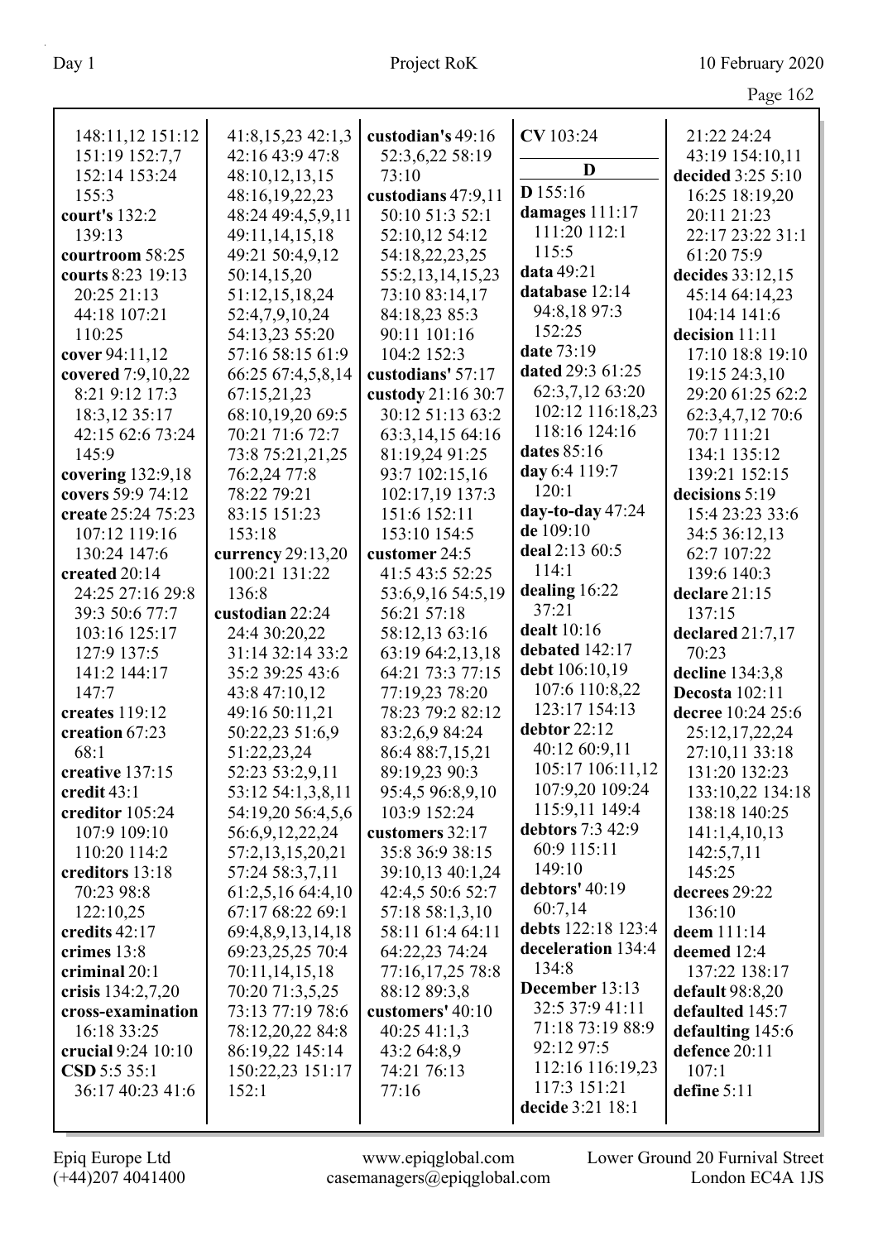| 148:11,12 151:12   | 41:8,15,2342:1,3  | custodian's 49:16  | CV 103:24          | 21:22 24:24           |
|--------------------|-------------------|--------------------|--------------------|-----------------------|
| 151:19 152:7,7     | 42:16 43:9 47:8   | 52:3,6,22 58:19    |                    | 43:19 154:10,11       |
| 152:14 153:24      | 48:10,12,13,15    | 73:10              | D                  | decided 3:25 5:10     |
| 155:3              | 48:16,19,22,23    | custodians 47:9,11 | D 155:16           | 16:25 18:19,20        |
| court's 132:2      | 48:24 49:4,5,9,11 | 50:10 51:3 52:1    | damages 111:17     | 20:11 21:23           |
| 139:13             | 49:11,14,15,18    | 52:10,12 54:12     | 111:20 112:1       | 22:17 23:22 31:1      |
| courtroom 58:25    | 49:21 50:4,9,12   | 54:18,22,23,25     | 115:5              | 61:20 75:9            |
| courts 8:23 19:13  | 50:14,15,20       | 55:2,13,14,15,23   | data 49:21         | decides 33:12,15      |
| 20:25 21:13        | 51:12,15,18,24    | 73:10 83:14,17     | database 12:14     | 45:14 64:14,23        |
| 44:18 107:21       | 52:4,7,9,10,24    | 84:18,23 85:3      | 94:8,18 97:3       | 104:14 141:6          |
| 110:25             | 54:13,23 55:20    | 90:11 101:16       | 152:25             | decision 11:11        |
| cover 94:11,12     | 57:16 58:15 61:9  | 104:2 152:3        | date 73:19         | 17:10 18:8 19:10      |
| covered 7:9,10,22  | 66:25 67:4,5,8,14 | custodians' 57:17  | dated 29:3 61:25   | 19:15 24:3,10         |
| 8:21 9:12 17:3     | 67:15,21,23       | custody 21:16 30:7 | 62:3,7,12 63:20    | 29:20 61:25 62:2      |
| 18:3,12 35:17      | 68:10,19,20 69:5  | 30:12 51:13 63:2   | 102:12 116:18,23   | 62:3,4,7,12 70:6      |
| 42:15 62:6 73:24   | 70:21 71:6 72:7   | 63:3,14,15 64:16   | 118:16 124:16      | 70:7 111:21           |
| 145:9              | 73:8 75:21,21,25  | 81:19,24 91:25     | dates 85:16        | 134:1 135:12          |
| covering 132:9,18  | 76:2,24 77:8      | 93:7 102:15,16     | day 6:4 119:7      | 139:21 152:15         |
| covers 59:9 74:12  | 78:22 79:21       | 102:17,19 137:3    | 120:1              | decisions 5:19        |
| create 25:24 75:23 | 83:15 151:23      | 151:6 152:11       | day-to-day $47:24$ | 15:4 23:23 33:6       |
| 107:12 119:16      | 153:18            | 153:10 154:5       | de 109:10          | 34:5 36:12,13         |
| 130:24 147:6       | currency 29:13,20 | customer 24:5      | deal 2:13 60:5     | 62:7 107:22           |
| created 20:14      | 100:21 131:22     | 41:5 43:5 52:25    | 114:1              | 139:6 140:3           |
| 24:25 27:16 29:8   | 136:8             | 53:6,9,16 54:5,19  | dealing 16:22      | declare 21:15         |
| 39:3 50:6 77:7     | custodian 22:24   | 56:21 57:18        | 37:21              | 137:15                |
| 103:16 125:17      | 24:4 30:20,22     | 58:12,13 63:16     | dealt 10:16        | declared $21:7,17$    |
| 127:9 137:5        | 31:14 32:14 33:2  | 63:19 64:2,13,18   | debated 142:17     | 70:23                 |
| 141:2 144:17       | 35:2 39:25 43:6   | 64:21 73:3 77:15   | debt 106:10,19     | decline 134:3,8       |
| 147:7              | 43:8 47:10,12     | 77:19,23 78:20     | 107:6 110:8,22     | <b>Decosta</b> 102:11 |
| creates 119:12     | 49:16 50:11,21    | 78:23 79:2 82:12   | 123:17 154:13      | decree 10:24 25:6     |
| creation 67:23     | 50:22,23 51:6,9   | 83:2,6,9 84:24     | debtor 22:12       | 25:12,17,22,24        |
| 68:1               | 51:22,23,24       | 86:4 88:7,15,21    | 40:12 60:9,11      | 27:10,11 33:18        |
| creative 137:15    | 52:23 53:2,9,11   | 89:19,23 90:3      | 105:17 106:11,12   | 131:20 132:23         |
| credit 43:1        | 53:12 54:1,3,8,11 | 95:4,5 96:8,9,10   | 107:9,20 109:24    | 133:10,22 134:18      |
| creditor 105:24    | 54:19,20 56:4,5,6 | 103:9 152:24       | 115:9,11 149:4     | 138:18 140:25         |
| 107:9 109:10       | 56:6,9,12,22,24   | customers 32:17    | debtors 7:3 42:9   | 141:1,4,10,13         |
| 110:20 114:2       | 57:2,13,15,20,21  | 35:8 36:9 38:15    | 60:9 115:11        | 142:5,7,11            |
| creditors 13:18    | 57:24 58:3,7,11   | 39:10,13 40:1,24   | 149:10             | 145:25                |
| 70:23 98:8         | 61:2,5,16 64:4,10 | 42:4,5 50:6 52:7   | debtors' 40:19     | decrees 29:22         |
| 122:10,25          | 67:17 68:22 69:1  | 57:18 58:1,3,10    | 60:7,14            | 136:10                |
| credits 42:17      | 69:4,8,9,13,14,18 | 58:11 61:4 64:11   | debts 122:18 123:4 | deem 111:14           |
| crimes 13:8        | 69:23,25,25 70:4  | 64:22,23 74:24     | deceleration 134:4 | deemed 12:4           |
| criminal 20:1      | 70:11,14,15,18    | 77:16,17,25 78:8   | 134:8              | 137:22 138:17         |
| crisis 134:2,7,20  | 70:20 71:3,5,25   | 88:12 89:3,8       | December 13:13     | default 98:8,20       |
| cross-examination  | 73:13 77:19 78:6  | customers' 40:10   | 32:5 37:9 41:11    | defaulted 145:7       |
| 16:18 33:25        | 78:12,20,22 84:8  | 40:2541:1,3        | 71:18 73:19 88:9   | defaulting 145:6      |
| crucial 9:24 10:10 | 86:19,22 145:14   | 43:2 64:8,9        | 92:12 97:5         | defence 20:11         |
| CSD 5:5 35:1       | 150:22,23 151:17  | 74:21 76:13        | 112:16 116:19,23   | 107:1                 |
| 36:17 40:23 41:6   | 152:1             | 77:16              | 117:3 151:21       | define 5:11           |
|                    |                   |                    | decide 3:21 18:1   |                       |
|                    |                   |                    |                    |                       |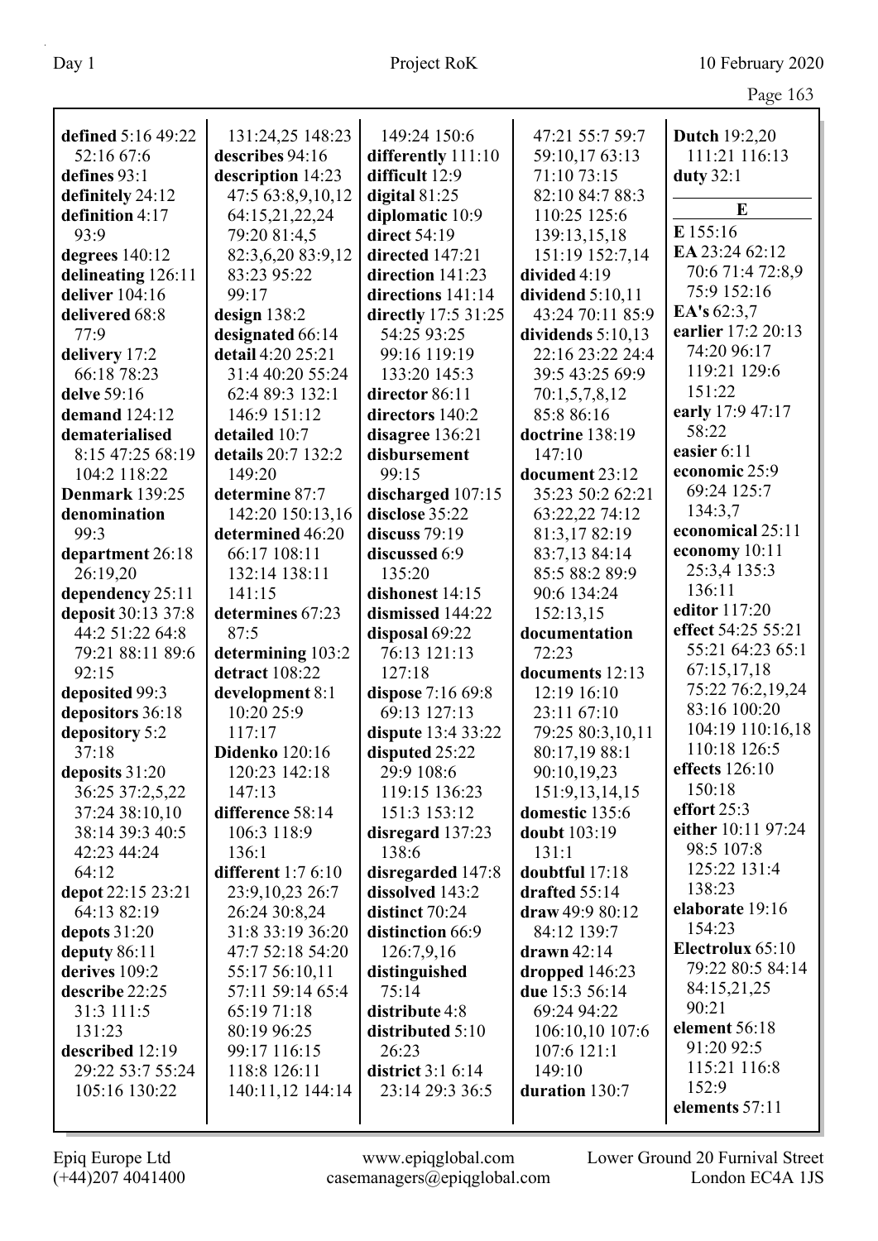|                    |                     |                     |                     | $\circ$              |
|--------------------|---------------------|---------------------|---------------------|----------------------|
| defined 5:16 49:22 | 131:24,25 148:23    | 149:24 150:6        | 47:21 55:7 59:7     | <b>Dutch 19:2,20</b> |
| 52:16 67:6         | describes 94:16     | differently 111:10  | 59:10,17 63:13      | 111:21 116:13        |
| defines 93:1       | description 14:23   | difficult 12:9      | 71:10 73:15         | duty $32:1$          |
| definitely 24:12   | 47:5 63:8,9,10,12   | digital 81:25       | 82:10 84:7 88:3     |                      |
| definition 4:17    | 64:15,21,22,24      | diplomatic 10:9     | 110:25 125:6        | E                    |
| 93:9               | 79:20 81:4,5        | direct 54:19        | 139:13,15,18        | E 155:16             |
| degrees 140:12     | 82:3,6,20 83:9,12   | directed 147:21     | 151:19 152:7,14     | EA 23:24 62:12       |
| delineating 126:11 | 83:23 95:22         | direction 141:23    | divided 4:19        | 70:6 71:4 72:8,9     |
| deliver 104:16     | 99:17               | directions 141:14   | dividend $5:10,11$  | 75:9 152:16          |
| delivered 68:8     | design $138:2$      | directly 17:5 31:25 | 43:24 70:11 85:9    | EA's 62:3,7          |
| 77:9               | designated 66:14    | 54:25 93:25         | dividends $5:10,13$ | earlier 17:2 20:13   |
| delivery 17:2      | detail 4:20 25:21   | 99:16 119:19        | 22:16 23:22 24:4    | 74:20 96:17          |
| 66:18 78:23        | 31:4 40:20 55:24    | 133:20 145:3        | 39:5 43:25 69:9     | 119:21 129:6         |
| delve 59:16        | 62:4 89:3 132:1     | director 86:11      | 70:1,5,7,8,12       | 151:22               |
| demand 124:12      | 146:9 151:12        | directors 140:2     | 85:8 86:16          | early 17:9 47:17     |
| dematerialised     | detailed 10:7       | disagree 136:21     | doctrine 138:19     | 58:22                |
| 8:15 47:25 68:19   | details 20:7 132:2  | disbursement        | 147:10              | easier 6:11          |
| 104:2 118:22       | 149:20              | 99:15               | document 23:12      | economic 25:9        |
| Denmark 139:25     | determine 87:7      | discharged 107:15   | 35:23 50:2 62:21    | 69:24 125:7          |
| denomination       | 142:20 150:13,16    | disclose 35:22      | 63:22,22 74:12      | 134:3,7              |
| 99:3               | determined 46:20    | discuss $79:19$     | 81:3,17 82:19       | economical 25:11     |
| department 26:18   | 66:17 108:11        | discussed 6:9       | 83:7,13 84:14       | economy 10:11        |
| 26:19,20           | 132:14 138:11       | 135:20              | 85:5 88:2 89:9      | 25:3,4 135:3         |
| dependency 25:11   | 141:15              | dishonest 14:15     | 90:6 134:24         | 136:11               |
| deposit 30:13 37:8 | determines 67:23    | dismissed 144:22    | 152:13,15           | editor 117:20        |
| 44:2 51:22 64:8    | 87:5                | disposal 69:22      | documentation       | effect 54:25 55:21   |
| 79:21 88:11 89:6   | determining 103:2   | 76:13 121:13        | 72:23               | 55:21 64:23 65:1     |
| 92:15              | detract 108:22      | 127:18              | documents 12:13     | 67:15,17,18          |
| deposited 99:3     | development 8:1     | dispose 7:16 69:8   | 12:19 16:10         | 75:22 76:2,19,24     |
| depositors 36:18   | 10:20 25:9          | 69:13 127:13        | 23:11 67:10         | 83:16 100:20         |
| depository 5:2     | 117:17              | dispute 13:4 33:22  | 79:25 80:3,10,11    | 104:19 110:16,18     |
| 37:18              | Didenko 120:16      | disputed 25:22      | 80:17,19 88:1       | 110:18 126:5         |
| deposits 31:20     | 120:23 142:18       | 29:9 108:6          | 90:10,19,23         | effects 126:10       |
| 36:25 37:2,5,22    | 147:13              | 119:15 136:23       | 151:9,13,14,15      | 150:18               |
| 37:24 38:10,10     | difference 58:14    | 151:3 153:12        | domestic 135:6      | effort $25:3$        |
| 38:14 39:3 40:5    | 106:3 118:9         | disregard 137:23    | doubt 103:19        | either 10:11 97:24   |
| 42:23 44:24        | 136:1               | 138:6               | 131:1               | 98:5 107:8           |
| 64:12              | different $1:76:10$ | disregarded 147:8   | doubtful 17:18      | 125:22 131:4         |
| depot 22:15 23:21  | 23:9,10,23 26:7     | dissolved 143:2     | drafted 55:14       | 138:23               |
| 64:13 82:19        | 26:24 30:8,24       | distinct 70:24      | draw 49:9 80:12     | elaborate 19:16      |
| depots 31:20       | 31:8 33:19 36:20    | distinction 66:9    | 84:12 139:7         | 154:23               |
| deputy $86:11$     | 47:7 52:18 54:20    | 126:7,9,16          | $d$ rawn 42:14      | Electrolux 65:10     |
| derives 109:2      | 55:17 56:10,11      | distinguished       | dropped 146:23      | 79:22 80:5 84:14     |
| describe 22:25     | 57:11 59:14 65:4    | 75:14               | due 15:3 56:14      | 84:15,21,25          |
| 31:3 111:5         | 65:19 71:18         | distribute 4:8      | 69:24 94:22         | 90:21                |
| 131:23             | 80:19 96:25         | distributed 5:10    | 106:10,10 107:6     | element 56:18        |
| described 12:19    | 99:17 116:15        | 26:23               | 107:6 121:1         | 91:20 92:5           |
| 29:22 53:7 55:24   | 118:8 126:11        | district $3:16:14$  | 149:10              | 115:21 116:8         |
| 105:16 130:22      | 140:11,12 144:14    | 23:14 29:3 36:5     | duration 130:7      | 152:9                |
|                    |                     |                     |                     | elements 57:11       |
|                    |                     |                     |                     |                      |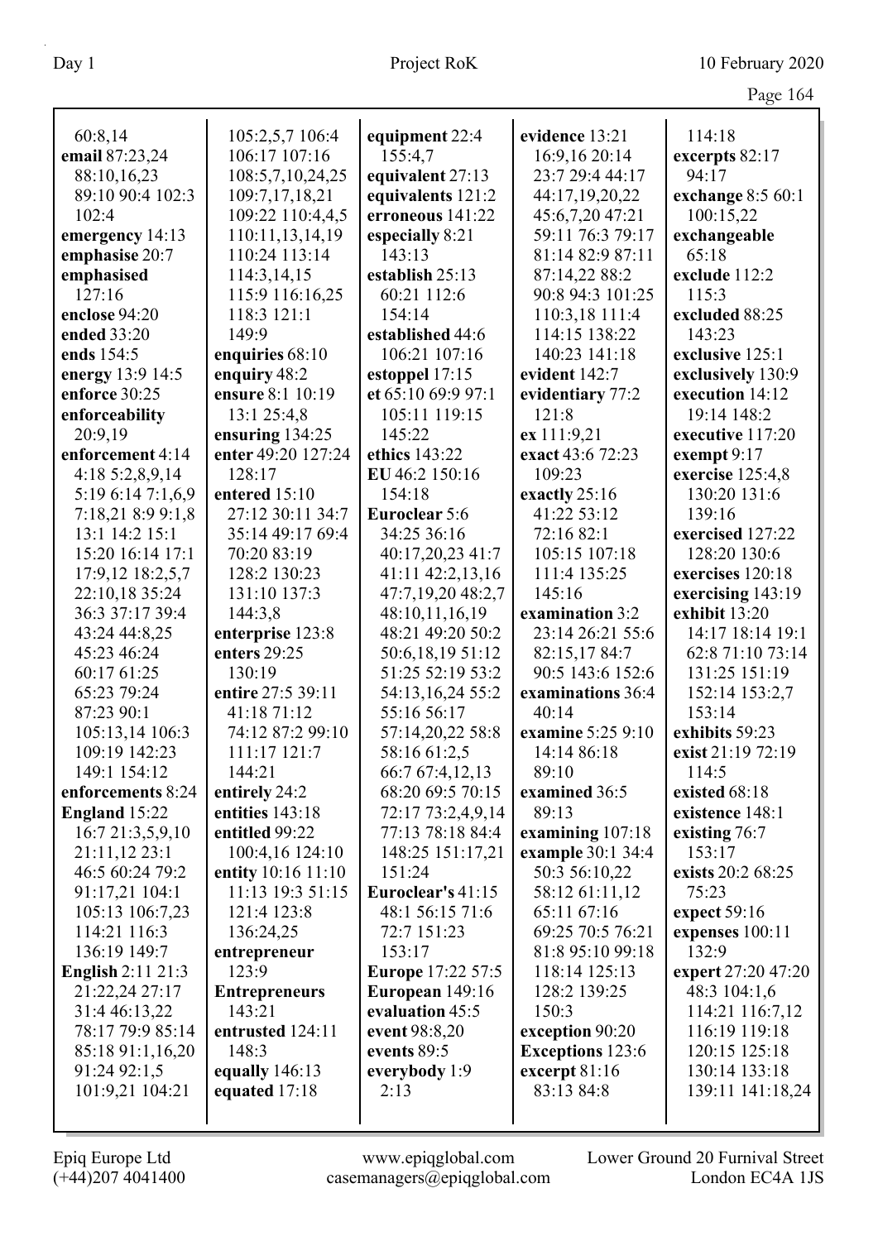|                          |                      |                          |                         | $145c$ 10          |
|--------------------------|----------------------|--------------------------|-------------------------|--------------------|
| 60:8,14                  | 105:2,5,7 106:4      | equipment 22:4           | evidence 13:21          | 114:18             |
| email 87:23,24           | 106:17 107:16        | 155:4,7                  | 16:9,16 20:14           | excerpts 82:17     |
| 88:10,16,23              | 108:5,7,10,24,25     | equivalent 27:13         | 23:7 29:4 44:17         | 94:17              |
| 89:10 90:4 102:3         | 109:7,17,18,21       | equivalents 121:2        | 44:17,19,20,22          | exchange 8:5 60:1  |
| 102:4                    | 109:22 110:4,4,5     | erroneous 141:22         | 45:6,7,20 47:21         | 100:15,22          |
| emergency 14:13          | 110:11,13,14,19      | especially 8:21          | 59:11 76:3 79:17        | exchangeable       |
| emphasise 20:7           | 110:24 113:14        | 143:13                   | 81:14 82:9 87:11        | 65:18              |
| emphasised               | 114:3,14,15          | establish 25:13          | 87:14,22 88:2           | exclude 112:2      |
| 127:16                   | 115:9 116:16,25      | 60:21 112:6              | 90:8 94:3 101:25        | 115:3              |
| enclose 94:20            | 118:3 121:1          | 154:14                   | 110:3,18 111:4          | excluded 88:25     |
| ended 33:20              | 149:9                | established 44:6         | 114:15 138:22           | 143:23             |
| ends 154:5               | enquiries 68:10      | 106:21 107:16            | 140:23 141:18           | exclusive 125:1    |
| energy 13:9 14:5         | enquiry 48:2         | estoppel 17:15           | evident 142:7           | exclusively 130:9  |
| enforce 30:25            | ensure 8:1 10:19     | et 65:10 69:9 97:1       | evidentiary 77:2        | execution 14:12    |
| enforceability           | 13:1 25:4,8          | 105:11 119:15            | 121:8                   | 19:14 148:2        |
| 20:9,19                  | ensuring 134:25      | 145:22                   | ex 111:9,21             | executive 117:20   |
| enforcement 4:14         | enter 49:20 127:24   | ethics 143:22            | exact 43:6 72:23        | exempt 9:17        |
| 4:18 5:2,8,9,14          | 128:17               | EU 46:2 150:16           | 109:23                  | exercise 125:4,8   |
| 5:19 6:14 7:1,6,9        | entered 15:10        | 154:18                   | exactly 25:16           | 130:20 131:6       |
| 7:18,21 8:9 9:1,8        | 27:12 30:11 34:7     | <b>Euroclear 5:6</b>     | 41:22 53:12             | 139:16             |
| 13:1 14:2 15:1           | 35:14 49:17 69:4     | 34:25 36:16              | 72:16 82:1              | exercised 127:22   |
| 15:20 16:14 17:1         | 70:20 83:19          | 40:17,20,23 41:7         | 105:15 107:18           | 128:20 130:6       |
| 17:9,12 18:2,5,7         | 128:2 130:23         | 41:11 42:2,13,16         | 111:4 135:25            | exercises 120:18   |
| 22:10,18 35:24           | 131:10 137:3         | 47:7,19,20 48:2,7        | 145:16                  | exercising 143:19  |
| 36:3 37:17 39:4          | 144:3,8              | 48:10,11,16,19           | examination 3:2         | exhibit 13:20      |
| 43:24 44:8,25            | enterprise 123:8     | 48:21 49:20 50:2         | 23:14 26:21 55:6        | 14:17 18:14 19:1   |
| 45:23 46:24              | enters 29:25         | 50:6,18,19 51:12         | 82:15,17 84:7           | 62:8 71:10 73:14   |
| 60:17 61:25              | 130:19               | 51:25 52:19 53:2         | 90:5 143:6 152:6        | 131:25 151:19      |
| 65:23 79:24              | entire 27:5 39:11    | 54:13,16,24 55:2         | examinations 36:4       | 152:14 153:2,7     |
| 87:23 90:1               | 41:18 71:12          | 55:16 56:17              | 40:14                   | 153:14             |
| 105:13,14 106:3          | 74:12 87:2 99:10     | 57:14,20,22 58:8         | examine 5:25 9:10       | exhibits 59:23     |
| 109:19 142:23            | 111:17 121:7         | 58:16 61:2,5             | 14:14 86:18             | exist 21:19 72:19  |
| 149:1 154:12             | 144:21               | 66:7 67:4,12,13          | 89:10                   | 114:5              |
| enforcements 8:24        | entirely 24:2        | 68:20 69:5 70:15         | examined 36:5           | existed 68:18      |
| England 15:22            | entities 143:18      | 72:17 73:2,4,9,14        | 89:13                   | existence 148:1    |
| 16:7 21:3,5,9,10         | entitled 99:22       | 77:13 78:18 84:4         | examining 107:18        | existing 76:7      |
| 21:11,12 23:1            | 100:4,16 124:10      | 148:25 151:17,21         | example 30:1 34:4       | 153:17             |
| 46:5 60:24 79:2          | entity 10:16 11:10   | 151:24                   | 50:3 56:10,22           | exists 20:2 68:25  |
| 91:17,21 104:1           | 11:13 19:3 51:15     | Euroclear's 41:15        | 58:12 61:11,12          | 75:23              |
| 105:13 106:7,23          | 121:4 123:8          | 48:1 56:15 71:6          | 65:11 67:16             | expect $59:16$     |
| 114:21 116:3             | 136:24,25            | 72:7 151:23              | 69:25 70:5 76:21        | expenses 100:11    |
| 136:19 149:7             | entrepreneur         | 153:17                   | 81:8 95:10 99:18        | 132:9              |
| <b>English</b> 2:11 21:3 | 123:9                | <b>Europe</b> 17:22 57:5 | 118:14 125:13           | expert 27:20 47:20 |
| 21:22,24 27:17           | <b>Entrepreneurs</b> | European 149:16          | 128:2 139:25            | 48:3 104:1,6       |
| 31:4 46:13,22            | 143:21               | evaluation 45:5          | 150:3                   | 114:21 116:7,12    |
| 78:17 79:9 85:14         | entrusted 124:11     | event 98:8,20            | exception 90:20         | 116:19 119:18      |
| 85:18 91:1,16,20         | 148:3                | events 89:5              | <b>Exceptions</b> 123:6 | 120:15 125:18      |
| 91:24 92:1,5             | equally $146:13$     | everybody 1:9            | excerpt 81:16           | 130:14 133:18      |
| 101:9,21 104:21          | equated 17:18        | 2:13                     | 83:13 84:8              | 139:11 141:18,24   |
|                          |                      |                          |                         |                    |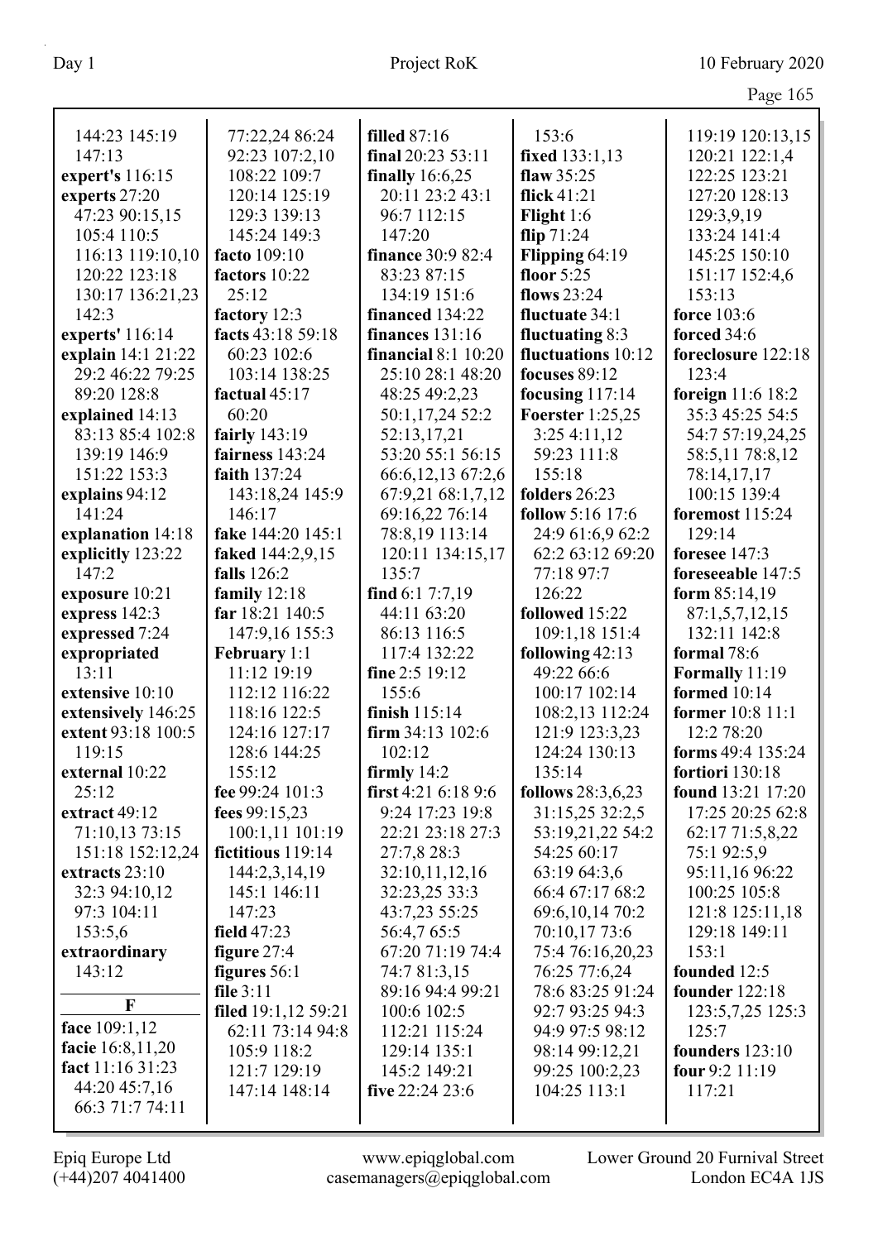|                    |                     |                       |                              | Page 165                 |
|--------------------|---------------------|-----------------------|------------------------------|--------------------------|
| 144:23 145:19      | 77:22,24 86:24      | <b>filled</b> 87:16   | 153:6                        | 119:19 120:13,15         |
| 147:13             | 92:23 107:2,10      | final $20:235:3:11$   | fixed 133:1,13               | 120:21 122:1,4           |
| expert's 116:15    | 108:22 109:7        | finally $16:6,25$     | flaw $35:25$                 | 122:25 123:21            |
| experts 27:20      | 120:14 125:19       | 20:11 23:2 43:1       | flick $41:21$                | 127:20 128:13            |
|                    | 129:3 139:13        | 96:7 112:15           |                              |                          |
| 47:23 90:15,15     |                     | 147:20                | Flight $1:6$                 | 129:3,9,19               |
| 105:4 110:5        | 145:24 149:3        |                       | flip $71:24$                 | 133:24 141:4             |
| 116:13 119:10,10   | facto 109:10        | finance 30:9 82:4     | Flipping 64:19<br>floor 5:25 | 145:25 150:10            |
| 120:22 123:18      | factors 10:22       | 83:23 87:15           | flows 23:24                  | 151:17 152:4,6           |
| 130:17 136:21,23   | 25:12               | 134:19 151:6          |                              | 153:13                   |
| 142:3              | factory 12:3        | financed 134:22       | fluctuate 34:1               | <b>force</b> 103:6       |
| experts' 116:14    | facts 43:18 59:18   | finances $131:16$     | fluctuating $8:3$            | forced 34:6              |
| explain 14:1 21:22 | 60:23 102:6         | financial $8:1$ 10:20 | fluctuations 10:12           | foreclosure 122:18       |
| 29:2 46:22 79:25   | 103:14 138:25       | 25:10 28:1 48:20      | focuses $89:12$              | 123:4                    |
| 89:20 128:8        | factual 45:17       | 48:25 49:2,23         | focusing $117:14$            | foreign 11:6 18:2        |
| explained 14:13    | 60:20               | 50:1,17,24 52:2       | <b>Foerster</b> 1:25,25      | 35:3 45:25 54:5          |
| 83:13 85:4 102:8   | fairly 143:19       | 52:13,17,21           | 3:254:11,12                  | 54:7 57:19,24,25         |
| 139:19 146:9       | fairness 143:24     | 53:20 55:1 56:15      | 59:23 111:8                  | 58:5,11 78:8,12          |
| 151:22 153:3       | faith 137:24        | 66:6,12,13 67:2,6     | 155:18                       | 78:14,17,17              |
| explains 94:12     | 143:18,24 145:9     | 67:9,21 68:1,7,12     | folders 26:23                | 100:15 139:4             |
| 141:24             | 146:17              | 69:16,22 76:14        | <b>follow</b> 5:16 17:6      | foremost 115:24          |
| explanation 14:18  | fake 144:20 145:1   | 78:8,19 113:14        | 24:9 61:6,9 62:2             | 129:14                   |
| explicitly 123:22  | faked 144:2,9,15    | 120:11 134:15,17      | 62:2 63:12 69:20             | foresee 147:3            |
| 147:2              | falls $126:2$       | 135:7                 | 77:18 97:7                   | foreseeable 147:5        |
| exposure 10:21     | family $12:18$      | find $6:17:7,19$      | 126:22                       | form $85:14,19$          |
| express 142:3      | far 18:21 140:5     | 44:11 63:20           | followed 15:22               | 87:1,5,7,12,15           |
| expressed 7:24     | 147:9,16 155:3      | 86:13 116:5           | 109:1,18 151:4               | 132:11 142:8             |
| expropriated       | <b>February</b> 1:1 | 117:4 132:22          | following 42:13              | formal 78:6              |
| 13:11              | 11:12 19:19         | fine 2:5 19:12        | 49:22 66:6                   | Formally 11:19           |
| extensive 10:10    | 112:12 116:22       | 155:6                 | 100:17 102:14                | formed 10:14             |
| extensively 146:25 | 118:16 122:5        | finish $115:14$       | 108:2,13 112:24              | former 10:8 11:1         |
| extent 93:18 100:5 | 124:16 127:17       | firm 34:13 102:6      | 121:9 123:3,23               | 12:2 78:20               |
| 119:15             | 128:6 144:25        | 102:12                | 124:24 130:13                | forms 49:4 135:24        |
| external 10:22     | 155:12              | firmly $14:2$         | 135:14                       | fortiori 130:18          |
| 25:12              | fee 99:24 101:3     | first 4:21 6:18 9:6   | follows 28:3,6,23            | <b>found</b> 13:21 17:20 |
| extract 49:12      | fees 99:15,23       | 9:24 17:23 19:8       | 31:15,25 32:2,5              | 17:25 20:25 62:8         |
| 71:10,13 73:15     | 100:1,11 101:19     | 22:21 23:18 27:3      | 53:19,21,22 54:2             | 62:17 71:5,8,22          |
| 151:18 152:12,24   | fictitious 119:14   | 27:7,8 28:3           | 54:25 60:17                  | 75:1 92:5,9              |
| extracts 23:10     | 144:2,3,14,19       | 32:10,11,12,16        | 63:19 64:3,6                 | 95:11,16 96:22           |
| 32:3 94:10,12      | 145:1 146:11        | 32:23,25 33:3         | 66:4 67:17 68:2              | 100:25 105:8             |
| 97:3 104:11        | 147:23              | 43:7,23 55:25         | 69:6, 10, 14 70:2            | 121:8 125:11,18          |
| 153:5,6            | field $47:23$       | 56:4,7 65:5           | 70:10,17 73:6                | 129:18 149:11            |
| extraordinary      | figure $27:4$       | 67:20 71:19 74:4      | 75:4 76:16,20,23             | 153:1                    |
| 143:12             | figures 56:1        | 74:7 81:3,15          | 76:25 77:6,24                | founded 12:5             |
| $\mathbf F$        | file $3:11$         | 89:16 94:4 99:21      | 78:6 83:25 91:24             | <b>founder</b> 122:18    |
|                    | filed 19:1,12 59:21 | 100:6 102:5           | 92:7 93:25 94:3              | 123:5,7,25 125:3         |
| face 109:1,12      | 62:11 73:14 94:8    | 112:21 115:24         | 94:9 97:5 98:12              | 125:7                    |
| facie 16:8,11,20   | 105:9 118:2         | 129:14 135:1          | 98:14 99:12,21               | founders 123:10          |
| fact 11:16 31:23   | 121:7 129:19        | 145:2 149:21          | 99:25 100:2,23               | four $9:2$ 11:19         |
| 44:20 45:7,16      | 147:14 148:14       | five $22:24$ 23:6     | 104:25 113:1                 | 117:21                   |
| 66:3 71:7 74:11    |                     |                       |                              |                          |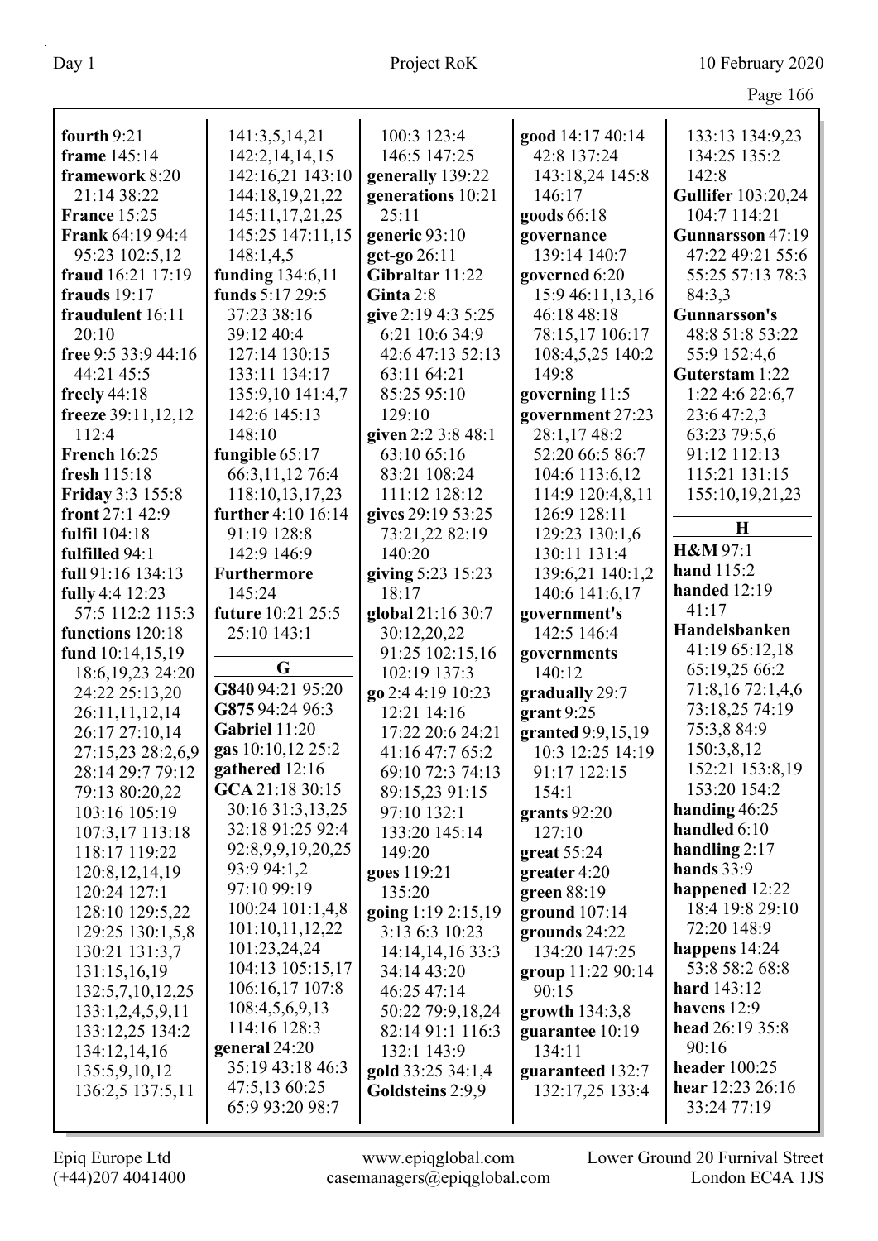|                                     |                    |                                  |                                | O                         |
|-------------------------------------|--------------------|----------------------------------|--------------------------------|---------------------------|
| fourth 9:21                         | 141:3,5,14,21      | 100:3 123:4                      | good 14:17 40:14               | 133:13 134:9,23           |
| frame 145:14                        | 142:2, 14, 14, 15  | 146:5 147:25                     | 42:8 137:24                    | 134:25 135:2              |
| framework 8:20                      | 142:16,21 143:10   | generally 139:22                 | 143:18,24 145:8                | 142:8                     |
| 21:14 38:22                         | 144:18,19,21,22    | generations 10:21                | 146:17                         | <b>Gullifer</b> 103:20,24 |
| <b>France 15:25</b>                 | 145:11,17,21,25    | 25:11                            | goods 66:18                    | 104:7 114:21              |
| <b>Frank 64:19 94:4</b>             | 145:25 147:11,15   | generic 93:10                    | governance                     | Gunnarsson 47:19          |
| 95:23 102:5,12                      | 148:1,4,5          | get-go 26:11                     | 139:14 140:7                   | 47:22 49:21 55:6          |
| fraud 16:21 17:19                   | funding 134:6,11   | Gibraltar 11:22                  | governed 6:20                  | 55:25 57:13 78:3          |
| frauds 19:17                        | funds 5:17 29:5    | Ginta 2:8                        | 15:9 46:11,13,16               | 84:3,3                    |
| fraudulent 16:11                    | 37:23 38:16        | give 2:19 4:3 5:25               | 46:18 48:18                    | <b>Gunnarsson's</b>       |
| 20:10                               | 39:12 40:4         | 6:21 10:6 34:9                   | 78:15,17 106:17                | 48:8 51:8 53:22           |
| free 9:5 33:9 44:16                 | 127:14 130:15      | 42:6 47:13 52:13                 | 108:4,5,25 140:2               | 55:9 152:4,6              |
| 44:21 45:5                          | 133:11 134:17      | 63:11 64:21                      | 149:8                          | Guterstam 1:22            |
| freely $44:18$                      | 135:9,10 141:4,7   | 85:25 95:10                      | governing 11:5                 | 1:22 4:6 22:6,7           |
| freeze 39:11,12,12                  | 142:6 145:13       | 129:10                           | government 27:23               | 23:6 47:2,3               |
| 112:4                               | 148:10             | given 2:2 3:8 48:1               | 28:1,1748:2                    | 63:23 79:5,6              |
| <b>French 16:25</b>                 | fungible 65:17     | 63:10 65:16                      | 52:20 66:5 86:7                | 91:12 112:13              |
| fresh 115:18                        | 66:3,11,12 76:4    | 83:21 108:24                     | 104:6 113:6,12                 | 115:21 131:15             |
| <b>Friday 3:3 155:8</b>             | 118:10,13,17,23    | 111:12 128:12                    | 114:9 120:4,8,11               | 155:10,19,21,23           |
| front 27:1 42:9                     | further 4:10 16:14 | gives 29:19 53:25                | 126:9 128:11                   |                           |
| fulfil 104:18                       | 91:19 128:8        | 73:21,22 82:19                   | 129:23 130:1,6                 | $\bf H$                   |
| fulfilled 94:1                      | 142:9 146:9        | 140:20                           | 130:11 131:4                   | H&M 97:1                  |
| full 91:16 134:13                   | <b>Furthermore</b> | giving 5:23 15:23                | 139:6,21 140:1,2               | hand 115:2                |
| fully 4:4 12:23                     | 145:24             | 18:17                            | 140:6 141:6,17                 | handed $12:19$            |
| 57:5 112:2 115:3                    | future 10:21 25:5  | global 21:16 30:7                | government's                   | 41:17                     |
|                                     |                    |                                  |                                |                           |
|                                     |                    |                                  |                                | Handelsbanken             |
| functions 120:18                    | 25:10 143:1        | 30:12,20,22                      | 142:5 146:4                    | 41:19 65:12,18            |
| fund 10:14,15,19                    | G                  | 91:25 102:15,16                  | governments                    | 65:19,25 66:2             |
| 18:6, 19, 23 24: 20                 | G840 94:21 95:20   | 102:19 137:3                     | 140:12                         | 71:8,16 72:1,4,6          |
| 24:22 25:13,20                      | G875 94:24 96:3    | go 2:4 4:19 10:23<br>12:21 14:16 | gradually 29:7                 | 73:18,25 74:19            |
| 26:11,11,12,14                      | Gabriel 11:20      |                                  | grant 9:25                     | 75:3,8 84:9               |
| 26:17 27:10,14                      | gas 10:10,12 25:2  | 17:22 20:6 24:21                 | granted 9:9,15,19              | 150:3,8,12                |
| 27:15,23 28:2,6,9                   | gathered 12:16     | 41:16 47:7 65:2                  | 10:3 12:25 14:19               | 152:21 153:8,19           |
| 28:14 29:7 79:12                    | GCA 21:18 30:15    | 69:10 72:3 74:13                 | 91:17 122:15<br>154:1          | 153:20 154:2              |
| 79:13 80:20,22                      | 30:16 31:3,13,25   | 89:15,23 91:15<br>97:10 132:1    |                                | handing $46:25$           |
| 103:16 105:19                       | 32:18 91:25 92:4   | 133:20 145:14                    | grants 92:20<br>127:10         | handled 6:10              |
| 107:3,17 113:18<br>118:17 119:22    | 92:8,9,9,19,20,25  | 149:20                           |                                | handling $2:17$           |
|                                     | 93:9 94:1,2        |                                  | great 55:24<br>greater 4:20    | hands $33:9$              |
| 120:8, 12, 14, 19<br>120:24 127:1   | 97:10 99:19        | goes 119:21<br>135:20            |                                | happened 12:22            |
|                                     | 100:24 101:1,4,8   | going 1:19 2:15,19               | green 88:19                    | 18:4 19:8 29:10           |
| 128:10 129:5,22<br>129:25 130:1,5,8 | 101:10,11,12,22    | 3:13 6:3 10:23                   | ground 107:14<br>grounds 24:22 | 72:20 148:9               |
| 130:21 131:3,7                      | 101:23,24,24       |                                  | 134:20 147:25                  | happens 14:24             |
| 131:15,16,19                        | 104:13 105:15,17   | 14:14,14,16 33:3<br>34:14 43:20  |                                | 53:8 58:2 68:8            |
| 132:5,7,10,12,25                    | 106:16,17 107:8    | 46:25 47:14                      | group 11:22 90:14<br>90:15     | hard 143:12               |
| 133:1,2,4,5,9,11                    | 108:4,5,6,9,13     | 50:22 79:9,18,24                 | growth $134:3,8$               | havens 12:9               |
| 133:12,25 134:2                     | 114:16 128:3       | 82:14 91:1 116:3                 | guarantee 10:19                | head 26:19 35:8           |
| 134:12,14,16                        | general 24:20      | 132:1 143:9                      | 134:11                         | 90:16                     |
| 135:5,9,10,12                       | 35:19 43:18 46:3   | gold 33:25 34:1,4                | guaranteed 132:7               | header $100:25$           |
| 136:2,5 137:5,11                    | 47:5,13 60:25      | Goldsteins 2:9,9                 | 132:17,25 133:4                | hear 12:23 26:16          |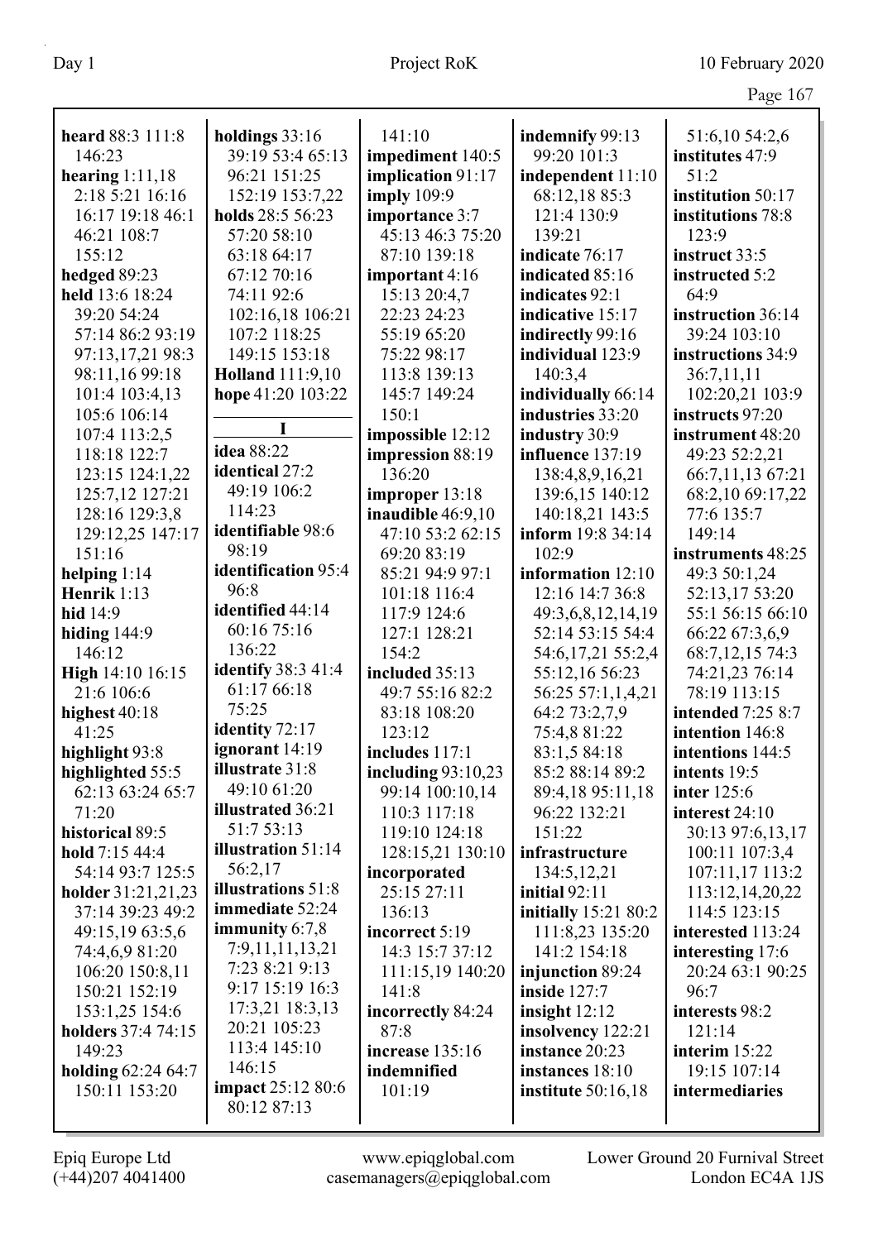| heard 88:3 111:8          | holdings 33:16            | 141:10               | indemnify 99:13             | 51:6,10 54:2,6           |
|---------------------------|---------------------------|----------------------|-----------------------------|--------------------------|
| 146:23                    | 39:19 53:4 65:13          | impediment 140:5     | 99:20 101:3                 | institutes 47:9          |
| hearing $1:11,18$         | 96:21 151:25              | implication 91:17    | independent 11:10           | 51:2                     |
| 2:18 5:21 16:16           | 152:19 153:7,22           | <b>imply</b> 109:9   | 68:12,18 85:3               | institution 50:17        |
| 16:17 19:18 46:1          | holds 28:5 56:23          | importance 3:7       | 121:4 130:9                 | institutions 78:8        |
| 46:21 108:7               | 57:20 58:10               | 45:13 46:3 75:20     | 139:21                      | 123:9                    |
| 155:12                    | 63:18 64:17               | 87:10 139:18         | indicate 76:17              | instruct 33:5            |
| hedged 89:23              | 67:12 70:16               | important 4:16       | indicated 85:16             | instructed 5:2           |
| held 13:6 18:24           | 74:11 92:6                | 15:13 20:4,7         | indicates 92:1              | 64:9                     |
| 39:20 54:24               | 102:16,18 106:21          | 22:23 24:23          | indicative 15:17            | instruction 36:14        |
| 57:14 86:2 93:19          | 107:2 118:25              | 55:19 65:20          | indirectly 99:16            | 39:24 103:10             |
| 97:13,17,21 98:3          | 149:15 153:18             | 75:22 98:17          | individual 123:9            | instructions 34:9        |
| 98:11,16 99:18            | <b>Holland</b> 111:9,10   | 113:8 139:13         | 140:3,4                     | 36:7,11,11               |
| 101:4 103:4,13            | hope 41:20 103:22         | 145:7 149:24         | individually 66:14          | 102:20,21 103:9          |
| 105:6 106:14              |                           | 150:1                | industries 33:20            | instructs 97:20          |
| 107:4 113:2,5             | I                         | impossible 12:12     | industry 30:9               | instrument 48:20         |
| 118:18 122:7              | idea 88:22                | impression 88:19     | influence 137:19            | 49:23 52:2,21            |
| 123:15 124:1,22           | identical 27:2            | 136:20               | 138:4,8,9,16,21             | 66:7,11,13 67:21         |
| 125:7,12 127:21           | 49:19 106:2               | improper 13:18       | 139:6,15 140:12             | 68:2,10 69:17,22         |
| 128:16 129:3,8            | 114:23                    | inaudible 46:9,10    | 140:18,21 143:5             | 77:6 135:7               |
| 129:12,25 147:17          | identifiable 98:6         | 47:10 53:2 62:15     | inform 19:8 34:14           | 149:14                   |
| 151:16                    | 98:19                     | 69:20 83:19          | 102:9                       | instruments 48:25        |
| helping $1:14$            | identification 95:4       | 85:21 94:9 97:1      | information 12:10           | 49:3 50:1,24             |
| Henrik 1:13               | 96:8                      | 101:18 116:4         | 12:16 14:7 36:8             | 52:13,17 53:20           |
| hid 14:9                  | identified 44:14          | 117:9 124:6          | 49:3,6,8,12,14,19           | 55:1 56:15 66:10         |
| hiding $144:9$            | 60:16 75:16               | 127:1 128:21         | 52:14 53:15 54:4            | 66:22 67:3,6,9           |
| 146:12                    | 136:22                    | 154:2                | 54:6,17,21 55:2,4           | 68:7,12,15 74:3          |
| High 14:10 16:15          | <b>identify</b> 38:3 41:4 | included 35:13       | 55:12,16 56:23              | 74:21,23 76:14           |
| 21:6 106:6                | 61:17 66:18               | 49:7 55:16 82:2      | 56:25 57:1,1,4,21           | 78:19 113:15             |
| highest 40:18             | 75:25                     | 83:18 108:20         | 64:2 73:2,7,9               | <b>intended</b> 7:25 8:7 |
| 41:25                     | identity 72:17            | 123:12               | 75:4,8 81:22                | intention 146:8          |
| highlight 93:8            | ignorant 14:19            | includes 117:1       | 83:1,5 84:18                | intentions 144:5         |
| highlighted 55:5          | <b>illustrate</b> 31:8    | including $93:10,23$ | 85:2 88:14 89:2             | intents 19:5             |
| 62:13 63:24 65:7          | 49:10 61:20               | 99:14 100:10,14      | 89:4,18 95:11,18            | <b>inter</b> 125:6       |
| 71:20                     | illustrated 36:21         | 110:3 117:18         | 96:22 132:21                | interest 24:10           |
| historical 89:5           | 51:7 53:13                | 119:10 124:18        | 151:22                      | 30:13 97:6,13,17         |
| hold 7:15 44:4            | illustration 51:14        | 128:15,21 130:10     | infrastructure              | 100:11 107:3,4           |
| 54:14 93:7 125:5          | 56:2,17                   | incorporated         | 134:5, 12, 21               | 107:11,17 113:2          |
| holder 31:21,21,23        | illustrations 51:8        | 25:15 27:11          | initial $92:11$             | 113:12,14,20,22          |
| 37:14 39:23 49:2          | immediate 52:24           | 136:13               | <b>initially</b> 15:21 80:2 | 114:5 123:15             |
| 49:15,19 63:5,6           | immunity $6:7,8$          | incorrect 5:19       | 111:8,23 135:20             | interested 113:24        |
| 74:4,6,9 81:20            | 7:9,11,11,13,21           | 14:3 15:7 37:12      | 141:2 154:18                | interesting 17:6         |
| 106:20 150:8,11           | 7:23 8:21 9:13            | 111:15,19 140:20     | injunction 89:24            | 20:24 63:1 90:25         |
| 150:21 152:19             | 9:17 15:19 16:3           | 141:8                | inside $127:7$              | 96:7                     |
| 153:1,25 154:6            | 17:3,21 18:3,13           | incorrectly 84:24    | insight $12:12$             | interests 98:2           |
| <b>holders</b> 37:4 74:15 | 20:21 105:23              | 87:8                 | insolvency 122:21           | 121:14                   |
| 149:23                    | 113:4 145:10              | increase 135:16      | instance 20:23              | interim $15:22$          |
| <b>holding 62:24 64:7</b> | 146:15                    | indemnified          | instances 18:10             | 19:15 107:14             |
| 150:11 153:20             | <b>impact</b> 25:12 80:6  | 101:19               | institute $50:16,18$        | intermediaries           |
|                           | 80:12 87:13               |                      |                             |                          |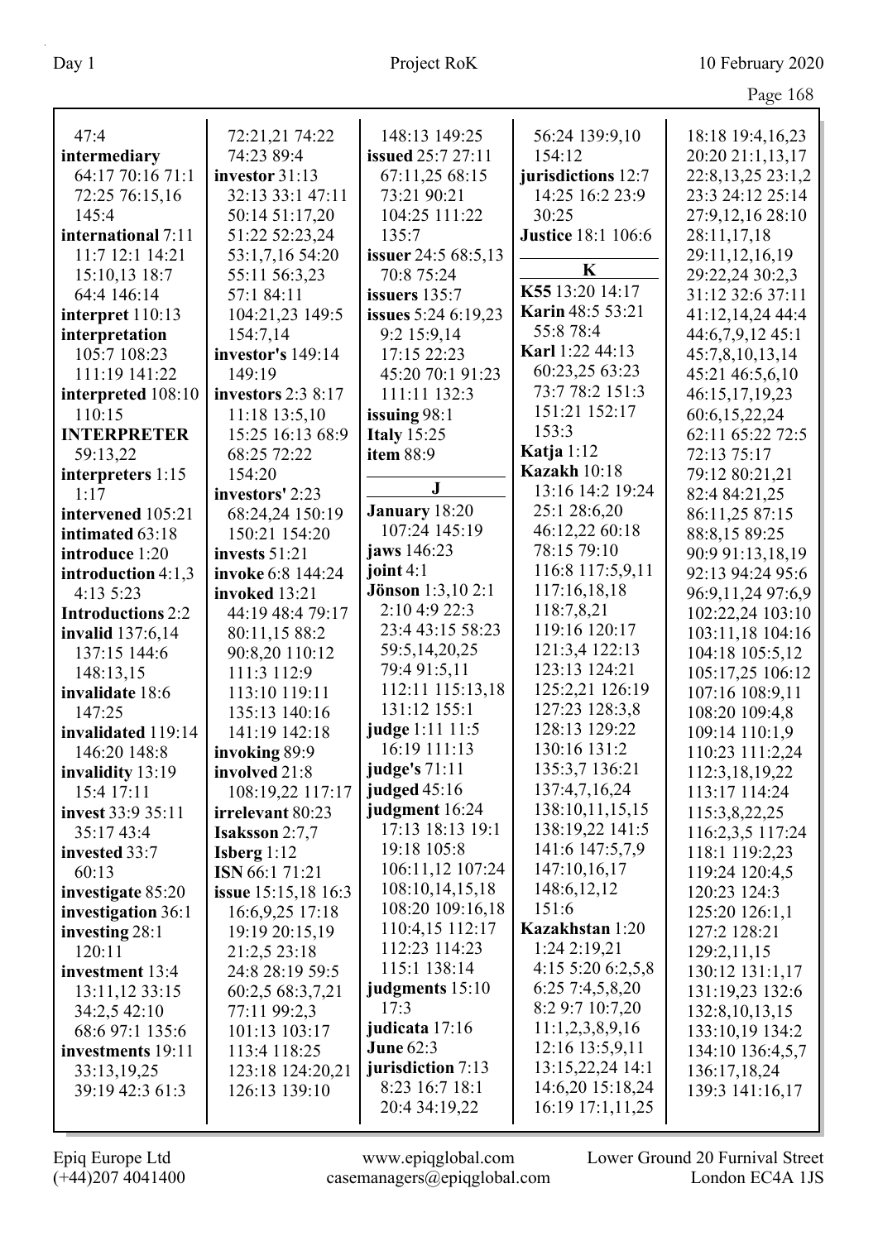| 47:4                            | 72:21,21 74:22                       | 148:13 149:25                   | 56:24 139:9,10                | 18:18 19:4,16,23                   |
|---------------------------------|--------------------------------------|---------------------------------|-------------------------------|------------------------------------|
| intermediary                    | 74:23 89:4                           | <b>issued</b> 25:7 27:11        | 154:12                        | 20:20 21:1,13,17                   |
| 64:17 70:16 71:1                | investor 31:13                       | 67:11,25 68:15                  | jurisdictions 12:7            | 22:8,13,25 23:1,2                  |
| 72:25 76:15,16                  | 32:13 33:1 47:11                     | 73:21 90:21                     | 14:25 16:2 23:9               | 23:3 24:12 25:14                   |
| 145:4                           | 50:14 51:17,20                       | 104:25 111:22                   | 30:25                         | 27:9,12,16 28:10                   |
| international 7:11              | 51:22 52:23,24                       | 135:7                           | <b>Justice</b> 18:1 106:6     | 28:11,17,18                        |
| 11:7 12:1 14:21                 | 53:1,7,16 54:20                      | issuer 24:5 68:5,13             |                               | 29:11,12,16,19                     |
| 15:10,13 18:7                   | 55:11 56:3,23                        | 70:8 75:24                      | K                             | 29:22,24 30:2,3                    |
| 64:4 146:14                     | 57:1 84:11                           | issuers 135:7                   | K55 13:20 14:17               | 31:12 32:6 37:11                   |
| interpret 110:13                | 104:21,23 149:5                      | issues 5:24 6:19,23             | <b>Karin 48:5 53:21</b>       | 41:12,14,24 44:4                   |
| interpretation                  | 154:7,14                             | 9:2 15:9,14                     | 55:8 78:4                     | 44:6,7,9,12 45:1                   |
| 105:7 108:23                    | investor's 149:14                    | 17:15 22:23                     | Karl 1:22 44:13               | 45:7,8,10,13,14                    |
| 111:19 141:22                   | 149:19                               | 45:20 70:1 91:23                | 60:23,25 63:23                | 45:21 46:5,6,10                    |
| interpreted 108:10              | investors 2:3 8:17                   | 111:11 132:3                    | 73:7 78:2 151:3               | 46:15,17,19,23                     |
| 110:15                          | 11:18 13:5,10                        | issuing $98:1$                  | 151:21 152:17                 | 60:6,15,22,24                      |
| <b>INTERPRETER</b>              | 15:25 16:13 68:9                     | <b>Italy 15:25</b>              | 153:3                         | 62:11 65:22 72:5                   |
| 59:13,22                        | 68:25 72:22                          | <b>item 88:9</b>                | Katja $1:12$                  | 72:13 75:17                        |
| interpreters 1:15               | 154:20                               |                                 | <b>Kazakh</b> 10:18           | 79:12 80:21,21                     |
| 1:17                            | investors' 2:23                      | ${\bf J}$                       | 13:16 14:2 19:24              | 82:4 84:21,25                      |
| intervened 105:21               | 68:24,24 150:19                      | January 18:20                   | 25:1 28:6,20                  | 86:11,25 87:15                     |
| intimated 63:18                 | 150:21 154:20                        | 107:24 145:19                   | 46:12,22 60:18                | 88:8,15 89:25                      |
| introduce 1:20                  | invests 51:21                        | jaws 146:23                     | 78:15 79:10                   | 90:9 91:13,18,19                   |
| introduction 4:1,3              | invoke 6:8 144:24                    | joint $4:1$                     | 116:8 117:5,9,11              | 92:13 94:24 95:6                   |
| 4:13 5:23                       | invoked 13:21                        | Jönson 1:3,10 2:1               | 117:16,18,18                  | 96:9,11,24 97:6,9                  |
| <b>Introductions 2:2</b>        | 44:19 48:4 79:17                     | 2:10 4:9 22:3                   | 118:7,8,21                    | 102:22,24 103:10                   |
| invalid 137:6,14                | 80:11,15 88:2                        | 23:4 43:15 58:23                | 119:16 120:17                 | 103:11,18 104:16                   |
| 137:15 144:6                    | 90:8,20 110:12                       | 59:5,14,20,25                   | 121:3,4 122:13                | 104:18 105:5,12                    |
| 148:13,15                       | 111:3 112:9                          | 79:4 91:5,11                    | 123:13 124:21                 | 105:17,25 106:12                   |
| invalidate 18:6                 | 113:10 119:11                        | 112:11 115:13,18                | 125:2,21 126:19               | 107:16 108:9,11                    |
| 147:25                          | 135:13 140:16                        | 131:12 155:1                    | 127:23 128:3,8                | 108:20 109:4,8                     |
| invalidated 119:14              | 141:19 142:18                        | judge 1:11 11:5<br>16:19 111:13 | 128:13 129:22<br>130:16 131:2 | 109:14 110:1,9                     |
| 146:20 148:8                    | invoking 89:9                        | judge's 71:11                   | 135:3,7 136:21                | 110:23 111:2,24                    |
| invalidity 13:19                | involved 21:8                        | judged 45:16                    | 137:4,7,16,24                 | 112:3, 18, 19, 22                  |
| 15:4 17:11                      | 108:19,22 117:17                     | judgment 16:24                  | 138:10,11,15,15               | 113:17 114:24                      |
| invest 33:9 35:11<br>35:17 43:4 | irrelevant 80:23                     | 17:13 18:13 19:1                | 138:19,22 141:5               | 115:3,8,22,25                      |
| invested 33:7                   | <b>Isaksson</b> 2:7,7<br>Isberg 1:12 | 19:18 105:8                     | 141:6 147:5,7,9               | 116:2,3,5 117:24<br>118:1 119:2,23 |
| 60:13                           | <b>ISN</b> 66:1 71:21                | 106:11,12 107:24                | 147:10,16,17                  | 119:24 120:4,5                     |
| investigate 85:20               | issue 15:15,18 16:3                  | 108:10,14,15,18                 | 148:6, 12, 12                 | 120:23 124:3                       |
| investigation 36:1              | 16:6,9,25 17:18                      | 108:20 109:16,18                | 151:6                         | 125:20 126:1,1                     |
| investing $28:1$                | 19:19 20:15,19                       | 110:4,15 112:17                 | Kazakhstan 1:20               | 127:2 128:21                       |
| 120:11                          | 21:2,5 23:18                         | 112:23 114:23                   | 1:242:19,21                   | 129:2,11,15                        |
| investment 13:4                 | 24:8 28:19 59:5                      | 115:1 138:14                    | 4:15 5:20 6:2,5,8             | 130:12 131:1,17                    |
| 13:11,12 33:15                  | 60:2,5 68:3,7,21                     | judgments 15:10                 | 6:25 7:4,5,8,20               | 131:19,23 132:6                    |
| 34:2,5 42:10                    | 77:11 99:2,3                         | 17:3                            | 8:2 9:7 10:7,20               | 132:8, 10, 13, 15                  |
| 68:6 97:1 135:6                 | 101:13 103:17                        | judicata 17:16                  | 11:1,2,3,8,9,16               | 133:10,19 134:2                    |
| investments 19:11               | 113:4 118:25                         | <b>June 62:3</b>                | 12:16 13:5,9,11               | 134:10 136:4,5,7                   |
| 33:13,19,25                     | 123:18 124:20,21                     | jurisdiction 7:13               | 13:15,22,24 14:1              | 136:17,18,24                       |
| 39:19 42:3 61:3                 | 126:13 139:10                        | 8:23 16:7 18:1                  | 14:6,20 15:18,24              | 139:3 141:16,17                    |
|                                 |                                      | 20:4 34:19,22                   | 16:19 17:1,11,25              |                                    |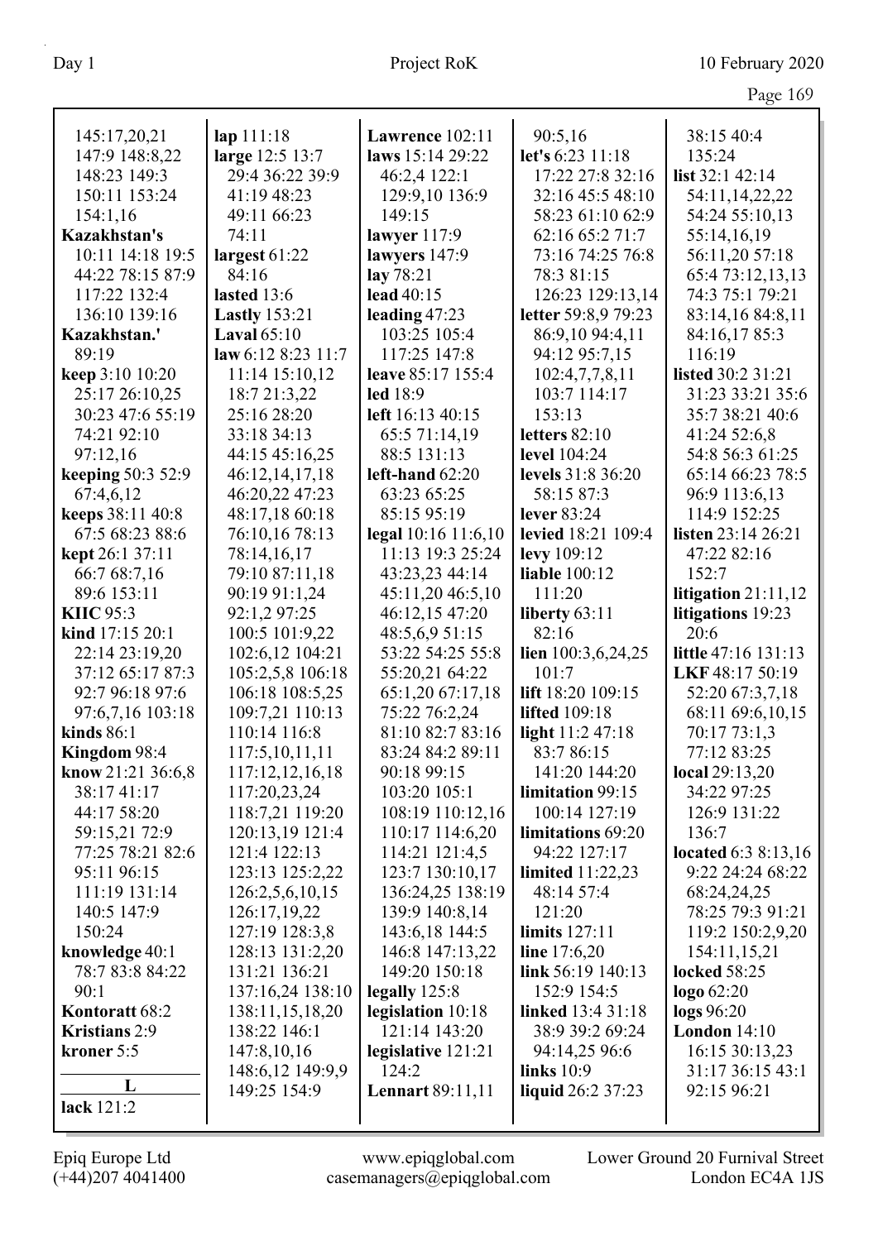|                      |                      |                         |                      | Page 169              |
|----------------------|----------------------|-------------------------|----------------------|-----------------------|
| 145:17,20,21         | lap 111:18           | Lawrence 102:11         | 90:5,16              | 38:15 40:4            |
| 147:9 148:8,22       | large 12:5 13:7      | laws 15:14 29:22        | let's 6:23 11:18     | 135:24                |
| 148:23 149:3         | 29:4 36:22 39:9      | 46:2,4 122:1            | 17:22 27:8 32:16     | list $32:1$ 42:14     |
| 150:11 153:24        | 41:19 48:23          | 129:9,10 136:9          | 32:16 45:5 48:10     | 54:11,14,22,22        |
| 154:1,16             | 49:11 66:23          | 149:15                  | 58:23 61:10 62:9     | 54:24 55:10,13        |
| Kazakhstan's         | 74:11                | lawyer $117:9$          | 62:16 65:2 71:7      | 55:14,16,19           |
| 10:11 14:18 19:5     | largest $61:22$      | lawyers 147:9           | 73:16 74:25 76:8     | 56:11,20 57:18        |
| 44:22 78:15 87:9     | 84:16                | lay 78:21               | 78:3 81:15           | 65:4 73:12,13,13      |
| 117:22 132:4         | lasted 13:6          | lead 40:15              | 126:23 129:13,14     | 74:3 75:1 79:21       |
| 136:10 139:16        | <b>Lastly</b> 153:21 | leading $47:23$         | letter 59:8,9 79:23  | 83:14,16 84:8,11      |
| Kazakhstan.'         | Laval $65:10$        | 103:25 105:4            | 86:9,10 94:4,11      | 84:16,17 85:3         |
| 89:19                | law 6:12 8:23 11:7   | 117:25 147:8            | 94:12 95:7,15        | 116:19                |
| keep 3:10 10:20      | 11:14 15:10,12       | leave 85:17 155:4       | 102:4,7,7,8,11       | listed 30:2 31:21     |
| 25:17 26:10,25       | 18:7 21:3,22         | led 18:9                | 103:7 114:17         | 31:23 33:21 35:6      |
| 30:23 47:6 55:19     | 25:16 28:20          | left 16:13 40:15        | 153:13               | 35:7 38:21 40:6       |
| 74:21 92:10          | 33:18 34:13          | 65:5 71:14,19           | letters $82:10$      | 41:24 52:6,8          |
| 97:12,16             | 44:15 45:16,25       | 88:5 131:13             | level 104:24         | 54:8 56:3 61:25       |
| keeping 50:3 52:9    | 46:12,14,17,18       | left-hand $62:20$       | levels 31:8 36:20    | 65:14 66:23 78:5      |
| 67:4,6,12            | 46:20,22 47:23       | 63:23 65:25             | 58:15 87:3           | 96:9 113:6,13         |
| keeps 38:11 40:8     | 48:17,18 60:18       | 85:15 95:19             | lever 83:24          | 114:9 152:25          |
| 67:5 68:23 88:6      | 76:10,16 78:13       | legal 10:16 11:6,10     | levied 18:21 109:4   | listen 23:14 26:21    |
| kept 26:1 37:11      | 78:14,16,17          | 11:13 19:3 25:24        | levy 109:12          | 47:22 82:16           |
| 66:7 68:7,16         | 79:10 87:11,18       | 43:23,23 44:14          | <b>liable</b> 100:12 | 152:7                 |
| 89:6 153:11          | 90:19 91:1,24        | 45:11,20 46:5,10        | 111:20               | litigation $21:11,12$ |
| <b>KIIC 95:3</b>     | 92:1,2 97:25         | 46:12,15 47:20          | liberty $63:11$      | litigations 19:23     |
| kind 17:15 20:1      | 100:5 101:9,22       | 48:5,6,9 51:15          | 82:16                | 20:6                  |
| 22:14 23:19,20       | 102:6,12 104:21      | 53:22 54:25 55:8        | lien $100:3,6,24,25$ | little 47:16 131:13   |
| 37:12 65:17 87:3     | 105:2,5,8 106:18     | 55:20,21 64:22          | 101:7                | LKF 48:17 50:19       |
| 92:7 96:18 97:6      | 106:18 108:5,25      | 65:1,20 67:17,18        | lift 18:20 109:15    | 52:20 67:3,7,18       |
| 97:6,7,16 103:18     | 109:7,21 110:13      | 75:22 76:2,24           | <b>lifted</b> 109:18 | 68:11 69:6,10,15      |
| kinds $86:1$         | 110:14 116:8         | 81:10 82:7 83:16        | light $11:247:18$    | 70:17 73:1,3          |
| Kingdom 98:4         | 117:5,10,11,11       | 83:24 84:2 89:11        | 83:7 86:15           | 77:12 83:25           |
| know $21:21$ 36:6,8  | 117:12,12,16,18      | 90:18 99:15             | 141:20 144:20        | local 29:13,20        |
| 38:17 41:17          | 117:20,23,24         | 103:20 105:1            | limitation 99:15     | 34:22 97:25           |
| 44:17 58:20          | 118:7,21 119:20      | 108:19 110:12,16        | 100:14 127:19        | 126:9 131:22          |
| 59:15,21 72:9        | 120:13,19 121:4      | 110:17 114:6,20         | limitations 69:20    | 136:7                 |
| 77:25 78:21 82:6     | 121:4 122:13         | 114:21 121:4,5          | 94:22 127:17         | located 6:3 8:13,16   |
| 95:11 96:15          | 123:13 125:2,22      | 123:7 130:10,17         | limited $11:22,23$   | 9:22 24:24 68:22      |
| 111:19 131:14        | 126:2,5,6,10,15      | 136:24,25 138:19        | 48:14 57:4           | 68:24,24,25           |
| 140:5 147:9          | 126:17,19,22         | 139:9 140:8,14          | 121:20               | 78:25 79:3 91:21      |
| 150:24               | 127:19 128:3,8       | 143:6,18 144:5          | limits 127:11        | 119:2 150:2,9,20      |
| knowledge 40:1       | 128:13 131:2,20      | 146:8 147:13,22         | line 17:6,20         | 154:11,15,21          |
| 78:7 83:8 84:22      | 131:21 136:21        | 149:20 150:18           | link 56:19 140:13    | <b>locked</b> 58:25   |
| 90:1                 | 137:16,24 138:10     | legally $125:8$         | 152:9 154:5          | logo 62:20            |
| Kontoratt 68:2       | 138:11,15,18,20      | legislation 10:18       | linked 13:4 31:18    | logs 96:20            |
| <b>Kristians</b> 2:9 | 138:22 146:1         | 121:14 143:20           | 38:9 39:2 69:24      | London $14:10$        |
| kroner 5:5           | 147:8,10,16          | legislative 121:21      | 94:14,25 96:6        | 16:15 30:13,23        |
|                      | 148:6,12 149:9,9     | 124:2                   | links $10:9$         | 31:17 36:15 43:1      |
| L                    | 149:25 154:9         | <b>Lennart 89:11,11</b> | liquid 26:2 37:23    | 92:15 96:21           |
| lack 121:2           |                      |                         |                      |                       |
|                      |                      |                         |                      |                       |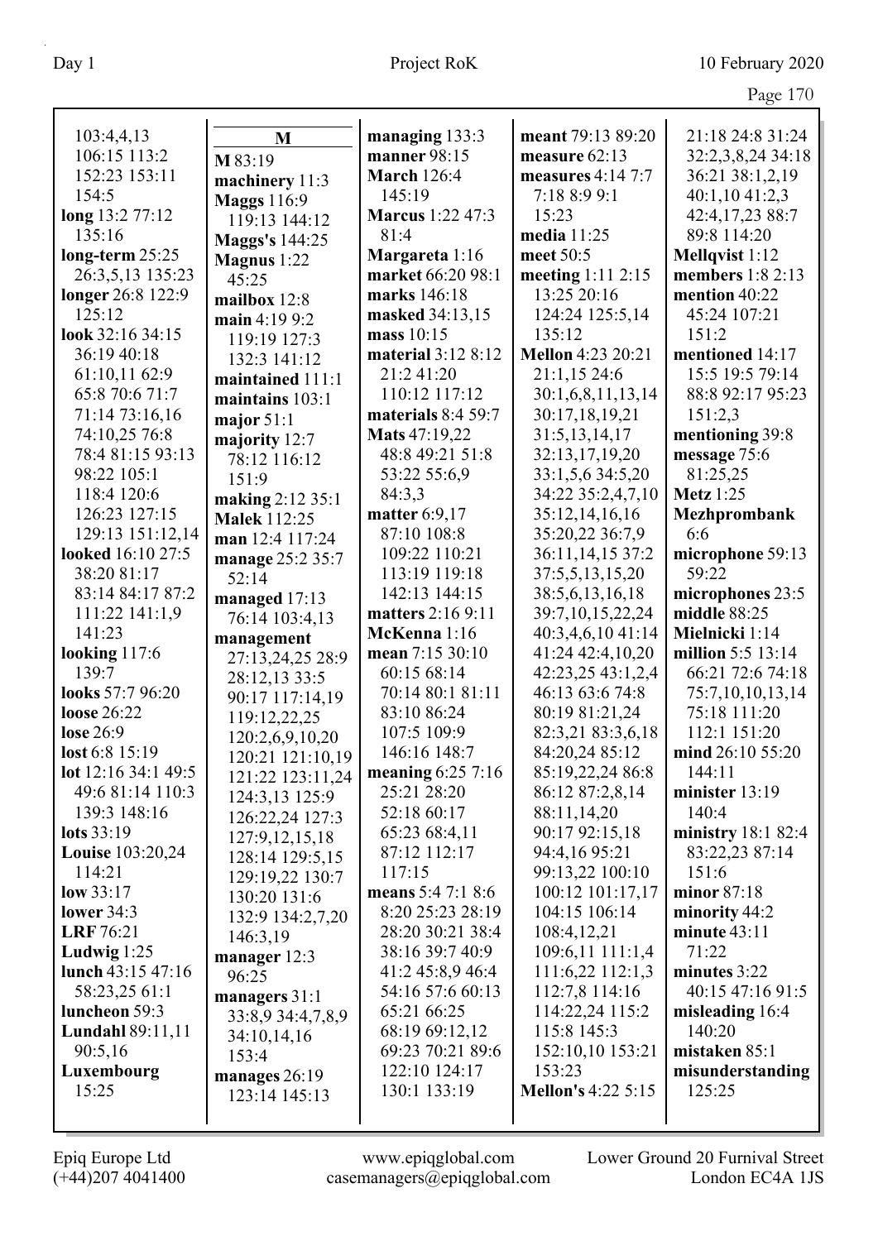Page 170

| 103:4,4,13                      | M                                    | managing 133:3                  | meant 79:13 89:20                 | 21:18 24:8 31:24                 |
|---------------------------------|--------------------------------------|---------------------------------|-----------------------------------|----------------------------------|
| 106:15 113:2                    | M 83:19                              | manner 98:15                    | measure 62:13                     | 32:2,3,8,24 34:18                |
| 152:23 153:11                   | machinery 11:3                       | <b>March 126:4</b>              | measures $4:14$ 7:7               | 36:21 38:1,2,19                  |
| 154:5                           | <b>Maggs</b> 116:9                   | 145:19                          | 7:18 8:9 9:1                      | 40:1,1041:2,3                    |
| long 13:2 77:12                 | 119:13 144:12                        | <b>Marcus</b> 1:22 47:3         | 15:23                             | 42:4,17,23 88:7                  |
| 135:16                          | <b>Maggs's 144:25</b>                | 81:4                            | media 11:25                       | 89:8 114:20                      |
| long-term 25:25                 | Magnus 1:22                          | Margareta 1:16                  | meet 50:5                         | Mellqvist 1:12                   |
| 26:3,5,13 135:23                | 45:25                                | market 66:20 98:1               | meeting 1:11 2:15                 | members 1:8 2:13                 |
| longer 26:8 122:9               | mailbox 12:8                         | marks 146:18                    | 13:25 20:16                       | mention 40:22                    |
| 125:12                          | main 4:19 9:2                        | masked 34:13,15                 | 124:24 125:5,14                   | 45:24 107:21                     |
| look 32:16 34:15                | 119:19 127:3                         | mass 10:15                      | 135:12                            | 151:2                            |
| 36:19 40:18                     | 132:3 141:12                         | material 3:12 8:12              | <b>Mellon</b> 4:23 20:21          | mentioned 14:17                  |
| 61:10,11 62:9                   | maintained 111:1                     | 21:2 41:20                      | 21:1,15 24:6                      | 15:5 19:5 79:14                  |
| 65:8 70:6 71:7                  | maintains 103:1                      | 110:12 117:12                   | 30:1,6,8,11,13,14                 | 88:8 92:17 95:23                 |
| 71:14 73:16,16                  | major $51:1$                         | materials 8:4 59:7              | 30:17,18,19,21                    | 151:2,3                          |
| 74:10,25 76:8                   | majority 12:7                        | Mats 47:19,22                   | 31:5,13,14,17                     | mentioning 39:8                  |
| 78:4 81:15 93:13                | 78:12 116:12                         | 48:8 49:21 51:8                 | 32:13,17,19,20                    | message 75:6                     |
| 98:22 105:1                     | 151:9                                | 53:22 55:6,9                    | 33:1,5,6 34:5,20                  | 81:25,25                         |
| 118:4 120:6                     | making 2:12 35:1                     | 84:3,3                          | 34:22 35:2,4,7,10                 | <b>Metz</b> 1:25                 |
| 126:23 127:15                   | <b>Malek 112:25</b>                  | matter 6:9,17                   | 35:12,14,16,16                    | Mezhprombank                     |
| 129:13 151:12,14                | man 12:4 117:24                      | 87:10 108:8                     | 35:20,22 36:7,9                   | 6:6                              |
| looked 16:10 27:5               | manage 25:2 35:7                     | 109:22 110:21                   | 36:11,14,15 37:2                  | microphone 59:13                 |
| 38:20 81:17                     | 52:14                                | 113:19 119:18                   | 37:5,5,13,15,20                   | 59:22                            |
| 83:14 84:17 87:2                | managed 17:13                        | 142:13 144:15                   | 38:5,6,13,16,18                   | microphones 23:5                 |
| 111:22 141:1,9                  | 76:14 103:4,13                       | matters 2:16 9:11               | 39:7,10,15,22,24                  | middle 88:25                     |
| 141:23                          | management                           | McKenna 1:16                    | 40:3,4,6,10 41:14                 | Mielnicki 1:14                   |
| looking $117:6$                 | 27:13,24,25 28:9                     | mean 7:15 30:10                 | 41:24 42:4,10,20                  | million 5:5 13:14                |
| 139:7                           | 28:12,13 33:5                        | 60:15 68:14                     | 42:23,25 43:1,2,4                 | 66:21 72:6 74:18                 |
| looks 57:7 96:20<br>loose 26:22 | 90:17 117:14,19                      | 70:14 80:1 81:11<br>83:10 86:24 | 46:13 63:6 74:8<br>80:19 81:21,24 | 75:7,10,10,13,14<br>75:18 111:20 |
| lose 26:9                       | 119:12,22,25                         | 107:5 109:9                     | 82:3,21 83:3,6,18                 | 112:1 151:20                     |
| lost 6:8 15:19                  | 120:2,6,9,10,20                      | 146:16 148:7                    | 84:20,24 85:12                    | mind 26:10 55:20                 |
| lot 12:16 34:1 49:5             | 120:21 121:10,19                     | meaning 6:25 7:16               | 85:19,22,24 86:8                  | 144:11                           |
| 49:6 81:14 110:3                | 121:22 123:11,24                     | 25:21 28:20                     | 86:12 87:2,8,14                   | minister $13:19$                 |
| 139:3 148:16                    | 124:3,13 125:9                       | 52:18 60:17                     | 88:11,14,20                       | 140:4                            |
| lots 33:19                      | 126:22,24 127:3                      | 65:23 68:4,11                   | 90:17 92:15,18                    | ministry 18:1 82:4               |
| <b>Louise</b> 103:20,24         | 127:9, 12, 15, 18<br>128:14 129:5,15 | 87:12 112:17                    | 94:4,16 95:21                     | 83:22,23 87:14                   |
| 114:21                          | 129:19,22 130:7                      | 117:15                          | 99:13,22 100:10                   | 151:6                            |
| low 33:17                       | 130:20 131:6                         | means 5:4 7:1 8:6               | 100:12 101:17,17                  | minor 87:18                      |
| lower $34:3$                    | 132:9 134:2,7,20                     | 8:20 25:23 28:19                | 104:15 106:14                     | minority 44:2                    |
| LRF 76:21                       | 146:3,19                             | 28:20 30:21 38:4                | 108:4,12,21                       | minute $43:11$                   |
| Ludwig $1:25$                   | manager 12:3                         | 38:16 39:7 40:9                 | 109:6,11 111:1,4                  | 71:22                            |
| lunch $43:15\,47:16$            | 96:25                                | 41:2 45:8,9 46:4                | 111:6,22 112:1,3                  | minutes 3:22                     |
| 58:23,25 61:1                   | managers 31:1                        | 54:16 57:6 60:13                | 112:7,8 114:16                    | 40:15 47:16 91:5                 |
| luncheon 59:3                   | 33:8,9 34:4,7,8,9                    | 65:21 66:25                     | 114:22,24 115:2                   | misleading 16:4                  |
| <b>Lundahl 89:11,11</b>         | 34:10,14,16                          | 68:19 69:12,12                  | 115:8 145:3                       | 140:20                           |
| 90:5,16                         | 153:4                                | 69:23 70:21 89:6                | 152:10,10 153:21                  | mistaken 85:1                    |
| Luxembourg                      | manages 26:19                        | 122:10 124:17                   | 153:23                            | misunderstanding                 |
| 15:25                           | 123:14 145:13                        | 130:1 133:19                    | <b>Mellon's 4:22 5:15</b>         | 125:25                           |
|                                 |                                      |                                 |                                   |                                  |

 $\mathbf l$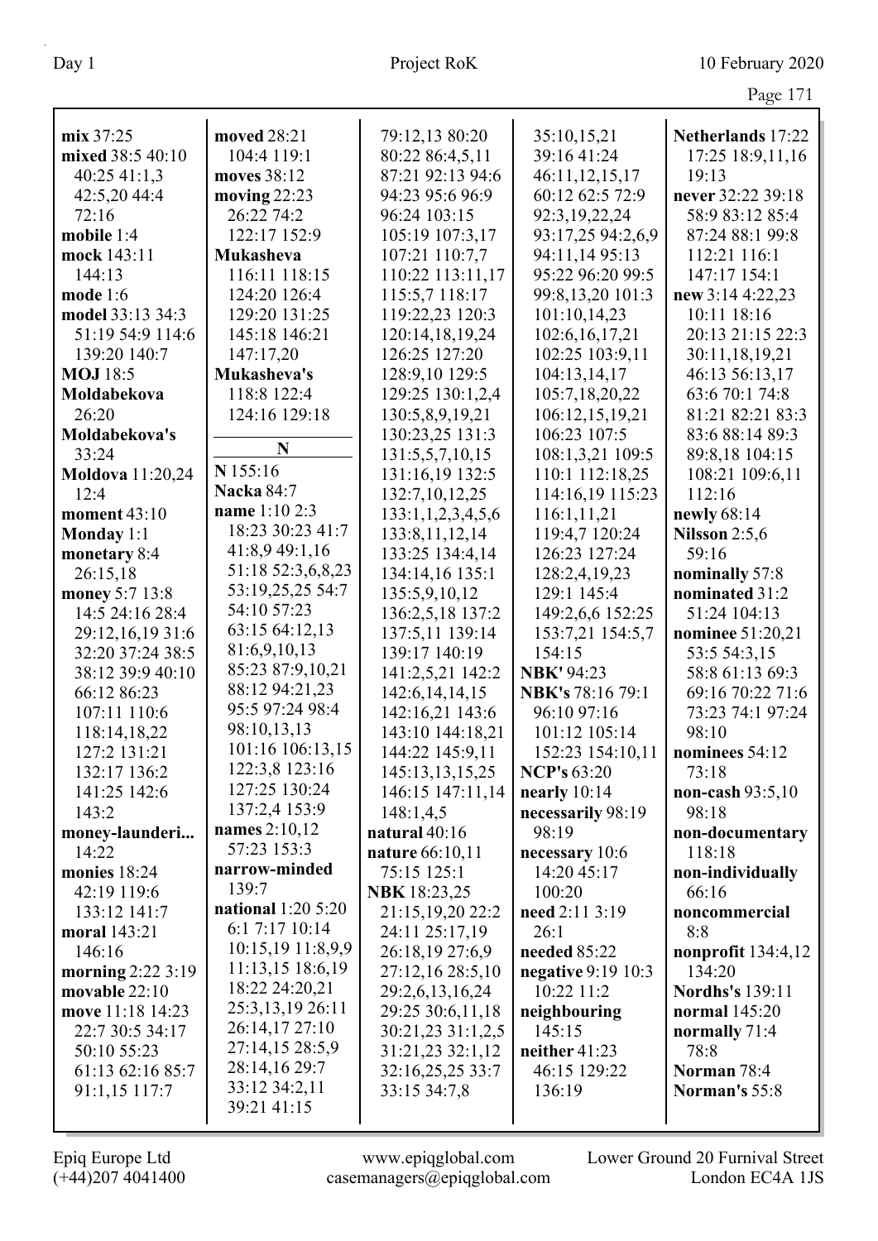| mix 37:25               | moved 28:21               | 79:12,13 80:20      | 35:10,15,21        | Netherlands 17:22      |
|-------------------------|---------------------------|---------------------|--------------------|------------------------|
| mixed 38:5 40:10        | 104:4 119:1               | 80:22 86:4,5,11     | 39:16 41:24        | 17:25 18:9,11,16       |
| 40:2541:1,3             | moves 38:12               | 87:21 92:13 94:6    | 46:11,12,15,17     | 19:13                  |
| 42:5,20 44:4            | moving $22:23$            | 94:23 95:6 96:9     | 60:12 62:5 72:9    | never 32:22 39:18      |
| 72:16                   | 26:22 74:2                | 96:24 103:15        | 92:3,19,22,24      | 58:9 83:12 85:4        |
| mobile 1:4              | 122:17 152:9              | 105:19 107:3,17     | 93:17,25 94:2,6,9  | 87:24 88:1 99:8        |
| mock 143:11             | <b>Mukasheva</b>          | 107:21 110:7,7      | 94:11,14 95:13     | 112:21 116:1           |
| 144:13                  | 116:11 118:15             | 110:22 113:11,17    | 95:22 96:20 99:5   | 147:17 154:1           |
| mode $1:6$              | 124:20 126:4              | 115:5,7 118:17      | 99:8,13,20 101:3   | new 3:14 4:22,23       |
| model 33:13 34:3        | 129:20 131:25             | 119:22,23 120:3     | 101:10,14,23       | 10:11 18:16            |
| 51:19 54:9 114:6        | 145:18 146:21             | 120:14,18,19,24     | 102:6, 16, 17, 21  | 20:13 21:15 22:3       |
| 139:20 140:7            | 147:17,20                 | 126:25 127:20       | 102:25 103:9,11    | 30:11,18,19,21         |
| <b>MOJ</b> 18:5         | Mukasheva's               | 128:9,10 129:5      | 104:13,14,17       | 46:13 56:13,17         |
| Moldabekova             | 118:8 122:4               | 129:25 130:1,2,4    | 105:7,18,20,22     | 63:6 70:1 74:8         |
| 26:20                   | 124:16 129:18             | 130:5,8,9,19,21     | 106:12,15,19,21    | 81:21 82:21 83:3       |
| Moldabekova's           |                           | 130:23,25 131:3     | 106:23 107:5       | 83:6 88:14 89:3        |
| 33:24                   | N                         | 131:5,5,7,10,15     | 108:1,3,21 109:5   | 89:8,18 104:15         |
| <b>Moldova</b> 11:20,24 | N 155:16                  | 131:16,19 132:5     | 110:1 112:18,25    | 108:21 109:6,11        |
| 12:4                    | <b>Nacka 84:7</b>         | 132:7,10,12,25      | 114:16,19 115:23   | 112:16                 |
| moment 43:10            | name 1:10 2:3             | 133:1,1,2,3,4,5,6   | 116:1,11,21        | newly 68:14            |
| Monday 1:1              | 18:23 30:23 41:7          | 133:8, 11, 12, 14   | 119:4,7 120:24     | Nilsson 2:5,6          |
| monetary 8:4            | 41:8,9 49:1,16            | 133:25 134:4,14     | 126:23 127:24      | 59:16                  |
| 26:15,18                | 51:18 52:3,6,8,23         | 134:14,16 135:1     | 128:2,4,19,23      | nominally 57:8         |
| money 5:7 13:8          | 53:19,25,25 54:7          | 135:5,9,10,12       | 129:1 145:4        | nominated 31:2         |
| 14:5 24:16 28:4         | 54:10 57:23               | 136:2,5,18 137:2    | 149:2,6,6 152:25   | 51:24 104:13           |
| 29:12,16,19 31:6        | 63:15 64:12,13            | 137:5,11 139:14     | 153:7,21 154:5,7   | nominee 51:20,21       |
| 32:20 37:24 38:5        | 81:6,9,10,13              | 139:17 140:19       | 154:15             | 53:5 54:3,15           |
| 38:12 39:9 40:10        | 85:23 87:9,10,21          | 141:2,5,21 142:2    | <b>NBK'</b> 94:23  | 58:8 61:13 69:3        |
| 66:12 86:23             | 88:12 94:21,23            | 142:6, 14, 14, 15   | NBK's 78:16 79:1   | 69:16 70:22 71:6       |
| 107:11 110:6            | 95:5 97:24 98:4           | 142:16,21 143:6     | 96:10 97:16        | 73:23 74:1 97:24       |
| 118:14,18,22            | 98:10,13,13               | 143:10 144:18,21    | 101:12 105:14      | 98:10                  |
| 127:2 131:21            | 101:16 106:13,15          | 144:22 145:9,11     | 152:23 154:10,11   | nominees 54:12         |
| 132:17 136:2            | 122:3,8 123:16            | 145:13,13,15,25     | <b>NCP's 63:20</b> | 73:18                  |
| 141:25 142:6            | 127:25 130:24             | 146:15 147:11,14    | nearly $10:14$     | non-cash $93:5,10$     |
| 143:2                   | 137:2,4 153:9             | 148:1,4,5           | necessarily 98:19  | 98:18                  |
| money-launderi          | names $2:10,12$           | natural 40:16       | 98:19              | non-documentary        |
| 14:22                   | 57:23 153:3               | nature 66:10,11     | necessary 10:6     | 118:18                 |
| monies 18:24            | narrow-minded             | 75:15 125:1         | 14:20 45:17        | non-individually       |
| 42:19 119:6             | 139:7                     | <b>NBK</b> 18:23,25 | 100:20             | 66:16                  |
| 133:12 141:7            | <b>national</b> 1:20 5:20 | 21:15,19,20 22:2    | need 2:11 3:19     | noncommercial          |
| moral 143:21            | 6:1 7:17 10:14            | 24:11 25:17,19      | 26:1               | 8:8                    |
| 146:16                  | 10:15,19 11:8,9,9         | 26:18,19 27:6,9     | needed 85:22       | nonprofit $134:4,12$   |
| morning 2:22 3:19       | 11:13,15 18:6,19          | 27:12,16 28:5,10    | negative 9:19 10:3 | 134:20                 |
| movable 22:10           | 18:22 24:20,21            | 29:2,6,13,16,24     | 10:22 11:2         | <b>Nordhs's</b> 139:11 |
| move 11:18 14:23        | 25:3,13,19 26:11          | 29:25 30:6,11,18    | neighbouring       | normal 145:20          |
| 22:7 30:5 34:17         | 26:14,17 27:10            | 30:21,23 31:1,2,5   | 145:15             | normally 71:4          |
| 50:10 55:23             | 27:14,15 28:5,9           | 31:21,23 32:1,12    | neither 41:23      | 78:8                   |
| 61:13 62:16 85:7        | 28:14,16 29:7             | 32:16,25,25 33:7    | 46:15 129:22       | Norman 78:4            |
| 91:1,15 117:7           | 33:12 34:2,11             | 33:15 34:7,8        | 136:19             | Norman's 55:8          |
|                         | 39:21 41:15               |                     |                    |                        |
|                         |                           |                     |                    |                        |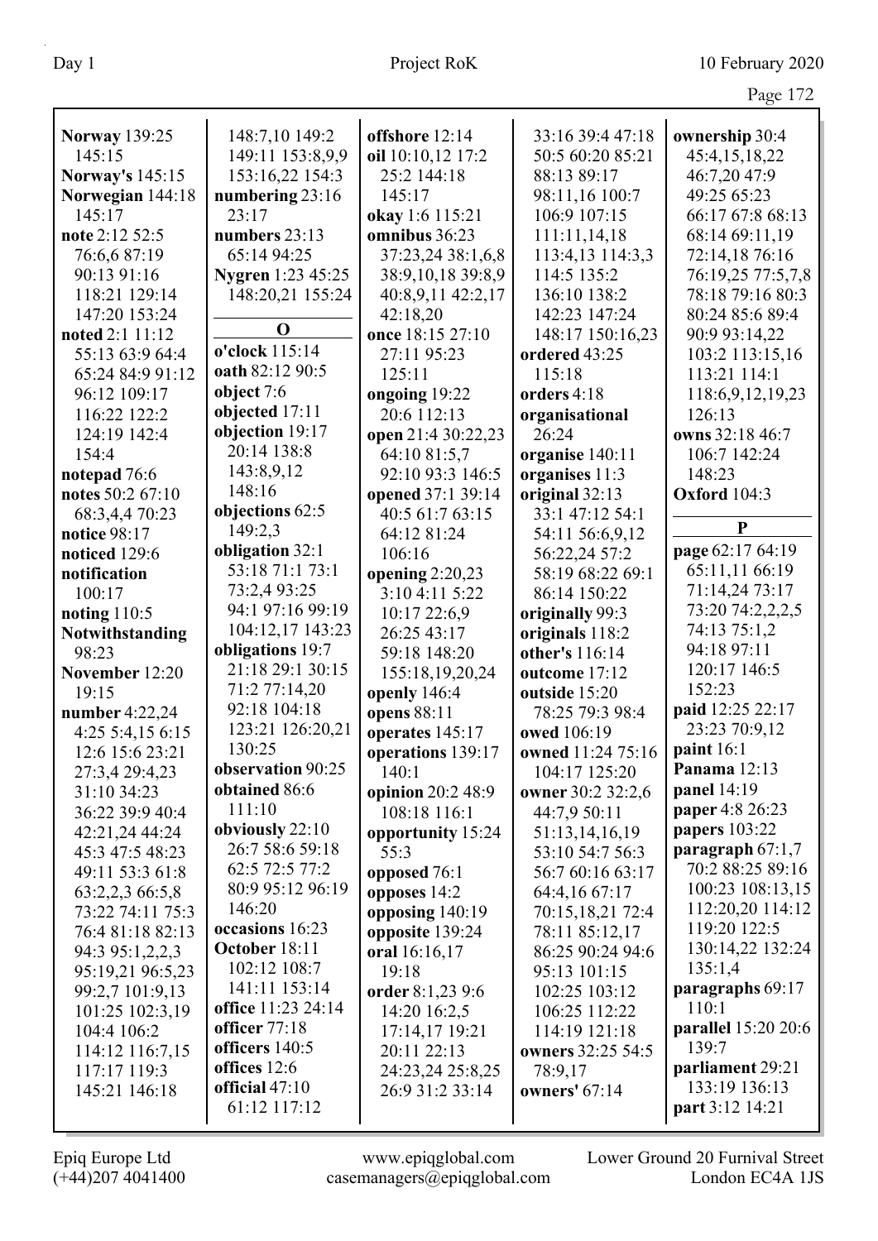|             | Page 172       |
|-------------|----------------|
| 39:4 47:18  | ownership 30:4 |
| 60:20 85:21 | 45:4,15,18,22  |
| 89:17       | 46:7,20 47:9   |
| .16100:7    | 49:25 65:23    |

| <b>Norway</b> 139:25   | 148:7,10 149:2           | offshore 12:14     | 33:16 39:4 47:18  | ownership 30:4      |
|------------------------|--------------------------|--------------------|-------------------|---------------------|
| 145:15                 | 149:11 153:8,9,9         | oil 10:10,12 17:2  | 50:5 60:20 85:21  | 45:4,15,18,22       |
| <b>Norway's 145:15</b> | 153:16,22 154:3          | 25:2 144:18        | 88:13 89:17       | 46:7,20 47:9        |
| Norwegian 144:18       | numbering 23:16          | 145:17             | 98:11,16 100:7    | 49:25 65:23         |
| 145:17                 | 23:17                    | okay 1:6 115:21    | 106:9 107:15      | 66:17 67:8 68:13    |
| note 2:12 52:5         | numbers 23:13            | omnibus 36:23      | 111:11,14,18      | 68:14 69:11,19      |
| 76:6,6 87:19           | 65:14 94:25              | 37:23,24 38:1,6,8  | 113:4,13 114:3,3  | 72:14,18 76:16      |
| 90:13 91:16            | <b>Nygren</b> 1:23 45:25 | 38:9,10,18 39:8,9  | 114:5 135:2       | 76:19,25 77:5,7,8   |
| 118:21 129:14          | 148:20,21 155:24         | 40:8,9,11 42:2,17  | 136:10 138:2      | 78:18 79:16 80:3    |
| 147:20 153:24          |                          | 42:18,20           | 142:23 147:24     | 80:24 85:6 89:4     |
| noted 2:1 11:12        | $\mathbf 0$              | once 18:15 27:10   | 148:17 150:16,23  | 90:9 93:14,22       |
| 55:13 63:9 64:4        | o'clock 115:14           | 27:11 95:23        | ordered 43:25     | 103:2 113:15,16     |
| 65:24 84:9 91:12       | oath 82:12 90:5          | 125:11             | 115:18            | 113:21 114:1        |
| 96:12 109:17           | object $7:6$             | ongoing 19:22      | orders 4:18       | 118:6,9,12,19,23    |
| 116:22 122:2           | objected 17:11           | 20:6 112:13        | organisational    | 126:13              |
| 124:19 142:4           | objection 19:17          | open 21:4 30:22,23 | 26:24             | owns 32:18 46:7     |
| 154:4                  | 20:14 138:8              | 64:10 81:5,7       | organise 140:11   | 106:7 142:24        |
| notepad 76:6           | 143:8,9,12               | 92:10 93:3 146:5   | organises 11:3    | 148:23              |
| notes 50:2 67:10       | 148:16                   | opened 37:1 39:14  | original 32:13    | <b>Oxford</b> 104:3 |
| 68:3,4,4 70:23         | objections 62:5          | 40:5 61:7 63:15    | 33:1 47:12 54:1   |                     |
| notice 98:17           | 149:2,3                  | 64:12 81:24        | 54:11 56:6,9,12   | P                   |
| noticed 129:6          | obligation 32:1          | 106:16             | 56:22,24 57:2     | page 62:17 64:19    |
| notification           | 53:18 71:1 73:1          | opening $2:20,23$  | 58:19 68:22 69:1  | 65:11,11 66:19      |
| 100:17                 | 73:2,4 93:25             | 3:10 4:11 5:22     | 86:14 150:22      | 71:14,24 73:17      |
| noting $110:5$         | 94:1 97:16 99:19         | 10:1722:6,9        | originally 99:3   | 73:20 74:2,2,2,5    |
| Notwithstanding        | 104:12,17 143:23         | 26:25 43:17        | originals 118:2   | 74:13 75:1,2        |
| 98:23                  | obligations 19:7         | 59:18 148:20       | other's 116:14    | 94:18 97:11         |
| November 12:20         | 21:18 29:1 30:15         | 155:18,19,20,24    | outcome 17:12     | 120:17 146:5        |
| 19:15                  | 71:2 77:14,20            | openly 146:4       | outside 15:20     | 152:23              |
| number 4:22,24         | 92:18 104:18             | opens 88:11        | 78:25 79:3 98:4   | paid 12:25 22:17    |
| $4:25\;5:4,15\;6:15$   | 123:21 126:20,21         | operates 145:17    | owed 106:19       | 23:23 70:9,12       |
| 12:6 15:6 23:21        | 130:25                   | operations 139:17  | owned 11:24 75:16 | paint 16:1          |
| 27:3,4 29:4,23         | observation 90:25        | 140:1              | 104:17 125:20     | Panama 12:13        |
| 31:10 34:23            | obtained 86:6            | opinion 20:2 48:9  | owner 30:2 32:2,6 | panel 14:19         |
| 36:22 39:9 40:4        | 111:10                   | 108:18 116:1       | 44:7,9 50:11      | paper 4:8 26:23     |
| 42:21,24 44:24         | obviously 22:10          | opportunity 15:24  | 51:13,14,16,19    | papers 103:22       |
| 45:3 47:5 48:23        | 26:7 58:6 59:18          | 55:3               | 53:10 54:7 56:3   | paragraph 67:1,7    |
| 49:11 53:3 61:8        | 62:5 72:5 77:2           | opposed 76:1       | 56:7 60:16 63:17  | 70:2 88:25 89:16    |
| 63:2,2,3 66:5,8        | 80:9 95:12 96:19         | opposes 14:2       | 64:4,16 67:17     | 100:23 108:13,15    |
| 73:22 74:11 75:3       | 146:20                   | opposing 140:19    | 70:15,18,21 72:4  | 112:20,20 114:12    |
| 76:4 81:18 82:13       | occasions 16:23          | opposite 139:24    | 78:11 85:12,17    | 119:20 122:5        |
| 94:3 95:1,2,2,3        | October 18:11            | oral 16:16,17      | 86:25 90:24 94:6  | 130:14,22 132:24    |
| 95:19,21 96:5,23       | 102:12 108:7             | 19:18              | 95:13 101:15      | 135:1,4             |
| 99:2,7 101:9,13        | 141:11 153:14            | order 8:1,23 9:6   | 102:25 103:12     | paragraphs 69:17    |
| 101:25 102:3,19        | office 11:23 24:14       | 14:20 16:2,5       | 106:25 112:22     | 110:1               |
| 104:4 106:2            | officer 77:18            | 17:14,17 19:21     | 114:19 121:18     | parallel 15:20 20:6 |
| 114:12 116:7,15        | officers 140:5           | 20:11 22:13        | owners 32:25 54:5 | 139:7               |
| 117:17 119:3           | offices 12:6             | 24:23,24 25:8,25   | 78:9,17           | parliament 29:21    |
| 145:21 146:18          | official $47:10$         | 26:9 31:2 33:14    | owners' $67:14$   | 133:19 136:13       |
|                        | 61:12 117:12             |                    |                   | part 3:12 14:21     |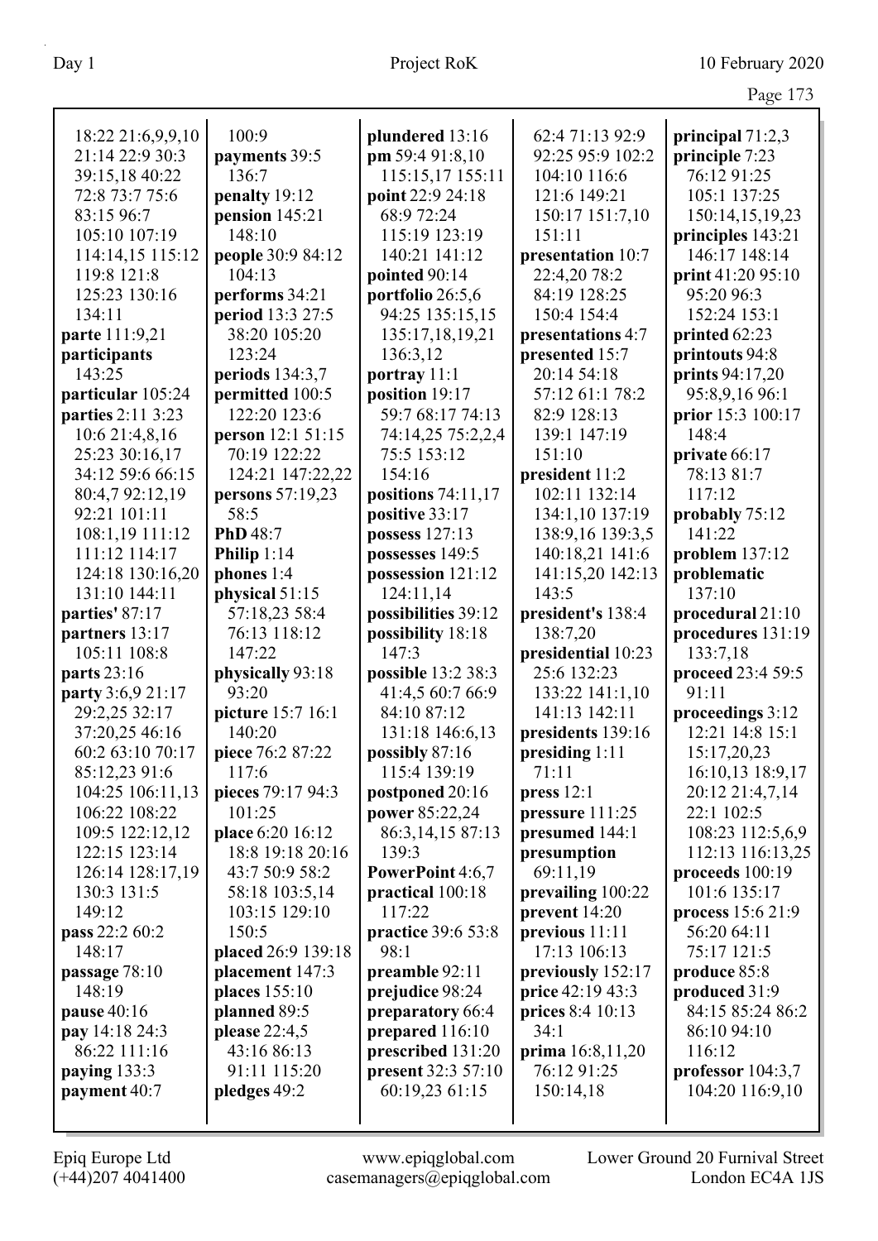|                   |                                    |                           |                    | $445c$ $175$       |
|-------------------|------------------------------------|---------------------------|--------------------|--------------------|
| 18:22 21:6,9,9,10 | 100:9                              | plundered 13:16           | 62:4 71:13 92:9    | principal $71:2,3$ |
| 21:14 22:9 30:3   | payments 39:5                      | pm 59:4 91:8,10           | 92:25 95:9 102:2   | principle 7:23     |
| 39:15,18 40:22    | 136:7                              | 115:15,17 155:11          | 104:10 116:6       | 76:12 91:25        |
| 72:8 73:7 75:6    | penalty 19:12                      | point 22:9 24:18          | 121:6 149:21       | 105:1 137:25       |
| 83:15 96:7        | pension 145:21                     | 68:9 72:24                | 150:17 151:7,10    | 150:14,15,19,23    |
| 105:10 107:19     | 148:10                             | 115:19 123:19             | 151:11             | principles 143:21  |
| 114:14,15 115:12  |                                    | 140:21 141:12             | presentation 10:7  | 146:17 148:14      |
|                   | people 30:9 84:12<br>104:13        |                           |                    |                    |
| 119:8 121:8       |                                    | pointed 90:14             | 22:4,20 78:2       | print 41:20 95:10  |
| 125:23 130:16     | performs 34:21<br>period 13:3 27:5 | portfolio 26:5,6          | 84:19 128:25       | 95:20 96:3         |
| 134:11            |                                    | 94:25 135:15,15           | 150:4 154:4        | 152:24 153:1       |
| parte 111:9,21    | 38:20 105:20                       | 135:17,18,19,21           | presentations 4:7  | printed 62:23      |
| participants      | 123:24                             | 136:3,12                  | presented 15:7     | printouts 94:8     |
| 143:25            | periods $134:3,7$                  | portray 11:1              | 20:14 54:18        | prints 94:17,20    |
| particular 105:24 | permitted 100:5                    | position 19:17            | 57:12 61:1 78:2    | 95:8,9,16 96:1     |
| parties 2:11 3:23 | 122:20 123:6                       | 59:7 68:17 74:13          | 82:9 128:13        | prior 15:3 100:17  |
| 10:6 21:4,8,16    | person 12:1 51:15                  | 74:14,25 75:2,2,4         | 139:1 147:19       | 148:4              |
| 25:23 30:16,17    | 70:19 122:22                       | 75:5 153:12               | 151:10             | private 66:17      |
| 34:12 59:6 66:15  | 124:21 147:22,22                   | 154:16                    | president 11:2     | 78:13 81:7         |
| 80:4,7 92:12,19   | persons 57:19,23                   | positions $74:11,17$      | 102:11 132:14      | 117:12             |
| 92:21 101:11      | 58:5                               | positive 33:17            | 134:1,10 137:19    | probably 75:12     |
| 108:1,19 111:12   | PhD 48:7                           | possess 127:13            | 138:9,16 139:3,5   | 141:22             |
| 111:12 114:17     | Philip $1:14$                      | possesses 149:5           | 140:18,21 141:6    | problem 137:12     |
| 124:18 130:16,20  | phones 1:4                         | possession 121:12         | 141:15,20 142:13   | problematic        |
| 131:10 144:11     | physical 51:15                     | 124:11,14                 | 143:5              | 137:10             |
| parties' 87:17    | 57:18,23 58:4                      | possibilities 39:12       | president's 138:4  | procedural 21:10   |
| partners 13:17    | 76:13 118:12                       | possibility 18:18         | 138:7,20           | procedures 131:19  |
| 105:11 108:8      | 147:22                             | 147:3                     | presidential 10:23 | 133:7,18           |
| parts 23:16       | physically 93:18                   | possible 13:2 38:3        | 25:6 132:23        | proceed 23:4 59:5  |
| party 3:6,9 21:17 | 93:20                              | 41:4,5 60:7 66:9          | 133:22 141:1,10    | 91:11              |
| 29:2,25 32:17     | picture 15:7 16:1                  | 84:10 87:12               | 141:13 142:11      | proceedings 3:12   |
| 37:20,25 46:16    | 140:20                             | 131:18 146:6,13           | presidents 139:16  | 12:21 14:8 15:1    |
| 60:2 63:10 70:17  | piece 76:2 87:22                   | possibly 87:16            | presiding 1:11     | 15:17,20,23        |
| 85:12,23 91:6     | 117:6                              | 115:4 139:19              | 71:11              | 16:10,13 18:9,17   |
| 104:25 106:11,13  | pieces 79:17 94:3                  | postponed 20:16           | press $12:1$       | 20:12 21:4,7,14    |
| 106:22 108:22     | 101:25                             | power 85:22,24            | pressure 111:25    | 22:1 102:5         |
| 109:5 122:12,12   | place 6:20 16:12                   | 86:3, 14, 15 87:13        | presumed 144:1     | 108:23 112:5,6,9   |
| 122:15 123:14     | 18:8 19:18 20:16                   | 139:3                     | presumption        | 112:13 116:13,25   |
| 126:14 128:17,19  | 43:7 50:9 58:2                     | PowerPoint 4:6,7          | 69:11,19           | proceeds 100:19    |
| 130:3 131:5       | 58:18 103:5,14                     | practical 100:18          | prevailing 100:22  | 101:6 135:17       |
| 149:12            | 103:15 129:10                      | 117:22                    | prevent 14:20      | process 15:6 21:9  |
| pass 22:2 60:2    | 150:5                              | <b>practice</b> 39:6 53:8 | previous 11:11     | 56:20 64:11        |
| 148:17            | placed 26:9 139:18                 | 98:1                      | 17:13 106:13       | 75:17 121:5        |
| passage 78:10     | placement 147:3                    | preamble 92:11            | previously 152:17  | produce 85:8       |
| 148:19            | places 155:10                      | prejudice 98:24           | price 42:19 43:3   | produced 31:9      |
| pause 40:16       | planned 89:5                       | preparatory 66:4          | prices 8:4 10:13   | 84:15 85:24 86:2   |
| pay 14:18 24:3    | please 22:4,5                      | prepared 116:10           | 34:1               | 86:10 94:10        |
| 86:22 111:16      | 43:16 86:13                        | prescribed 131:20         | prima 16:8,11,20   | 116:12             |
| paying 133:3      | 91:11 115:20                       | present 32:3 57:10        | 76:12 91:25        | professor 104:3,7  |
| payment 40:7      | pledges 49:2                       | 60:19,23 61:15            | 150:14,18          | 104:20 116:9,10    |
|                   |                                    |                           |                    |                    |
|                   |                                    |                           |                    |                    |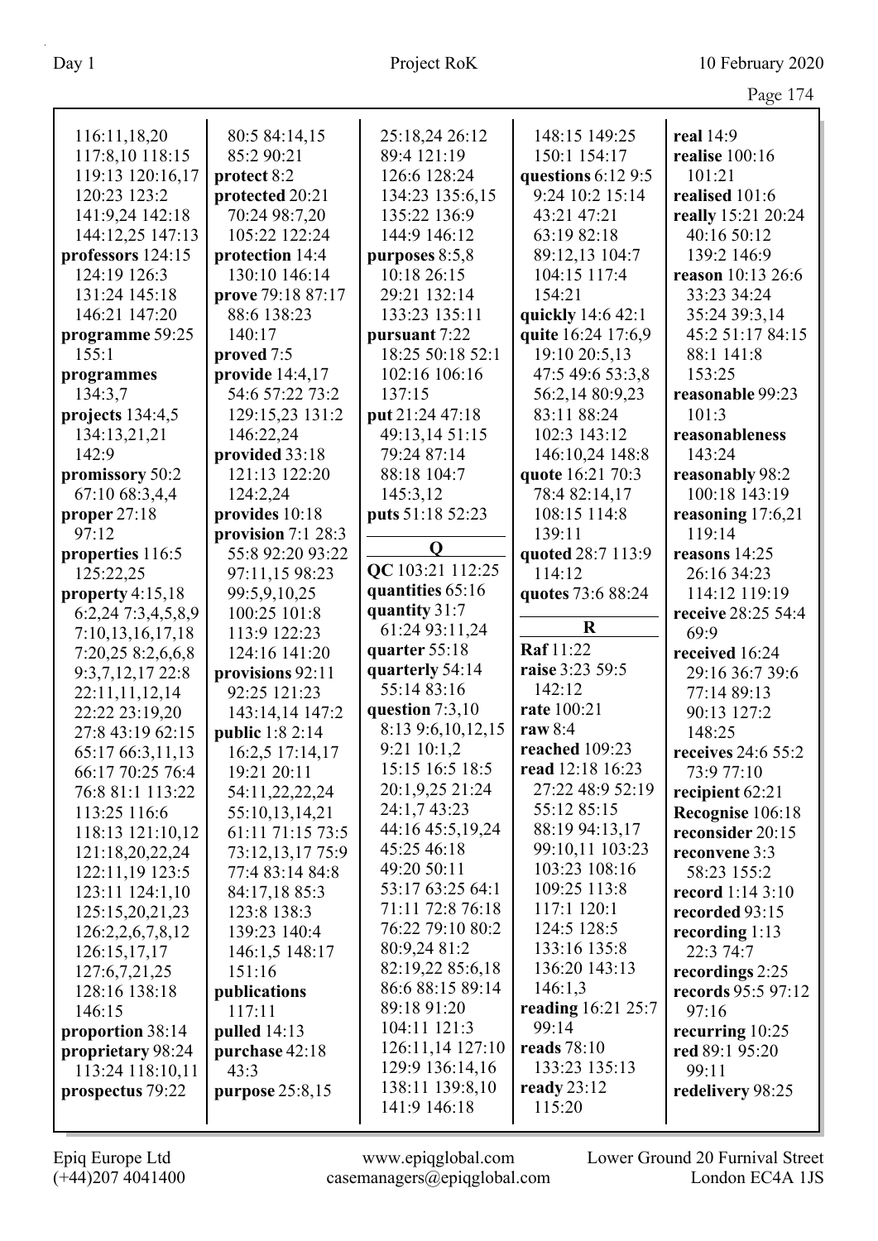| łC |  |
|----|--|
|    |  |

| 116:11,18,20       | 80:5 84:14,15          | 25:18,24 26:12       | 148:15 149:25      | real 14:9               |
|--------------------|------------------------|----------------------|--------------------|-------------------------|
| 117:8,10 118:15    | 85:2 90:21             | 89:4 121:19          | 150:1 154:17       | realise 100:16          |
| 119:13 120:16,17   | protect 8:2            | 126:6 128:24         | questions 6:12 9:5 | 101:21                  |
| 120:23 123:2       | protected 20:21        | 134:23 135:6,15      | 9:24 10:2 15:14    | realised 101:6          |
| 141:9,24 142:18    | 70:24 98:7,20          | 135:22 136:9         | 43:21 47:21        | really 15:21 20:24      |
| 144:12,25 147:13   | 105:22 122:24          | 144:9 146:12         | 63:19 82:18        | 40:16 50:12             |
| professors 124:15  | protection 14:4        | purposes 8:5,8       | 89:12,13 104:7     | 139:2 146:9             |
| 124:19 126:3       | 130:10 146:14          | 10:18 26:15          | 104:15 117:4       | reason 10:13 26:6       |
| 131:24 145:18      | prove 79:18 87:17      | 29:21 132:14         | 154:21             | 33:23 34:24             |
| 146:21 147:20      | 88:6 138:23            | 133:23 135:11        | quickly 14:6 42:1  | 35:24 39:3,14           |
| programme 59:25    | 140:17                 | pursuant 7:22        | quite 16:24 17:6,9 | 45:2 51:17 84:15        |
| 155:1              | proved 7:5             | 18:25 50:18 52:1     | 19:10 20:5,13      | 88:1 141:8              |
| programmes         | provide 14:4,17        | 102:16 106:16        | 47:5 49:6 53:3,8   | 153:25                  |
| 134:3,7            | 54:6 57:22 73:2        | 137:15               | 56:2,14 80:9,23    | reasonable 99:23        |
| projects 134:4,5   | 129:15,23 131:2        | put 21:24 47:18      | 83:11 88:24        | 101:3                   |
| 134:13,21,21       | 146:22,24              | 49:13,14 51:15       | 102:3 143:12       | reasonableness          |
| 142:9              | provided 33:18         | 79:24 87:14          | 146:10,24 148:8    | 143:24                  |
| promissory 50:2    | 121:13 122:20          | 88:18 104:7          | quote 16:21 70:3   | reasonably 98:2         |
| 67:10 68:3,4,4     | 124:2,24               | 145:3,12             | 78:4 82:14,17      | 100:18 143:19           |
| proper 27:18       | provides 10:18         | puts 51:18 52:23     | 108:15 114:8       | reasoning $17:6,21$     |
| 97:12              | provision $7:128:3$    |                      | 139:11             | 119:14                  |
| properties 116:5   | 55:8 92:20 93:22       | Q                    | quoted 28:7 113:9  | reasons 14:25           |
| 125:22,25          | 97:11,15 98:23         | QC 103:21 112:25     | 114:12             | 26:16 34:23             |
| property 4:15,18   | 99:5,9,10,25           | quantities 65:16     | quotes 73:6 88:24  | 114:12 119:19           |
| 6:2,24 7:3,4,5,8,9 | 100:25 101:8           | quantity 31:7        |                    | receive 28:25 54:4      |
| 7:10,13,16,17,18   | 113:9 122:23           | 61:24 93:11,24       | $\bf R$            | 69:9                    |
| 7:20,25 8:2,6,6,8  | 124:16 141:20          | quarter 55:18        | Raf 11:22          | received 16:24          |
| 9:3,7,12,17 22:8   | provisions 92:11       | quarterly 54:14      | raise 3:23 59:5    | 29:16 36:7 39:6         |
| 22:11,11,12,14     | 92:25 121:23           | 55:14 83:16          | 142:12             | 77:14 89:13             |
| 22:22 23:19,20     | 143:14,14 147:2        | question $7:3,10$    | rate 100:21        | 90:13 127:2             |
| 27:8 43:19 62:15   | <b>public</b> 1:8 2:14 | 8:13 9:6, 10, 12, 15 | raw 8:4            | 148:25                  |
| 65:17 66:3,11,13   | 16:2,5 17:14,17        | $9:21$ 10:1,2        | reached 109:23     | receives $24:655:2$     |
| 66:17 70:25 76:4   | 19:21 20:11            | 15:15 16:5 18:5      | read 12:18 16:23   | 73:9 77:10              |
| 76:8 81:1 113:22   | 54:11,22,22,24         | 20:1,9,25 21:24      | 27:22 48:9 52:19   | recipient 62:21         |
| 113:25 116:6       | 55:10,13,14,21         | 24:1,7 43:23         | 55:12 85:15        | Recognise 106:18        |
| 118:13 121:10,12   | 61:11 71:15 73:5       | 44:16 45:5,19,24     | 88:19 94:13,17     | reconsider 20:15        |
| 121:18,20,22,24    | 73:12,13,17 75:9       | 45:25 46:18          | 99:10,11 103:23    | reconvene 3:3           |
| 122:11,19 123:5    | 77:4 83:14 84:8        | 49:20 50:11          | 103:23 108:16      | 58:23 155:2             |
| 123:11 124:1,10    | 84:17,18 85:3          | 53:17 63:25 64:1     | 109:25 113:8       | <b>record</b> 1:14 3:10 |
| 125:15,20,21,23    | 123:8 138:3            | 71:11 72:8 76:18     | 117:1 120:1        | recorded 93:15          |
| 126:2,2,6,7,8,12   | 139:23 140:4           | 76:22 79:10 80:2     | 124:5 128:5        | recording $1:13$        |
| 126:15,17,17       | 146:1,5 148:17         | 80:9,24 81:2         | 133:16 135:8       | 22:3 74:7               |
| 127:6,7,21,25      | 151:16                 | 82:19,22 85:6,18     | 136:20 143:13      | recordings 2:25         |
| 128:16 138:18      | publications           | 86:6 88:15 89:14     | 146:1,3            | records 95:5 97:12      |
| 146:15             | 117:11                 | 89:18 91:20          | reading 16:21 25:7 | 97:16                   |
| proportion 38:14   | pulled $14:13$         | 104:11 121:3         | 99:14              | recurring $10:25$       |
| proprietary 98:24  | purchase 42:18         | 126:11,14 127:10     | reads 78:10        | red 89:1 95:20          |
| 113:24 118:10,11   | 43:3                   | 129:9 136:14,16      | 133:23 135:13      | 99:11                   |
| prospectus 79:22   | purpose 25:8,15        | 138:11 139:8,10      | ready $23:12$      | redelivery 98:25        |
|                    |                        | 141:9 146:18         | 115:20             |                         |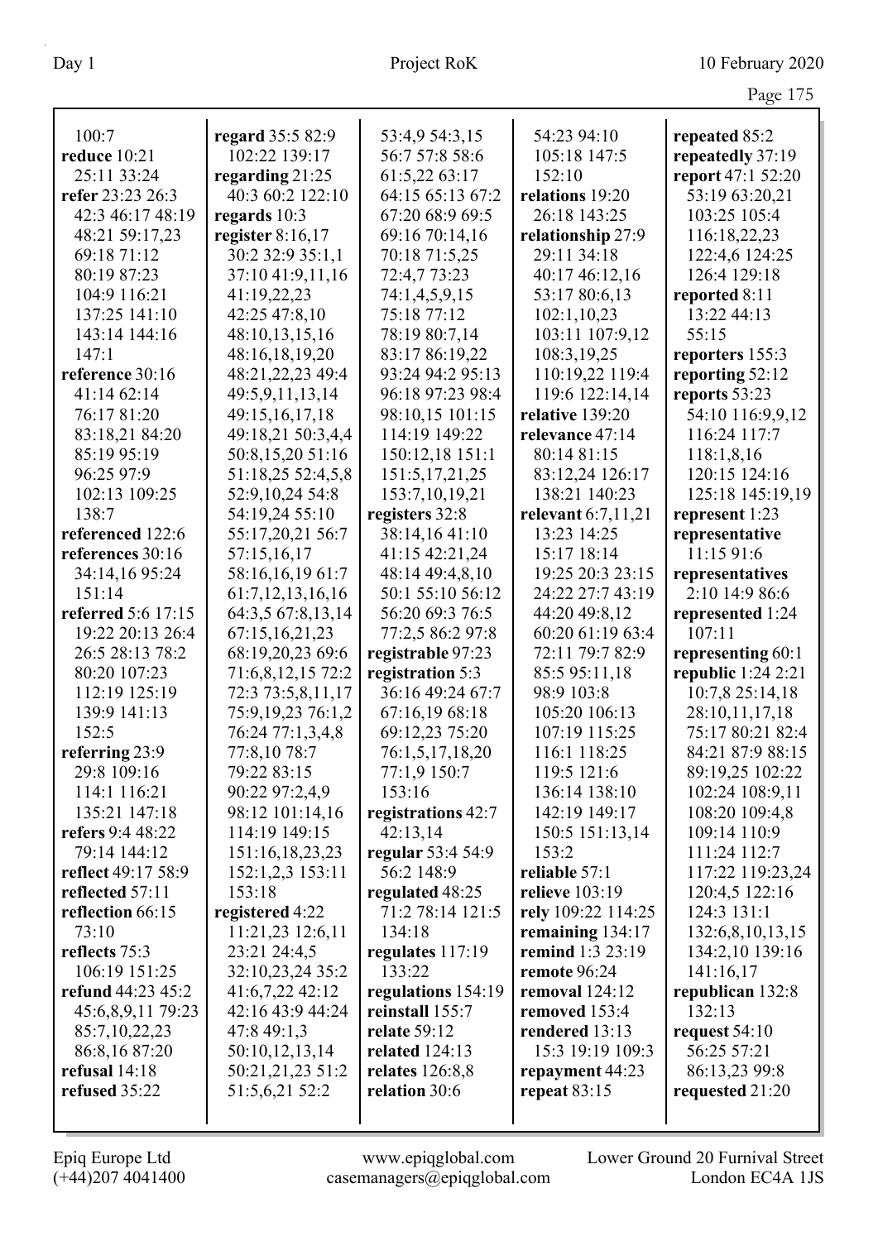|                               |                               |                        |                             | Page 175                           |
|-------------------------------|-------------------------------|------------------------|-----------------------------|------------------------------------|
| 100:7                         | regard 35:5 82:9              | 53:4,9 54:3,15         | 54:23 94:10                 | repeated 85:2                      |
| reduce 10:21                  | 102:22 139:17                 | 56:7 57:8 58:6         | 105:18 147:5                | repeatedly 37:19                   |
| 25:11 33:24                   | regarding $21:25$             | 61:5,22 63:17          | 152:10                      | report 47:1 52:20                  |
| refer 23:23 26:3              | 40:3 60:2 122:10              | 64:15 65:13 67:2       | relations 19:20             | 53:19 63:20,21                     |
| 42:3 46:17 48:19              | regards $10:3$                | 67:20 68:9 69:5        | 26:18 143:25                | 103:25 105:4                       |
| 48:21 59:17,23                | register $8:16,17$            | 69:16 70:14,16         | relationship 27:9           | 116:18,22,23                       |
| 69:18 71:12                   | 30:2 32:9 35:1,1              | 70:18 71:5,25          | 29:11 34:18                 | 122:4,6 124:25                     |
| 80:19 87:23                   | 37:10 41:9,11,16              | 72:4,7 73:23           | 40:17 46:12,16              | 126:4 129:18                       |
| 104:9 116:21                  | 41:19,22,23                   | 74:1,4,5,9,15          | 53:17 80:6,13               | reported 8:11                      |
| 137:25 141:10                 | 42:25 47:8,10                 | 75:18 77:12            | 102:1,10,23                 | 13:22 44:13                        |
| 143:14 144:16                 | 48:10,13,15,16                | 78:19 80:7,14          | 103:11 107:9,12             | 55:15                              |
| 147:1                         | 48:16,18,19,20                | 83:17 86:19,22         | 108:3,19,25                 | reporters 155:3                    |
| reference 30:16               | 48:21,22,23 49:4              | 93:24 94:2 95:13       | 110:19,22 119:4             | reporting 52:12                    |
| 41:14 62:14                   | 49:5,9,11,13,14               | 96:18 97:23 98:4       | 119:6 122:14,14             | reports 53:23                      |
| 76:17 81:20                   | 49:15,16,17,18                | 98:10,15 101:15        | relative 139:20             | 54:10 116:9,9,12                   |
| 83:18,21 84:20                | 49:18,21 50:3,4,4             | 114:19 149:22          | relevance 47:14             | 116:24 117:7                       |
| 85:19 95:19                   | 50:8,15,20 51:16              | 150:12,18 151:1        | 80:14 81:15                 | 118:1,8,16                         |
| 96:25 97:9                    | 51:18,25 52:4,5,8             | 151:5, 17, 21, 25      | 83:12,24 126:17             | 120:15 124:16                      |
| 102:13 109:25                 | 52:9,10,24 54:8               | 153:7, 10, 19, 21      | 138:21 140:23               | 125:18 145:19,19                   |
| 138:7                         | 54:19,24 55:10                | registers 32:8         | relevant $6:7,11,21$        | represent 1:23                     |
| referenced 122:6              | 55:17,20,21 56:7              | 38:14,1641:10          | 13:23 14:25                 | representative                     |
| references 30:16              | 57:15,16,17                   | 41:15 42:21,24         | 15:17 18:14                 | 11:15 91:6                         |
| 34:14,16 95:24                | 58:16,16,19 61:7              | 48:14 49:4,8,10        | 19:25 20:3 23:15            | representatives                    |
| 151:14                        | 61:7, 12, 13, 16, 16          | 50:1 55:10 56:12       | 24:22 27:7 43:19            | 2:10 14:9 86:6                     |
| referred 5:6 17:15            | 64:3,5 67:8,13,14             | 56:20 69:3 76:5        | 44:20 49:8,12               | represented 1:24                   |
| 19:22 20:13 26:4              | 67:15,16,21,23                | 77:2,5 86:2 97:8       | 60:20 61:19 63:4            | 107:11                             |
| 26:5 28:13 78:2               | 68:19,20,23 69:6              | registrable 97:23      | 72:11 79:7 82:9             | representing 60:1                  |
| 80:20 107:23                  | 71:6,8,12,15 72:2             | registration 5:3       | 85:5 95:11,18               | republic 1:24 2:21                 |
| 112:19 125:19                 | 72:3 73:5,8,11,17             | 36:16 49:24 67:7       | 98:9 103:8                  | 10:7,8 25:14,18                    |
| 139:9 141:13                  | 75:9,19,23 76:1,2             | 67:16,19 68:18         | 105:20 106:13               | 28:10,11,17,18                     |
| 152:5                         | 76:24 77:1,3,4,8              | 69:12,23 75:20         | 107:19 115:25               | 75:17 80:21 82:4                   |
| referring 23:9<br>29:8 109:16 | 77:8,10 78:7                  | 76:1,5,17,18,20        | 116:1 118:25<br>119:5 121:6 | 84:21 87:9 88:15                   |
| 114:1 116:21                  | 79:22 83:15<br>90:22 97:2,4,9 | 77:1,9 150:7<br>153:16 | 136:14 138:10               | 89:19,25 102:22<br>102:24 108:9,11 |
| 135:21 147:18                 | 98:12 101:14,16               | registrations 42:7     | 142:19 149:17               | 108:20 109:4,8                     |
| refers 9:4 48:22              | 114:19 149:15                 | 42:13,14               | 150:5 151:13,14             | 109:14 110:9                       |
| 79:14 144:12                  | 151:16,18,23,23               | regular 53:4 54:9      | 153:2                       | 111:24 112:7                       |
| reflect 49:17 58:9            | 152:1,2,3 153:11              | 56:2 148:9             | reliable 57:1               | 117:22 119:23,24                   |
| reflected 57:11               | 153:18                        | regulated 48:25        | relieve $103:19$            | 120:4,5 122:16                     |
| reflection 66:15              | registered 4:22               | 71:2 78:14 121:5       | rely 109:22 114:25          | 124:3 131:1                        |
| 73:10                         | 11:21,23 12:6,11              | 134:18                 | remaining 134:17            | 132:6,8,10,13,15                   |
| reflects 75:3                 | 23:21 24:4,5                  | regulates 117:19       | remind 1:3 23:19            | 134:2,10 139:16                    |
| 106:19 151:25                 | 32:10,23,24 35:2              | 133:22                 | remote 96:24                | 141:16,17                          |
| refund 44:23 45:2             | 41:6,7,22 42:12               | regulations 154:19     | removal $124:12$            | republican 132:8                   |
| 45:6,8,9,11 79:23             | 42:16 43:9 44:24              | reinstall 155:7        | removed 153:4               | 132:13                             |
| 85:7,10,22,23                 | 47:8 49:1,3                   | relate 59:12           | rendered 13:13              | request $54:10$                    |
| 86:8,16 87:20                 | 50:10,12,13,14                | related $124:13$       | 15:3 19:19 109:3            | 56:25 57:21                        |
| refusal 14:18                 | 50:21,21,23 51:2              | relates 126:8,8        | repayment 44:23             | 86:13,23 99:8                      |
| refused 35:22                 | 51:5,6,21 52:2                | relation 30:6          | repeat $83:15$              | requested 21:20                    |
|                               |                               |                        |                             |                                    |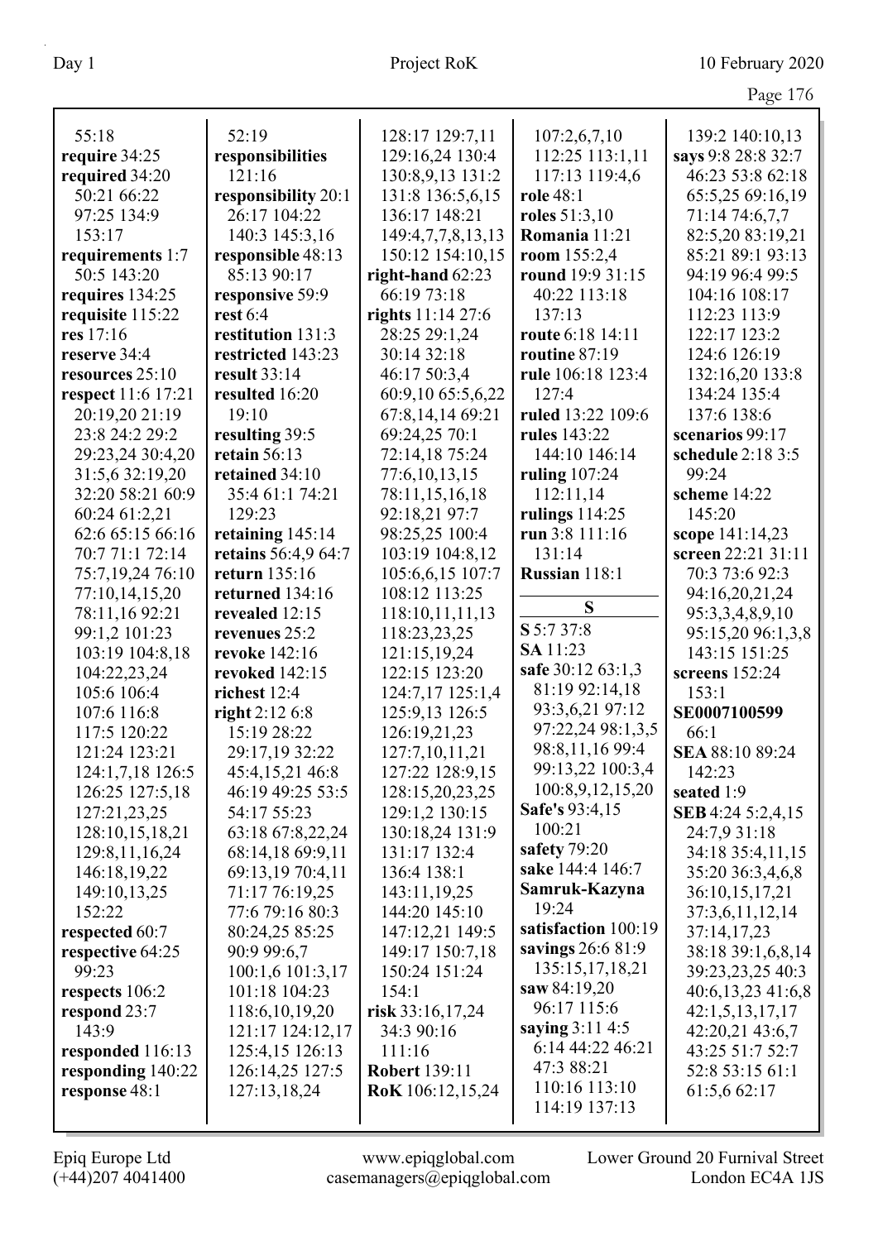|                    |                     |                      |                     | Page 176           |
|--------------------|---------------------|----------------------|---------------------|--------------------|
| 55:18              | 52:19               | 128:17 129:7,11      | 107:2,6,7,10        | 139:2 140:10,13    |
| require 34:25      | responsibilities    | 129:16,24 130:4      | 112:25 113:1,11     | says 9:8 28:8 32:7 |
| required 34:20     | 121:16              | 130:8,9,13 131:2     | 117:13 119:4,6      | 46:23 53:8 62:18   |
| 50:21 66:22        | responsibility 20:1 | 131:8 136:5,6,15     | role 48:1           | 65:5,25 69:16,19   |
| 97:25 134:9        | 26:17 104:22        | 136:17 148:21        | roles $51:3,10$     | 71:14 74:6,7,7     |
| 153:17             | 140:3 145:3,16      | 149:4,7,7,8,13,13    | Romania 11:21       | 82:5,20 83:19,21   |
| requirements 1:7   | responsible 48:13   | 150:12 154:10,15     | room 155:2,4        | 85:21 89:1 93:13   |
| 50:5 143:20        | 85:13 90:17         | right-hand $62:23$   | round 19:9 31:15    | 94:19 96:4 99:5    |
| requires 134:25    | responsive 59:9     | 66:19 73:18          | 40:22 113:18        | 104:16 108:17      |
| requisite 115:22   | rest $6:4$          | rights $11:1427:6$   | 137:13              | 112:23 113:9       |
| res 17:16          | restitution 131:3   | 28:25 29:1,24        | route 6:18 14:11    | 122:17 123:2       |
| reserve 34:4       | restricted 143:23   | 30:14 32:18          | routine 87:19       | 124:6 126:19       |
| resources 25:10    | result 33:14        | 46:17 50:3,4         | rule 106:18 123:4   | 132:16,20 133:8    |
| respect 11:6 17:21 | resulted 16:20      | 60:9,10 65:5,6,22    | 127:4               | 134:24 135:4       |
| 20:19,20 21:19     | 19:10               | 67:8,14,14 69:21     | ruled 13:22 109:6   | 137:6 138:6        |
| 23:8 24:2 29:2     | resulting 39:5      | 69:24,25 70:1        | rules 143:22        | scenarios 99:17    |
| 29:23,24 30:4,20   | retain $56:13$      | 72:14,18 75:24       | 144:10 146:14       | schedule 2:18 3:5  |
| 31:5,6 32:19,20    | retained 34:10      | 77:6,10,13,15        | ruling 107:24       | 99:24              |
| 32:20 58:21 60:9   | 35:4 61:1 74:21     | 78:11,15,16,18       | 112:11,14           | scheme 14:22       |
| 60:24 61:2,21      | 129:23              | 92:18,21 97:7        | rulings $114:25$    | 145:20             |
| 62:6 65:15 66:16   | retaining 145:14    | 98:25,25 100:4       | run 3:8 111:16      | scope 141:14,23    |
| 70:7 71:1 72:14    | retains 56:4,9 64:7 | 103:19 104:8,12      | 131:14              | screen 22:21 31:11 |
| 75:7,19,24 76:10   | return 135:16       | 105:6,6,15 107:7     | Russian 118:1       | 70:3 73:6 92:3     |
| 77:10,14,15,20     | returned 134:16     | 108:12 113:25        |                     | 94:16,20,21,24     |
| 78:11,16 92:21     | revealed 12:15      | 118:10,11,11,13      | S                   | 95:3,3,4,8,9,10    |
| 99:1,2 101:23      | revenues 25:2       | 118:23,23,25         | S 5:7 37:8          | 95:15,20 96:1,3,8  |
| 103:19 104:8,18    | revoke 142:16       | 121:15,19,24         | SA 11:23            | 143:15 151:25      |
| 104:22,23,24       | revoked 142:15      | 122:15 123:20        | safe 30:12 63:1,3   | screens 152:24     |
| 105:6 106:4        | richest 12:4        | 124:7,17 125:1,4     | 81:19 92:14,18      | 153:1              |
| 107:6 116:8        | right $2:126:8$     | 125:9,13 126:5       | 93:3,6,21 97:12     | SE0007100599       |
| 117:5 120:22       | 15:19 28:22         | 126:19,21,23         | 97:22,24 98:1,3,5   | 66:1               |
| 121:24 123:21      | 29:17,19 32:22      | 127:7,10,11,21       | 98:8,11,16 99:4     | SEA 88:10 89:24    |
| 124:1,7,18 126:5   | 45:4,15,21 46:8     | 127:22 128:9,15      | 99:13,22 100:3,4    | 142:23             |
| 126:25 127:5,18    | 46:19 49:25 53:5    | 128:15,20,23,25      | 100:8,9,12,15,20    | seated 1:9         |
| 127:21,23,25       | 54:17 55:23         | 129:1,2 130:15       | Safe's 93:4,15      | SEB 4:24 5:2,4,15  |
| 128:10,15,18,21    | 63:18 67:8,22,24    | 130:18,24 131:9      | 100:21              | 24:7,9 31:18       |
| 129:8, 11, 16, 24  | 68:14,18 69:9,11    | 131:17 132:4         | safety 79:20        | 34:18 35:4,11,15   |
| 146:18,19,22       | 69:13,19 70:4,11    | 136:4 138:1          | sake 144:4 146:7    | 35:20 36:3,4,6,8   |
| 149:10,13,25       | 71:17 76:19,25      | 143:11,19,25         | Samruk-Kazyna       | 36:10,15,17,21     |
| 152:22             | 77:6 79:16 80:3     | 144:20 145:10        | 19:24               | 37:3,6,11,12,14    |
| respected 60:7     | 80:24,25 85:25      | 147:12,21 149:5      | satisfaction 100:19 | 37:14,17,23        |
| respective 64:25   | 90:9 99:6,7         | 149:17 150:7,18      | savings 26:6 81:9   | 38:18 39:1,6,8,14  |
| 99:23              | 100:1,6 101:3,17    | 150:24 151:24        | 135:15,17,18,21     | 39:23,23,25 40:3   |
| respects 106:2     | 101:18 104:23       | 154:1                | saw 84:19,20        | 40:6,13,23 41:6,8  |
| respond 23:7       | 118:6, 10, 19, 20   | risk 33:16,17,24     | 96:17 115:6         | 42:1,5,13,17,17    |
| 143:9              | 121:17 124:12,17    | 34:3 90:16           | saying $3:114:5$    | 42:20,21 43:6,7    |
| responded 116:13   | 125:4,15 126:13     | 111:16               | 6:14 44:22 46:21    | 43:25 51:7 52:7    |
| responding 140:22  | 126:14,25 127:5     | <b>Robert 139:11</b> | 47:3 88:21          | 52:8 53:15 61:1    |
| response 48:1      | 127:13,18,24        | RoK 106:12,15,24     | 110:16 113:10       | 61:5,6 62:17       |
|                    |                     |                      | 114:19 137:13       |                    |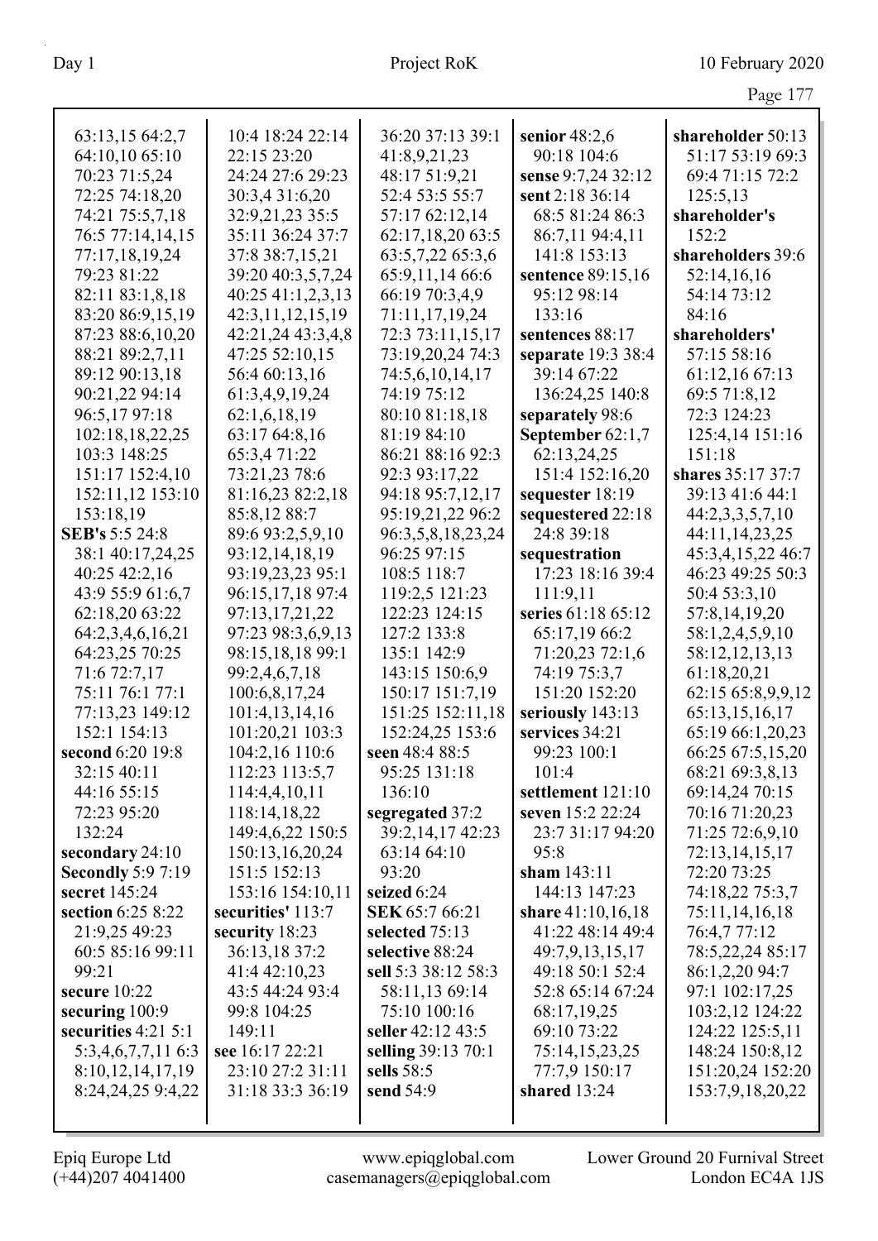|                                           |                                 |                       |                                | Page 177                       |
|-------------------------------------------|---------------------------------|-----------------------|--------------------------------|--------------------------------|
|                                           |                                 |                       |                                |                                |
| 63:13,15 64:2,7                           | 10:4 18:24 22:14                | 36:20 37:13 39:1      | senior $48:2,6$                | shareholder 50:13              |
| 64:10,10 65:10                            | 22:15 23:20                     | 41:8,9,21,23          | 90:18 104:6                    | 51:17 53:19 69:3               |
| 70:23 71:5,24                             | 24:24 27:6 29:23                | 48:17 51:9,21         | sense 9:7,24 32:12             | 69:4 71:15 72:2                |
| 72:25 74:18,20                            | 30:3,4 31:6,20                  | 52:4 53:5 55:7        | sent 2:18 36:14                | 125:5,13                       |
| 74:21 75:5,7,18                           | 32:9,21,23 35:5                 | 57:17 62:12,14        | 68:5 81:24 86:3                | shareholder's                  |
| 76:5 77:14,14,15                          | 35:11 36:24 37:7                | 62:17,18,20 63:5      | 86:7,11 94:4,11                | 152:2                          |
| 77:17,18,19,24                            | 37:8 38:7,15,21                 | 63:5,7,22 65:3,6      | 141:8 153:13                   | shareholders 39:6              |
| 79:23 81:22                               | 39:20 40:3,5,7,24               | 65:9,11,14 66:6       | sentence 89:15,16              | 52:14,16,16                    |
| 82:11 83:1,8,18                           | 40:25 41:1,2,3,13               | 66:19 70:3,4,9        | 95:12 98:14                    | 54:14 73:12                    |
| 83:20 86:9,15,19                          | 42:3,11,12,15,19                | 71:11,17,19,24        | 133:16                         | 84:16                          |
| 87:23 88:6,10,20                          | 42:21,24 43:3,4,8               | 72:3 73:11,15,17      | sentences 88:17                | shareholders'                  |
| 88:21 89:2,7,11                           | 47:25 52:10,15                  | 73:19,20,24 74:3      | separate 19:3 38:4             | 57:15 58:16                    |
| 89:12 90:13,18                            | 56:4 60:13,16                   | 74:5,6,10,14,17       | 39:14 67:22                    | 61:12,16 67:13                 |
| 90:21,22 94:14                            | 61:3,4,9,19,24                  | 74:19 75:12           | 136:24,25 140:8                | 69:5 71:8,12                   |
| 96:5,17 97:18                             | 62:1,6,18,19                    | 80:10 81:18,18        | separately 98:6                | 72:3 124:23                    |
| 102:18,18,22,25                           | 63:17 64:8,16                   | 81:19 84:10           | September 62:1,7               | 125:4,14 151:16                |
| 103:3 148:25                              | 65:3,471:22                     | 86:21 88:16 92:3      | 62:13,24,25                    | 151:18                         |
| 151:17 152:4,10                           | 73:21,23 78:6                   | 92:3 93:17,22         | 151:4 152:16,20                | shares 35:17 37:7              |
| 152:11,12 153:10                          | 81:16,23 82:2,18                | 94:18 95:7,12,17      | sequester 18:19                | 39:13 41:6 44:1                |
| 153:18,19                                 | 85:8,12 88:7                    | 95:19,21,22 96:2      | sequestered 22:18              | 44:2,3,3,5,7,10                |
| SEB's 5:5 24:8                            | 89:6 93:2,5,9,10                | 96:3,5,8,18,23,24     | 24:8 39:18                     | 44:11,14,23,25                 |
| 38:1 40:17,24,25                          | 93:12,14,18,19                  | 96:25 97:15           | sequestration                  | 45:3,4,15,22 46:7              |
| 40:25 42:2,16                             | 93:19,23,23 95:1                | 108:5 118:7           | 17:23 18:16 39:4               | 46:23 49:25 50:3               |
| 43:9 55:9 61:6,7                          | 96:15,17,18 97:4                | 119:2,5 121:23        | 111:9,11                       | 50:4 53:3,10                   |
| 62:18,20 63:22                            | 97:13,17,21,22                  | 122:23 124:15         | series 61:18 65:12             | 57:8,14,19,20                  |
| 64:2,3,4,6,16,21                          | 97:23 98:3,6,9,13               | 127:2 133:8           | 65:17,19 66:2                  | 58:1,2,4,5,9,10                |
| 64:23,25 70:25                            | 98:15,18,18 99:1                | 135:1 142:9           | 71:20,23 72:1,6                | 58:12,12,13,13                 |
| 71:6 72:7,17                              | 99:2,4,6,7,18                   | 143:15 150:6,9        | 74:19 75:3,7                   | 61:18,20,21                    |
| 75:11 76:1 77:1                           | 100:6,8,17,24                   | 150:17 151:7,19       | 151:20 152:20                  | 62:15 65:8,9,9,12              |
| 77:13,23 149:12                           | 101:4,13,14,16                  | 151:25 152:11,18      | seriously 143:13               | 65:13,15,16,17                 |
| 152:1 154:13                              | 101:20,21 103:3                 | 152:24,25 153:6       | services 34:21                 | 65:19 66:1,20,23               |
| second 6:20 19:8                          | 104:2,16 110:6                  | seen $48:48:5$        | 99:23 100:1                    | 66:25 67:5,15,20               |
| 32:15 40:11                               | 112:23 113:5,7                  | 95:25 131:18          | 101:4                          | 68:21 69:3,8,13                |
| 44:16 55:15                               | 114:4,4,10,11                   | 136:10                | settlement 121:10              | 69:14,24 70:15                 |
| 72:23 95:20                               | 118:14,18,22                    | segregated 37:2       | seven 15:2 22:24               | 70:16 71:20,23                 |
| 132:24                                    | 149:4,6,22 150:5                | 39:2,14,17 42:23      | 23:7 31:17 94:20               | 71:25 72:6,9,10                |
| secondary 24:10                           | 150:13,16,20,24<br>151:5 152:13 | 63:14 64:10<br>93:20  | 95:8                           | 72:13,14,15,17                 |
| <b>Secondly 5:9 7:19</b><br>secret 145:24 | 153:16 154:10,11                | seized 6:24           | sham $143:11$<br>144:13 147:23 | 72:20 73:25<br>74:18,22 75:3,7 |
| section 6:25 8:22                         | securities' 113:7               | <b>SEK 65:7 66:21</b> | share 41:10,16,18              | 75:11,14,16,18                 |
| 21:9,25 49:23                             | security 18:23                  | selected 75:13        | 41:22 48:14 49:4               | 76:4,777:12                    |
| 60:5 85:16 99:11                          | 36:13,18 37:2                   | selective 88:24       | 49:7,9,13,15,17                | 78:5,22,24 85:17               |
| 99:21                                     | 41:4 42:10,23                   | sell 5:3 38:12 58:3   | 49:18 50:1 52:4                | 86:1,2,20 94:7                 |
| secure $10:22$                            | 43:5 44:24 93:4                 | 58:11,13 69:14        | 52:8 65:14 67:24               | 97:1 102:17,25                 |
| securing 100:9                            | 99:8 104:25                     | 75:10 100:16          | 68:17,19,25                    | 103:2,12 124:22                |
| securities $4:21\,5:1$                    | 149:11                          | seller 42:12 43:5     | 69:10 73:22                    | 124:22 125:5,11                |
| 5:3,4,6,7,7,11 6:3                        | see 16:17 22:21                 | selling 39:13 70:1    | 75:14,15,23,25                 | 148:24 150:8,12                |
| 8:10,12,14,17,19                          | 23:10 27:2 31:11                | sells 58:5            | 77:7,9 150:17                  | 151:20,24 152:20               |
| 8:24,24,25 9:4,22                         | 31:18 33:3 36:19                | send 54:9             | shared $13:24$                 | 153:7,9,18,20,22               |
|                                           |                                 |                       |                                |                                |
|                                           |                                 |                       |                                |                                |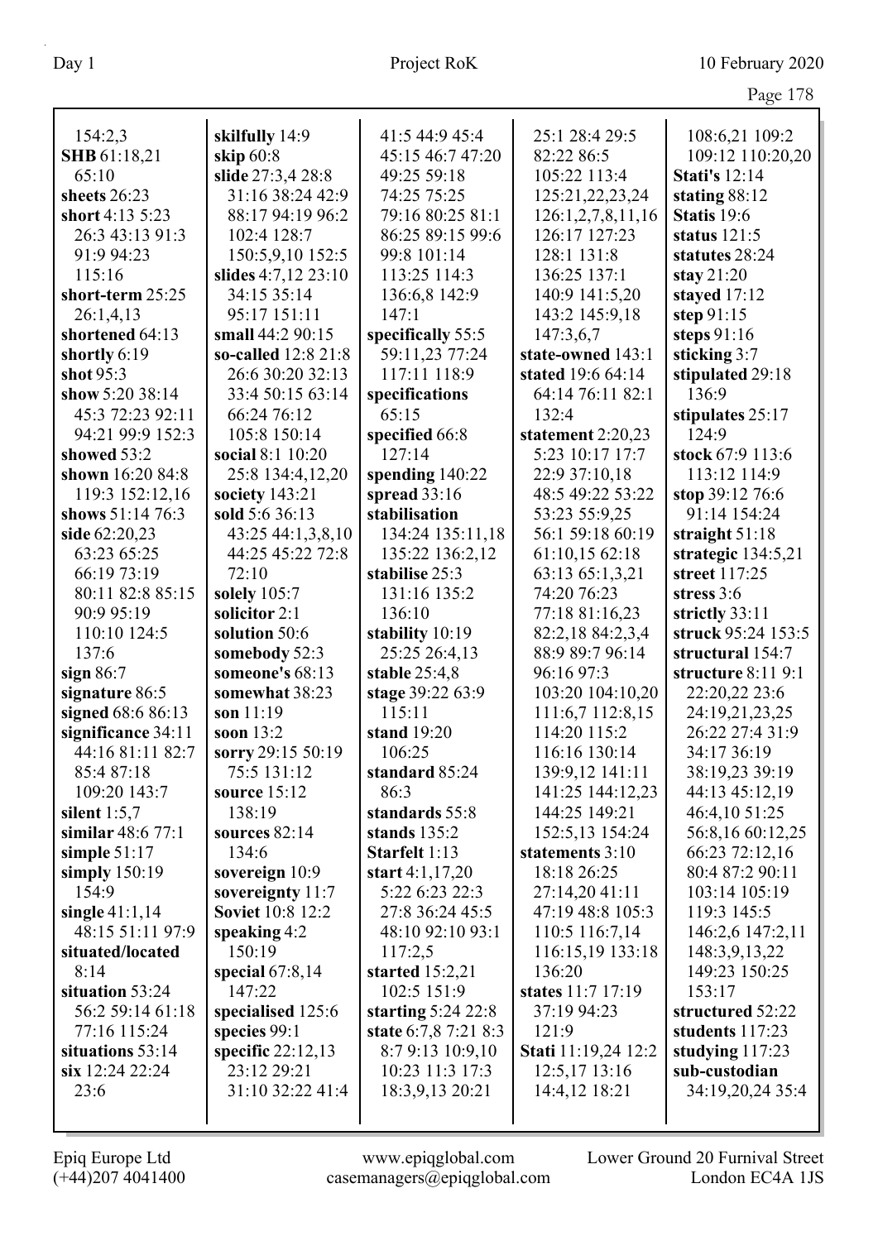|                     |                         |                         |                     | O                         |
|---------------------|-------------------------|-------------------------|---------------------|---------------------------|
| 154:2,3             | skilfully 14:9          | 41:5 44:9 45:4          | 25:1 28:4 29:5      | 108:6,21 109:2            |
| <b>SHB</b> 61:18,21 | skip 60:8               | 45:15 46:7 47:20        | 82:22 86:5          | 109:12 110:20,20          |
| 65:10               | slide 27:3,4 28:8       | 49:25 59:18             | 105:22 113:4        | <b>Stati's 12:14</b>      |
| sheets 26:23        | 31:16 38:24 42:9        | 74:25 75:25             | 125:21,22,23,24     | stating 88:12             |
| short 4:13 5:23     | 88:17 94:19 96:2        | 79:16 80:25 81:1        | 126:1,2,7,8,11,16   | Statis 19:6               |
| 26:3 43:13 91:3     | 102:4 128:7             | 86:25 89:15 99:6        | 126:17 127:23       | status $121:5$            |
| 91:9 94:23          | 150:5,9,10 152:5        | 99:8 101:14             | 128:1 131:8         | statutes 28:24            |
| 115:16              | slides 4:7,12 23:10     | 113:25 114:3            | 136:25 137:1        | stay $21:20$              |
| short-term 25:25    | 34:15 35:14             | 136:6,8 142:9           | 140:9 141:5,20      | stayed 17:12              |
| 26:1,4,13           | 95:17 151:11            | 147:1                   | 143:2 145:9,18      | step 91:15                |
| shortened 64:13     | small 44:2 90:15        | specifically 55:5       | 147:3,6,7           | steps $91:16$             |
| shortly 6:19        | so-called 12:8 21:8     | 59:11,23 77:24          | state-owned 143:1   |                           |
| shot 95:3           | 26:6 30:20 32:13        | 117:11 118:9            | stated 19:6 64:14   | sticking 3:7              |
| show 5:20 38:14     | 33:4 50:15 63:14        |                         | 64:14 76:11 82:1    | stipulated 29:18<br>136:9 |
| 45:3 72:23 92:11    |                         | specifications<br>65:15 |                     |                           |
|                     | 66:24 76:12             |                         | 132:4               | stipulates 25:17<br>124:9 |
| 94:21 99:9 152:3    | 105:8 150:14            | specified 66:8          | statement 2:20,23   |                           |
| showed 53:2         | social 8:1 10:20        | 127:14                  | 5:23 10:17 17:7     | stock 67:9 113:6          |
| shown 16:20 84:8    | 25:8 134:4,12,20        | spending 140:22         | 22:9 37:10,18       | 113:12 114:9              |
| 119:3 152:12,16     | society 143:21          | spread $33:16$          | 48:5 49:22 53:22    | stop 39:12 76:6           |
| shows 51:14 76:3    | sold 5:6 36:13          | stabilisation           | 53:23 55:9,25       | 91:14 154:24              |
| side 62:20,23       | 43:25 44:1,3,8,10       | 134:24 135:11,18        | 56:1 59:18 60:19    | straight $51:18$          |
| 63:23 65:25         | 44:25 45:22 72:8        | 135:22 136:2,12         | 61:10,15 62:18      | strategic 134:5,21        |
| 66:19 73:19         | 72:10                   | stabilise 25:3          | 63:13 65:1,3,21     | street 117:25             |
| 80:11 82:8 85:15    | solely 105:7            | 131:16 135:2            | 74:20 76:23         | stress 3:6                |
| 90:9 95:19          | solicitor 2:1           | 136:10                  | 77:18 81:16,23      | strictly 33:11            |
| 110:10 124:5        | solution 50:6           | stability 10:19         | 82:2,18 84:2,3,4    | struck 95:24 153:5        |
| 137:6               | somebody 52:3           | 25:25 26:4,13           | 88:9 89:7 96:14     | structural 154:7          |
| sign $86:7$         | someone's 68:13         | stable $25:4,8$         | 96:16 97:3          | structure 8:11 9:1        |
| signature 86:5      | somewhat 38:23          | stage 39:22 63:9        | 103:20 104:10,20    | 22:20,22 23:6             |
| signed 68:6 86:13   | son $11:19$             | 115:11                  | 111:6,7 112:8,15    | 24:19,21,23,25            |
| significance 34:11  | soon 13:2               | stand 19:20             | 114:20 115:2        | 26:22 27:4 31:9           |
| 44:16 81:11 82:7    | sorry 29:15 50:19       | 106:25                  | 116:16 130:14       | 34:17 36:19               |
| 85:4 87:18          | 75:5 131:12             | standard 85:24          | 139:9,12 141:11     | 38:19,23 39:19            |
| 109:20 143:7        | source 15:12            | 86:3                    | 141:25 144:12,23    | 44:13 45:12,19            |
| silent $1:5,7$      | 138:19                  | standards 55:8          | 144:25 149:21       | 46:4,10 51:25             |
| similar $48:677:1$  | sources $82:14$         | stands 135:2            | 152:5,13 154:24     | 56:8,16 60:12,25          |
| simple $51:17$      | 134:6                   | Starfelt 1:13           | statements 3:10     | 66:23 72:12,16            |
| simply $150:19$     | sovereign 10:9          | start $4:1,17,20$       | 18:18 26:25         | 80:4 87:2 90:11           |
| 154:9               | sovereignty $11:7$      | 5:22 6:23 22:3          | 27:14,20 41:11      | 103:14 105:19             |
| single $41:1,14$    | <b>Soviet 10:8 12:2</b> | 27:8 36:24 45:5         | 47:19 48:8 105:3    | 119:3 145:5               |
| 48:15 51:11 97:9    | speaking $4:2$          | 48:10 92:10 93:1        | 110:5 116:7,14      | 146:2,6 147:2,11          |
| situated/located    | 150:19                  | 117:2,5                 | 116:15,19 133:18    | 148:3,9,13,22             |
| 8:14                | special $67:8,14$       | started 15:2,21         | 136:20              | 149:23 150:25             |
| situation 53:24     | 147:22                  | 102:5 151:9             | states 11:7 17:19   | 153:17                    |
| 56:2 59:14 61:18    | specialised 125:6       | starting $5:24$ 22:8    | 37:19 94:23         | structured 52:22          |
| 77:16 115:24        | species 99:1            | state 6:7,8 7:21 8:3    | 121:9               | students 117:23           |
| situations 53:14    | specific $22:12,13$     | 8:7 9:13 10:9,10        | Stati 11:19,24 12:2 | studying $117:23$         |
| six 12:24 22:24     | 23:12 29:21             | 10:23 11:3 17:3         | 12:5,17 13:16       | sub-custodian             |
| 23:6                | 31:10 32:22 41:4        | 18:3,9,13 20:21         | 14:4,12 18:21       | 34:19,20,24 35:4          |
|                     |                         |                         |                     |                           |
|                     |                         |                         |                     |                           |

Epiq Europe Ltd www.epiqglobal.com Lower Ground 20 Furnival Street

(+44)207 4041400 casemanagers@epiqglobal.com London EC4A 1JS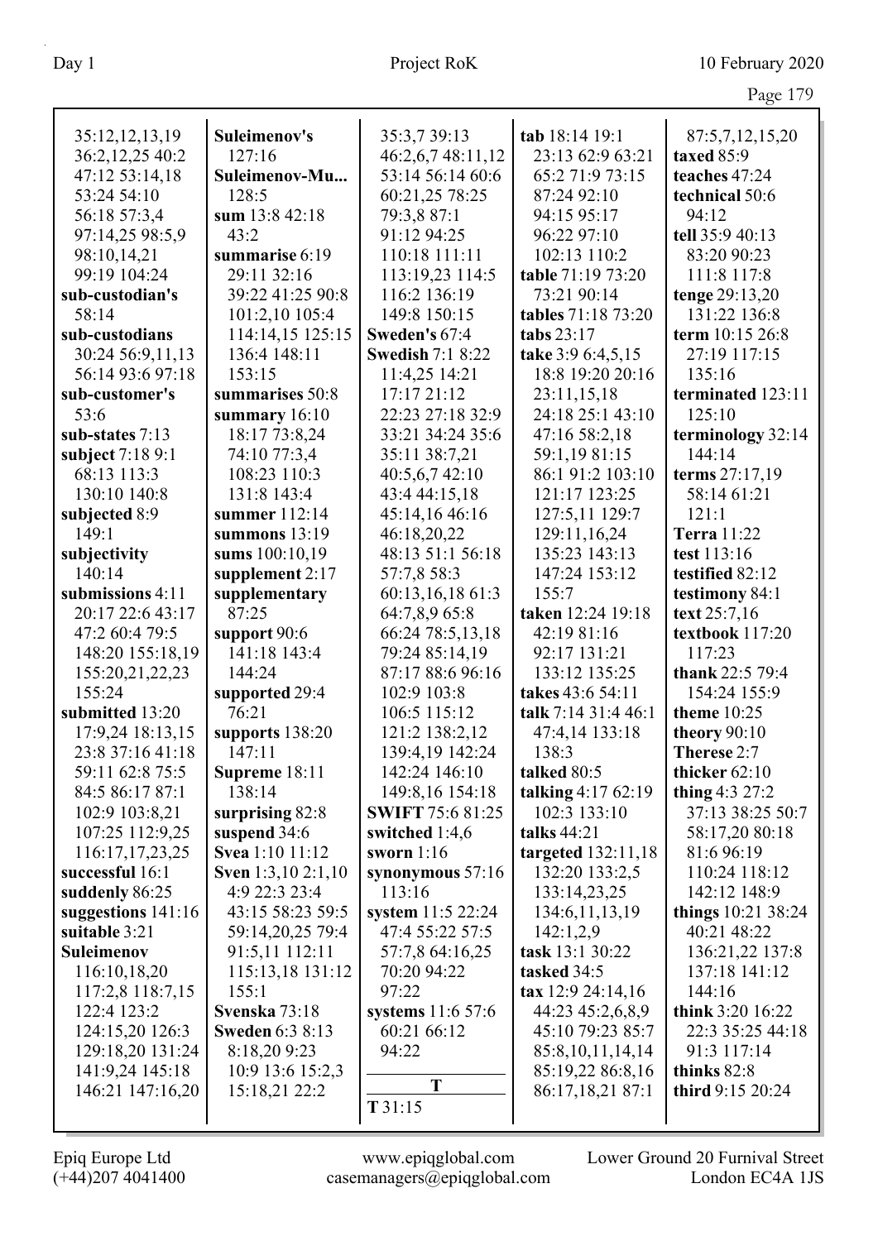|                                    |                                 |                                  |                                    | Page 179                     |
|------------------------------------|---------------------------------|----------------------------------|------------------------------------|------------------------------|
| 35:12,12,13,19                     | Suleimenov's                    | 35:3,7 39:13                     | tab 18:14 19:1                     | 87:5,7,12,15,20              |
| 36:2,12,25 40:2                    | 127:16                          | 46:2,6,7 48:11,12                | 23:13 62:9 63:21                   | taxed 85:9                   |
| 47:12 53:14,18                     | Suleimenov-Mu                   | 53:14 56:14 60:6                 | 65:2 71:9 73:15                    | teaches 47:24                |
| 53:24 54:10                        | 128:5                           | 60:21,25 78:25                   | 87:24 92:10                        | technical 50:6               |
| 56:18 57:3,4                       | sum 13:8 42:18                  | 79:3,8 87:1                      | 94:15 95:17                        | 94:12                        |
| 97:14,25 98:5,9                    | 43:2                            | 91:12 94:25                      | 96:22 97:10                        | tell 35:9 40:13              |
| 98:10,14,21                        | summarise 6:19                  | 110:18 111:11                    | 102:13 110:2                       | 83:20 90:23                  |
| 99:19 104:24                       | 29:11 32:16                     | 113:19,23 114:5                  | table 71:19 73:20                  | 111:8 117:8                  |
| sub-custodian's                    | 39:22 41:25 90:8                | 116:2 136:19                     | 73:21 90:14                        | tenge 29:13,20               |
| 58:14                              | 101:2,10 105:4                  | 149:8 150:15                     | tables 71:18 73:20                 | 131:22 136:8                 |
| sub-custodians                     | 114:14,15 125:15                | Sweden's 67:4                    | tabs 23:17                         | term 10:15 26:8              |
| 30:24 56:9,11,13                   | 136:4 148:11                    | <b>Swedish 7:1 8:22</b>          | take 3:9 6:4,5,15                  | 27:19 117:15                 |
| 56:14 93:6 97:18                   | 153:15                          | 11:4,25 14:21                    | 18:8 19:20 20:16                   | 135:16                       |
| sub-customer's                     | summarises 50:8                 | 17:17 21:12                      | 23:11,15,18                        | terminated 123:11            |
| 53:6                               | summary $16:10$                 | 22:23 27:18 32:9                 | 24:18 25:1 43:10                   | 125:10                       |
| sub-states 7:13                    | 18:17 73:8,24                   | 33:21 34:24 35:6                 | 47:16 58:2,18                      | terminology 32:14            |
| subject 7:18 9:1                   | 74:10 77:3,4                    | 35:11 38:7,21                    | 59:1,19 81:15                      | 144:14                       |
| 68:13 113:3                        | 108:23 110:3                    | 40:5,6,7 42:10                   | 86:1 91:2 103:10                   | terms 27:17,19               |
| 130:10 140:8                       | 131:8 143:4                     | 43:4 44:15,18                    | 121:17 123:25                      | 58:14 61:21                  |
| subjected 8:9                      | summer 112:14                   | 45:14,16 46:16                   | 127:5,11 129:7                     | 121:1                        |
| 149:1                              | summons 13:19                   | 46:18,20,22                      | 129:11,16,24                       | <b>Terra</b> 11:22           |
| subjectivity                       | sums 100:10,19                  | 48:13 51:1 56:18                 | 135:23 143:13                      | test 113:16                  |
| 140:14                             | supplement 2:17                 | 57:7,8 58:3                      | 147:24 153:12                      | testified 82:12              |
| submissions 4:11                   | supplementary                   | 60:13,16,18 61:3                 | 155:7                              | testimony 84:1               |
| 20:17 22:6 43:17                   | 87:25                           | 64:7,8,9 65:8                    | taken 12:24 19:18                  | text 25:7,16                 |
| 47:2 60:4 79:5                     | support 90:6                    | 66:24 78:5,13,18                 | 42:19 81:16                        | textbook 117:20              |
| 148:20 155:18,19                   | 141:18 143:4                    | 79:24 85:14,19                   | 92:17 131:21                       | 117:23                       |
| 155:20,21,22,23                    | 144:24                          | 87:17 88:6 96:16                 | 133:12 135:25                      | thank 22:5 79:4              |
| 155:24                             | supported 29:4                  | 102:9 103:8                      | takes 43:6 54:11                   | 154:24 155:9                 |
| submitted 13:20                    | 76:21                           | 106:5 115:12                     | talk 7:14 31:4 46:1                | <b>theme</b> 10:25           |
| 17:9,24 18:13,15                   | supports 138:20                 | 121:2 138:2,12                   | 47:4,14 133:18                     | theory 90:10                 |
| 23:8 37:16 41:18                   | 147:11                          | 139:4,19 142:24                  | 138:3                              | Therese 2:7                  |
| 59:11 62:8 75:5                    | Supreme 18:11                   | 142:24 146:10                    | talked 80:5                        | thicker 62:10                |
| 84:5 86:17 87:1                    | 138:14                          | 149:8,16 154:18                  | talking 4:17 62:19<br>102:3 133:10 | thing $4:3 27:2$             |
| 102:9 103:8,21                     | surprising 82:8                 | <b>SWIFT 75:6 81:25</b>          | talks 44:21                        | 37:13 38:25 50:7             |
| 107:25 112:9,25<br>116:17,17,23,25 | suspend 34:6<br>Svea 1:10 11:12 | switched $1:4,6$<br>sworn $1:16$ | targeted 132:11,18                 | 58:17,20 80:18<br>81:6 96:19 |
| successful 16:1                    | <b>Sven</b> 1:3,10 2:1,10       |                                  | 132:20 133:2,5                     | 110:24 118:12                |
| suddenly 86:25                     | 4:9 22:3 23:4                   | synonymous $57:16$<br>113:16     | 133:14,23,25                       | 142:12 148:9                 |
| suggestions $141:16$               | 43:15 58:23 59:5                | system 11:5 22:24                | 134:6, 11, 13, 19                  | things $10:21$ 38:24         |
| suitable 3:21                      | 59:14,20,25 79:4                | 47:4 55:22 57:5                  | 142:1,2,9                          | 40:21 48:22                  |
| Suleimenov                         | 91:5,11 112:11                  | 57:7,8 64:16,25                  | task 13:1 30:22                    | 136:21,22 137:8              |
| 116:10,18,20                       | 115:13,18 131:12                | 70:20 94:22                      | tasked 34:5                        | 137:18 141:12                |
| 117:2,8 118:7,15                   | 155:1                           | 97:22                            | tax 12:9 24:14,16                  | 144:16                       |
| 122:4 123:2                        | Svenska 73:18                   | systems 11:6 57:6                | 44:23 45:2,6,8,9                   | think 3:20 16:22             |
| 124:15,20 126:3                    | <b>Sweden 6:3 8:13</b>          | 60:21 66:12                      | 45:10 79:23 85:7                   | 22:3 35:25 44:18             |
| 129:18,20 131:24                   | 8:18,20 9:23                    | 94:22                            | 85:8,10,11,14,14                   | 91:3 117:14                  |
| 141:9,24 145:18                    | 10:9 13:6 15:2,3                |                                  | 85:19,22 86:8,16                   | thinks 82:8                  |
| 146:21 147:16,20                   | 15:18,21 22:2                   | T                                | 86:17,18,21 87:1                   | third 9:15 20:24             |
|                                    |                                 | T 31:15                          |                                    |                              |
|                                    |                                 |                                  |                                    |                              |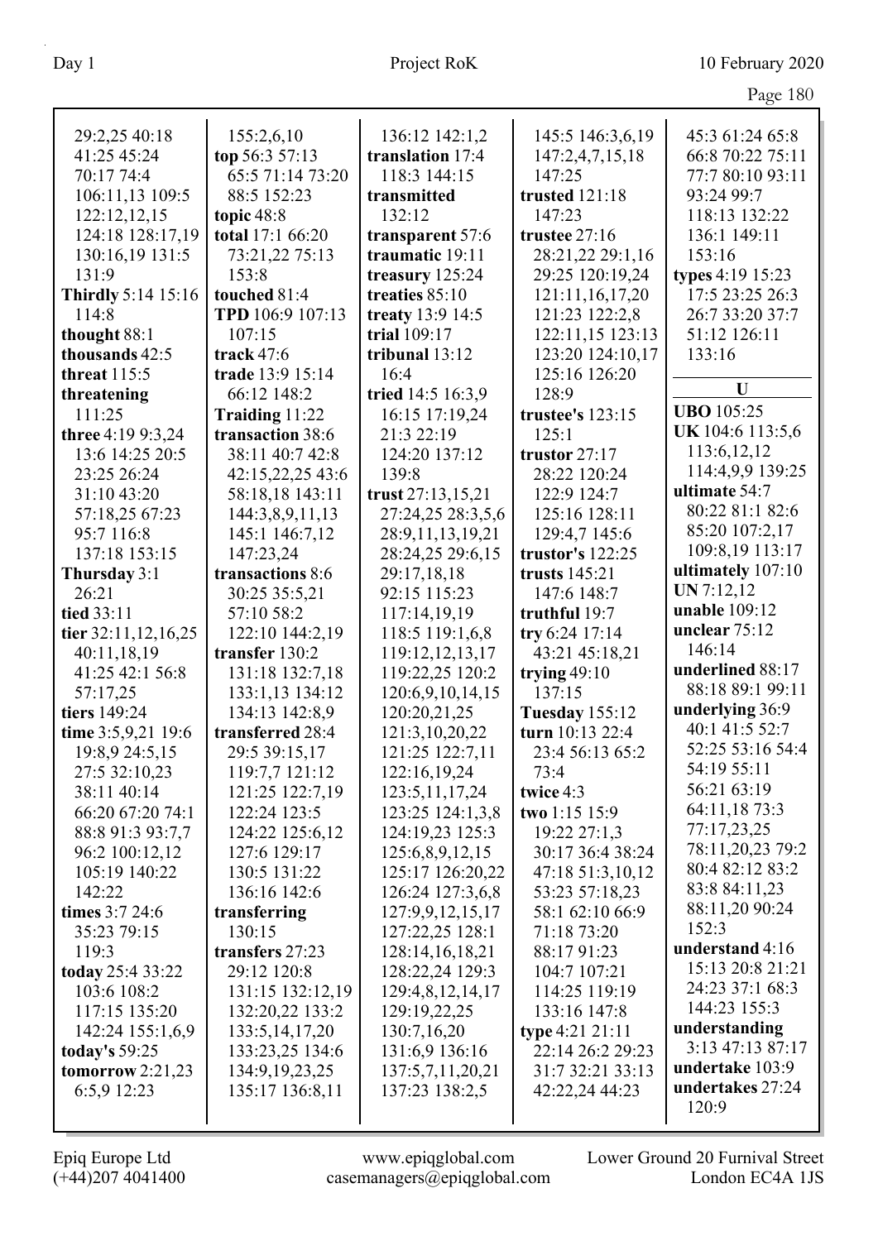| Page 180 |  |
|----------|--|
|          |  |

|                           |                   |                   |                                   | $\circ$           |
|---------------------------|-------------------|-------------------|-----------------------------------|-------------------|
| 29:2,25 40:18             | 155:2,6,10        | 136:12 142:1,2    | 145:5 146:3,6,19                  | 45:3 61:24 65:8   |
| 41:25 45:24               | top 56:3 57:13    | translation 17:4  | 147:2,4,7,15,18                   | 66:8 70:22 75:11  |
| 70:17 74:4                | 65:5 71:14 73:20  | 118:3 144:15      | 147:25                            | 77:7 80:10 93:11  |
| 106:11,13 109:5           | 88:5 152:23       | transmitted       | trusted 121:18                    | 93:24 99:7        |
| 122:12,12,15              | topic $48:8$      | 132:12            | 147:23                            | 118:13 132:22     |
| 124:18 128:17,19          | total 17:1 66:20  | transparent 57:6  | trustee 27:16                     | 136:1 149:11      |
| 130:16,19 131:5           | 73:21,22 75:13    | traumatic 19:11   | 28:21,22 29:1,16                  | 153:16            |
| 131:9                     | 153:8             | treasury 125:24   | 29:25 120:19,24                   | types 4:19 15:23  |
| <b>Thirdly 5:14 15:16</b> | touched 81:4      | treaties 85:10    | 121:11,16,17,20                   | 17:5 23:25 26:3   |
| 114:8                     | TPD 106:9 107:13  | treaty 13:9 14:5  | 121:23 122:2,8                    | 26:7 33:20 37:7   |
| thought 88:1              | 107:15            | trial 109:17      | 122:11,15 123:13                  | 51:12 126:11      |
| thousands 42:5            | track $47:6$      | tribunal 13:12    |                                   | 133:16            |
|                           | trade 13:9 15:14  | 16:4              | 123:20 124:10,17<br>125:16 126:20 |                   |
| threat 115:5              |                   |                   | 128:9                             | U                 |
| threatening               | 66:12 148:2       | tried 14:5 16:3,9 |                                   | <b>UBO</b> 105:25 |
| 111:25                    | Traiding 11:22    | 16:15 17:19,24    | trustee's 123:15                  | UK 104:6 113:5,6  |
| three 4:19 9:3,24         | transaction 38:6  | 21:3 22:19        | 125:1                             | 113:6, 12, 12     |
| 13:6 14:25 20:5           | 38:11 40:7 42:8   | 124:20 137:12     | trustor 27:17                     | 114:4,9,9 139:25  |
| 23:25 26:24               | 42:15,22,25 43:6  | 139:8             | 28:22 120:24                      | ultimate 54:7     |
| 31:10 43:20               | 58:18,18 143:11   | trust 27:13,15,21 | 122:9 124:7                       | 80:22 81:1 82:6   |
| 57:18,25 67:23            | 144:3,8,9,11,13   | 27:24,25 28:3,5,6 | 125:16 128:11                     | 85:20 107:2,17    |
| 95:7 116:8                | 145:1 146:7,12    | 28:9,11,13,19,21  | 129:4,7 145:6                     |                   |
| 137:18 153:15             | 147:23,24         | 28:24,25 29:6,15  | trustor's 122:25                  | 109:8,19 113:17   |
| Thursday 3:1              | transactions 8:6  | 29:17,18,18       | trusts 145:21                     | ultimately 107:10 |
| 26:21                     | 30:25 35:5,21     | 92:15 115:23      | 147:6 148:7                       | UN 7:12,12        |
| tied 33:11                | 57:10 58:2        | 117:14,19,19      | truthful 19:7                     | unable 109:12     |
| tier 32:11,12,16,25       | 122:10 144:2,19   | 118:5 119:1,6,8   | try 6:24 17:14                    | unclear 75:12     |
| 40:11,18,19               | transfer 130:2    | 119:12,12,13,17   | 43:21 45:18,21                    | 146:14            |
| 41:25 42:1 56:8           | 131:18 132:7,18   | 119:22,25 120:2   | trying $49:10$                    | underlined 88:17  |
| 57:17,25                  | 133:1,13 134:12   | 120:6,9,10,14,15  | 137:15                            | 88:18 89:1 99:11  |
| tiers 149:24              | 134:13 142:8,9    | 120:20,21,25      | <b>Tuesday</b> 155:12             | underlying 36:9   |
| time 3:5,9,21 19:6        | transferred 28:4  | 121:3,10,20,22    | turn 10:13 22:4                   | 40:1 41:5 52:7    |
| 19:8,9 24:5,15            | 29:5 39:15,17     | 121:25 122:7,11   | 23:4 56:13 65:2                   | 52:25 53:16 54:4  |
| 27:5 32:10,23             | 119:7,7 121:12    | 122:16,19,24      | 73:4                              | 54:19 55:11       |
| 38:11 40:14               | 121:25 122:7,19   | 123:5, 11, 17, 24 | twice 4:3                         | 56:21 63:19       |
| 66:20 67:20 74:1          | 122:24 123:5      | 123:25 124:1,3,8  | two 1:15 15:9                     | 64:11,18 73:3     |
| 88:8 91:3 93:7,7          | 124:22 125:6,12   | 124:19,23 125:3   | 19:22 27:1,3                      | 77:17,23,25       |
| 96:2 100:12,12            | 127:6 129:17      | 125:6,8,9,12,15   | 30:17 36:4 38:24                  | 78:11,20,23 79:2  |
| 105:19 140:22             | 130:5 131:22      | 125:17 126:20,22  | 47:18 51:3,10,12                  | 80:4 82:12 83:2   |
| 142:22                    | 136:16 142:6      | 126:24 127:3,6,8  | 53:23 57:18,23                    | 83:8 84:11,23     |
| times 3:7 24:6            | transferring      | 127:9,9,12,15,17  | 58:1 62:10 66:9                   | 88:11,20 90:24    |
| 35:23 79:15               | 130:15            | 127:22,25 128:1   | 71:18 73:20                       | 152:3             |
| 119:3                     | transfers 27:23   | 128:14,16,18,21   | 88:17 91:23                       | understand 4:16   |
| today 25:4 33:22          | 29:12 120:8       | 128:22,24 129:3   | 104:7 107:21                      | 15:13 20:8 21:21  |
| 103:6 108:2               | 131:15 132:12,19  | 129:4,8,12,14,17  | 114:25 119:19                     | 24:23 37:1 68:3   |
| 117:15 135:20             | 132:20,22 133:2   | 129:19,22,25      | 133:16 147:8                      | 144:23 155:3      |
| 142:24 155:1,6,9          | 133:5, 14, 17, 20 | 130:7,16,20       | type 4:21 21:11                   | understanding     |
| <b>today's</b> 59:25      | 133:23,25 134:6   | 131:6,9 136:16    | 22:14 26:2 29:23                  | 3:13 47:13 87:17  |
| tomorrow $2:21,23$        | 134:9, 19, 23, 25 | 137:5,7,11,20,21  | 31:7 32:21 33:13                  | undertake 103:9   |
| 6:5,9 12:23               | 135:17 136:8,11   | 137:23 138:2,5    | 42:22,24 44:23                    | undertakes 27:24  |
|                           |                   |                   |                                   | 120:9             |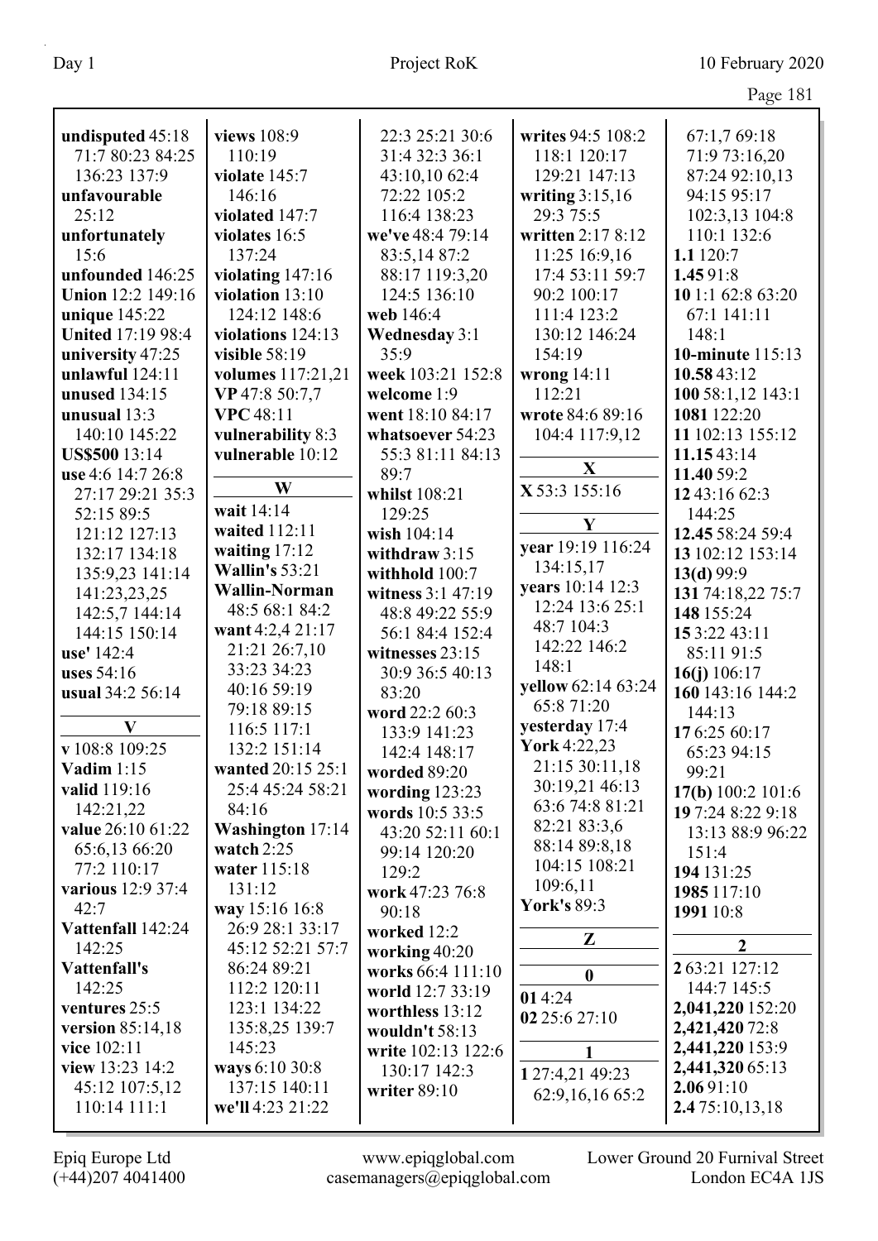|                          |                             |                      |                               | Page 181                           |
|--------------------------|-----------------------------|----------------------|-------------------------------|------------------------------------|
| undisputed 45:18         | views 108:9                 | 22:3 25:21 30:6      | writes 94:5 108:2             | 67:1,7 69:18                       |
| 71:7 80:23 84:25         | 110:19                      | 31:4 32:3 36:1       | 118:1 120:17                  | 71:9 73:16,20                      |
| 136:23 137:9             | violate 145:7               | 43:10,10 62:4        | 129:21 147:13                 | 87:24 92:10,13                     |
| unfavourable             | 146:16                      | 72:22 105:2          | writing $3:15,16$             | 94:15 95:17                        |
| 25:12                    | violated 147:7              | 116:4 138:23         | 29:3 75:5                     | 102:3,13 104:8                     |
| unfortunately            | violates 16:5               | we've 48:4 79:14     | written 2:17 8:12             | 110:1 132:6                        |
| 15:6                     | 137:24                      | 83:5,14 87:2         | 11:25 16:9,16                 | 1.1 120:7                          |
| unfounded 146:25         | violating 147:16            | 88:17 119:3,20       | 17:4 53:11 59:7               | 1.4591:8                           |
| <b>Union 12:2 149:16</b> | violation 13:10             | 124:5 136:10         | 90:2 100:17                   | 10 1:1 62:8 63:20                  |
| unique $145:22$          | 124:12 148:6                | web 146:4            | 111:4 123:2                   | 67:1 141:11                        |
| <b>United 17:19 98:4</b> | violations 124:13           | <b>Wednesday 3:1</b> | 130:12 146:24                 | 148:1                              |
| university 47:25         | visible $58:19$             | 35:9                 | 154:19                        | 10-minute 115:13                   |
| unlawful $124:11$        | volumes 117:21,21           | week 103:21 152:8    | wrong $14:11$                 | 10.5843:12                         |
| unused 134:15            | VP 47:8 50:7,7              | welcome 1:9          | 112:21                        | 100 58:1,12 143:1                  |
| unusual 13:3             | <b>VPC</b> 48:11            | went 18:10 84:17     | wrote 84:6 89:16              | 1081 122:20                        |
| 140:10 145:22            | vulnerability 8:3           | whatsoever 54:23     | 104:4 117:9,12                | 11 102:13 155:12                   |
| <b>US\$500</b> 13:14     | vulnerable 10:12            | 55:3 81:11 84:13     |                               | 11.1543:14                         |
| use 4:6 14:7 26:8        |                             | 89:7                 | $\mathbf{X}$                  | 11.40 59:2                         |
| 27:17 29:21 35:3         | W                           | whilst 108:21        | X 53:3 155:16                 | 12 43:16 62:3                      |
| 52:15 89:5               | wait 14:14                  | 129:25               |                               | 144:25                             |
| 121:12 127:13            | waited 112:11               | wish 104:14          | Y                             | 12.45 58:24 59:4                   |
| 132:17 134:18            | waiting $17:12$             | withdraw $3:15$      | year 19:19 116:24             | 13 102:12 153:14                   |
| 135:9,23 141:14          | <b>Wallin's</b> 53:21       | withhold 100:7       | 134:15,17                     | 13(d) 99:9                         |
| 141:23,23,25             | <b>Wallin-Norman</b>        | witness 3:1 47:19    | years 10:14 12:3              | 131 74:18,22 75:7                  |
| 142:5,7 144:14           | 48:5 68:1 84:2              | 48:8 49:22 55:9      | 12:24 13:6 25:1               | 148 155:24                         |
| 144:15 150:14            | want 4:2,4 21:17            | 56:1 84:4 152:4      | 48:7 104:3                    | 15 3:22 43:11                      |
| use' 142:4               | 21:21 26:7,10               | witnesses 23:15      | 142:22 146:2                  | 85:11 91:5                         |
| uses $54:16$             | 33:23 34:23                 | 30:9 36:5 40:13      | 148:1                         | 16(j) $106:17$                     |
| usual 34:2 56:14         | 40:16 59:19                 | 83:20                | yellow 62:14 63:24            | 160 143:16 144:2                   |
|                          | 79:18 89:15                 | word 22:2 60:3       | 65:8 71:20                    | 144:13                             |
| $\bf V$                  | 116:5 117:1                 | 133:9 141:23         | yesterday 17:4                | 176:25 60:17                       |
| v 108:8 109:25           | 132:2 151:14                | 142:4 148:17         | <b>York</b> 4:22,23           | 65:23 94:15                        |
| Vadim $1:15$             | wanted 20:15 25:1           | worded 89:20         | 21:15 30:11,18                | 99:21                              |
| valid 119:16             | 25:4 45:24 58:21            | wording $123:23$     | 30:19,21 46:13                | 17(b) 100:2 101:6                  |
| 142:21,22                | 84:16                       | words 10:5 33:5      | 63:6 74:8 81:21               | 197:24 8:22 9:18                   |
| value 26:10 61:22        | Washington 17:14            | 43:20 52:11 60:1     | 82:21 83:3,6<br>88:14 89:8,18 | 13:13 88:9 96:22                   |
| 65:6,13 66:20            | watch $2:25$                | 99:14 120:20         | 104:15 108:21                 | 151:4                              |
| 77:2 110:17              | water 115:18                | 129:2                | 109:6,11                      | 194 131:25                         |
| various 12:9 37:4        | 131:12                      | work 47:23 76:8      | <b>York's 89:3</b>            | 1985 117:10                        |
| 42:7                     | way 15:16 16:8              | 90:18                |                               | 1991 10:8                          |
| Vattenfall 142:24        | 26:9 28:1 33:17             | worked 12:2          | $\mathbf{Z}$                  | $\overline{2}$                     |
| 142:25                   | 45:12 52:21 57:7            | working 40:20        |                               |                                    |
| Vattenfall's<br>142:25   | 86:24 89:21<br>112:2 120:11 | works 66:4 111:10    | $\boldsymbol{0}$              | 2 63:21 127:12<br>144:7 145:5      |
| ventures 25:5            | 123:1 134:22                | world 12:7 33:19     | 014:24                        |                                    |
| version 85:14,18         | 135:8,25 139:7              | worthless 13:12      | 02 25:6 27:10                 | 2,041,220 152:20<br>2,421,420 72:8 |
| vice 102:11              | 145:23                      | wouldn't 58:13       |                               | 2,441,220 153:9                    |
| view 13:23 14:2          | ways 6:10 30:8              | write 102:13 122:6   |                               | 2,441,320 65:13                    |
| 45:12 107:5,12           | 137:15 140:11               | 130:17 142:3         | 1 27:4,21 49:23               | 2.0691:10                          |
| 110:14 111:1             | we'll 4:23 21:22            | writer 89:10         | 62:9,16,16 65:2               | 2.475:10,13,18                     |
|                          |                             |                      |                               |                                    |